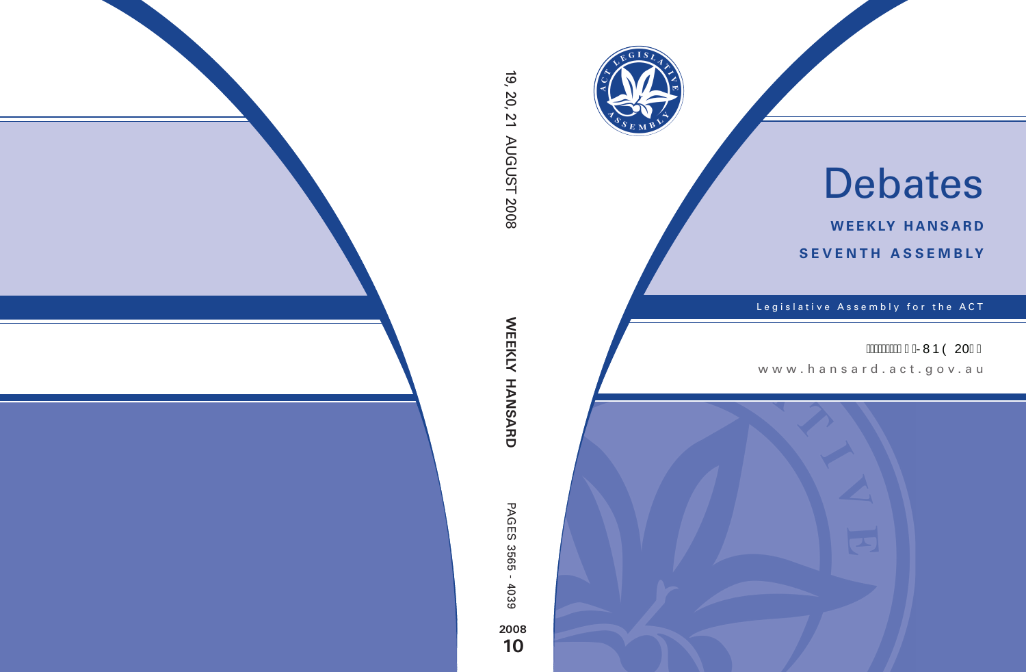

# Debates

**weekly hansard seventh asseMBly**

Legislative Assembly for the ACT

# **ÁÁÁÁÁÁGJÁRVÞÒ 20F€**

www .hansard.act.gov.au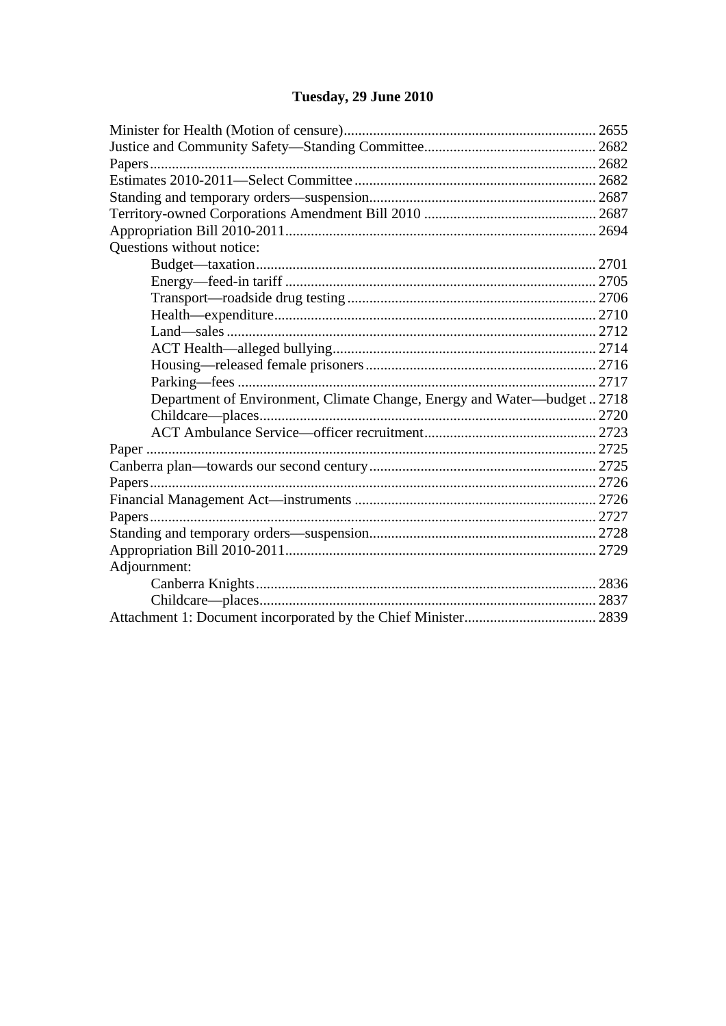# Tuesday, 29 June 2010

| Questions without notice:                                                |  |
|--------------------------------------------------------------------------|--|
|                                                                          |  |
|                                                                          |  |
|                                                                          |  |
|                                                                          |  |
|                                                                          |  |
|                                                                          |  |
|                                                                          |  |
|                                                                          |  |
| Department of Environment, Climate Change, Energy and Water—budget  2718 |  |
|                                                                          |  |
|                                                                          |  |
|                                                                          |  |
|                                                                          |  |
|                                                                          |  |
|                                                                          |  |
|                                                                          |  |
|                                                                          |  |
|                                                                          |  |
| Adjournment:                                                             |  |
|                                                                          |  |
|                                                                          |  |
|                                                                          |  |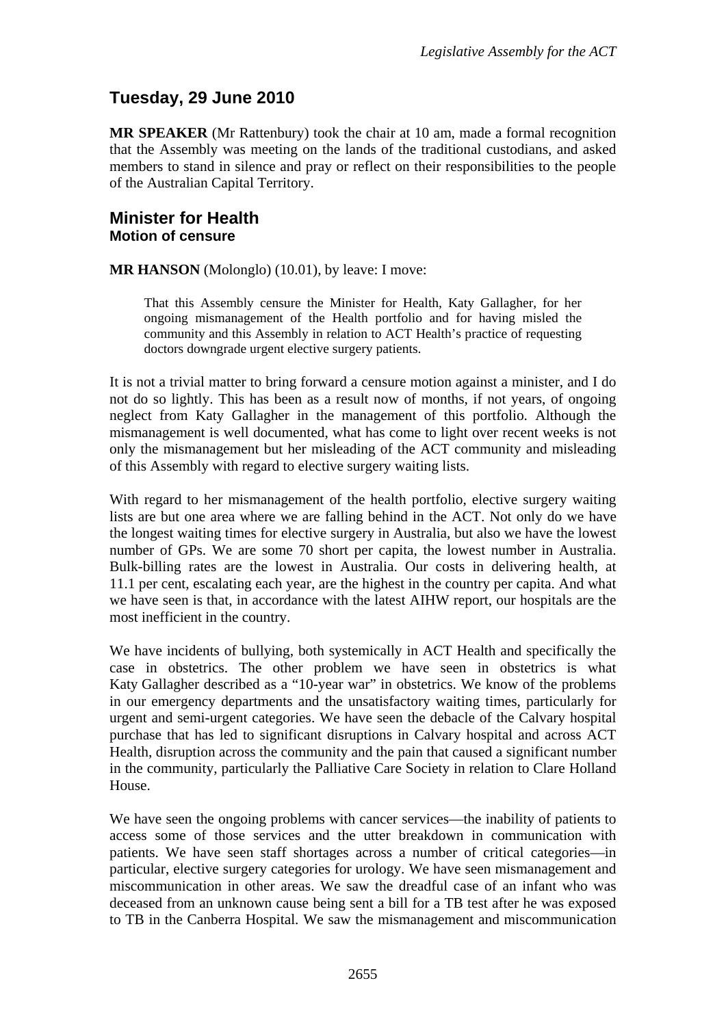# <span id="page-2-0"></span>**Tuesday, 29 June 2010**

**MR SPEAKER** (Mr Rattenbury) took the chair at 10 am, made a formal recognition that the Assembly was meeting on the lands of the traditional custodians, and asked members to stand in silence and pray or reflect on their responsibilities to the people of the Australian Capital Territory.

## <span id="page-2-1"></span>**Minister for Health Motion of censure**

**MR HANSON** (Molonglo) (10.01), by leave: I move:

That this Assembly censure the Minister for Health, Katy Gallagher, for her ongoing mismanagement of the Health portfolio and for having misled the community and this Assembly in relation to ACT Health's practice of requesting doctors downgrade urgent elective surgery patients.

It is not a trivial matter to bring forward a censure motion against a minister, and I do not do so lightly. This has been as a result now of months, if not years, of ongoing neglect from Katy Gallagher in the management of this portfolio. Although the mismanagement is well documented, what has come to light over recent weeks is not only the mismanagement but her misleading of the ACT community and misleading of this Assembly with regard to elective surgery waiting lists.

With regard to her mismanagement of the health portfolio, elective surgery waiting lists are but one area where we are falling behind in the ACT. Not only do we have the longest waiting times for elective surgery in Australia, but also we have the lowest number of GPs. We are some 70 short per capita, the lowest number in Australia. Bulk-billing rates are the lowest in Australia. Our costs in delivering health, at 11.1 per cent, escalating each year, are the highest in the country per capita. And what we have seen is that, in accordance with the latest AIHW report, our hospitals are the most inefficient in the country.

We have incidents of bullying, both systemically in ACT Health and specifically the case in obstetrics. The other problem we have seen in obstetrics is what Katy Gallagher described as a "10-year war" in obstetrics. We know of the problems in our emergency departments and the unsatisfactory waiting times, particularly for urgent and semi-urgent categories. We have seen the debacle of the Calvary hospital purchase that has led to significant disruptions in Calvary hospital and across ACT Health, disruption across the community and the pain that caused a significant number in the community, particularly the Palliative Care Society in relation to Clare Holland House.

We have seen the ongoing problems with cancer services—the inability of patients to access some of those services and the utter breakdown in communication with patients. We have seen staff shortages across a number of critical categories—in particular, elective surgery categories for urology. We have seen mismanagement and miscommunication in other areas. We saw the dreadful case of an infant who was deceased from an unknown cause being sent a bill for a TB test after he was exposed to TB in the Canberra Hospital. We saw the mismanagement and miscommunication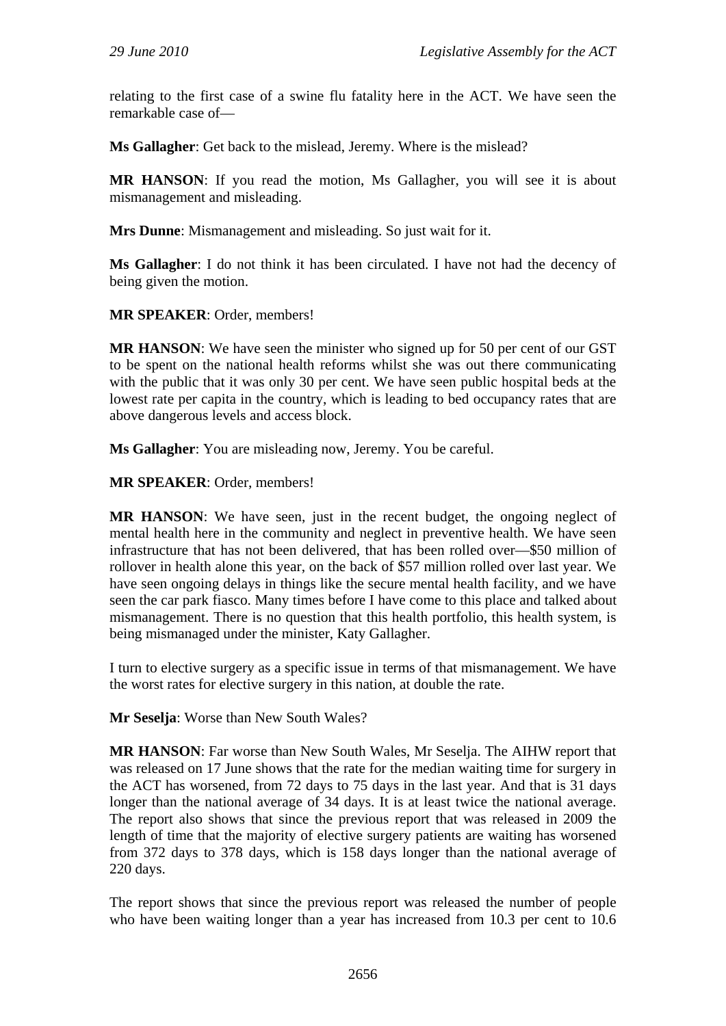relating to the first case of a swine flu fatality here in the ACT. We have seen the remarkable case of—

**Ms Gallagher**: Get back to the mislead, Jeremy. Where is the mislead?

**MR HANSON**: If you read the motion, Ms Gallagher, you will see it is about mismanagement and misleading.

**Mrs Dunne**: Mismanagement and misleading. So just wait for it.

**Ms Gallagher**: I do not think it has been circulated. I have not had the decency of being given the motion.

**MR SPEAKER**: Order, members!

**MR HANSON**: We have seen the minister who signed up for 50 per cent of our GST to be spent on the national health reforms whilst she was out there communicating with the public that it was only 30 per cent. We have seen public hospital beds at the lowest rate per capita in the country, which is leading to bed occupancy rates that are above dangerous levels and access block.

**Ms Gallagher**: You are misleading now, Jeremy. You be careful.

**MR SPEAKER**: Order, members!

**MR HANSON**: We have seen, just in the recent budget, the ongoing neglect of mental health here in the community and neglect in preventive health. We have seen infrastructure that has not been delivered, that has been rolled over—\$50 million of rollover in health alone this year, on the back of \$57 million rolled over last year. We have seen ongoing delays in things like the secure mental health facility, and we have seen the car park fiasco. Many times before I have come to this place and talked about mismanagement. There is no question that this health portfolio, this health system, is being mismanaged under the minister, Katy Gallagher.

I turn to elective surgery as a specific issue in terms of that mismanagement. We have the worst rates for elective surgery in this nation, at double the rate.

**Mr Seselja**: Worse than New South Wales?

**MR HANSON**: Far worse than New South Wales, Mr Seselja. The AIHW report that was released on 17 June shows that the rate for the median waiting time for surgery in the ACT has worsened, from 72 days to 75 days in the last year. And that is 31 days longer than the national average of 34 days. It is at least twice the national average. The report also shows that since the previous report that was released in 2009 the length of time that the majority of elective surgery patients are waiting has worsened from 372 days to 378 days, which is 158 days longer than the national average of 220 days.

The report shows that since the previous report was released the number of people who have been waiting longer than a year has increased from 10.3 per cent to 10.6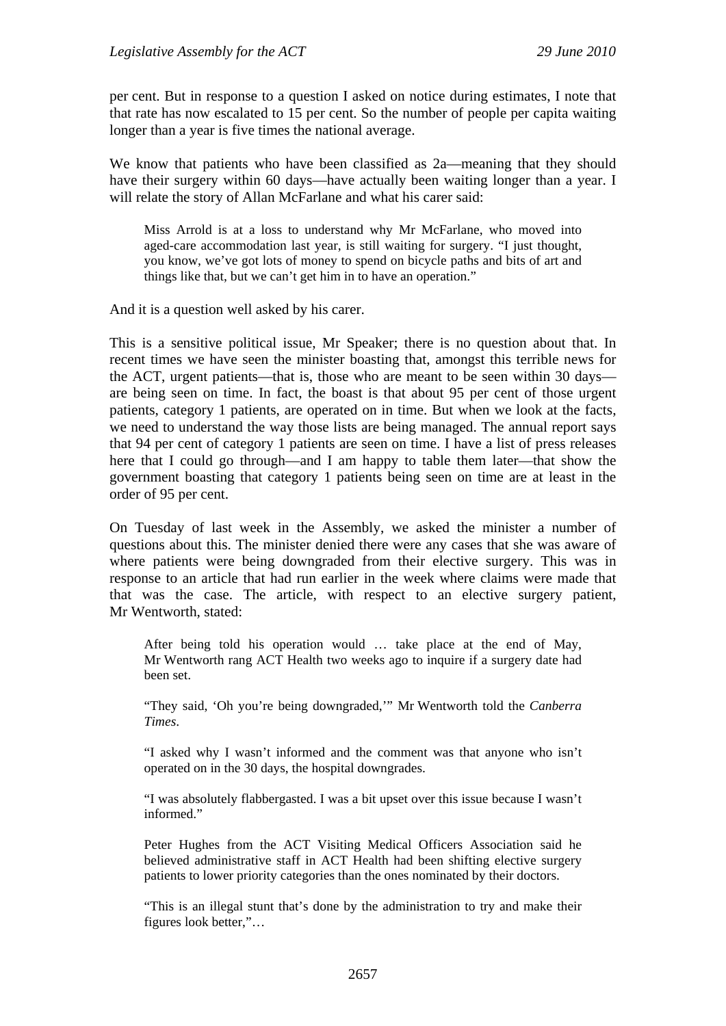per cent. But in response to a question I asked on notice during estimates, I note that that rate has now escalated to 15 per cent. So the number of people per capita waiting longer than a year is five times the national average.

We know that patients who have been classified as 2a—meaning that they should have their surgery within 60 days—have actually been waiting longer than a year. I will relate the story of Allan McFarlane and what his carer said:

Miss Arrold is at a loss to understand why Mr McFarlane, who moved into aged-care accommodation last year, is still waiting for surgery. "I just thought, you know, we've got lots of money to spend on bicycle paths and bits of art and things like that, but we can't get him in to have an operation."

And it is a question well asked by his carer.

This is a sensitive political issue, Mr Speaker; there is no question about that. In recent times we have seen the minister boasting that, amongst this terrible news for the ACT, urgent patients—that is, those who are meant to be seen within 30 days are being seen on time. In fact, the boast is that about 95 per cent of those urgent patients, category 1 patients, are operated on in time. But when we look at the facts, we need to understand the way those lists are being managed. The annual report says that 94 per cent of category 1 patients are seen on time. I have a list of press releases here that I could go through—and I am happy to table them later—that show the government boasting that category 1 patients being seen on time are at least in the order of 95 per cent.

On Tuesday of last week in the Assembly, we asked the minister a number of questions about this. The minister denied there were any cases that she was aware of where patients were being downgraded from their elective surgery. This was in response to an article that had run earlier in the week where claims were made that that was the case. The article, with respect to an elective surgery patient, Mr Wentworth, stated:

After being told his operation would … take place at the end of May, Mr Wentworth rang ACT Health two weeks ago to inquire if a surgery date had been set.

"They said, 'Oh you're being downgraded,'" Mr Wentworth told the *Canberra Times*.

"I asked why I wasn't informed and the comment was that anyone who isn't operated on in the 30 days, the hospital downgrades.

"I was absolutely flabbergasted. I was a bit upset over this issue because I wasn't informed."

Peter Hughes from the ACT Visiting Medical Officers Association said he believed administrative staff in ACT Health had been shifting elective surgery patients to lower priority categories than the ones nominated by their doctors.

"This is an illegal stunt that's done by the administration to try and make their figures look better,"…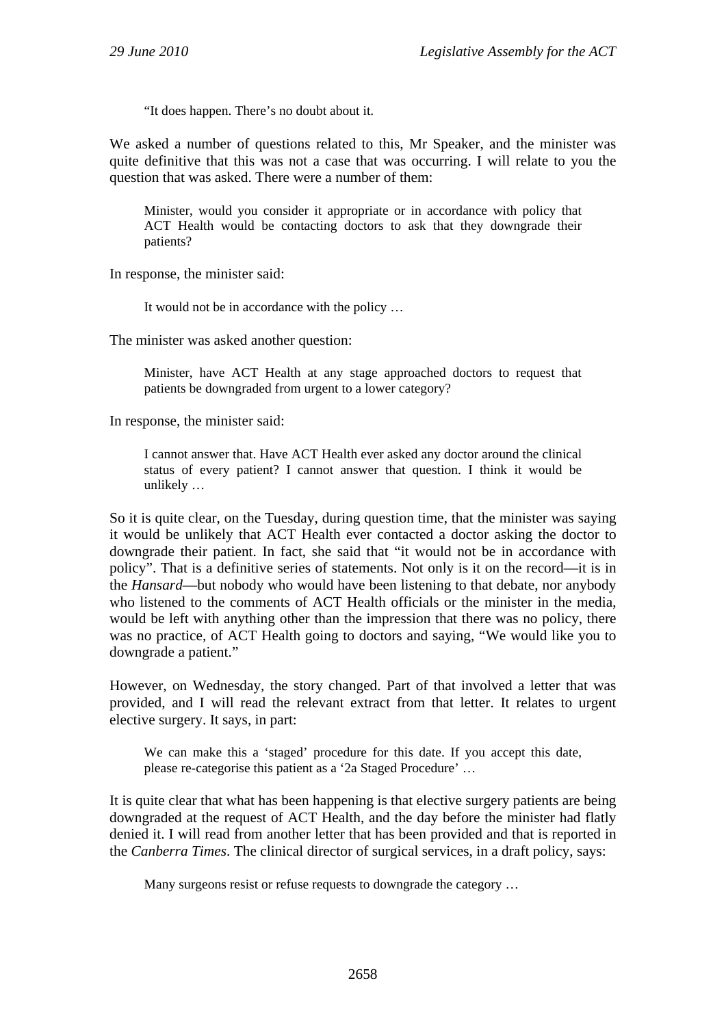"It does happen. There's no doubt about it.

We asked a number of questions related to this, Mr Speaker, and the minister was quite definitive that this was not a case that was occurring. I will relate to you the question that was asked. There were a number of them:

Minister, would you consider it appropriate or in accordance with policy that ACT Health would be contacting doctors to ask that they downgrade their patients?

In response, the minister said:

It would not be in accordance with the policy …

The minister was asked another question:

Minister, have ACT Health at any stage approached doctors to request that patients be downgraded from urgent to a lower category?

In response, the minister said:

I cannot answer that. Have ACT Health ever asked any doctor around the clinical status of every patient? I cannot answer that question. I think it would be unlikely …

So it is quite clear, on the Tuesday, during question time, that the minister was saying it would be unlikely that ACT Health ever contacted a doctor asking the doctor to downgrade their patient. In fact, she said that "it would not be in accordance with policy". That is a definitive series of statements. Not only is it on the record—it is in the *Hansard*—but nobody who would have been listening to that debate, nor anybody who listened to the comments of ACT Health officials or the minister in the media, would be left with anything other than the impression that there was no policy, there was no practice, of ACT Health going to doctors and saying, "We would like you to downgrade a patient."

However, on Wednesday, the story changed. Part of that involved a letter that was provided, and I will read the relevant extract from that letter. It relates to urgent elective surgery. It says, in part:

We can make this a 'staged' procedure for this date. If you accept this date, please re-categorise this patient as a '2a Staged Procedure' …

It is quite clear that what has been happening is that elective surgery patients are being downgraded at the request of ACT Health, and the day before the minister had flatly denied it. I will read from another letter that has been provided and that is reported in the *Canberra Times*. The clinical director of surgical services, in a draft policy, says:

Many surgeons resist or refuse requests to downgrade the category …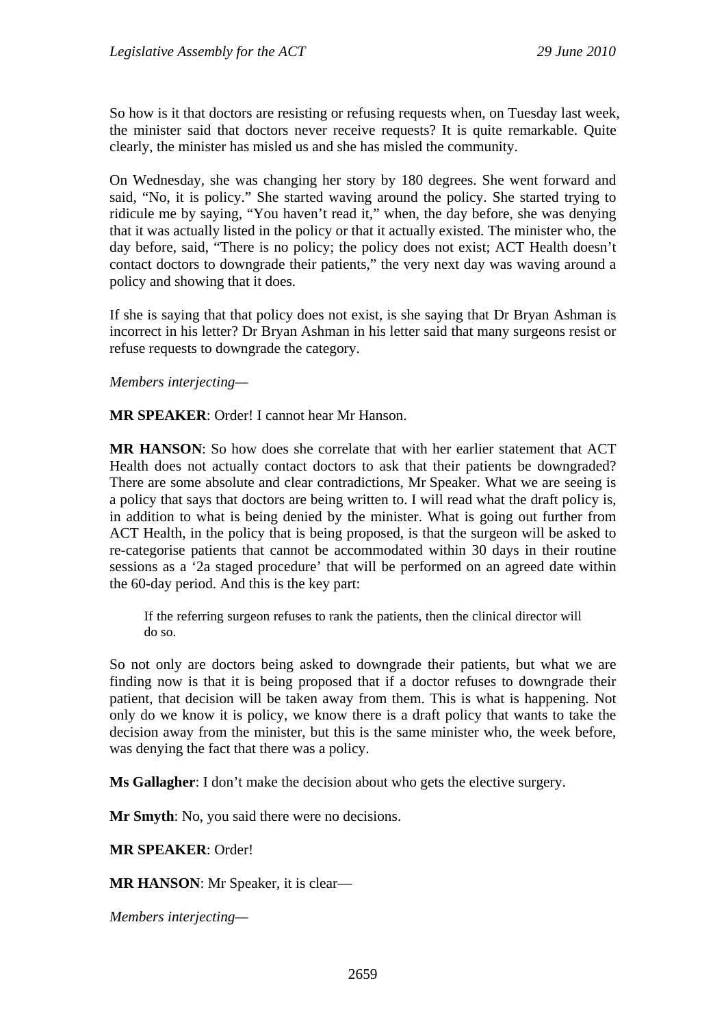So how is it that doctors are resisting or refusing requests when, on Tuesday last week, the minister said that doctors never receive requests? It is quite remarkable. Quite clearly, the minister has misled us and she has misled the community.

On Wednesday, she was changing her story by 180 degrees. She went forward and said, "No, it is policy." She started waving around the policy. She started trying to ridicule me by saying, "You haven't read it," when, the day before, she was denying that it was actually listed in the policy or that it actually existed. The minister who, the day before, said, "There is no policy; the policy does not exist; ACT Health doesn't contact doctors to downgrade their patients," the very next day was waving around a policy and showing that it does.

If she is saying that that policy does not exist, is she saying that Dr Bryan Ashman is incorrect in his letter? Dr Bryan Ashman in his letter said that many surgeons resist or refuse requests to downgrade the category.

#### *Members interjecting—*

**MR SPEAKER**: Order! I cannot hear Mr Hanson.

**MR HANSON**: So how does she correlate that with her earlier statement that ACT Health does not actually contact doctors to ask that their patients be downgraded? There are some absolute and clear contradictions, Mr Speaker. What we are seeing is a policy that says that doctors are being written to. I will read what the draft policy is, in addition to what is being denied by the minister. What is going out further from ACT Health, in the policy that is being proposed, is that the surgeon will be asked to re-categorise patients that cannot be accommodated within 30 days in their routine sessions as a '2a staged procedure' that will be performed on an agreed date within the 60-day period. And this is the key part:

If the referring surgeon refuses to rank the patients, then the clinical director will do so.

So not only are doctors being asked to downgrade their patients, but what we are finding now is that it is being proposed that if a doctor refuses to downgrade their patient, that decision will be taken away from them. This is what is happening. Not only do we know it is policy, we know there is a draft policy that wants to take the decision away from the minister, but this is the same minister who, the week before, was denying the fact that there was a policy.

**Ms Gallagher**: I don't make the decision about who gets the elective surgery.

**Mr Smyth**: No, you said there were no decisions.

**MR SPEAKER**: Order!

**MR HANSON**: Mr Speaker, it is clear—

*Members interjecting—*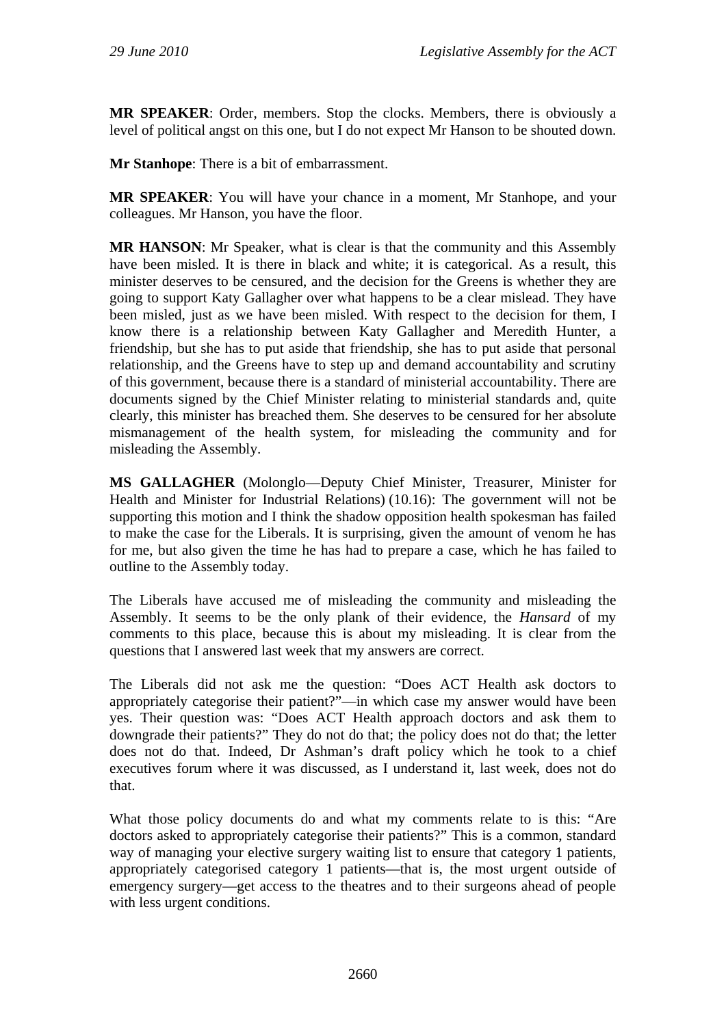**MR SPEAKER**: Order, members. Stop the clocks. Members, there is obviously a level of political angst on this one, but I do not expect Mr Hanson to be shouted down.

**Mr Stanhope**: There is a bit of embarrassment.

**MR SPEAKER**: You will have your chance in a moment, Mr Stanhope, and your colleagues. Mr Hanson, you have the floor.

**MR HANSON**: Mr Speaker, what is clear is that the community and this Assembly have been misled. It is there in black and white; it is categorical. As a result, this minister deserves to be censured, and the decision for the Greens is whether they are going to support Katy Gallagher over what happens to be a clear mislead. They have been misled, just as we have been misled. With respect to the decision for them, I know there is a relationship between Katy Gallagher and Meredith Hunter, a friendship, but she has to put aside that friendship, she has to put aside that personal relationship, and the Greens have to step up and demand accountability and scrutiny of this government, because there is a standard of ministerial accountability. There are documents signed by the Chief Minister relating to ministerial standards and, quite clearly, this minister has breached them. She deserves to be censured for her absolute mismanagement of the health system, for misleading the community and for misleading the Assembly.

**MS GALLAGHER** (Molonglo—Deputy Chief Minister, Treasurer, Minister for Health and Minister for Industrial Relations) (10.16): The government will not be supporting this motion and I think the shadow opposition health spokesman has failed to make the case for the Liberals. It is surprising, given the amount of venom he has for me, but also given the time he has had to prepare a case, which he has failed to outline to the Assembly today.

The Liberals have accused me of misleading the community and misleading the Assembly. It seems to be the only plank of their evidence, the *Hansard* of my comments to this place, because this is about my misleading. It is clear from the questions that I answered last week that my answers are correct.

The Liberals did not ask me the question: "Does ACT Health ask doctors to appropriately categorise their patient?"—in which case my answer would have been yes. Their question was: "Does ACT Health approach doctors and ask them to downgrade their patients?" They do not do that; the policy does not do that; the letter does not do that. Indeed, Dr Ashman's draft policy which he took to a chief executives forum where it was discussed, as I understand it, last week, does not do that.

What those policy documents do and what my comments relate to is this: "Are doctors asked to appropriately categorise their patients?" This is a common, standard way of managing your elective surgery waiting list to ensure that category 1 patients, appropriately categorised category 1 patients—that is, the most urgent outside of emergency surgery—get access to the theatres and to their surgeons ahead of people with less urgent conditions.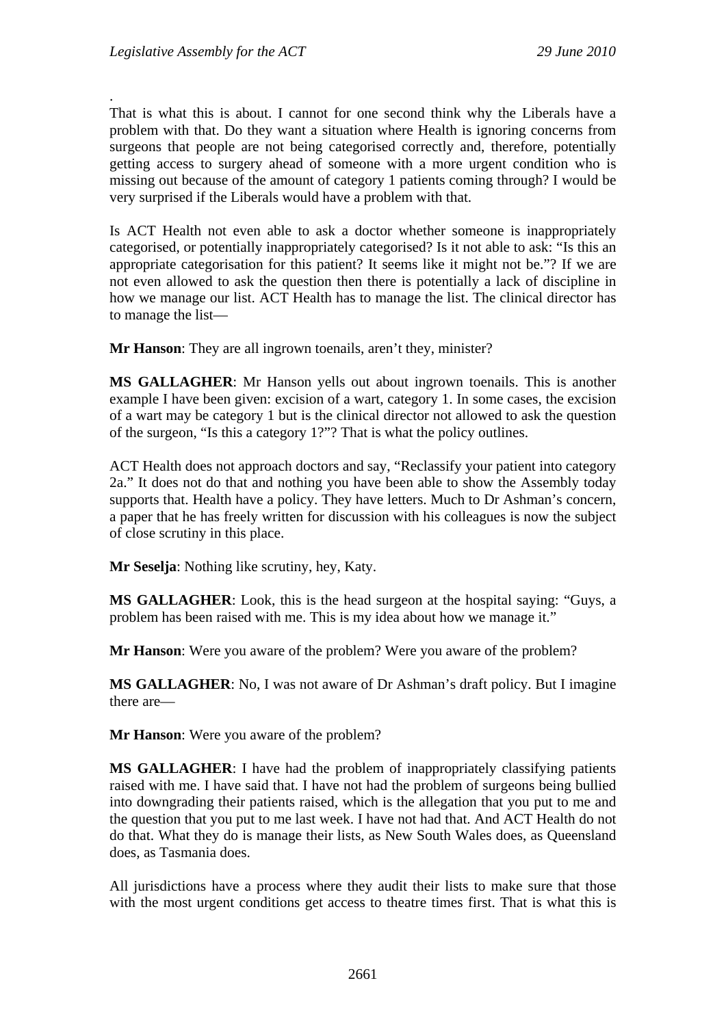.

That is what this is about. I cannot for one second think why the Liberals have a problem with that. Do they want a situation where Health is ignoring concerns from surgeons that people are not being categorised correctly and, therefore, potentially getting access to surgery ahead of someone with a more urgent condition who is missing out because of the amount of category 1 patients coming through? I would be very surprised if the Liberals would have a problem with that.

Is ACT Health not even able to ask a doctor whether someone is inappropriately categorised, or potentially inappropriately categorised? Is it not able to ask: "Is this an appropriate categorisation for this patient? It seems like it might not be."? If we are not even allowed to ask the question then there is potentially a lack of discipline in how we manage our list. ACT Health has to manage the list. The clinical director has to manage the list—

**Mr Hanson**: They are all ingrown toenails, aren't they, minister?

**MS GALLAGHER**: Mr Hanson yells out about ingrown toenails. This is another example I have been given: excision of a wart, category 1. In some cases, the excision of a wart may be category 1 but is the clinical director not allowed to ask the question of the surgeon, "Is this a category 1?"? That is what the policy outlines.

ACT Health does not approach doctors and say, "Reclassify your patient into category 2a." It does not do that and nothing you have been able to show the Assembly today supports that. Health have a policy. They have letters. Much to Dr Ashman's concern, a paper that he has freely written for discussion with his colleagues is now the subject of close scrutiny in this place.

**Mr Seselja**: Nothing like scrutiny, hey, Katy.

**MS GALLAGHER**: Look, this is the head surgeon at the hospital saying: "Guys, a problem has been raised with me. This is my idea about how we manage it."

**Mr Hanson**: Were you aware of the problem? Were you aware of the problem?

**MS GALLAGHER**: No, I was not aware of Dr Ashman's draft policy. But I imagine there are—

**Mr Hanson**: Were you aware of the problem?

**MS GALLAGHER**: I have had the problem of inappropriately classifying patients raised with me. I have said that. I have not had the problem of surgeons being bullied into downgrading their patients raised, which is the allegation that you put to me and the question that you put to me last week. I have not had that. And ACT Health do not do that. What they do is manage their lists, as New South Wales does, as Queensland does, as Tasmania does.

All jurisdictions have a process where they audit their lists to make sure that those with the most urgent conditions get access to theatre times first. That is what this is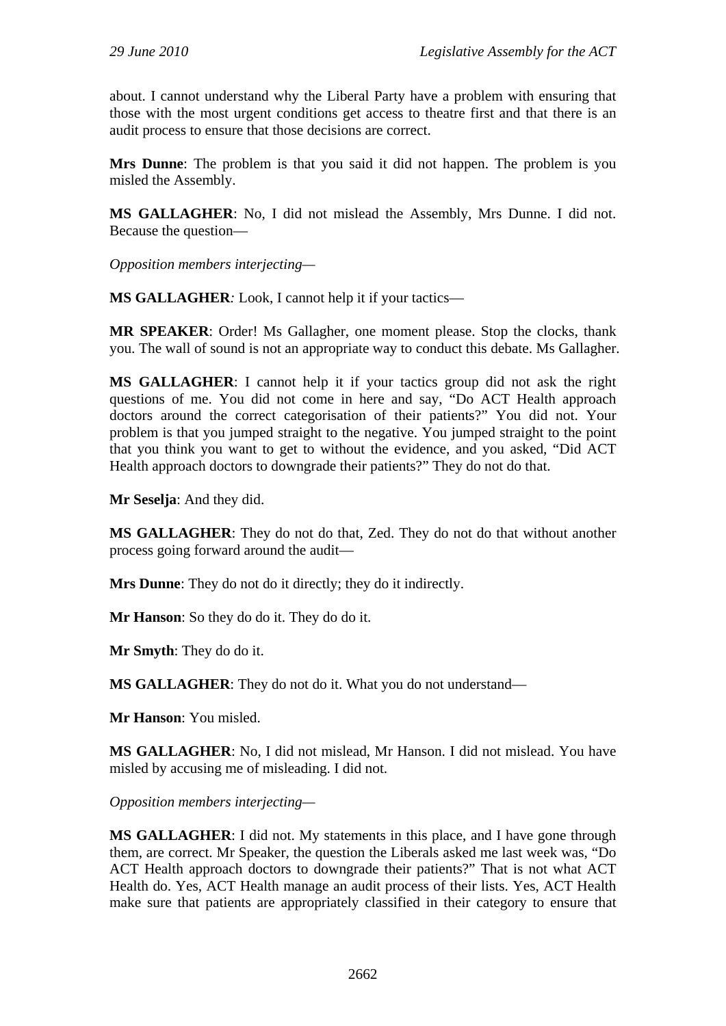about. I cannot understand why the Liberal Party have a problem with ensuring that those with the most urgent conditions get access to theatre first and that there is an audit process to ensure that those decisions are correct.

**Mrs Dunne**: The problem is that you said it did not happen. The problem is you misled the Assembly.

**MS GALLAGHER**: No, I did not mislead the Assembly, Mrs Dunne. I did not. Because the question—

*Opposition members interjecting—* 

**MS GALLAGHER***:* Look, I cannot help it if your tactics—

**MR SPEAKER**: Order! Ms Gallagher, one moment please. Stop the clocks, thank you. The wall of sound is not an appropriate way to conduct this debate. Ms Gallagher.

**MS GALLAGHER**: I cannot help it if your tactics group did not ask the right questions of me. You did not come in here and say, "Do ACT Health approach doctors around the correct categorisation of their patients?" You did not. Your problem is that you jumped straight to the negative. You jumped straight to the point that you think you want to get to without the evidence, and you asked, "Did ACT Health approach doctors to downgrade their patients?" They do not do that.

**Mr Seselja**: And they did.

**MS GALLAGHER**: They do not do that, Zed. They do not do that without another process going forward around the audit—

**Mrs Dunne**: They do not do it directly; they do it indirectly.

**Mr Hanson**: So they do do it. They do do it.

**Mr Smyth**: They do do it.

**MS GALLAGHER**: They do not do it. What you do not understand—

**Mr Hanson**: You misled.

**MS GALLAGHER**: No, I did not mislead, Mr Hanson. I did not mislead. You have misled by accusing me of misleading. I did not.

*Opposition members interjecting—* 

**MS GALLAGHER**: I did not. My statements in this place, and I have gone through them, are correct. Mr Speaker, the question the Liberals asked me last week was, "Do ACT Health approach doctors to downgrade their patients?" That is not what ACT Health do. Yes, ACT Health manage an audit process of their lists. Yes, ACT Health make sure that patients are appropriately classified in their category to ensure that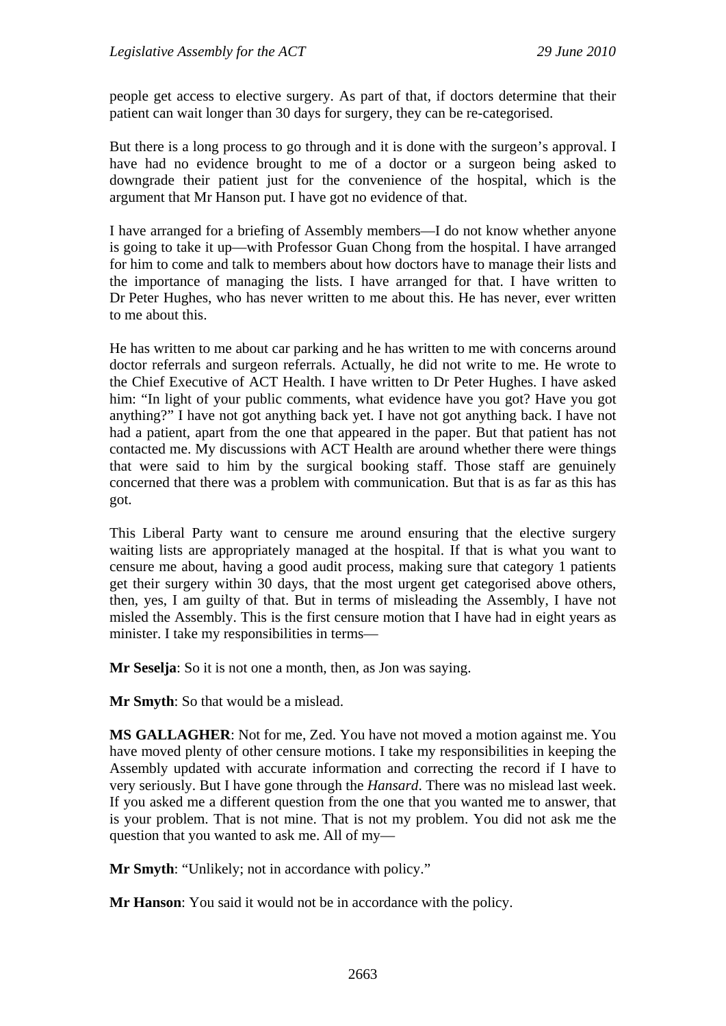people get access to elective surgery. As part of that, if doctors determine that their patient can wait longer than 30 days for surgery, they can be re-categorised.

But there is a long process to go through and it is done with the surgeon's approval. I have had no evidence brought to me of a doctor or a surgeon being asked to downgrade their patient just for the convenience of the hospital, which is the argument that Mr Hanson put. I have got no evidence of that.

I have arranged for a briefing of Assembly members—I do not know whether anyone is going to take it up—with Professor Guan Chong from the hospital. I have arranged for him to come and talk to members about how doctors have to manage their lists and the importance of managing the lists. I have arranged for that. I have written to Dr Peter Hughes, who has never written to me about this. He has never, ever written to me about this.

He has written to me about car parking and he has written to me with concerns around doctor referrals and surgeon referrals. Actually, he did not write to me. He wrote to the Chief Executive of ACT Health. I have written to Dr Peter Hughes. I have asked him: "In light of your public comments, what evidence have you got? Have you got anything?" I have not got anything back yet. I have not got anything back. I have not had a patient, apart from the one that appeared in the paper. But that patient has not contacted me. My discussions with ACT Health are around whether there were things that were said to him by the surgical booking staff. Those staff are genuinely concerned that there was a problem with communication. But that is as far as this has got.

This Liberal Party want to censure me around ensuring that the elective surgery waiting lists are appropriately managed at the hospital. If that is what you want to censure me about, having a good audit process, making sure that category 1 patients get their surgery within 30 days, that the most urgent get categorised above others, then, yes, I am guilty of that. But in terms of misleading the Assembly, I have not misled the Assembly. This is the first censure motion that I have had in eight years as minister. I take my responsibilities in terms—

**Mr Seselja**: So it is not one a month, then, as Jon was saying.

**Mr Smyth**: So that would be a mislead.

**MS GALLAGHER**: Not for me, Zed. You have not moved a motion against me. You have moved plenty of other censure motions. I take my responsibilities in keeping the Assembly updated with accurate information and correcting the record if I have to very seriously. But I have gone through the *Hansard*. There was no mislead last week. If you asked me a different question from the one that you wanted me to answer, that is your problem. That is not mine. That is not my problem. You did not ask me the question that you wanted to ask me. All of my—

**Mr Smyth**: "Unlikely; not in accordance with policy."

**Mr Hanson**: You said it would not be in accordance with the policy.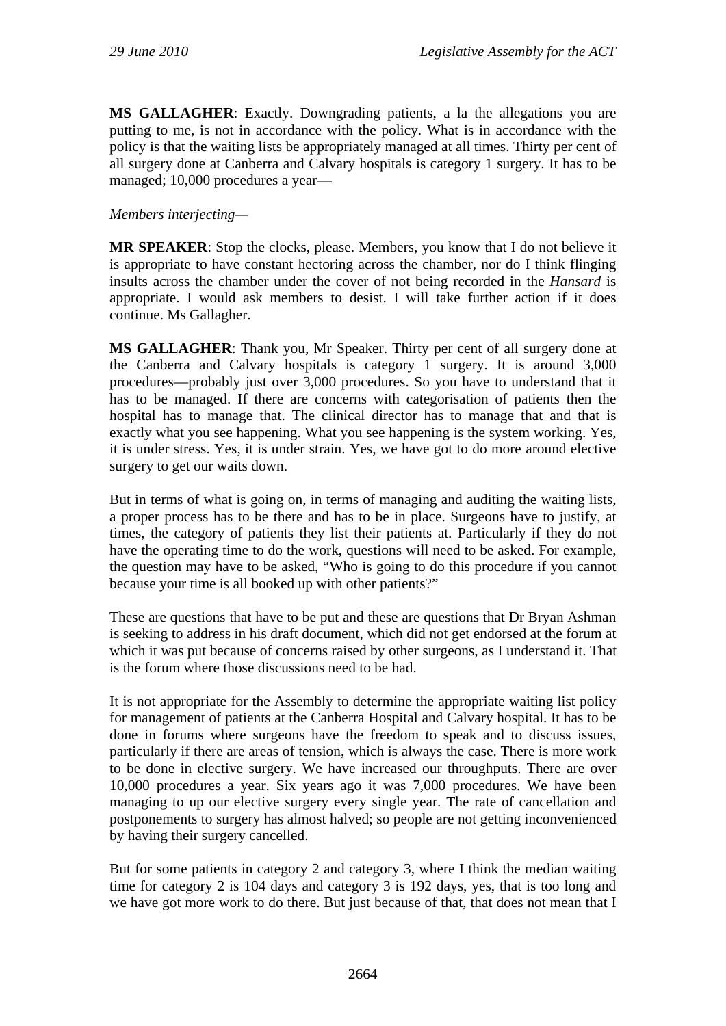**MS GALLAGHER**: Exactly. Downgrading patients, a la the allegations you are putting to me, is not in accordance with the policy. What is in accordance with the policy is that the waiting lists be appropriately managed at all times. Thirty per cent of all surgery done at Canberra and Calvary hospitals is category 1 surgery. It has to be managed; 10,000 procedures a year—

#### *Members interjecting—*

**MR SPEAKER**: Stop the clocks, please. Members, you know that I do not believe it is appropriate to have constant hectoring across the chamber, nor do I think flinging insults across the chamber under the cover of not being recorded in the *Hansard* is appropriate. I would ask members to desist. I will take further action if it does continue. Ms Gallagher.

**MS GALLAGHER**: Thank you, Mr Speaker. Thirty per cent of all surgery done at the Canberra and Calvary hospitals is category 1 surgery. It is around 3,000 procedures—probably just over 3,000 procedures. So you have to understand that it has to be managed. If there are concerns with categorisation of patients then the hospital has to manage that. The clinical director has to manage that and that is exactly what you see happening. What you see happening is the system working. Yes, it is under stress. Yes, it is under strain. Yes, we have got to do more around elective surgery to get our waits down.

But in terms of what is going on, in terms of managing and auditing the waiting lists, a proper process has to be there and has to be in place. Surgeons have to justify, at times, the category of patients they list their patients at. Particularly if they do not have the operating time to do the work, questions will need to be asked. For example, the question may have to be asked, "Who is going to do this procedure if you cannot because your time is all booked up with other patients?"

These are questions that have to be put and these are questions that Dr Bryan Ashman is seeking to address in his draft document, which did not get endorsed at the forum at which it was put because of concerns raised by other surgeons, as I understand it. That is the forum where those discussions need to be had.

It is not appropriate for the Assembly to determine the appropriate waiting list policy for management of patients at the Canberra Hospital and Calvary hospital. It has to be done in forums where surgeons have the freedom to speak and to discuss issues, particularly if there are areas of tension, which is always the case. There is more work to be done in elective surgery. We have increased our throughputs. There are over 10,000 procedures a year. Six years ago it was 7,000 procedures. We have been managing to up our elective surgery every single year. The rate of cancellation and postponements to surgery has almost halved; so people are not getting inconvenienced by having their surgery cancelled.

But for some patients in category 2 and category 3, where I think the median waiting time for category 2 is 104 days and category 3 is 192 days, yes, that is too long and we have got more work to do there. But just because of that, that does not mean that I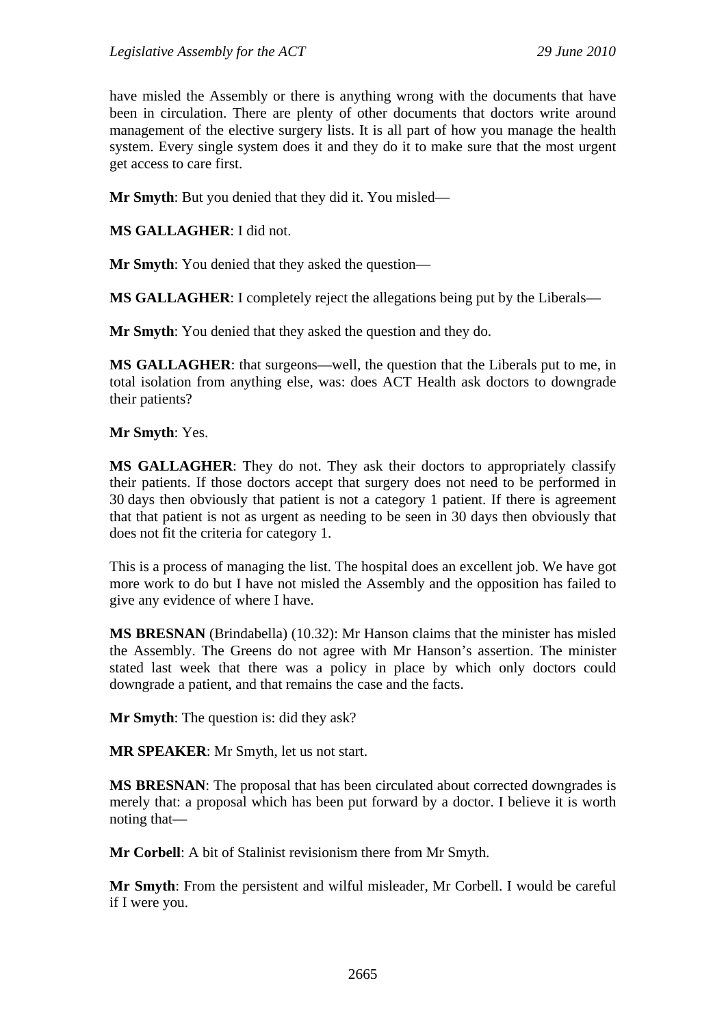have misled the Assembly or there is anything wrong with the documents that have been in circulation. There are plenty of other documents that doctors write around management of the elective surgery lists. It is all part of how you manage the health system. Every single system does it and they do it to make sure that the most urgent get access to care first.

**Mr Smyth**: But you denied that they did it. You misled—

**MS GALLAGHER**: I did not.

**Mr Smyth**: You denied that they asked the question—

**MS GALLAGHER**: I completely reject the allegations being put by the Liberals—

**Mr Smyth**: You denied that they asked the question and they do.

**MS GALLAGHER**: that surgeons—well, the question that the Liberals put to me, in total isolation from anything else, was: does ACT Health ask doctors to downgrade their patients?

**Mr Smyth**: Yes.

**MS GALLAGHER**: They do not. They ask their doctors to appropriately classify their patients. If those doctors accept that surgery does not need to be performed in 30 days then obviously that patient is not a category 1 patient. If there is agreement that that patient is not as urgent as needing to be seen in 30 days then obviously that does not fit the criteria for category 1.

This is a process of managing the list. The hospital does an excellent job. We have got more work to do but I have not misled the Assembly and the opposition has failed to give any evidence of where I have.

**MS BRESNAN** (Brindabella) (10.32): Mr Hanson claims that the minister has misled the Assembly. The Greens do not agree with Mr Hanson's assertion. The minister stated last week that there was a policy in place by which only doctors could downgrade a patient, and that remains the case and the facts.

**Mr Smyth**: The question is: did they ask?

**MR SPEAKER**: Mr Smyth, let us not start.

**MS BRESNAN**: The proposal that has been circulated about corrected downgrades is merely that: a proposal which has been put forward by a doctor. I believe it is worth noting that—

**Mr Corbell**: A bit of Stalinist revisionism there from Mr Smyth.

**Mr Smyth**: From the persistent and wilful misleader, Mr Corbell. I would be careful if I were you.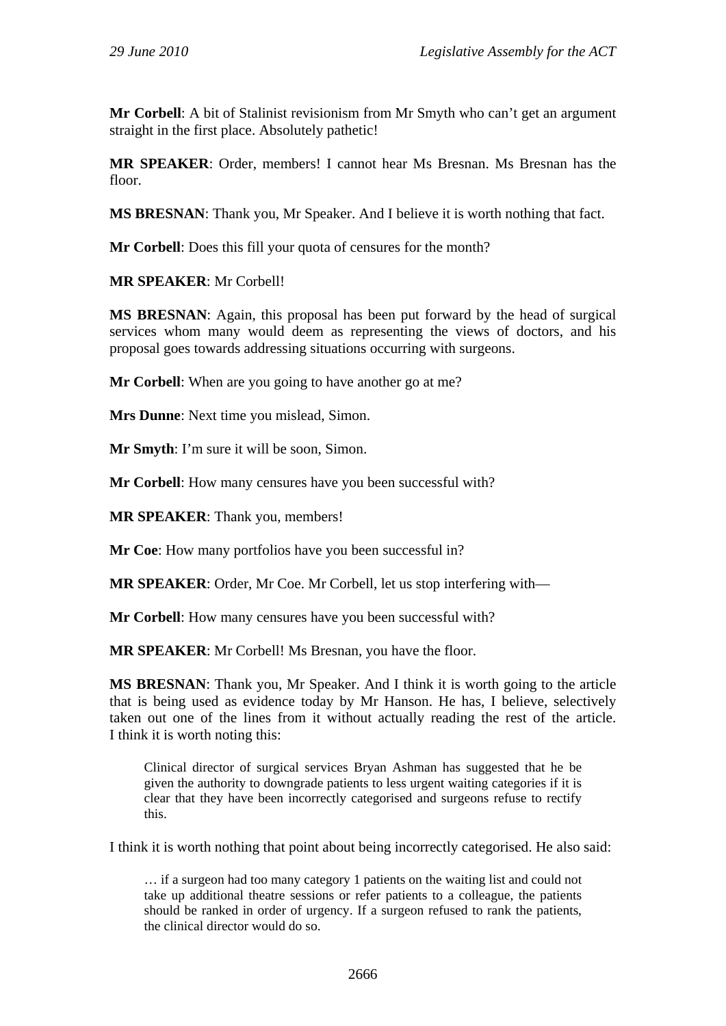**Mr Corbell**: A bit of Stalinist revisionism from Mr Smyth who can't get an argument straight in the first place. Absolutely pathetic!

**MR SPEAKER**: Order, members! I cannot hear Ms Bresnan. Ms Bresnan has the floor.

**MS BRESNAN**: Thank you, Mr Speaker. And I believe it is worth nothing that fact.

**Mr Corbell**: Does this fill your quota of censures for the month?

**MR SPEAKER**: Mr Corbell!

**MS BRESNAN**: Again, this proposal has been put forward by the head of surgical services whom many would deem as representing the views of doctors, and his proposal goes towards addressing situations occurring with surgeons.

**Mr Corbell:** When are you going to have another go at me?

**Mrs Dunne**: Next time you mislead, Simon.

**Mr Smyth**: I'm sure it will be soon, Simon.

**Mr Corbell**: How many censures have you been successful with?

**MR SPEAKER**: Thank you, members!

**Mr Coe**: How many portfolios have you been successful in?

**MR SPEAKER**: Order, Mr Coe. Mr Corbell, let us stop interfering with—

**Mr Corbell**: How many censures have you been successful with?

**MR SPEAKER**: Mr Corbell! Ms Bresnan, you have the floor.

**MS BRESNAN**: Thank you, Mr Speaker. And I think it is worth going to the article that is being used as evidence today by Mr Hanson. He has, I believe, selectively taken out one of the lines from it without actually reading the rest of the article. I think it is worth noting this:

Clinical director of surgical services Bryan Ashman has suggested that he be given the authority to downgrade patients to less urgent waiting categories if it is clear that they have been incorrectly categorised and surgeons refuse to rectify this.

I think it is worth nothing that point about being incorrectly categorised. He also said:

… if a surgeon had too many category 1 patients on the waiting list and could not take up additional theatre sessions or refer patients to a colleague, the patients should be ranked in order of urgency. If a surgeon refused to rank the patients, the clinical director would do so.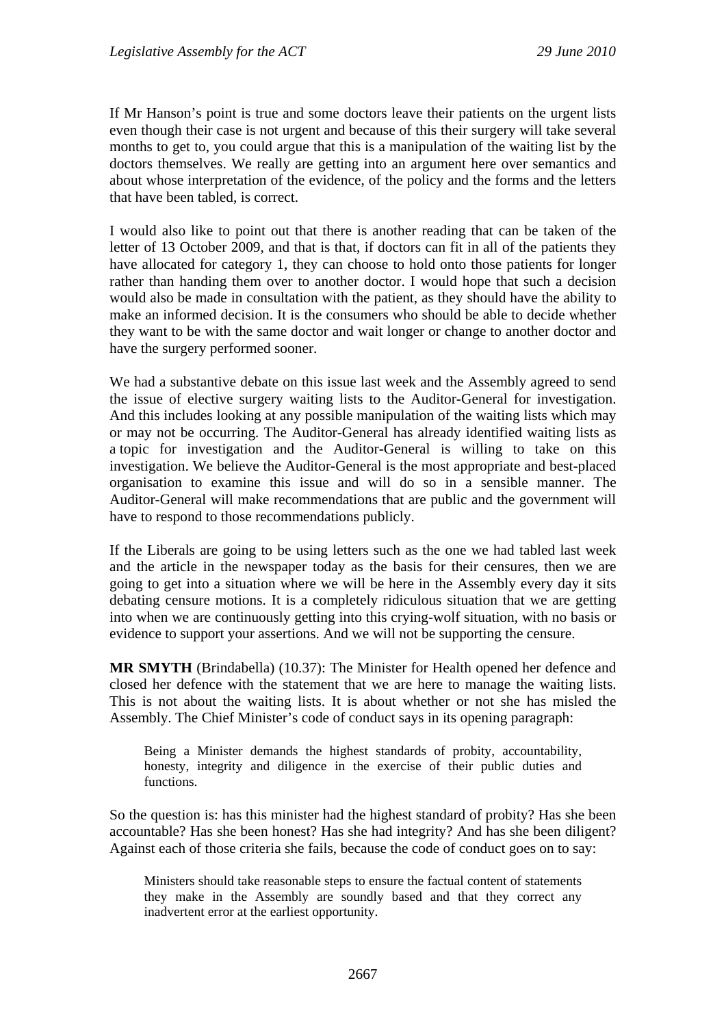If Mr Hanson's point is true and some doctors leave their patients on the urgent lists even though their case is not urgent and because of this their surgery will take several months to get to, you could argue that this is a manipulation of the waiting list by the doctors themselves. We really are getting into an argument here over semantics and about whose interpretation of the evidence, of the policy and the forms and the letters that have been tabled, is correct.

I would also like to point out that there is another reading that can be taken of the letter of 13 October 2009, and that is that, if doctors can fit in all of the patients they have allocated for category 1, they can choose to hold onto those patients for longer rather than handing them over to another doctor. I would hope that such a decision would also be made in consultation with the patient, as they should have the ability to make an informed decision. It is the consumers who should be able to decide whether they want to be with the same doctor and wait longer or change to another doctor and have the surgery performed sooner.

We had a substantive debate on this issue last week and the Assembly agreed to send the issue of elective surgery waiting lists to the Auditor-General for investigation. And this includes looking at any possible manipulation of the waiting lists which may or may not be occurring. The Auditor-General has already identified waiting lists as a topic for investigation and the Auditor-General is willing to take on this investigation. We believe the Auditor-General is the most appropriate and best-placed organisation to examine this issue and will do so in a sensible manner. The Auditor-General will make recommendations that are public and the government will have to respond to those recommendations publicly.

If the Liberals are going to be using letters such as the one we had tabled last week and the article in the newspaper today as the basis for their censures, then we are going to get into a situation where we will be here in the Assembly every day it sits debating censure motions. It is a completely ridiculous situation that we are getting into when we are continuously getting into this crying-wolf situation, with no basis or evidence to support your assertions. And we will not be supporting the censure.

**MR SMYTH** (Brindabella) (10.37): The Minister for Health opened her defence and closed her defence with the statement that we are here to manage the waiting lists. This is not about the waiting lists. It is about whether or not she has misled the Assembly. The Chief Minister's code of conduct says in its opening paragraph:

Being a Minister demands the highest standards of probity, accountability, honesty, integrity and diligence in the exercise of their public duties and functions.

So the question is: has this minister had the highest standard of probity? Has she been accountable? Has she been honest? Has she had integrity? And has she been diligent? Against each of those criteria she fails, because the code of conduct goes on to say:

Ministers should take reasonable steps to ensure the factual content of statements they make in the Assembly are soundly based and that they correct any inadvertent error at the earliest opportunity.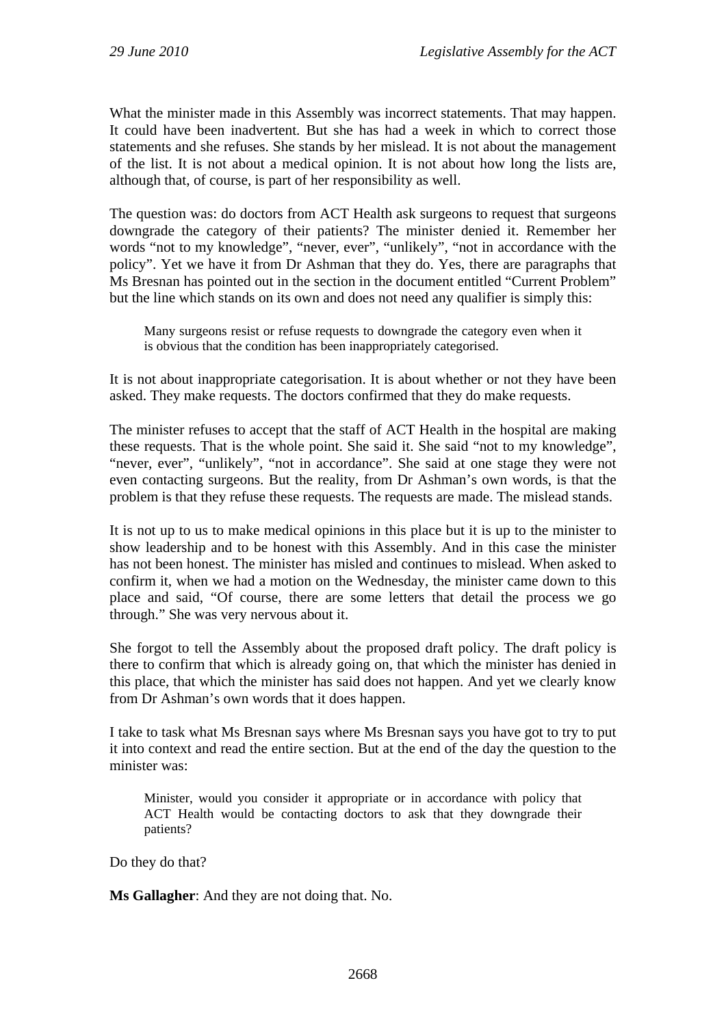What the minister made in this Assembly was incorrect statements. That may happen. It could have been inadvertent. But she has had a week in which to correct those statements and she refuses. She stands by her mislead. It is not about the management of the list. It is not about a medical opinion. It is not about how long the lists are, although that, of course, is part of her responsibility as well.

The question was: do doctors from ACT Health ask surgeons to request that surgeons downgrade the category of their patients? The minister denied it. Remember her words "not to my knowledge", "never, ever", "unlikely", "not in accordance with the policy". Yet we have it from Dr Ashman that they do. Yes, there are paragraphs that Ms Bresnan has pointed out in the section in the document entitled "Current Problem" but the line which stands on its own and does not need any qualifier is simply this:

Many surgeons resist or refuse requests to downgrade the category even when it is obvious that the condition has been inappropriately categorised.

It is not about inappropriate categorisation. It is about whether or not they have been asked. They make requests. The doctors confirmed that they do make requests.

The minister refuses to accept that the staff of ACT Health in the hospital are making these requests. That is the whole point. She said it. She said "not to my knowledge", "never, ever", "unlikely", "not in accordance". She said at one stage they were not even contacting surgeons. But the reality, from Dr Ashman's own words, is that the problem is that they refuse these requests. The requests are made. The mislead stands.

It is not up to us to make medical opinions in this place but it is up to the minister to show leadership and to be honest with this Assembly. And in this case the minister has not been honest. The minister has misled and continues to mislead. When asked to confirm it, when we had a motion on the Wednesday, the minister came down to this place and said, "Of course, there are some letters that detail the process we go through." She was very nervous about it.

She forgot to tell the Assembly about the proposed draft policy. The draft policy is there to confirm that which is already going on, that which the minister has denied in this place, that which the minister has said does not happen. And yet we clearly know from Dr Ashman's own words that it does happen.

I take to task what Ms Bresnan says where Ms Bresnan says you have got to try to put it into context and read the entire section. But at the end of the day the question to the minister was:

Minister, would you consider it appropriate or in accordance with policy that ACT Health would be contacting doctors to ask that they downgrade their patients?

Do they do that?

**Ms Gallagher**: And they are not doing that. No.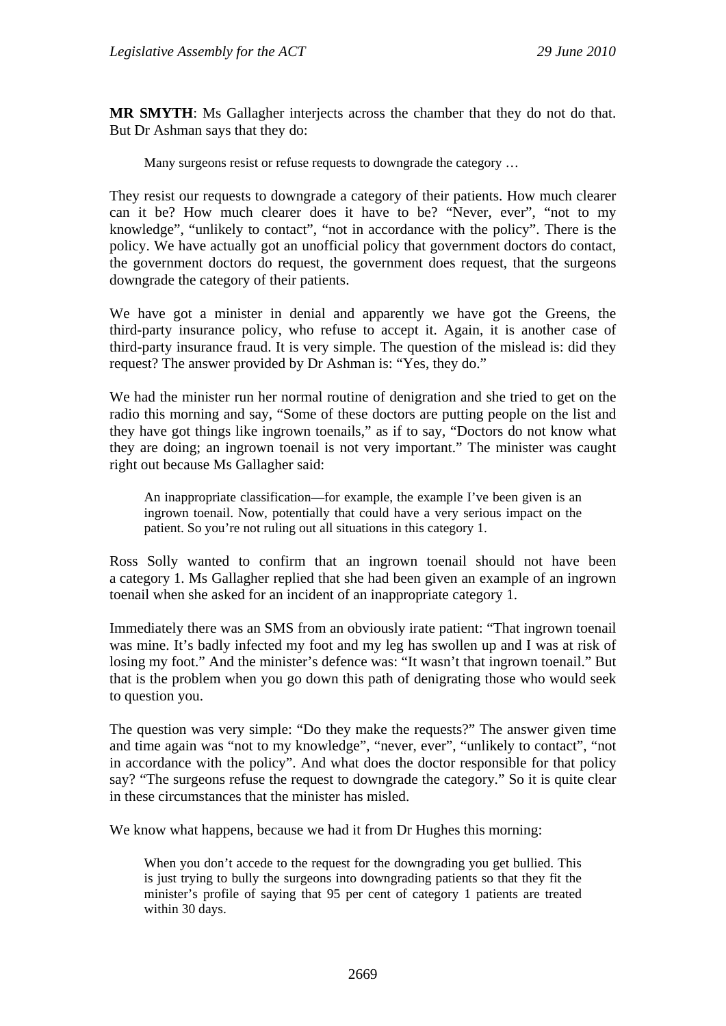**MR SMYTH**: Ms Gallagher interjects across the chamber that they do not do that. But Dr Ashman says that they do:

Many surgeons resist or refuse requests to downgrade the category …

They resist our requests to downgrade a category of their patients. How much clearer can it be? How much clearer does it have to be? "Never, ever", "not to my knowledge", "unlikely to contact", "not in accordance with the policy". There is the policy. We have actually got an unofficial policy that government doctors do contact, the government doctors do request, the government does request, that the surgeons downgrade the category of their patients.

We have got a minister in denial and apparently we have got the Greens, the third-party insurance policy, who refuse to accept it. Again, it is another case of third-party insurance fraud. It is very simple. The question of the mislead is: did they request? The answer provided by Dr Ashman is: "Yes, they do."

We had the minister run her normal routine of denigration and she tried to get on the radio this morning and say, "Some of these doctors are putting people on the list and they have got things like ingrown toenails," as if to say, "Doctors do not know what they are doing; an ingrown toenail is not very important." The minister was caught right out because Ms Gallagher said:

An inappropriate classification—for example, the example I've been given is an ingrown toenail. Now, potentially that could have a very serious impact on the patient. So you're not ruling out all situations in this category 1.

Ross Solly wanted to confirm that an ingrown toenail should not have been a category 1. Ms Gallagher replied that she had been given an example of an ingrown toenail when she asked for an incident of an inappropriate category 1.

Immediately there was an SMS from an obviously irate patient: "That ingrown toenail was mine. It's badly infected my foot and my leg has swollen up and I was at risk of losing my foot." And the minister's defence was: "It wasn't that ingrown toenail." But that is the problem when you go down this path of denigrating those who would seek to question you.

The question was very simple: "Do they make the requests?" The answer given time and time again was "not to my knowledge", "never, ever", "unlikely to contact", "not in accordance with the policy". And what does the doctor responsible for that policy say? "The surgeons refuse the request to downgrade the category." So it is quite clear in these circumstances that the minister has misled.

We know what happens, because we had it from Dr Hughes this morning:

When you don't accede to the request for the downgrading you get bullied. This is just trying to bully the surgeons into downgrading patients so that they fit the minister's profile of saying that 95 per cent of category 1 patients are treated within 30 days.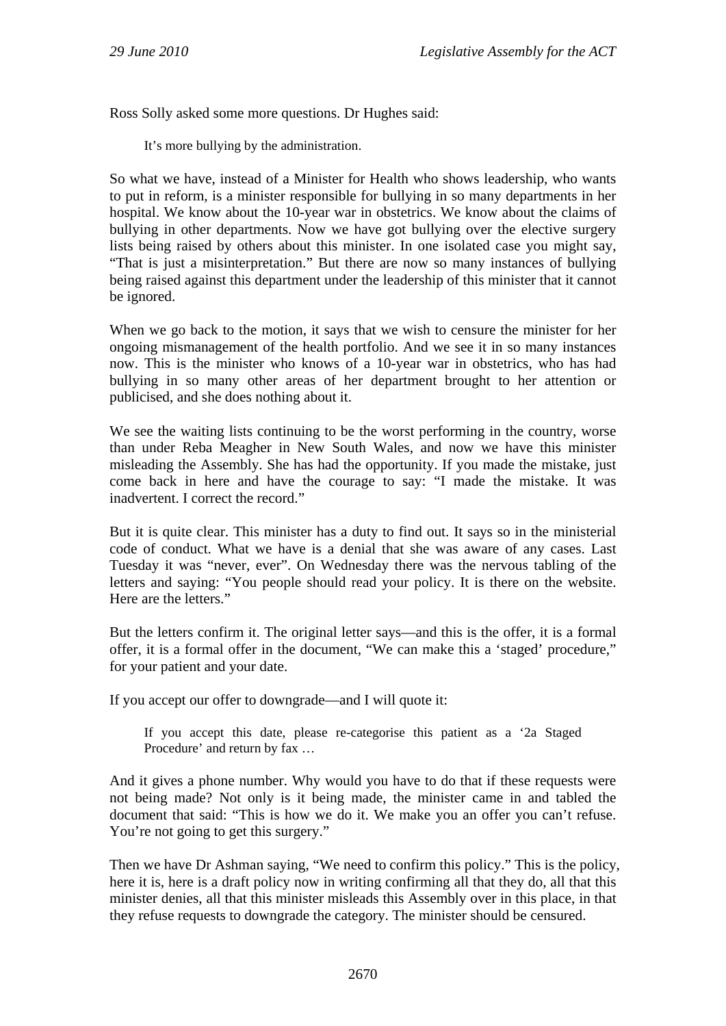Ross Solly asked some more questions. Dr Hughes said:

It's more bullying by the administration.

So what we have, instead of a Minister for Health who shows leadership, who wants to put in reform, is a minister responsible for bullying in so many departments in her hospital. We know about the 10-year war in obstetrics. We know about the claims of bullying in other departments. Now we have got bullying over the elective surgery lists being raised by others about this minister. In one isolated case you might say, "That is just a misinterpretation." But there are now so many instances of bullying being raised against this department under the leadership of this minister that it cannot be ignored.

When we go back to the motion, it says that we wish to censure the minister for her ongoing mismanagement of the health portfolio. And we see it in so many instances now. This is the minister who knows of a 10-year war in obstetrics, who has had bullying in so many other areas of her department brought to her attention or publicised, and she does nothing about it.

We see the waiting lists continuing to be the worst performing in the country, worse than under Reba Meagher in New South Wales, and now we have this minister misleading the Assembly. She has had the opportunity. If you made the mistake, just come back in here and have the courage to say: "I made the mistake. It was inadvertent. I correct the record."

But it is quite clear. This minister has a duty to find out. It says so in the ministerial code of conduct. What we have is a denial that she was aware of any cases. Last Tuesday it was "never, ever". On Wednesday there was the nervous tabling of the letters and saying: "You people should read your policy. It is there on the website. Here are the letters."

But the letters confirm it. The original letter says—and this is the offer, it is a formal offer, it is a formal offer in the document, "We can make this a 'staged' procedure," for your patient and your date.

If you accept our offer to downgrade—and I will quote it:

If you accept this date, please re-categorise this patient as a '2a Staged Procedure' and return by fax …

And it gives a phone number. Why would you have to do that if these requests were not being made? Not only is it being made, the minister came in and tabled the document that said: "This is how we do it. We make you an offer you can't refuse. You're not going to get this surgery."

Then we have Dr Ashman saying, "We need to confirm this policy." This is the policy, here it is, here is a draft policy now in writing confirming all that they do, all that this minister denies, all that this minister misleads this Assembly over in this place, in that they refuse requests to downgrade the category. The minister should be censured.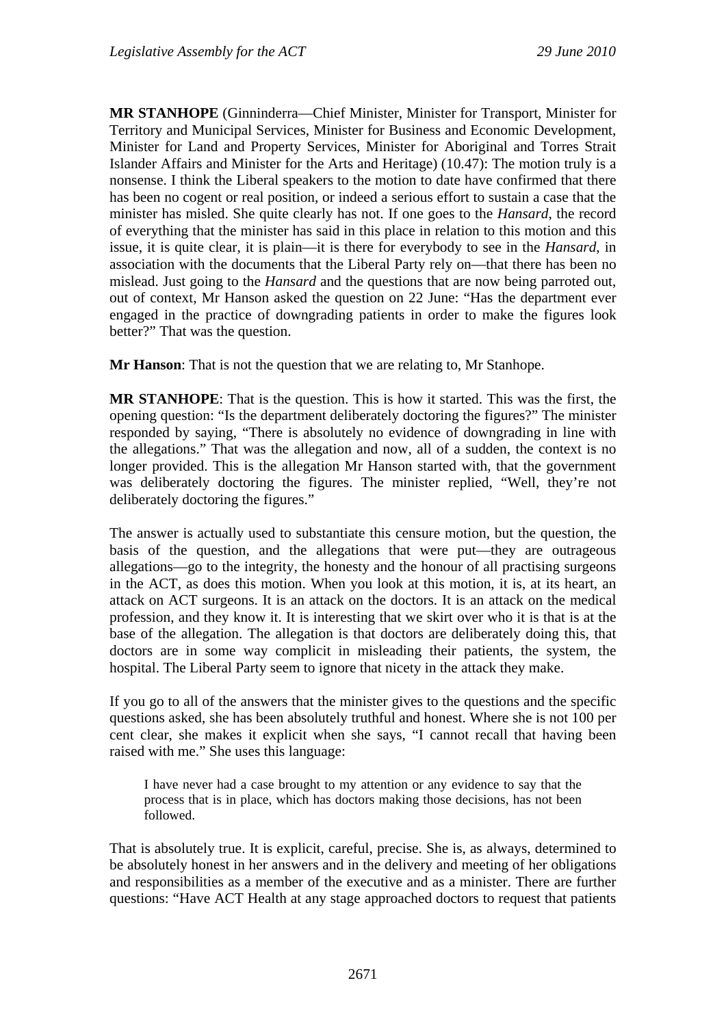**MR STANHOPE** (Ginninderra—Chief Minister, Minister for Transport, Minister for Territory and Municipal Services, Minister for Business and Economic Development, Minister for Land and Property Services, Minister for Aboriginal and Torres Strait Islander Affairs and Minister for the Arts and Heritage) (10.47): The motion truly is a nonsense. I think the Liberal speakers to the motion to date have confirmed that there has been no cogent or real position, or indeed a serious effort to sustain a case that the minister has misled. She quite clearly has not. If one goes to the *Hansard*, the record of everything that the minister has said in this place in relation to this motion and this issue, it is quite clear, it is plain—it is there for everybody to see in the *Hansard*, in association with the documents that the Liberal Party rely on—that there has been no mislead. Just going to the *Hansard* and the questions that are now being parroted out, out of context, Mr Hanson asked the question on 22 June: "Has the department ever engaged in the practice of downgrading patients in order to make the figures look better?" That was the question.

**Mr Hanson**: That is not the question that we are relating to, Mr Stanhope.

**MR STANHOPE**: That is the question. This is how it started. This was the first, the opening question: "Is the department deliberately doctoring the figures?" The minister responded by saying, "There is absolutely no evidence of downgrading in line with the allegations." That was the allegation and now, all of a sudden, the context is no longer provided. This is the allegation Mr Hanson started with, that the government was deliberately doctoring the figures. The minister replied, "Well, they're not deliberately doctoring the figures."

The answer is actually used to substantiate this censure motion, but the question, the basis of the question, and the allegations that were put—they are outrageous allegations—go to the integrity, the honesty and the honour of all practising surgeons in the ACT, as does this motion. When you look at this motion, it is, at its heart, an attack on ACT surgeons. It is an attack on the doctors. It is an attack on the medical profession, and they know it. It is interesting that we skirt over who it is that is at the base of the allegation. The allegation is that doctors are deliberately doing this, that doctors are in some way complicit in misleading their patients, the system, the hospital. The Liberal Party seem to ignore that nicety in the attack they make.

If you go to all of the answers that the minister gives to the questions and the specific questions asked, she has been absolutely truthful and honest. Where she is not 100 per cent clear, she makes it explicit when she says, "I cannot recall that having been raised with me." She uses this language:

I have never had a case brought to my attention or any evidence to say that the process that is in place, which has doctors making those decisions, has not been followed.

That is absolutely true. It is explicit, careful, precise. She is, as always, determined to be absolutely honest in her answers and in the delivery and meeting of her obligations and responsibilities as a member of the executive and as a minister. There are further questions: "Have ACT Health at any stage approached doctors to request that patients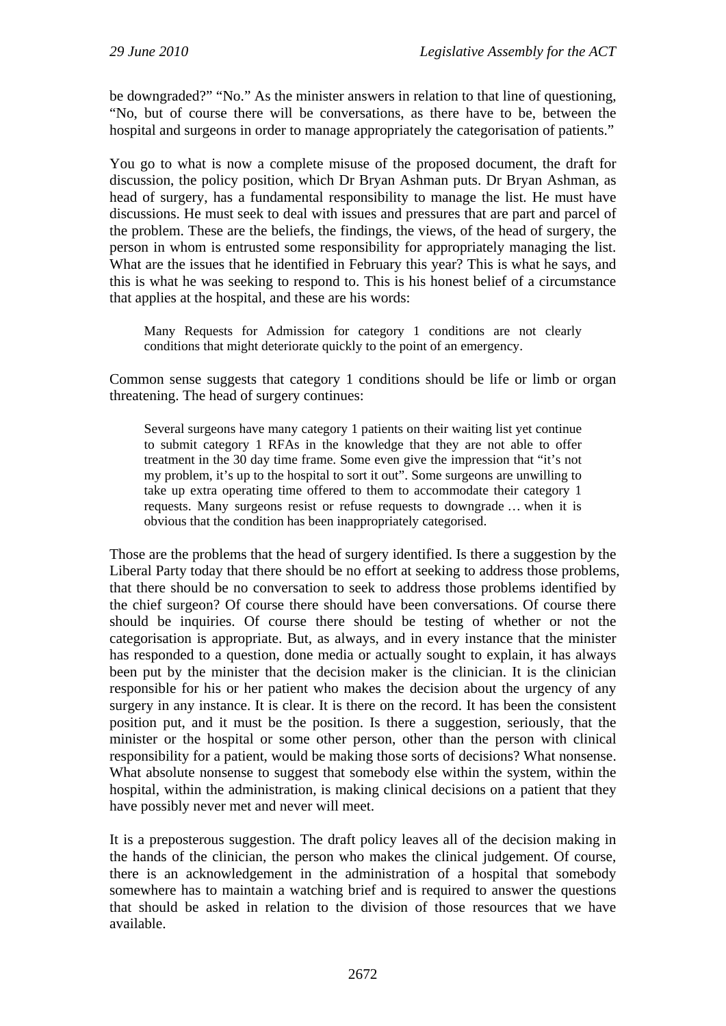be downgraded?" "No." As the minister answers in relation to that line of questioning, "No, but of course there will be conversations, as there have to be, between the hospital and surgeons in order to manage appropriately the categorisation of patients."

You go to what is now a complete misuse of the proposed document, the draft for discussion, the policy position, which Dr Bryan Ashman puts. Dr Bryan Ashman, as head of surgery, has a fundamental responsibility to manage the list. He must have discussions. He must seek to deal with issues and pressures that are part and parcel of the problem. These are the beliefs, the findings, the views, of the head of surgery, the person in whom is entrusted some responsibility for appropriately managing the list. What are the issues that he identified in February this year? This is what he says, and this is what he was seeking to respond to. This is his honest belief of a circumstance that applies at the hospital, and these are his words:

Many Requests for Admission for category 1 conditions are not clearly conditions that might deteriorate quickly to the point of an emergency.

Common sense suggests that category 1 conditions should be life or limb or organ threatening. The head of surgery continues:

Several surgeons have many category 1 patients on their waiting list yet continue to submit category 1 RFAs in the knowledge that they are not able to offer treatment in the 30 day time frame. Some even give the impression that "it's not my problem, it's up to the hospital to sort it out". Some surgeons are unwilling to take up extra operating time offered to them to accommodate their category 1 requests. Many surgeons resist or refuse requests to downgrade … when it is obvious that the condition has been inappropriately categorised.

Those are the problems that the head of surgery identified. Is there a suggestion by the Liberal Party today that there should be no effort at seeking to address those problems, that there should be no conversation to seek to address those problems identified by the chief surgeon? Of course there should have been conversations. Of course there should be inquiries. Of course there should be testing of whether or not the categorisation is appropriate. But, as always, and in every instance that the minister has responded to a question, done media or actually sought to explain, it has always been put by the minister that the decision maker is the clinician. It is the clinician responsible for his or her patient who makes the decision about the urgency of any surgery in any instance. It is clear. It is there on the record. It has been the consistent position put, and it must be the position. Is there a suggestion, seriously, that the minister or the hospital or some other person, other than the person with clinical responsibility for a patient, would be making those sorts of decisions? What nonsense. What absolute nonsense to suggest that somebody else within the system, within the hospital, within the administration, is making clinical decisions on a patient that they have possibly never met and never will meet.

It is a preposterous suggestion. The draft policy leaves all of the decision making in the hands of the clinician, the person who makes the clinical judgement. Of course, there is an acknowledgement in the administration of a hospital that somebody somewhere has to maintain a watching brief and is required to answer the questions that should be asked in relation to the division of those resources that we have available.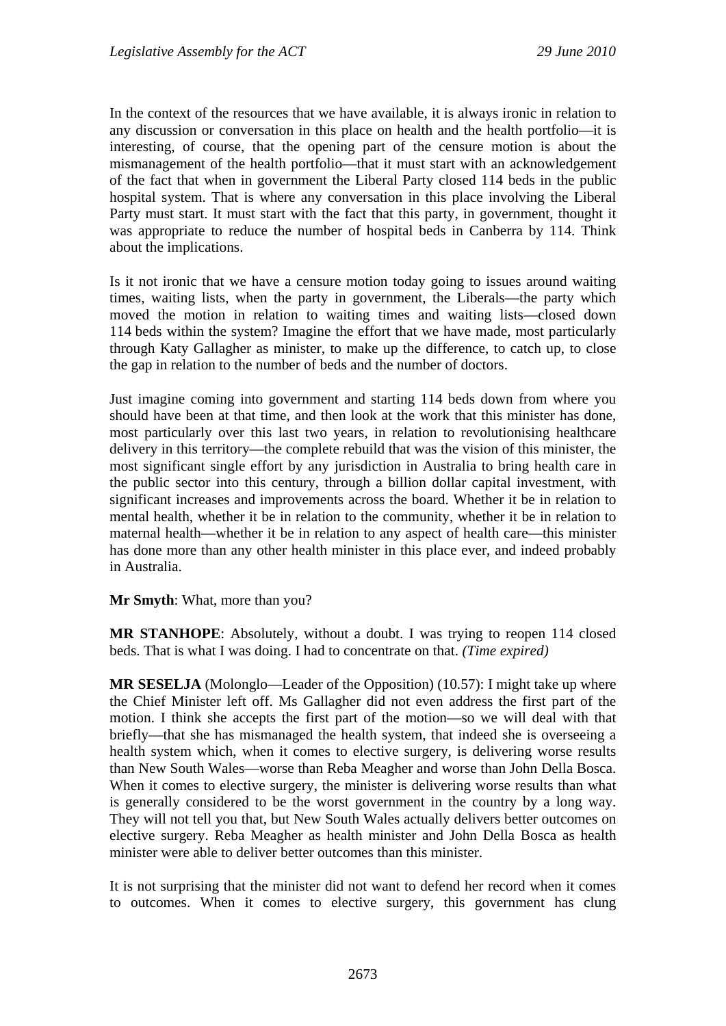In the context of the resources that we have available, it is always ironic in relation to any discussion or conversation in this place on health and the health portfolio—it is interesting, of course, that the opening part of the censure motion is about the mismanagement of the health portfolio—that it must start with an acknowledgement of the fact that when in government the Liberal Party closed 114 beds in the public hospital system. That is where any conversation in this place involving the Liberal Party must start. It must start with the fact that this party, in government, thought it was appropriate to reduce the number of hospital beds in Canberra by 114. Think about the implications.

Is it not ironic that we have a censure motion today going to issues around waiting times, waiting lists, when the party in government, the Liberals—the party which moved the motion in relation to waiting times and waiting lists—closed down 114 beds within the system? Imagine the effort that we have made, most particularly through Katy Gallagher as minister, to make up the difference, to catch up, to close the gap in relation to the number of beds and the number of doctors.

Just imagine coming into government and starting 114 beds down from where you should have been at that time, and then look at the work that this minister has done, most particularly over this last two years, in relation to revolutionising healthcare delivery in this territory—the complete rebuild that was the vision of this minister, the most significant single effort by any jurisdiction in Australia to bring health care in the public sector into this century, through a billion dollar capital investment, with significant increases and improvements across the board. Whether it be in relation to mental health, whether it be in relation to the community, whether it be in relation to maternal health—whether it be in relation to any aspect of health care—this minister has done more than any other health minister in this place ever, and indeed probably in Australia.

**Mr Smyth**: What, more than you?

**MR STANHOPE**: Absolutely, without a doubt. I was trying to reopen 114 closed beds. That is what I was doing. I had to concentrate on that. *(Time expired)* 

**MR SESELJA** (Molonglo—Leader of the Opposition) (10.57): I might take up where the Chief Minister left off. Ms Gallagher did not even address the first part of the motion. I think she accepts the first part of the motion—so we will deal with that briefly—that she has mismanaged the health system, that indeed she is overseeing a health system which, when it comes to elective surgery, is delivering worse results than New South Wales—worse than Reba Meagher and worse than John Della Bosca. When it comes to elective surgery, the minister is delivering worse results than what is generally considered to be the worst government in the country by a long way. They will not tell you that, but New South Wales actually delivers better outcomes on elective surgery. Reba Meagher as health minister and John Della Bosca as health minister were able to deliver better outcomes than this minister.

It is not surprising that the minister did not want to defend her record when it comes to outcomes. When it comes to elective surgery, this government has clung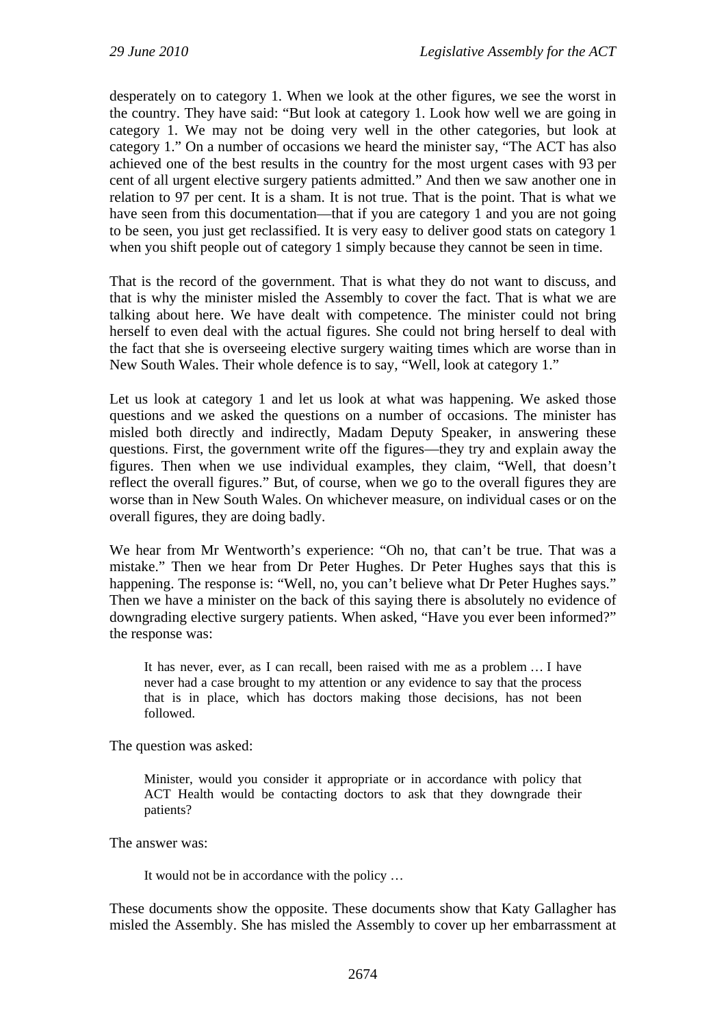desperately on to category 1. When we look at the other figures, we see the worst in the country. They have said: "But look at category 1. Look how well we are going in category 1. We may not be doing very well in the other categories, but look at category 1." On a number of occasions we heard the minister say, "The ACT has also achieved one of the best results in the country for the most urgent cases with 93 per cent of all urgent elective surgery patients admitted." And then we saw another one in relation to 97 per cent. It is a sham. It is not true. That is the point. That is what we have seen from this documentation—that if you are category 1 and you are not going to be seen, you just get reclassified. It is very easy to deliver good stats on category 1 when you shift people out of category 1 simply because they cannot be seen in time.

That is the record of the government. That is what they do not want to discuss, and that is why the minister misled the Assembly to cover the fact. That is what we are talking about here. We have dealt with competence. The minister could not bring herself to even deal with the actual figures. She could not bring herself to deal with the fact that she is overseeing elective surgery waiting times which are worse than in New South Wales. Their whole defence is to say, "Well, look at category 1."

Let us look at category 1 and let us look at what was happening. We asked those questions and we asked the questions on a number of occasions. The minister has misled both directly and indirectly, Madam Deputy Speaker, in answering these questions. First, the government write off the figures—they try and explain away the figures. Then when we use individual examples, they claim, "Well, that doesn't reflect the overall figures." But, of course, when we go to the overall figures they are worse than in New South Wales. On whichever measure, on individual cases or on the overall figures, they are doing badly.

We hear from Mr Wentworth's experience: "Oh no, that can't be true. That was a mistake." Then we hear from Dr Peter Hughes. Dr Peter Hughes says that this is happening. The response is: "Well, no, you can't believe what Dr Peter Hughes says." Then we have a minister on the back of this saying there is absolutely no evidence of downgrading elective surgery patients. When asked, "Have you ever been informed?" the response was:

It has never, ever, as I can recall, been raised with me as a problem … I have never had a case brought to my attention or any evidence to say that the process that is in place, which has doctors making those decisions, has not been followed.

The question was asked:

Minister, would you consider it appropriate or in accordance with policy that ACT Health would be contacting doctors to ask that they downgrade their patients?

The answer was:

It would not be in accordance with the policy …

These documents show the opposite. These documents show that Katy Gallagher has misled the Assembly. She has misled the Assembly to cover up her embarrassment at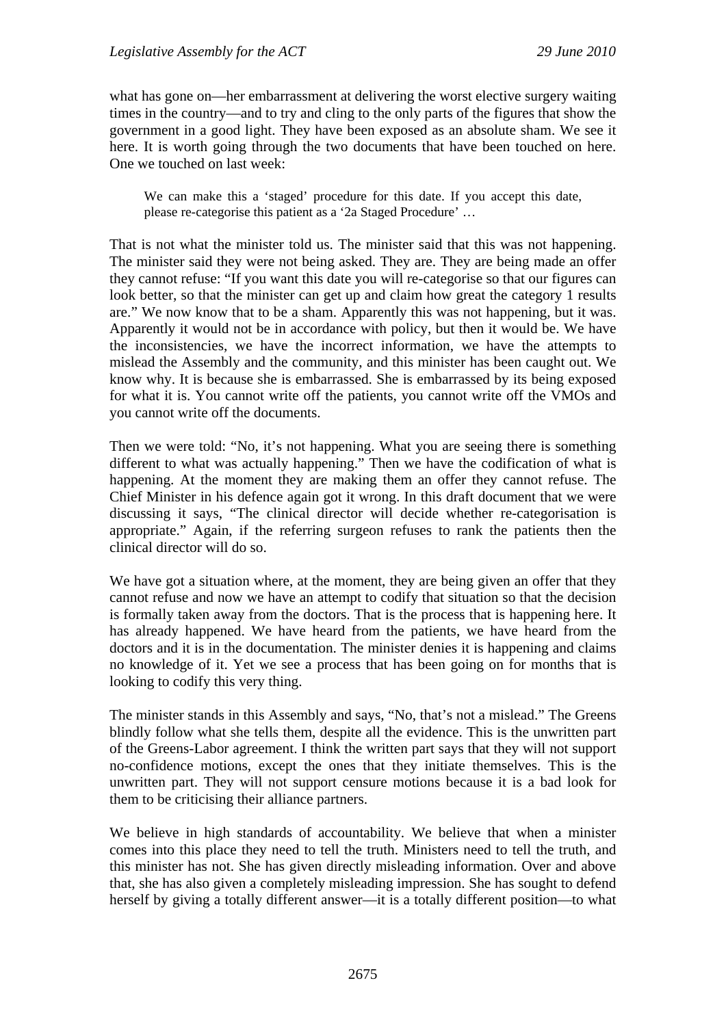what has gone on—her embarrassment at delivering the worst elective surgery waiting times in the country—and to try and cling to the only parts of the figures that show the government in a good light. They have been exposed as an absolute sham. We see it here. It is worth going through the two documents that have been touched on here. One we touched on last week:

We can make this a 'staged' procedure for this date. If you accept this date, please re-categorise this patient as a '2a Staged Procedure' …

That is not what the minister told us. The minister said that this was not happening. The minister said they were not being asked. They are. They are being made an offer they cannot refuse: "If you want this date you will re-categorise so that our figures can look better, so that the minister can get up and claim how great the category 1 results are." We now know that to be a sham. Apparently this was not happening, but it was. Apparently it would not be in accordance with policy, but then it would be. We have the inconsistencies, we have the incorrect information, we have the attempts to mislead the Assembly and the community, and this minister has been caught out. We know why. It is because she is embarrassed. She is embarrassed by its being exposed for what it is. You cannot write off the patients, you cannot write off the VMOs and you cannot write off the documents.

Then we were told: "No, it's not happening. What you are seeing there is something different to what was actually happening." Then we have the codification of what is happening. At the moment they are making them an offer they cannot refuse. The Chief Minister in his defence again got it wrong. In this draft document that we were discussing it says, "The clinical director will decide whether re-categorisation is appropriate." Again, if the referring surgeon refuses to rank the patients then the clinical director will do so.

We have got a situation where, at the moment, they are being given an offer that they cannot refuse and now we have an attempt to codify that situation so that the decision is formally taken away from the doctors. That is the process that is happening here. It has already happened. We have heard from the patients, we have heard from the doctors and it is in the documentation. The minister denies it is happening and claims no knowledge of it. Yet we see a process that has been going on for months that is looking to codify this very thing.

The minister stands in this Assembly and says, "No, that's not a mislead." The Greens blindly follow what she tells them, despite all the evidence. This is the unwritten part of the Greens-Labor agreement. I think the written part says that they will not support no-confidence motions, except the ones that they initiate themselves. This is the unwritten part. They will not support censure motions because it is a bad look for them to be criticising their alliance partners.

We believe in high standards of accountability. We believe that when a minister comes into this place they need to tell the truth. Ministers need to tell the truth, and this minister has not. She has given directly misleading information. Over and above that, she has also given a completely misleading impression. She has sought to defend herself by giving a totally different answer—it is a totally different position—to what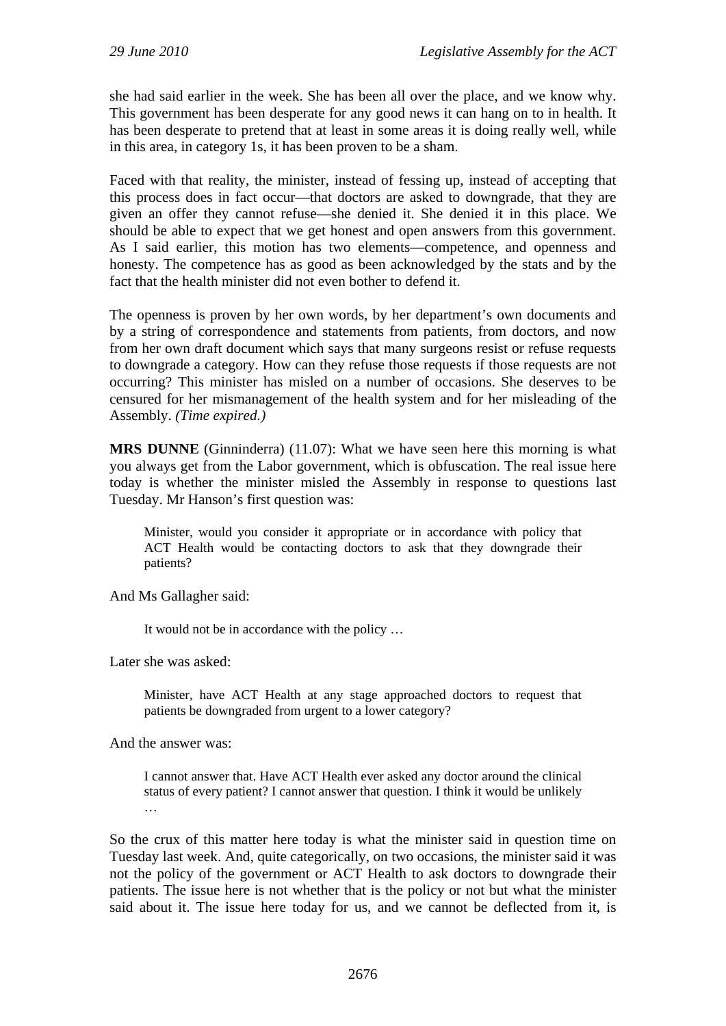she had said earlier in the week. She has been all over the place, and we know why. This government has been desperate for any good news it can hang on to in health. It has been desperate to pretend that at least in some areas it is doing really well, while in this area, in category 1s, it has been proven to be a sham.

Faced with that reality, the minister, instead of fessing up, instead of accepting that this process does in fact occur—that doctors are asked to downgrade, that they are given an offer they cannot refuse—she denied it. She denied it in this place. We should be able to expect that we get honest and open answers from this government. As I said earlier, this motion has two elements—competence, and openness and honesty. The competence has as good as been acknowledged by the stats and by the fact that the health minister did not even bother to defend it.

The openness is proven by her own words, by her department's own documents and by a string of correspondence and statements from patients, from doctors, and now from her own draft document which says that many surgeons resist or refuse requests to downgrade a category. How can they refuse those requests if those requests are not occurring? This minister has misled on a number of occasions. She deserves to be censured for her mismanagement of the health system and for her misleading of the Assembly. *(Time expired.)* 

**MRS DUNNE** (Ginninderra) (11.07): What we have seen here this morning is what you always get from the Labor government, which is obfuscation. The real issue here today is whether the minister misled the Assembly in response to questions last Tuesday. Mr Hanson's first question was:

Minister, would you consider it appropriate or in accordance with policy that ACT Health would be contacting doctors to ask that they downgrade their patients?

And Ms Gallagher said:

It would not be in accordance with the policy …

Later she was asked:

Minister, have ACT Health at any stage approached doctors to request that patients be downgraded from urgent to a lower category?

And the answer was:

I cannot answer that. Have ACT Health ever asked any doctor around the clinical status of every patient? I cannot answer that question. I think it would be unlikely …

So the crux of this matter here today is what the minister said in question time on Tuesday last week. And, quite categorically, on two occasions, the minister said it was not the policy of the government or ACT Health to ask doctors to downgrade their patients. The issue here is not whether that is the policy or not but what the minister said about it. The issue here today for us, and we cannot be deflected from it, is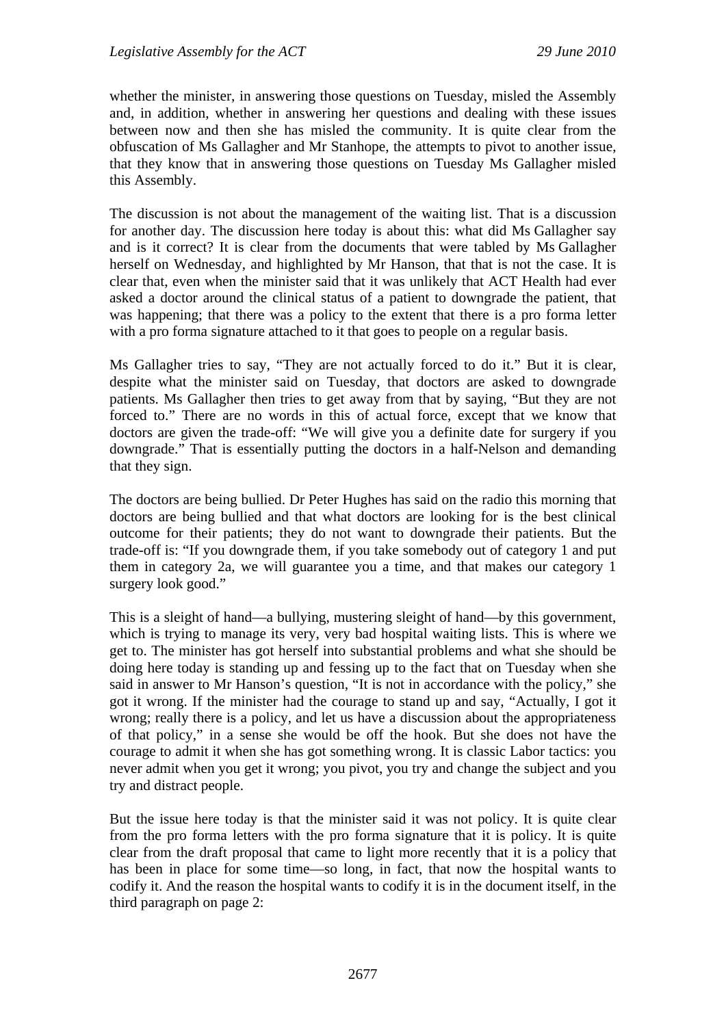whether the minister, in answering those questions on Tuesday, misled the Assembly and, in addition, whether in answering her questions and dealing with these issues between now and then she has misled the community. It is quite clear from the obfuscation of Ms Gallagher and Mr Stanhope, the attempts to pivot to another issue, that they know that in answering those questions on Tuesday Ms Gallagher misled this Assembly.

The discussion is not about the management of the waiting list. That is a discussion for another day. The discussion here today is about this: what did Ms Gallagher say and is it correct? It is clear from the documents that were tabled by Ms Gallagher herself on Wednesday, and highlighted by Mr Hanson, that that is not the case. It is clear that, even when the minister said that it was unlikely that ACT Health had ever asked a doctor around the clinical status of a patient to downgrade the patient, that was happening; that there was a policy to the extent that there is a pro forma letter with a pro forma signature attached to it that goes to people on a regular basis.

Ms Gallagher tries to say, "They are not actually forced to do it." But it is clear, despite what the minister said on Tuesday, that doctors are asked to downgrade patients. Ms Gallagher then tries to get away from that by saying, "But they are not forced to." There are no words in this of actual force, except that we know that doctors are given the trade-off: "We will give you a definite date for surgery if you downgrade." That is essentially putting the doctors in a half-Nelson and demanding that they sign.

The doctors are being bullied. Dr Peter Hughes has said on the radio this morning that doctors are being bullied and that what doctors are looking for is the best clinical outcome for their patients; they do not want to downgrade their patients. But the trade-off is: "If you downgrade them, if you take somebody out of category 1 and put them in category 2a, we will guarantee you a time, and that makes our category 1 surgery look good."

This is a sleight of hand—a bullying, mustering sleight of hand—by this government, which is trying to manage its very, very bad hospital waiting lists. This is where we get to. The minister has got herself into substantial problems and what she should be doing here today is standing up and fessing up to the fact that on Tuesday when she said in answer to Mr Hanson's question, "It is not in accordance with the policy," she got it wrong. If the minister had the courage to stand up and say, "Actually, I got it wrong; really there is a policy, and let us have a discussion about the appropriateness of that policy," in a sense she would be off the hook. But she does not have the courage to admit it when she has got something wrong. It is classic Labor tactics: you never admit when you get it wrong; you pivot, you try and change the subject and you try and distract people.

But the issue here today is that the minister said it was not policy. It is quite clear from the pro forma letters with the pro forma signature that it is policy. It is quite clear from the draft proposal that came to light more recently that it is a policy that has been in place for some time—so long, in fact, that now the hospital wants to codify it. And the reason the hospital wants to codify it is in the document itself, in the third paragraph on page 2: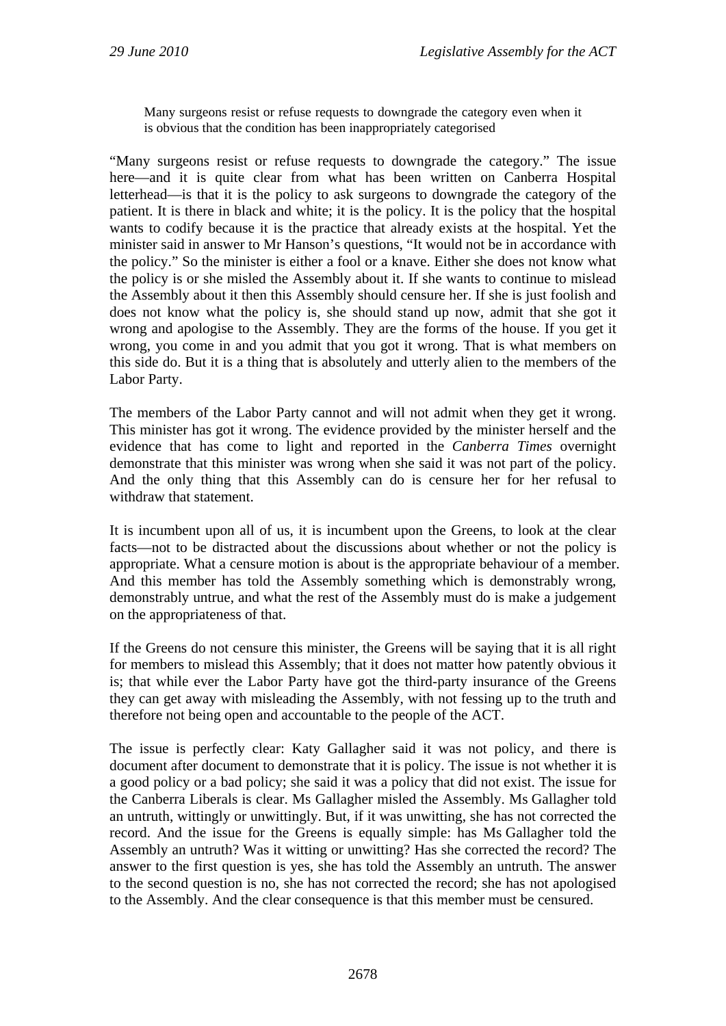Many surgeons resist or refuse requests to downgrade the category even when it is obvious that the condition has been inappropriately categorised

"Many surgeons resist or refuse requests to downgrade the category." The issue here—and it is quite clear from what has been written on Canberra Hospital letterhead—is that it is the policy to ask surgeons to downgrade the category of the patient. It is there in black and white; it is the policy. It is the policy that the hospital wants to codify because it is the practice that already exists at the hospital. Yet the minister said in answer to Mr Hanson's questions, "It would not be in accordance with the policy." So the minister is either a fool or a knave. Either she does not know what the policy is or she misled the Assembly about it. If she wants to continue to mislead the Assembly about it then this Assembly should censure her. If she is just foolish and does not know what the policy is, she should stand up now, admit that she got it wrong and apologise to the Assembly. They are the forms of the house. If you get it wrong, you come in and you admit that you got it wrong. That is what members on this side do. But it is a thing that is absolutely and utterly alien to the members of the Labor Party.

The members of the Labor Party cannot and will not admit when they get it wrong. This minister has got it wrong. The evidence provided by the minister herself and the evidence that has come to light and reported in the *Canberra Times* overnight demonstrate that this minister was wrong when she said it was not part of the policy. And the only thing that this Assembly can do is censure her for her refusal to withdraw that statement.

It is incumbent upon all of us, it is incumbent upon the Greens, to look at the clear facts—not to be distracted about the discussions about whether or not the policy is appropriate. What a censure motion is about is the appropriate behaviour of a member. And this member has told the Assembly something which is demonstrably wrong, demonstrably untrue, and what the rest of the Assembly must do is make a judgement on the appropriateness of that.

If the Greens do not censure this minister, the Greens will be saying that it is all right for members to mislead this Assembly; that it does not matter how patently obvious it is; that while ever the Labor Party have got the third-party insurance of the Greens they can get away with misleading the Assembly, with not fessing up to the truth and therefore not being open and accountable to the people of the ACT.

The issue is perfectly clear: Katy Gallagher said it was not policy, and there is document after document to demonstrate that it is policy. The issue is not whether it is a good policy or a bad policy; she said it was a policy that did not exist. The issue for the Canberra Liberals is clear. Ms Gallagher misled the Assembly. Ms Gallagher told an untruth, wittingly or unwittingly. But, if it was unwitting, she has not corrected the record. And the issue for the Greens is equally simple: has Ms Gallagher told the Assembly an untruth? Was it witting or unwitting? Has she corrected the record? The answer to the first question is yes, she has told the Assembly an untruth. The answer to the second question is no, she has not corrected the record; she has not apologised to the Assembly. And the clear consequence is that this member must be censured.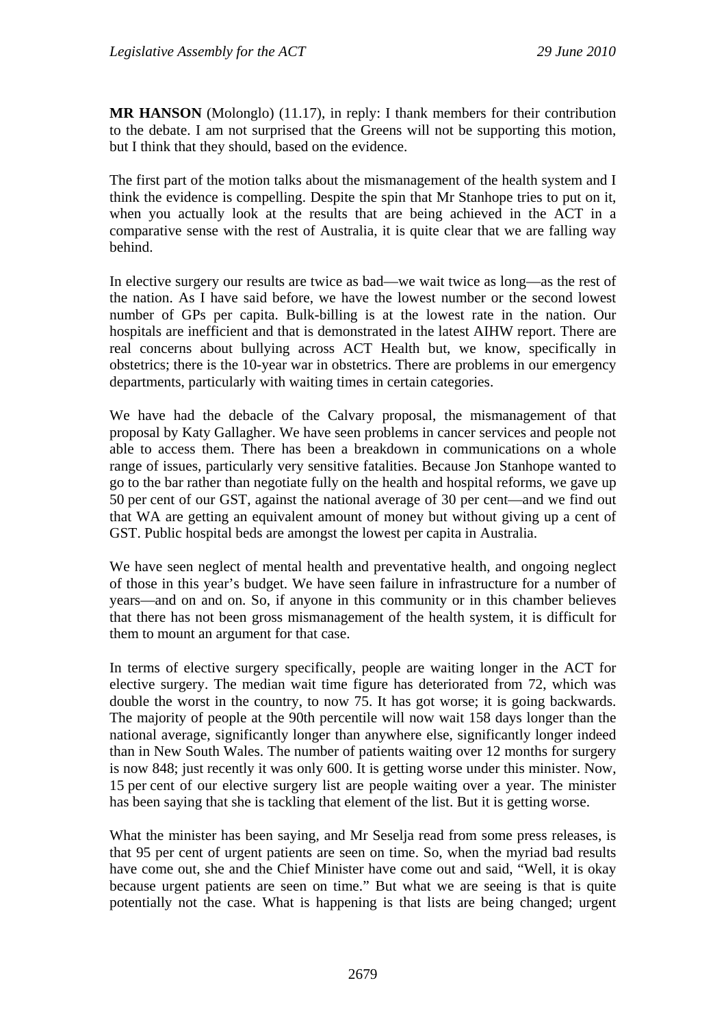**MR HANSON** (Molonglo) (11.17), in reply: I thank members for their contribution to the debate. I am not surprised that the Greens will not be supporting this motion, but I think that they should, based on the evidence.

The first part of the motion talks about the mismanagement of the health system and I think the evidence is compelling. Despite the spin that Mr Stanhope tries to put on it, when you actually look at the results that are being achieved in the ACT in a comparative sense with the rest of Australia, it is quite clear that we are falling way behind.

In elective surgery our results are twice as bad—we wait twice as long—as the rest of the nation. As I have said before, we have the lowest number or the second lowest number of GPs per capita. Bulk-billing is at the lowest rate in the nation. Our hospitals are inefficient and that is demonstrated in the latest AIHW report. There are real concerns about bullying across ACT Health but, we know, specifically in obstetrics; there is the 10-year war in obstetrics. There are problems in our emergency departments, particularly with waiting times in certain categories.

We have had the debacle of the Calvary proposal, the mismanagement of that proposal by Katy Gallagher. We have seen problems in cancer services and people not able to access them. There has been a breakdown in communications on a whole range of issues, particularly very sensitive fatalities. Because Jon Stanhope wanted to go to the bar rather than negotiate fully on the health and hospital reforms, we gave up 50 per cent of our GST, against the national average of 30 per cent—and we find out that WA are getting an equivalent amount of money but without giving up a cent of GST. Public hospital beds are amongst the lowest per capita in Australia.

We have seen neglect of mental health and preventative health, and ongoing neglect of those in this year's budget. We have seen failure in infrastructure for a number of years—and on and on. So, if anyone in this community or in this chamber believes that there has not been gross mismanagement of the health system, it is difficult for them to mount an argument for that case.

In terms of elective surgery specifically, people are waiting longer in the ACT for elective surgery. The median wait time figure has deteriorated from 72, which was double the worst in the country, to now 75. It has got worse; it is going backwards. The majority of people at the 90th percentile will now wait 158 days longer than the national average, significantly longer than anywhere else, significantly longer indeed than in New South Wales. The number of patients waiting over 12 months for surgery is now 848; just recently it was only 600. It is getting worse under this minister. Now, 15 per cent of our elective surgery list are people waiting over a year. The minister has been saying that she is tackling that element of the list. But it is getting worse.

What the minister has been saying, and Mr Seselja read from some press releases, is that 95 per cent of urgent patients are seen on time. So, when the myriad bad results have come out, she and the Chief Minister have come out and said, "Well, it is okay because urgent patients are seen on time." But what we are seeing is that is quite potentially not the case. What is happening is that lists are being changed; urgent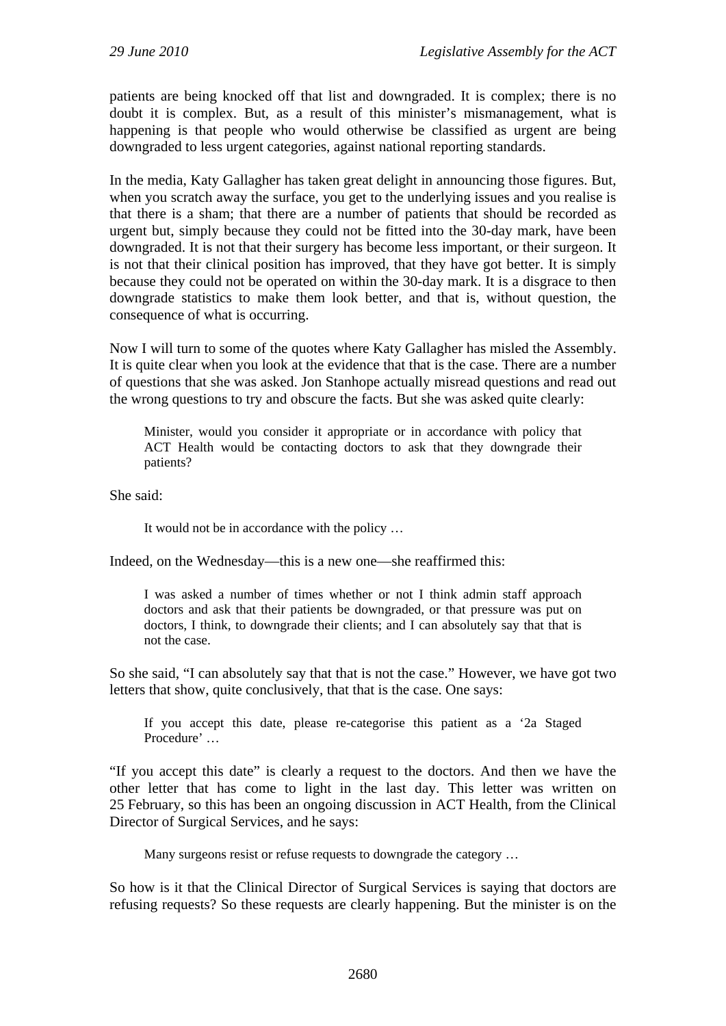patients are being knocked off that list and downgraded. It is complex; there is no doubt it is complex. But, as a result of this minister's mismanagement, what is happening is that people who would otherwise be classified as urgent are being downgraded to less urgent categories, against national reporting standards.

In the media, Katy Gallagher has taken great delight in announcing those figures. But, when you scratch away the surface, you get to the underlying issues and you realise is that there is a sham; that there are a number of patients that should be recorded as urgent but, simply because they could not be fitted into the 30-day mark, have been downgraded. It is not that their surgery has become less important, or their surgeon. It is not that their clinical position has improved, that they have got better. It is simply because they could not be operated on within the 30-day mark. It is a disgrace to then downgrade statistics to make them look better, and that is, without question, the consequence of what is occurring.

Now I will turn to some of the quotes where Katy Gallagher has misled the Assembly. It is quite clear when you look at the evidence that that is the case. There are a number of questions that she was asked. Jon Stanhope actually misread questions and read out the wrong questions to try and obscure the facts. But she was asked quite clearly:

Minister, would you consider it appropriate or in accordance with policy that ACT Health would be contacting doctors to ask that they downgrade their patients?

She said:

It would not be in accordance with the policy …

Indeed, on the Wednesday—this is a new one—she reaffirmed this:

I was asked a number of times whether or not I think admin staff approach doctors and ask that their patients be downgraded, or that pressure was put on doctors, I think, to downgrade their clients; and I can absolutely say that that is not the case.

So she said, "I can absolutely say that that is not the case." However, we have got two letters that show, quite conclusively, that that is the case. One says:

If you accept this date, please re-categorise this patient as a '2a Staged Procedure' …

"If you accept this date" is clearly a request to the doctors. And then we have the other letter that has come to light in the last day. This letter was written on 25 February, so this has been an ongoing discussion in ACT Health, from the Clinical Director of Surgical Services, and he says:

Many surgeons resist or refuse requests to downgrade the category …

So how is it that the Clinical Director of Surgical Services is saying that doctors are refusing requests? So these requests are clearly happening. But the minister is on the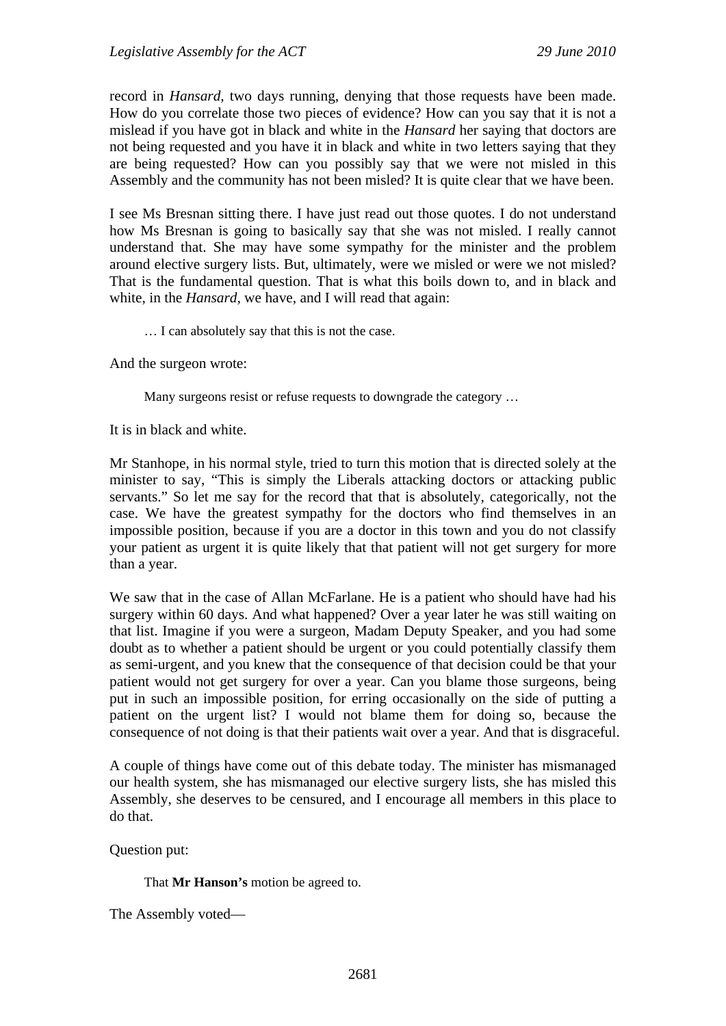record in *Hansard,* two days running, denying that those requests have been made. How do you correlate those two pieces of evidence? How can you say that it is not a mislead if you have got in black and white in the *Hansard* her saying that doctors are not being requested and you have it in black and white in two letters saying that they are being requested? How can you possibly say that we were not misled in this Assembly and the community has not been misled? It is quite clear that we have been.

I see Ms Bresnan sitting there. I have just read out those quotes. I do not understand how Ms Bresnan is going to basically say that she was not misled. I really cannot understand that. She may have some sympathy for the minister and the problem around elective surgery lists. But, ultimately, were we misled or were we not misled? That is the fundamental question. That is what this boils down to, and in black and white, in the *Hansard*, we have, and I will read that again:

… I can absolutely say that this is not the case.

And the surgeon wrote:

Many surgeons resist or refuse requests to downgrade the category …

It is in black and white.

Mr Stanhope, in his normal style, tried to turn this motion that is directed solely at the minister to say, "This is simply the Liberals attacking doctors or attacking public servants." So let me say for the record that that is absolutely, categorically, not the case. We have the greatest sympathy for the doctors who find themselves in an impossible position, because if you are a doctor in this town and you do not classify your patient as urgent it is quite likely that that patient will not get surgery for more than a year.

We saw that in the case of Allan McFarlane. He is a patient who should have had his surgery within 60 days. And what happened? Over a year later he was still waiting on that list. Imagine if you were a surgeon, Madam Deputy Speaker, and you had some doubt as to whether a patient should be urgent or you could potentially classify them as semi-urgent, and you knew that the consequence of that decision could be that your patient would not get surgery for over a year. Can you blame those surgeons, being put in such an impossible position, for erring occasionally on the side of putting a patient on the urgent list? I would not blame them for doing so, because the consequence of not doing is that their patients wait over a year. And that is disgraceful.

A couple of things have come out of this debate today. The minister has mismanaged our health system, she has mismanaged our elective surgery lists, she has misled this Assembly, she deserves to be censured, and I encourage all members in this place to do that.

Question put:

That **Mr Hanson's** motion be agreed to.

The Assembly voted—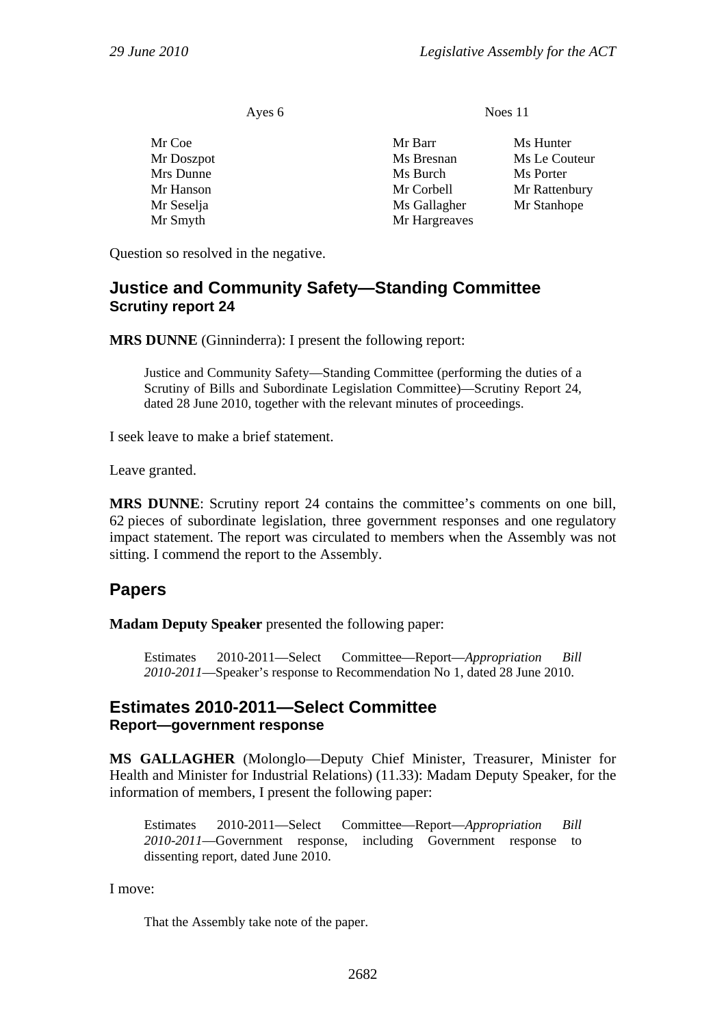| Ayes 6               | Noes 11               |                            |
|----------------------|-----------------------|----------------------------|
| Mr Coe<br>Mr Doszpot | Mr Barr<br>Ms Bresnan | Ms Hunter<br>Ms Le Couteur |
| Mrs Dunne            | Ms Burch              | Ms Porter                  |
| Mr Hanson            | Mr Corbell            | Mr Rattenbury              |
| Mr Seselja           | Ms Gallagher          | Mr Stanhope                |
| Mr Smyth             | Mr Hargreaves         |                            |

Question so resolved in the negative.

## <span id="page-29-0"></span>**Justice and Community Safety—Standing Committee Scrutiny report 24**

**MRS DUNNE** (Ginninderra): I present the following report:

Justice and Community Safety—Standing Committee (performing the duties of a Scrutiny of Bills and Subordinate Legislation Committee)—Scrutiny Report 24*,* dated 28 June 2010, together with the relevant minutes of proceedings.

I seek leave to make a brief statement.

Leave granted.

**MRS DUNNE**: Scrutiny report 24 contains the committee's comments on one bill, 62 pieces of subordinate legislation, three government responses and one regulatory impact statement. The report was circulated to members when the Assembly was not sitting. I commend the report to the Assembly.

## <span id="page-29-1"></span>**Papers**

**Madam Deputy Speaker** presented the following paper:

Estimates 2010-2011—Select Committee—Report—*Appropriation Bill 2010-2011*—Speaker's response to Recommendation No 1, dated 28 June 2010.

## <span id="page-29-2"></span>**Estimates 2010-2011—Select Committee Report—government response**

**MS GALLAGHER** (Molonglo—Deputy Chief Minister, Treasurer, Minister for Health and Minister for Industrial Relations) (11.33): Madam Deputy Speaker, for the information of members, I present the following paper:

Estimates 2010-2011—Select Committee—Report—*Appropriation Bill 2010-2011*—Government response, including Government response to dissenting report, dated June 2010.

I move:

That the Assembly take note of the paper.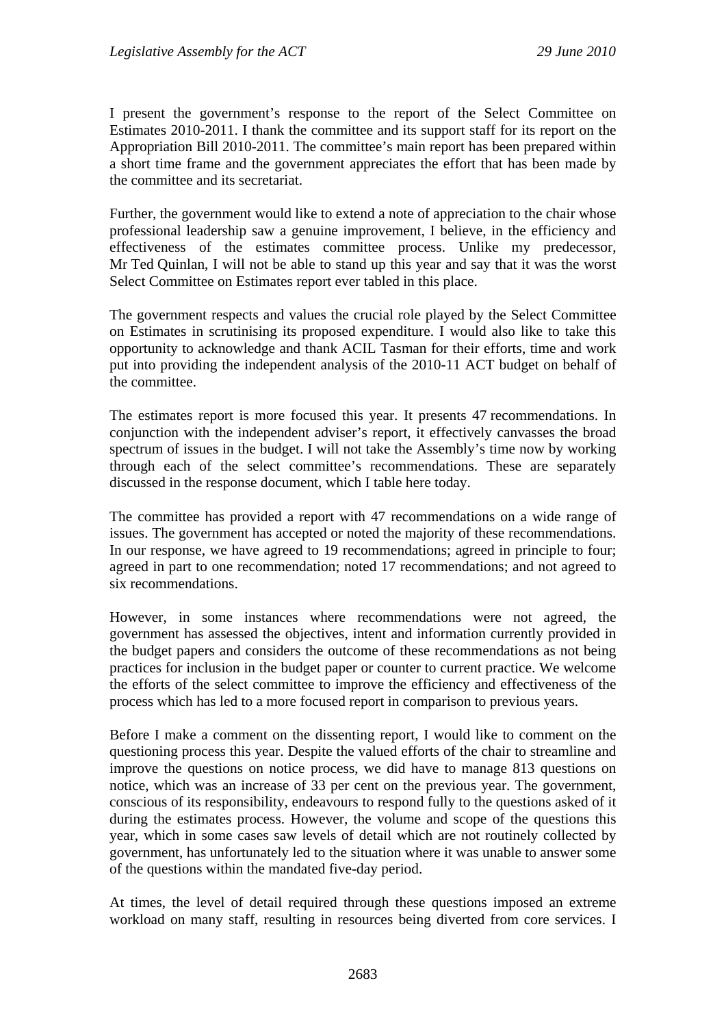I present the government's response to the report of the Select Committee on Estimates 2010-2011. I thank the committee and its support staff for its report on the Appropriation Bill 2010-2011. The committee's main report has been prepared within a short time frame and the government appreciates the effort that has been made by the committee and its secretariat.

Further, the government would like to extend a note of appreciation to the chair whose professional leadership saw a genuine improvement, I believe, in the efficiency and effectiveness of the estimates committee process. Unlike my predecessor, Mr Ted Quinlan, I will not be able to stand up this year and say that it was the worst Select Committee on Estimates report ever tabled in this place.

The government respects and values the crucial role played by the Select Committee on Estimates in scrutinising its proposed expenditure. I would also like to take this opportunity to acknowledge and thank ACIL Tasman for their efforts, time and work put into providing the independent analysis of the 2010-11 ACT budget on behalf of the committee.

The estimates report is more focused this year. It presents 47 recommendations. In conjunction with the independent adviser's report, it effectively canvasses the broad spectrum of issues in the budget. I will not take the Assembly's time now by working through each of the select committee's recommendations. These are separately discussed in the response document, which I table here today.

The committee has provided a report with 47 recommendations on a wide range of issues. The government has accepted or noted the majority of these recommendations. In our response, we have agreed to 19 recommendations; agreed in principle to four; agreed in part to one recommendation; noted 17 recommendations; and not agreed to six recommendations.

However, in some instances where recommendations were not agreed, the government has assessed the objectives, intent and information currently provided in the budget papers and considers the outcome of these recommendations as not being practices for inclusion in the budget paper or counter to current practice. We welcome the efforts of the select committee to improve the efficiency and effectiveness of the process which has led to a more focused report in comparison to previous years.

Before I make a comment on the dissenting report, I would like to comment on the questioning process this year. Despite the valued efforts of the chair to streamline and improve the questions on notice process, we did have to manage 813 questions on notice, which was an increase of 33 per cent on the previous year. The government, conscious of its responsibility, endeavours to respond fully to the questions asked of it during the estimates process. However, the volume and scope of the questions this year, which in some cases saw levels of detail which are not routinely collected by government, has unfortunately led to the situation where it was unable to answer some of the questions within the mandated five-day period.

At times, the level of detail required through these questions imposed an extreme workload on many staff, resulting in resources being diverted from core services. I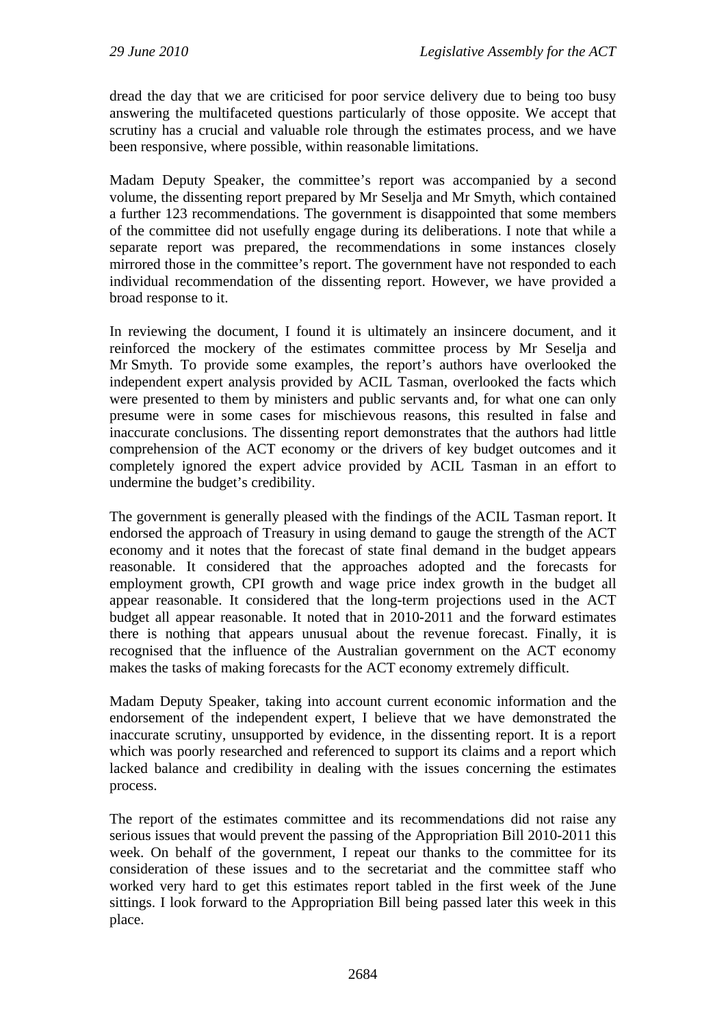dread the day that we are criticised for poor service delivery due to being too busy answering the multifaceted questions particularly of those opposite. We accept that scrutiny has a crucial and valuable role through the estimates process, and we have been responsive, where possible, within reasonable limitations.

Madam Deputy Speaker, the committee's report was accompanied by a second volume, the dissenting report prepared by Mr Seselja and Mr Smyth, which contained a further 123 recommendations. The government is disappointed that some members of the committee did not usefully engage during its deliberations. I note that while a separate report was prepared, the recommendations in some instances closely mirrored those in the committee's report. The government have not responded to each individual recommendation of the dissenting report. However, we have provided a broad response to it.

In reviewing the document, I found it is ultimately an insincere document, and it reinforced the mockery of the estimates committee process by Mr Seselja and Mr Smyth. To provide some examples, the report's authors have overlooked the independent expert analysis provided by ACIL Tasman, overlooked the facts which were presented to them by ministers and public servants and, for what one can only presume were in some cases for mischievous reasons, this resulted in false and inaccurate conclusions. The dissenting report demonstrates that the authors had little comprehension of the ACT economy or the drivers of key budget outcomes and it completely ignored the expert advice provided by ACIL Tasman in an effort to undermine the budget's credibility.

The government is generally pleased with the findings of the ACIL Tasman report. It endorsed the approach of Treasury in using demand to gauge the strength of the ACT economy and it notes that the forecast of state final demand in the budget appears reasonable. It considered that the approaches adopted and the forecasts for employment growth, CPI growth and wage price index growth in the budget all appear reasonable. It considered that the long-term projections used in the ACT budget all appear reasonable. It noted that in 2010-2011 and the forward estimates there is nothing that appears unusual about the revenue forecast. Finally, it is recognised that the influence of the Australian government on the ACT economy makes the tasks of making forecasts for the ACT economy extremely difficult.

Madam Deputy Speaker, taking into account current economic information and the endorsement of the independent expert, I believe that we have demonstrated the inaccurate scrutiny, unsupported by evidence, in the dissenting report. It is a report which was poorly researched and referenced to support its claims and a report which lacked balance and credibility in dealing with the issues concerning the estimates process.

The report of the estimates committee and its recommendations did not raise any serious issues that would prevent the passing of the Appropriation Bill 2010-2011 this week. On behalf of the government, I repeat our thanks to the committee for its consideration of these issues and to the secretariat and the committee staff who worked very hard to get this estimates report tabled in the first week of the June sittings. I look forward to the Appropriation Bill being passed later this week in this place.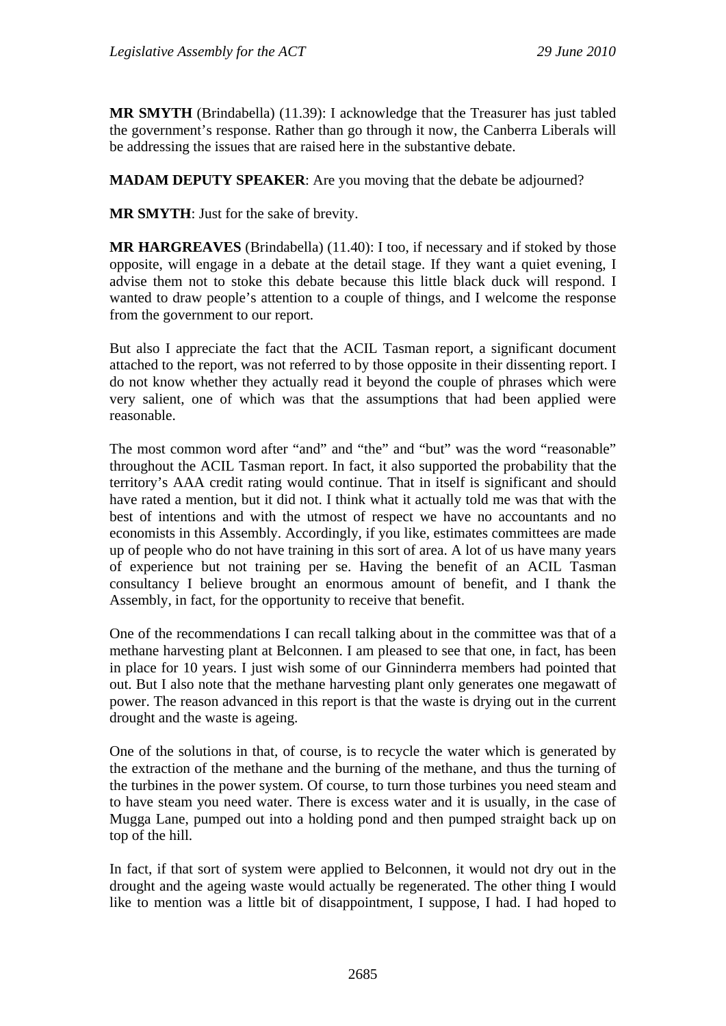**MR SMYTH** (Brindabella) (11.39): I acknowledge that the Treasurer has just tabled the government's response. Rather than go through it now, the Canberra Liberals will be addressing the issues that are raised here in the substantive debate.

**MADAM DEPUTY SPEAKER**: Are you moving that the debate be adjourned?

**MR SMYTH**: Just for the sake of brevity.

**MR HARGREAVES** (Brindabella) (11.40): I too, if necessary and if stoked by those opposite, will engage in a debate at the detail stage. If they want a quiet evening, I advise them not to stoke this debate because this little black duck will respond. I wanted to draw people's attention to a couple of things, and I welcome the response from the government to our report.

But also I appreciate the fact that the ACIL Tasman report, a significant document attached to the report, was not referred to by those opposite in their dissenting report. I do not know whether they actually read it beyond the couple of phrases which were very salient, one of which was that the assumptions that had been applied were reasonable.

The most common word after "and" and "the" and "but" was the word "reasonable" throughout the ACIL Tasman report. In fact, it also supported the probability that the territory's AAA credit rating would continue. That in itself is significant and should have rated a mention, but it did not. I think what it actually told me was that with the best of intentions and with the utmost of respect we have no accountants and no economists in this Assembly. Accordingly, if you like, estimates committees are made up of people who do not have training in this sort of area. A lot of us have many years of experience but not training per se. Having the benefit of an ACIL Tasman consultancy I believe brought an enormous amount of benefit, and I thank the Assembly, in fact, for the opportunity to receive that benefit.

One of the recommendations I can recall talking about in the committee was that of a methane harvesting plant at Belconnen. I am pleased to see that one, in fact, has been in place for 10 years. I just wish some of our Ginninderra members had pointed that out. But I also note that the methane harvesting plant only generates one megawatt of power. The reason advanced in this report is that the waste is drying out in the current drought and the waste is ageing.

One of the solutions in that, of course, is to recycle the water which is generated by the extraction of the methane and the burning of the methane, and thus the turning of the turbines in the power system. Of course, to turn those turbines you need steam and to have steam you need water. There is excess water and it is usually, in the case of Mugga Lane, pumped out into a holding pond and then pumped straight back up on top of the hill.

In fact, if that sort of system were applied to Belconnen, it would not dry out in the drought and the ageing waste would actually be regenerated. The other thing I would like to mention was a little bit of disappointment, I suppose, I had. I had hoped to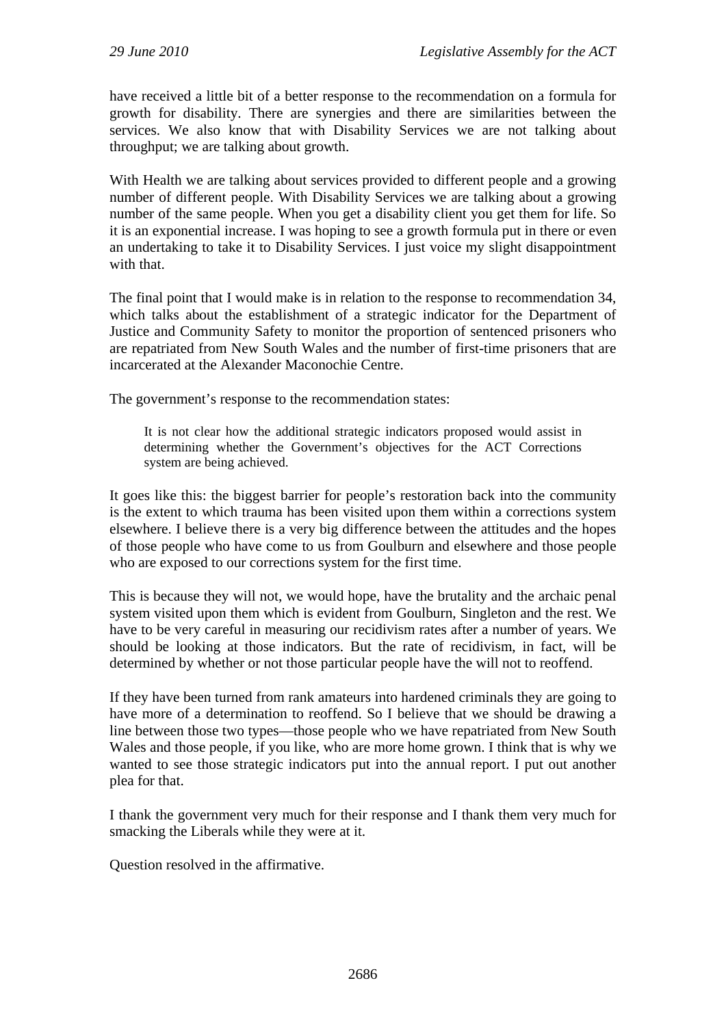have received a little bit of a better response to the recommendation on a formula for growth for disability. There are synergies and there are similarities between the services. We also know that with Disability Services we are not talking about throughput; we are talking about growth.

With Health we are talking about services provided to different people and a growing number of different people. With Disability Services we are talking about a growing number of the same people. When you get a disability client you get them for life. So it is an exponential increase. I was hoping to see a growth formula put in there or even an undertaking to take it to Disability Services. I just voice my slight disappointment with that.

The final point that I would make is in relation to the response to recommendation 34, which talks about the establishment of a strategic indicator for the Department of Justice and Community Safety to monitor the proportion of sentenced prisoners who are repatriated from New South Wales and the number of first-time prisoners that are incarcerated at the Alexander Maconochie Centre.

The government's response to the recommendation states:

It is not clear how the additional strategic indicators proposed would assist in determining whether the Government's objectives for the ACT Corrections system are being achieved.

It goes like this: the biggest barrier for people's restoration back into the community is the extent to which trauma has been visited upon them within a corrections system elsewhere. I believe there is a very big difference between the attitudes and the hopes of those people who have come to us from Goulburn and elsewhere and those people who are exposed to our corrections system for the first time.

This is because they will not, we would hope, have the brutality and the archaic penal system visited upon them which is evident from Goulburn, Singleton and the rest. We have to be very careful in measuring our recidivism rates after a number of years. We should be looking at those indicators. But the rate of recidivism, in fact, will be determined by whether or not those particular people have the will not to reoffend.

If they have been turned from rank amateurs into hardened criminals they are going to have more of a determination to reoffend. So I believe that we should be drawing a line between those two types—those people who we have repatriated from New South Wales and those people, if you like, who are more home grown. I think that is why we wanted to see those strategic indicators put into the annual report. I put out another plea for that.

I thank the government very much for their response and I thank them very much for smacking the Liberals while they were at it.

Question resolved in the affirmative.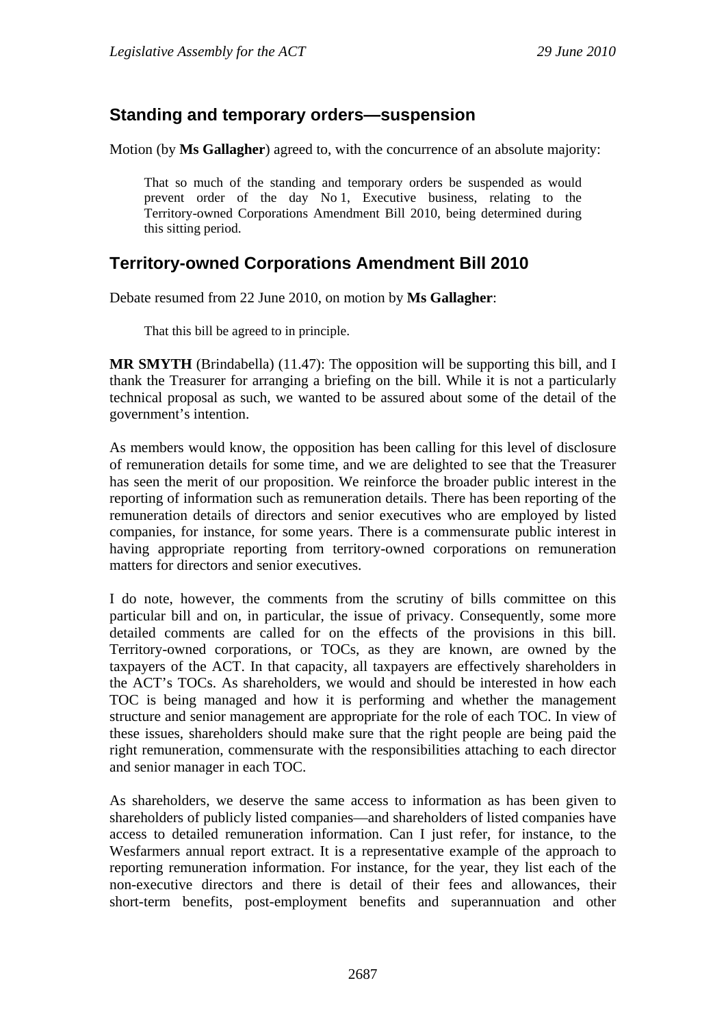# <span id="page-34-0"></span>**Standing and temporary orders—suspension**

Motion (by **Ms Gallagher**) agreed to, with the concurrence of an absolute majority:

That so much of the standing and temporary orders be suspended as would prevent order of the day No 1, Executive business, relating to the Territory-owned Corporations Amendment Bill 2010, being determined during this sitting period.

# <span id="page-34-1"></span>**Territory-owned Corporations Amendment Bill 2010**

Debate resumed from 22 June 2010, on motion by **Ms Gallagher**:

That this bill be agreed to in principle.

**MR SMYTH** (Brindabella) (11.47): The opposition will be supporting this bill, and I thank the Treasurer for arranging a briefing on the bill. While it is not a particularly technical proposal as such, we wanted to be assured about some of the detail of the government's intention.

As members would know, the opposition has been calling for this level of disclosure of remuneration details for some time, and we are delighted to see that the Treasurer has seen the merit of our proposition. We reinforce the broader public interest in the reporting of information such as remuneration details. There has been reporting of the remuneration details of directors and senior executives who are employed by listed companies, for instance, for some years. There is a commensurate public interest in having appropriate reporting from territory-owned corporations on remuneration matters for directors and senior executives.

I do note, however, the comments from the scrutiny of bills committee on this particular bill and on, in particular, the issue of privacy. Consequently, some more detailed comments are called for on the effects of the provisions in this bill. Territory-owned corporations, or TOCs, as they are known, are owned by the taxpayers of the ACT. In that capacity, all taxpayers are effectively shareholders in the ACT's TOCs. As shareholders, we would and should be interested in how each TOC is being managed and how it is performing and whether the management structure and senior management are appropriate for the role of each TOC. In view of these issues, shareholders should make sure that the right people are being paid the right remuneration, commensurate with the responsibilities attaching to each director and senior manager in each TOC.

As shareholders, we deserve the same access to information as has been given to shareholders of publicly listed companies—and shareholders of listed companies have access to detailed remuneration information. Can I just refer, for instance, to the Wesfarmers annual report extract. It is a representative example of the approach to reporting remuneration information. For instance, for the year, they list each of the non-executive directors and there is detail of their fees and allowances, their short-term benefits, post-employment benefits and superannuation and other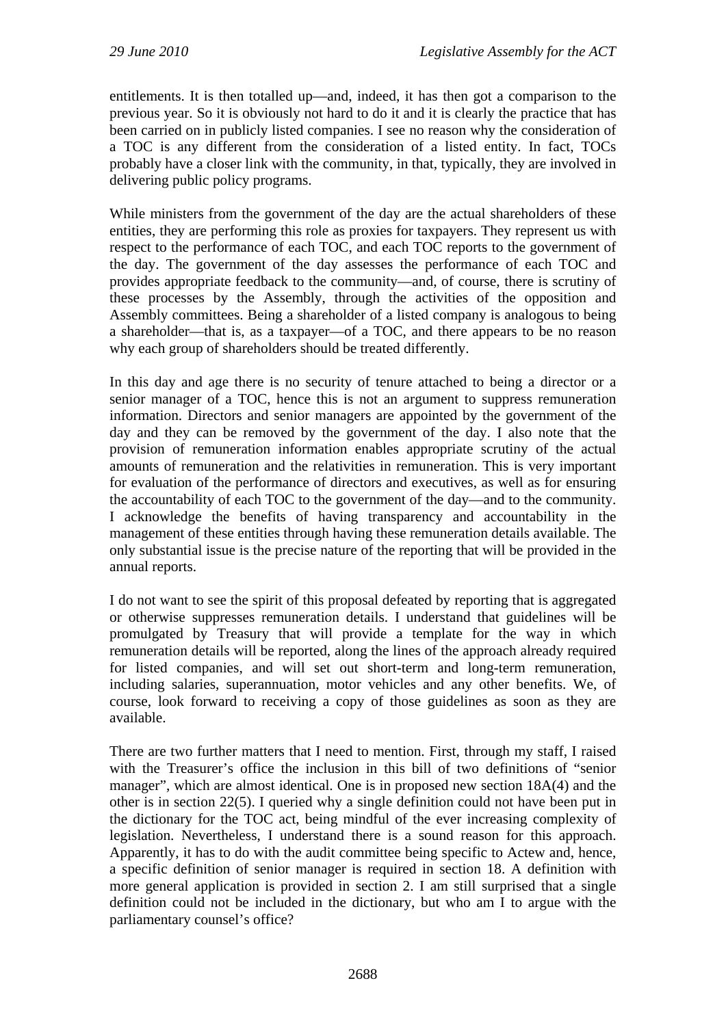entitlements. It is then totalled up—and, indeed, it has then got a comparison to the previous year. So it is obviously not hard to do it and it is clearly the practice that has been carried on in publicly listed companies. I see no reason why the consideration of a TOC is any different from the consideration of a listed entity. In fact, TOCs probably have a closer link with the community, in that, typically, they are involved in delivering public policy programs.

While ministers from the government of the day are the actual shareholders of these entities, they are performing this role as proxies for taxpayers. They represent us with respect to the performance of each TOC, and each TOC reports to the government of the day. The government of the day assesses the performance of each TOC and provides appropriate feedback to the community—and, of course, there is scrutiny of these processes by the Assembly, through the activities of the opposition and Assembly committees. Being a shareholder of a listed company is analogous to being a shareholder—that is, as a taxpayer—of a TOC, and there appears to be no reason why each group of shareholders should be treated differently.

In this day and age there is no security of tenure attached to being a director or a senior manager of a TOC, hence this is not an argument to suppress remuneration information. Directors and senior managers are appointed by the government of the day and they can be removed by the government of the day. I also note that the provision of remuneration information enables appropriate scrutiny of the actual amounts of remuneration and the relativities in remuneration. This is very important for evaluation of the performance of directors and executives, as well as for ensuring the accountability of each TOC to the government of the day—and to the community. I acknowledge the benefits of having transparency and accountability in the management of these entities through having these remuneration details available. The only substantial issue is the precise nature of the reporting that will be provided in the annual reports.

I do not want to see the spirit of this proposal defeated by reporting that is aggregated or otherwise suppresses remuneration details. I understand that guidelines will be promulgated by Treasury that will provide a template for the way in which remuneration details will be reported, along the lines of the approach already required for listed companies, and will set out short-term and long-term remuneration, including salaries, superannuation, motor vehicles and any other benefits. We, of course, look forward to receiving a copy of those guidelines as soon as they are available.

There are two further matters that I need to mention. First, through my staff, I raised with the Treasurer's office the inclusion in this bill of two definitions of "senior manager", which are almost identical. One is in proposed new section 18A(4) and the other is in section 22(5). I queried why a single definition could not have been put in the dictionary for the TOC act, being mindful of the ever increasing complexity of legislation. Nevertheless, I understand there is a sound reason for this approach. Apparently, it has to do with the audit committee being specific to Actew and, hence, a specific definition of senior manager is required in section 18. A definition with more general application is provided in section 2. I am still surprised that a single definition could not be included in the dictionary, but who am I to argue with the parliamentary counsel's office?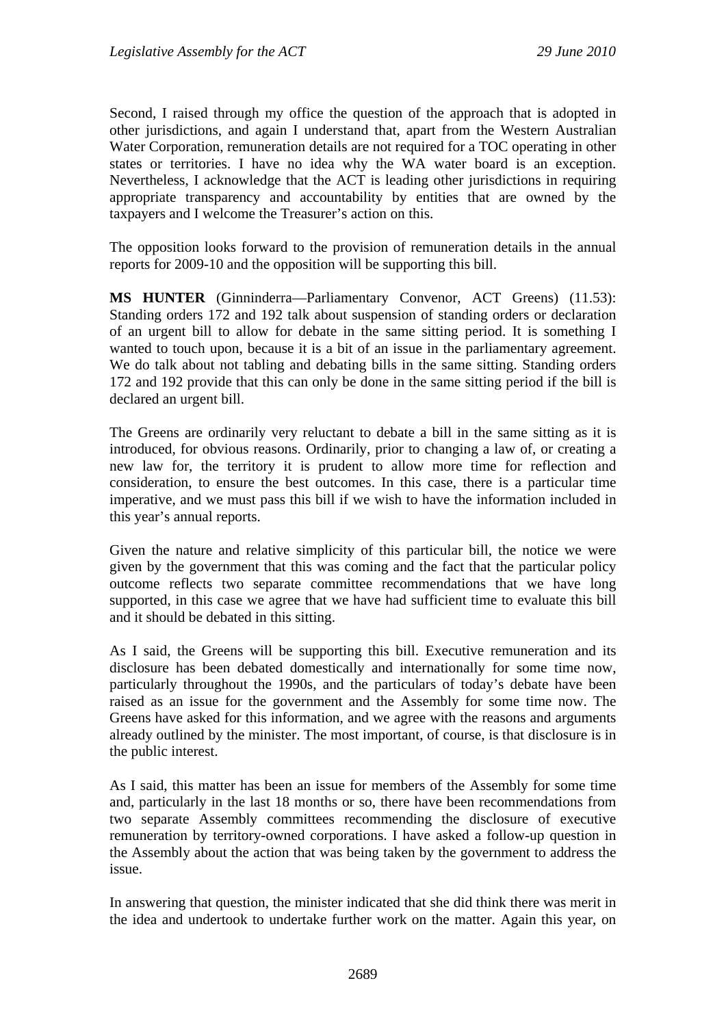Second, I raised through my office the question of the approach that is adopted in other jurisdictions, and again I understand that, apart from the Western Australian Water Corporation, remuneration details are not required for a TOC operating in other states or territories. I have no idea why the WA water board is an exception. Nevertheless, I acknowledge that the ACT is leading other jurisdictions in requiring appropriate transparency and accountability by entities that are owned by the taxpayers and I welcome the Treasurer's action on this.

The opposition looks forward to the provision of remuneration details in the annual reports for 2009-10 and the opposition will be supporting this bill.

**MS HUNTER** (Ginninderra—Parliamentary Convenor, ACT Greens) (11.53): Standing orders 172 and 192 talk about suspension of standing orders or declaration of an urgent bill to allow for debate in the same sitting period. It is something I wanted to touch upon, because it is a bit of an issue in the parliamentary agreement. We do talk about not tabling and debating bills in the same sitting. Standing orders 172 and 192 provide that this can only be done in the same sitting period if the bill is declared an urgent bill.

The Greens are ordinarily very reluctant to debate a bill in the same sitting as it is introduced, for obvious reasons. Ordinarily, prior to changing a law of, or creating a new law for, the territory it is prudent to allow more time for reflection and consideration, to ensure the best outcomes. In this case, there is a particular time imperative, and we must pass this bill if we wish to have the information included in this year's annual reports.

Given the nature and relative simplicity of this particular bill, the notice we were given by the government that this was coming and the fact that the particular policy outcome reflects two separate committee recommendations that we have long supported, in this case we agree that we have had sufficient time to evaluate this bill and it should be debated in this sitting.

As I said, the Greens will be supporting this bill. Executive remuneration and its disclosure has been debated domestically and internationally for some time now, particularly throughout the 1990s, and the particulars of today's debate have been raised as an issue for the government and the Assembly for some time now. The Greens have asked for this information, and we agree with the reasons and arguments already outlined by the minister. The most important, of course, is that disclosure is in the public interest.

As I said, this matter has been an issue for members of the Assembly for some time and, particularly in the last 18 months or so, there have been recommendations from two separate Assembly committees recommending the disclosure of executive remuneration by territory-owned corporations. I have asked a follow-up question in the Assembly about the action that was being taken by the government to address the issue.

In answering that question, the minister indicated that she did think there was merit in the idea and undertook to undertake further work on the matter. Again this year, on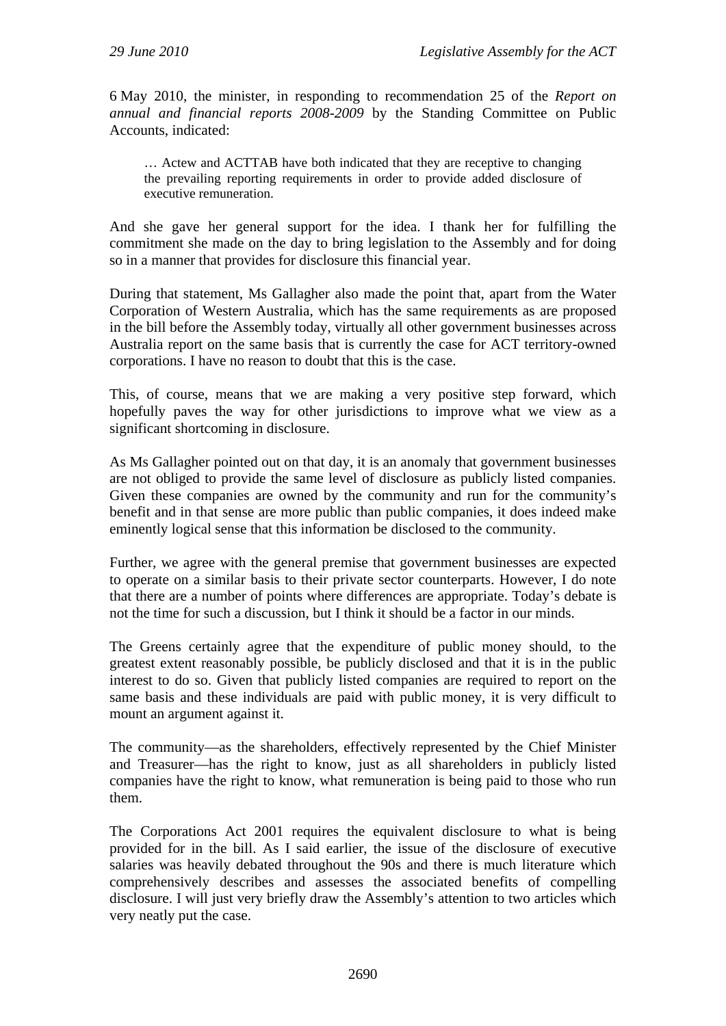6 May 2010, the minister, in responding to recommendation 25 of the *Report on annual and financial reports 2008-2009* by the Standing Committee on Public Accounts, indicated:

… Actew and ACTTAB have both indicated that they are receptive to changing the prevailing reporting requirements in order to provide added disclosure of executive remuneration.

And she gave her general support for the idea. I thank her for fulfilling the commitment she made on the day to bring legislation to the Assembly and for doing so in a manner that provides for disclosure this financial year.

During that statement, Ms Gallagher also made the point that, apart from the Water Corporation of Western Australia, which has the same requirements as are proposed in the bill before the Assembly today, virtually all other government businesses across Australia report on the same basis that is currently the case for ACT territory-owned corporations. I have no reason to doubt that this is the case.

This, of course, means that we are making a very positive step forward, which hopefully paves the way for other jurisdictions to improve what we view as a significant shortcoming in disclosure.

As Ms Gallagher pointed out on that day, it is an anomaly that government businesses are not obliged to provide the same level of disclosure as publicly listed companies. Given these companies are owned by the community and run for the community's benefit and in that sense are more public than public companies, it does indeed make eminently logical sense that this information be disclosed to the community.

Further, we agree with the general premise that government businesses are expected to operate on a similar basis to their private sector counterparts. However, I do note that there are a number of points where differences are appropriate. Today's debate is not the time for such a discussion, but I think it should be a factor in our minds.

The Greens certainly agree that the expenditure of public money should, to the greatest extent reasonably possible, be publicly disclosed and that it is in the public interest to do so. Given that publicly listed companies are required to report on the same basis and these individuals are paid with public money, it is very difficult to mount an argument against it.

The community—as the shareholders, effectively represented by the Chief Minister and Treasurer—has the right to know, just as all shareholders in publicly listed companies have the right to know, what remuneration is being paid to those who run them.

The Corporations Act 2001 requires the equivalent disclosure to what is being provided for in the bill. As I said earlier, the issue of the disclosure of executive salaries was heavily debated throughout the 90s and there is much literature which comprehensively describes and assesses the associated benefits of compelling disclosure. I will just very briefly draw the Assembly's attention to two articles which very neatly put the case.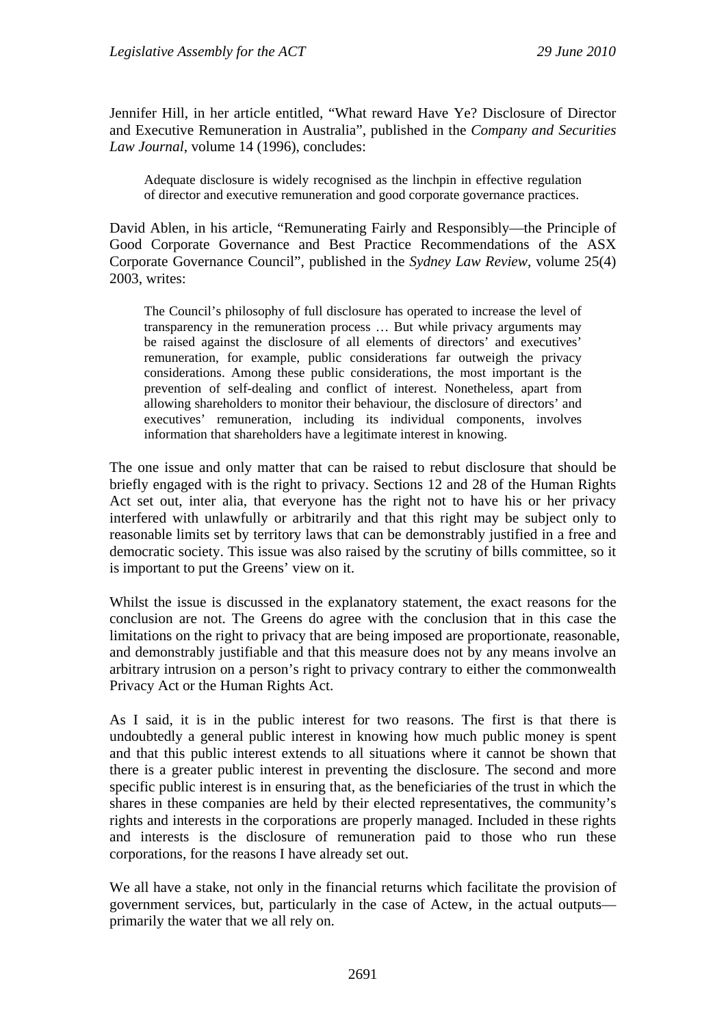Jennifer Hill, in her article entitled, "What reward Have Ye? Disclosure of Director and Executive Remuneration in Australia", published in the *Company and Securities Law Journal*, volume 14 (1996), concludes:

Adequate disclosure is widely recognised as the linchpin in effective regulation of director and executive remuneration and good corporate governance practices.

David Ablen, in his article, "Remunerating Fairly and Responsibly—the Principle of Good Corporate Governance and Best Practice Recommendations of the ASX Corporate Governance Council", published in the *Sydney Law Review*, volume 25(4) 2003, writes:

The Council's philosophy of full disclosure has operated to increase the level of transparency in the remuneration process … But while privacy arguments may be raised against the disclosure of all elements of directors' and executives' remuneration, for example, public considerations far outweigh the privacy considerations. Among these public considerations, the most important is the prevention of self-dealing and conflict of interest. Nonetheless, apart from allowing shareholders to monitor their behaviour, the disclosure of directors' and executives' remuneration, including its individual components, involves information that shareholders have a legitimate interest in knowing.

The one issue and only matter that can be raised to rebut disclosure that should be briefly engaged with is the right to privacy. Sections 12 and 28 of the Human Rights Act set out, inter alia, that everyone has the right not to have his or her privacy interfered with unlawfully or arbitrarily and that this right may be subject only to reasonable limits set by territory laws that can be demonstrably justified in a free and democratic society. This issue was also raised by the scrutiny of bills committee, so it is important to put the Greens' view on it.

Whilst the issue is discussed in the explanatory statement, the exact reasons for the conclusion are not. The Greens do agree with the conclusion that in this case the limitations on the right to privacy that are being imposed are proportionate, reasonable, and demonstrably justifiable and that this measure does not by any means involve an arbitrary intrusion on a person's right to privacy contrary to either the commonwealth Privacy Act or the Human Rights Act.

As I said, it is in the public interest for two reasons. The first is that there is undoubtedly a general public interest in knowing how much public money is spent and that this public interest extends to all situations where it cannot be shown that there is a greater public interest in preventing the disclosure. The second and more specific public interest is in ensuring that, as the beneficiaries of the trust in which the shares in these companies are held by their elected representatives, the community's rights and interests in the corporations are properly managed. Included in these rights and interests is the disclosure of remuneration paid to those who run these corporations, for the reasons I have already set out.

We all have a stake, not only in the financial returns which facilitate the provision of government services, but, particularly in the case of Actew, in the actual outputs primarily the water that we all rely on.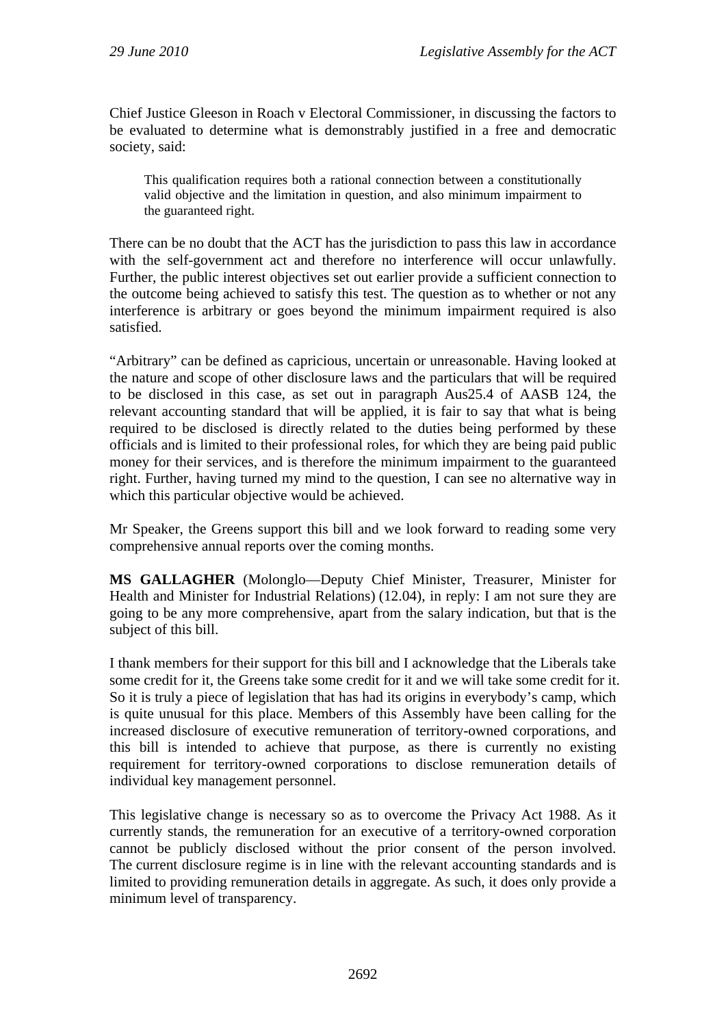Chief Justice Gleeson in Roach v Electoral Commissioner, in discussing the factors to be evaluated to determine what is demonstrably justified in a free and democratic society, said:

This qualification requires both a rational connection between a constitutionally valid objective and the limitation in question, and also minimum impairment to the guaranteed right.

There can be no doubt that the ACT has the jurisdiction to pass this law in accordance with the self-government act and therefore no interference will occur unlawfully. Further, the public interest objectives set out earlier provide a sufficient connection to the outcome being achieved to satisfy this test. The question as to whether or not any interference is arbitrary or goes beyond the minimum impairment required is also satisfied.

"Arbitrary" can be defined as capricious, uncertain or unreasonable. Having looked at the nature and scope of other disclosure laws and the particulars that will be required to be disclosed in this case, as set out in paragraph Aus25.4 of AASB 124, the relevant accounting standard that will be applied, it is fair to say that what is being required to be disclosed is directly related to the duties being performed by these officials and is limited to their professional roles, for which they are being paid public money for their services, and is therefore the minimum impairment to the guaranteed right. Further, having turned my mind to the question, I can see no alternative way in which this particular objective would be achieved.

Mr Speaker, the Greens support this bill and we look forward to reading some very comprehensive annual reports over the coming months.

**MS GALLAGHER** (Molonglo—Deputy Chief Minister, Treasurer, Minister for Health and Minister for Industrial Relations) (12.04), in reply: I am not sure they are going to be any more comprehensive, apart from the salary indication, but that is the subject of this bill.

I thank members for their support for this bill and I acknowledge that the Liberals take some credit for it, the Greens take some credit for it and we will take some credit for it. So it is truly a piece of legislation that has had its origins in everybody's camp, which is quite unusual for this place. Members of this Assembly have been calling for the increased disclosure of executive remuneration of territory-owned corporations, and this bill is intended to achieve that purpose, as there is currently no existing requirement for territory-owned corporations to disclose remuneration details of individual key management personnel.

This legislative change is necessary so as to overcome the Privacy Act 1988. As it currently stands, the remuneration for an executive of a territory-owned corporation cannot be publicly disclosed without the prior consent of the person involved. The current disclosure regime is in line with the relevant accounting standards and is limited to providing remuneration details in aggregate. As such, it does only provide a minimum level of transparency.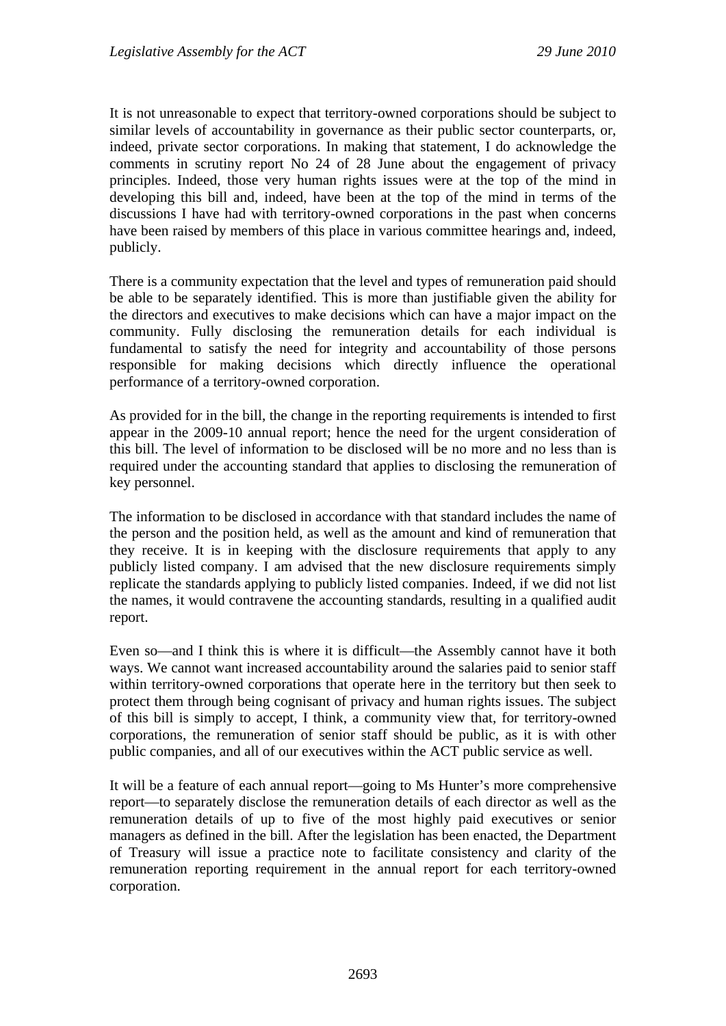It is not unreasonable to expect that territory-owned corporations should be subject to similar levels of accountability in governance as their public sector counterparts, or, indeed, private sector corporations. In making that statement, I do acknowledge the comments in scrutiny report No 24 of 28 June about the engagement of privacy principles. Indeed, those very human rights issues were at the top of the mind in developing this bill and, indeed, have been at the top of the mind in terms of the discussions I have had with territory-owned corporations in the past when concerns have been raised by members of this place in various committee hearings and, indeed, publicly.

There is a community expectation that the level and types of remuneration paid should be able to be separately identified. This is more than justifiable given the ability for the directors and executives to make decisions which can have a major impact on the community. Fully disclosing the remuneration details for each individual is fundamental to satisfy the need for integrity and accountability of those persons responsible for making decisions which directly influence the operational performance of a territory-owned corporation.

As provided for in the bill, the change in the reporting requirements is intended to first appear in the 2009-10 annual report; hence the need for the urgent consideration of this bill. The level of information to be disclosed will be no more and no less than is required under the accounting standard that applies to disclosing the remuneration of key personnel.

The information to be disclosed in accordance with that standard includes the name of the person and the position held, as well as the amount and kind of remuneration that they receive. It is in keeping with the disclosure requirements that apply to any publicly listed company. I am advised that the new disclosure requirements simply replicate the standards applying to publicly listed companies. Indeed, if we did not list the names, it would contravene the accounting standards, resulting in a qualified audit report.

Even so—and I think this is where it is difficult—the Assembly cannot have it both ways. We cannot want increased accountability around the salaries paid to senior staff within territory-owned corporations that operate here in the territory but then seek to protect them through being cognisant of privacy and human rights issues. The subject of this bill is simply to accept, I think, a community view that, for territory-owned corporations, the remuneration of senior staff should be public, as it is with other public companies, and all of our executives within the ACT public service as well.

It will be a feature of each annual report—going to Ms Hunter's more comprehensive report—to separately disclose the remuneration details of each director as well as the remuneration details of up to five of the most highly paid executives or senior managers as defined in the bill. After the legislation has been enacted, the Department of Treasury will issue a practice note to facilitate consistency and clarity of the remuneration reporting requirement in the annual report for each territory-owned corporation.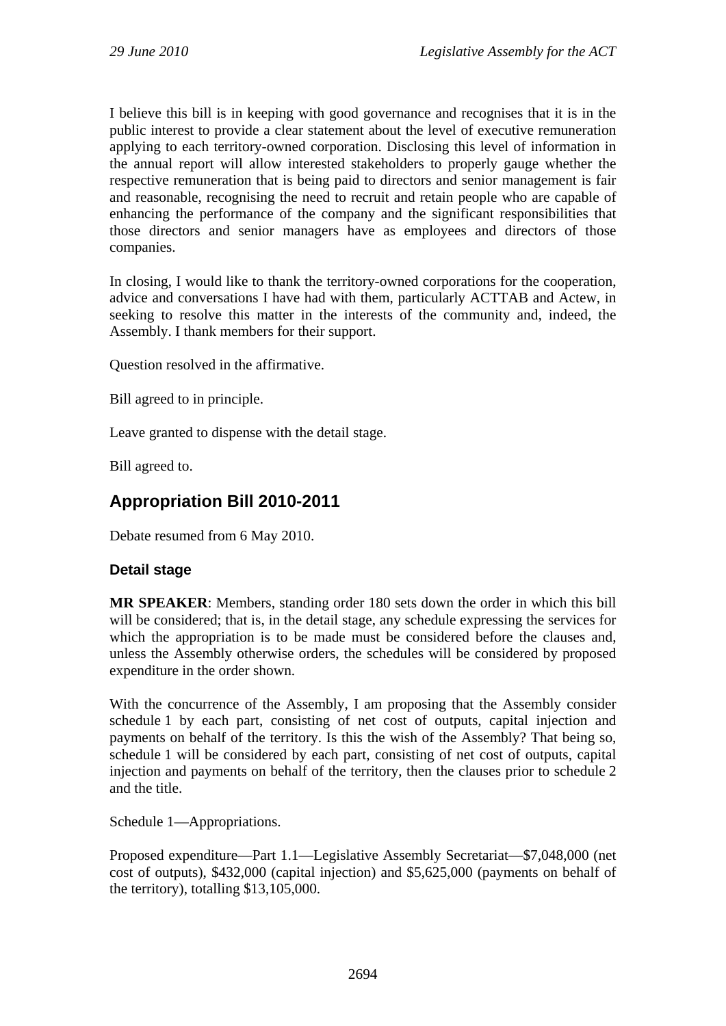I believe this bill is in keeping with good governance and recognises that it is in the public interest to provide a clear statement about the level of executive remuneration applying to each territory-owned corporation. Disclosing this level of information in the annual report will allow interested stakeholders to properly gauge whether the respective remuneration that is being paid to directors and senior management is fair and reasonable, recognising the need to recruit and retain people who are capable of enhancing the performance of the company and the significant responsibilities that those directors and senior managers have as employees and directors of those companies.

In closing, I would like to thank the territory-owned corporations for the cooperation, advice and conversations I have had with them, particularly ACTTAB and Actew, in seeking to resolve this matter in the interests of the community and, indeed, the Assembly. I thank members for their support.

Question resolved in the affirmative.

Bill agreed to in principle.

Leave granted to dispense with the detail stage.

Bill agreed to.

# **Appropriation Bill 2010-2011**

Debate resumed from 6 May 2010.

## **Detail stage**

**MR SPEAKER**: Members, standing order 180 sets down the order in which this bill will be considered; that is, in the detail stage, any schedule expressing the services for which the appropriation is to be made must be considered before the clauses and, unless the Assembly otherwise orders, the schedules will be considered by proposed expenditure in the order shown.

With the concurrence of the Assembly, I am proposing that the Assembly consider schedule 1 by each part, consisting of net cost of outputs, capital injection and payments on behalf of the territory. Is this the wish of the Assembly? That being so, schedule 1 will be considered by each part, consisting of net cost of outputs, capital injection and payments on behalf of the territory, then the clauses prior to schedule 2 and the title.

Schedule 1—Appropriations.

Proposed expenditure—Part 1.1—Legislative Assembly Secretariat—\$7,048,000 (net cost of outputs), \$432,000 (capital injection) and \$5,625,000 (payments on behalf of the territory), totalling \$13,105,000.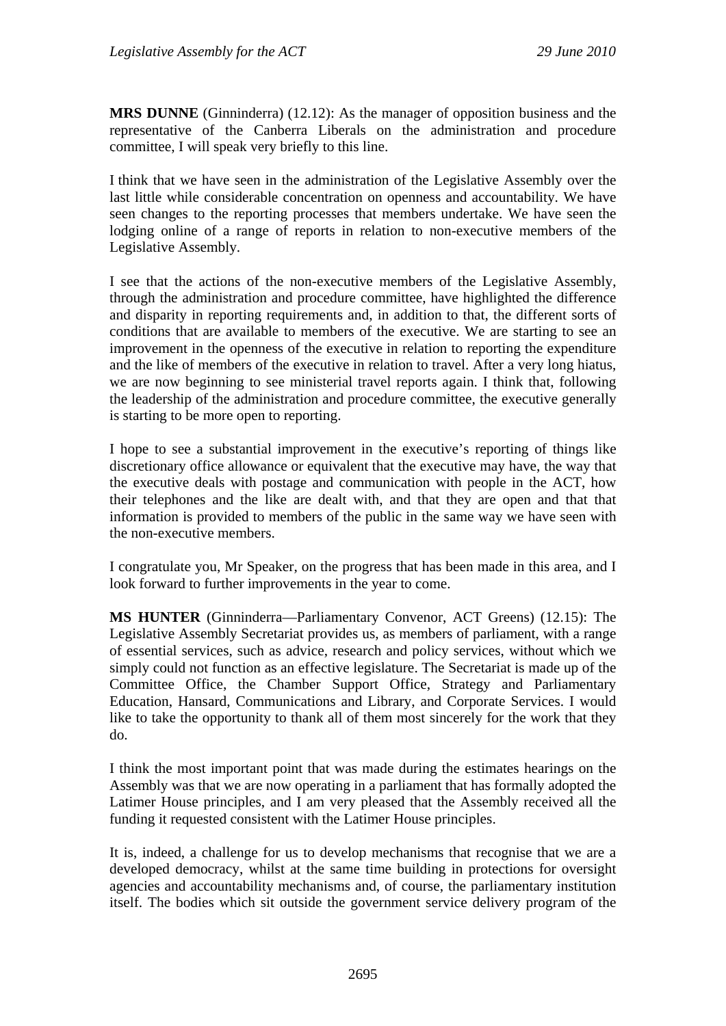**MRS DUNNE** (Ginninderra) (12.12): As the manager of opposition business and the representative of the Canberra Liberals on the administration and procedure committee, I will speak very briefly to this line.

I think that we have seen in the administration of the Legislative Assembly over the last little while considerable concentration on openness and accountability. We have seen changes to the reporting processes that members undertake. We have seen the lodging online of a range of reports in relation to non-executive members of the Legislative Assembly.

I see that the actions of the non-executive members of the Legislative Assembly, through the administration and procedure committee, have highlighted the difference and disparity in reporting requirements and, in addition to that, the different sorts of conditions that are available to members of the executive. We are starting to see an improvement in the openness of the executive in relation to reporting the expenditure and the like of members of the executive in relation to travel. After a very long hiatus, we are now beginning to see ministerial travel reports again. I think that, following the leadership of the administration and procedure committee, the executive generally is starting to be more open to reporting.

I hope to see a substantial improvement in the executive's reporting of things like discretionary office allowance or equivalent that the executive may have, the way that the executive deals with postage and communication with people in the ACT, how their telephones and the like are dealt with, and that they are open and that that information is provided to members of the public in the same way we have seen with the non-executive members.

I congratulate you, Mr Speaker, on the progress that has been made in this area, and I look forward to further improvements in the year to come.

**MS HUNTER** (Ginninderra—Parliamentary Convenor, ACT Greens) (12.15): The Legislative Assembly Secretariat provides us, as members of parliament, with a range of essential services, such as advice, research and policy services, without which we simply could not function as an effective legislature. The Secretariat is made up of the Committee Office, the Chamber Support Office, Strategy and Parliamentary Education, Hansard, Communications and Library, and Corporate Services. I would like to take the opportunity to thank all of them most sincerely for the work that they do.

I think the most important point that was made during the estimates hearings on the Assembly was that we are now operating in a parliament that has formally adopted the Latimer House principles, and I am very pleased that the Assembly received all the funding it requested consistent with the Latimer House principles.

It is, indeed, a challenge for us to develop mechanisms that recognise that we are a developed democracy, whilst at the same time building in protections for oversight agencies and accountability mechanisms and, of course, the parliamentary institution itself. The bodies which sit outside the government service delivery program of the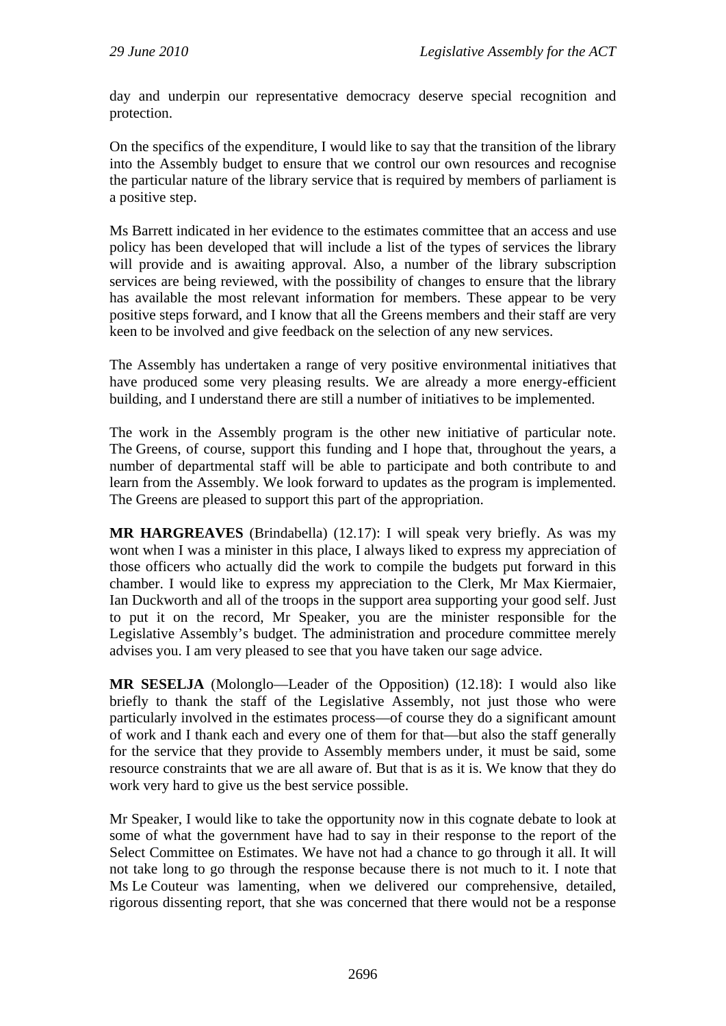day and underpin our representative democracy deserve special recognition and protection.

On the specifics of the expenditure, I would like to say that the transition of the library into the Assembly budget to ensure that we control our own resources and recognise the particular nature of the library service that is required by members of parliament is a positive step.

Ms Barrett indicated in her evidence to the estimates committee that an access and use policy has been developed that will include a list of the types of services the library will provide and is awaiting approval. Also, a number of the library subscription services are being reviewed, with the possibility of changes to ensure that the library has available the most relevant information for members. These appear to be very positive steps forward, and I know that all the Greens members and their staff are very keen to be involved and give feedback on the selection of any new services.

The Assembly has undertaken a range of very positive environmental initiatives that have produced some very pleasing results. We are already a more energy-efficient building, and I understand there are still a number of initiatives to be implemented.

The work in the Assembly program is the other new initiative of particular note. The Greens, of course, support this funding and I hope that, throughout the years, a number of departmental staff will be able to participate and both contribute to and learn from the Assembly. We look forward to updates as the program is implemented. The Greens are pleased to support this part of the appropriation.

**MR HARGREAVES** (Brindabella) (12.17): I will speak very briefly. As was my wont when I was a minister in this place, I always liked to express my appreciation of those officers who actually did the work to compile the budgets put forward in this chamber. I would like to express my appreciation to the Clerk, Mr Max Kiermaier, Ian Duckworth and all of the troops in the support area supporting your good self. Just to put it on the record, Mr Speaker, you are the minister responsible for the Legislative Assembly's budget. The administration and procedure committee merely advises you. I am very pleased to see that you have taken our sage advice.

**MR SESELJA** (Molonglo—Leader of the Opposition) (12.18): I would also like briefly to thank the staff of the Legislative Assembly, not just those who were particularly involved in the estimates process—of course they do a significant amount of work and I thank each and every one of them for that—but also the staff generally for the service that they provide to Assembly members under, it must be said, some resource constraints that we are all aware of. But that is as it is. We know that they do work very hard to give us the best service possible.

Mr Speaker, I would like to take the opportunity now in this cognate debate to look at some of what the government have had to say in their response to the report of the Select Committee on Estimates. We have not had a chance to go through it all. It will not take long to go through the response because there is not much to it. I note that Ms Le Couteur was lamenting, when we delivered our comprehensive, detailed, rigorous dissenting report, that she was concerned that there would not be a response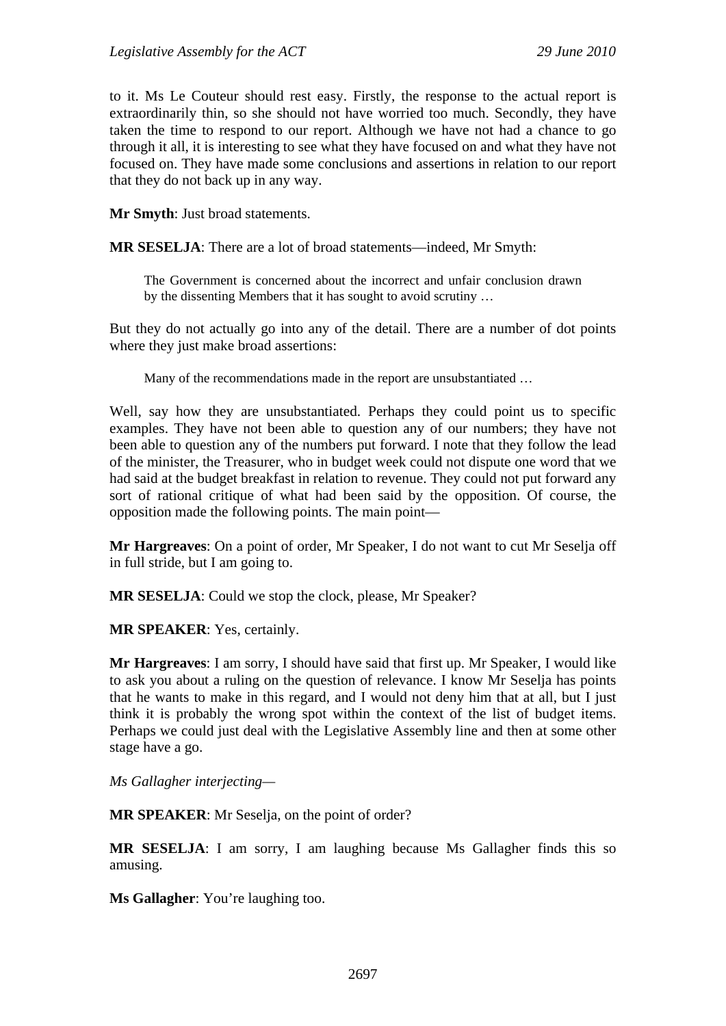to it. Ms Le Couteur should rest easy. Firstly, the response to the actual report is extraordinarily thin, so she should not have worried too much. Secondly, they have taken the time to respond to our report. Although we have not had a chance to go through it all, it is interesting to see what they have focused on and what they have not focused on. They have made some conclusions and assertions in relation to our report that they do not back up in any way.

**Mr Smyth**: Just broad statements.

**MR SESELJA**: There are a lot of broad statements—indeed, Mr Smyth:

The Government is concerned about the incorrect and unfair conclusion drawn by the dissenting Members that it has sought to avoid scrutiny …

But they do not actually go into any of the detail. There are a number of dot points where they just make broad assertions:

Many of the recommendations made in the report are unsubstantiated …

Well, say how they are unsubstantiated. Perhaps they could point us to specific examples. They have not been able to question any of our numbers; they have not been able to question any of the numbers put forward. I note that they follow the lead of the minister, the Treasurer, who in budget week could not dispute one word that we had said at the budget breakfast in relation to revenue. They could not put forward any sort of rational critique of what had been said by the opposition. Of course, the opposition made the following points. The main point—

**Mr Hargreaves**: On a point of order, Mr Speaker, I do not want to cut Mr Seselja off in full stride, but I am going to.

**MR SESELJA**: Could we stop the clock, please, Mr Speaker?

**MR SPEAKER**: Yes, certainly.

**Mr Hargreaves**: I am sorry, I should have said that first up. Mr Speaker, I would like to ask you about a ruling on the question of relevance. I know Mr Seselja has points that he wants to make in this regard, and I would not deny him that at all, but I just think it is probably the wrong spot within the context of the list of budget items. Perhaps we could just deal with the Legislative Assembly line and then at some other stage have a go.

*Ms Gallagher interjecting—* 

**MR SPEAKER**: Mr Seselja, on the point of order?

**MR SESELJA**: I am sorry, I am laughing because Ms Gallagher finds this so amusing.

**Ms Gallagher**: You're laughing too.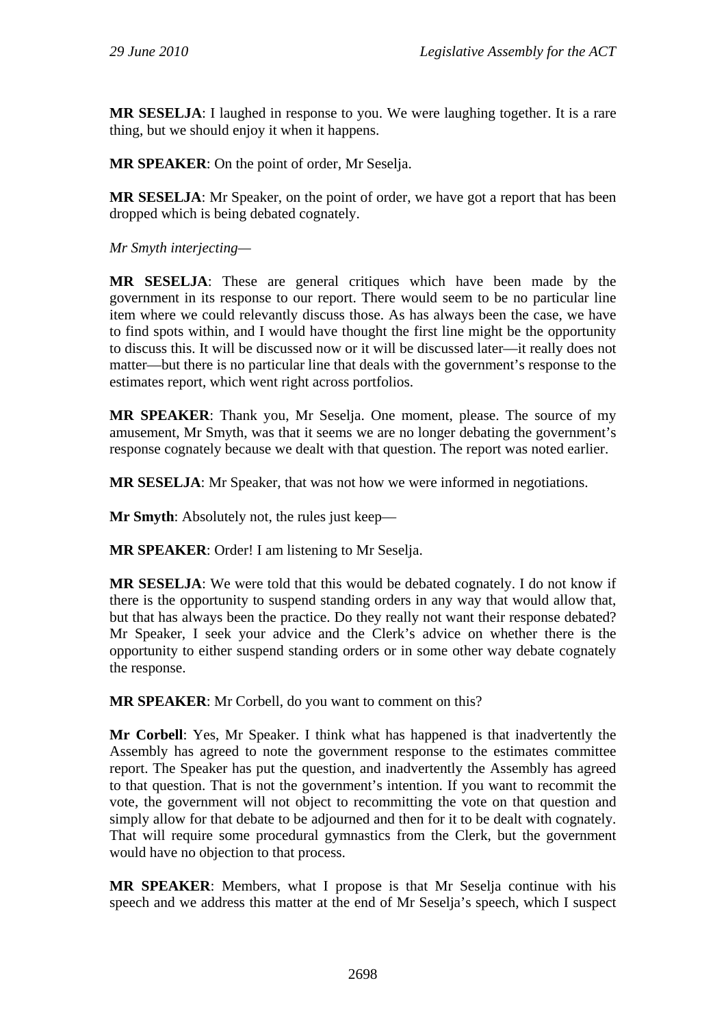**MR SESELJA**: I laughed in response to you. We were laughing together. It is a rare thing, but we should enjoy it when it happens.

**MR SPEAKER**: On the point of order, Mr Seselja.

**MR SESELJA**: Mr Speaker, on the point of order, we have got a report that has been dropped which is being debated cognately.

*Mr Smyth interjecting—* 

**MR SESELJA**: These are general critiques which have been made by the government in its response to our report. There would seem to be no particular line item where we could relevantly discuss those. As has always been the case, we have to find spots within, and I would have thought the first line might be the opportunity to discuss this. It will be discussed now or it will be discussed later—it really does not matter—but there is no particular line that deals with the government's response to the estimates report, which went right across portfolios.

**MR SPEAKER**: Thank you, Mr Seselja. One moment, please. The source of my amusement, Mr Smyth, was that it seems we are no longer debating the government's response cognately because we dealt with that question. The report was noted earlier.

**MR SESELJA**: Mr Speaker, that was not how we were informed in negotiations.

**Mr Smyth:** Absolutely not, the rules just keep—

**MR SPEAKER**: Order! I am listening to Mr Seselja.

**MR SESELJA**: We were told that this would be debated cognately. I do not know if there is the opportunity to suspend standing orders in any way that would allow that, but that has always been the practice. Do they really not want their response debated? Mr Speaker, I seek your advice and the Clerk's advice on whether there is the opportunity to either suspend standing orders or in some other way debate cognately the response.

**MR SPEAKER**: Mr Corbell, do you want to comment on this?

**Mr Corbell**: Yes, Mr Speaker. I think what has happened is that inadvertently the Assembly has agreed to note the government response to the estimates committee report. The Speaker has put the question, and inadvertently the Assembly has agreed to that question. That is not the government's intention. If you want to recommit the vote, the government will not object to recommitting the vote on that question and simply allow for that debate to be adjourned and then for it to be dealt with cognately. That will require some procedural gymnastics from the Clerk, but the government would have no objection to that process.

**MR SPEAKER**: Members, what I propose is that Mr Seselja continue with his speech and we address this matter at the end of Mr Seselja's speech, which I suspect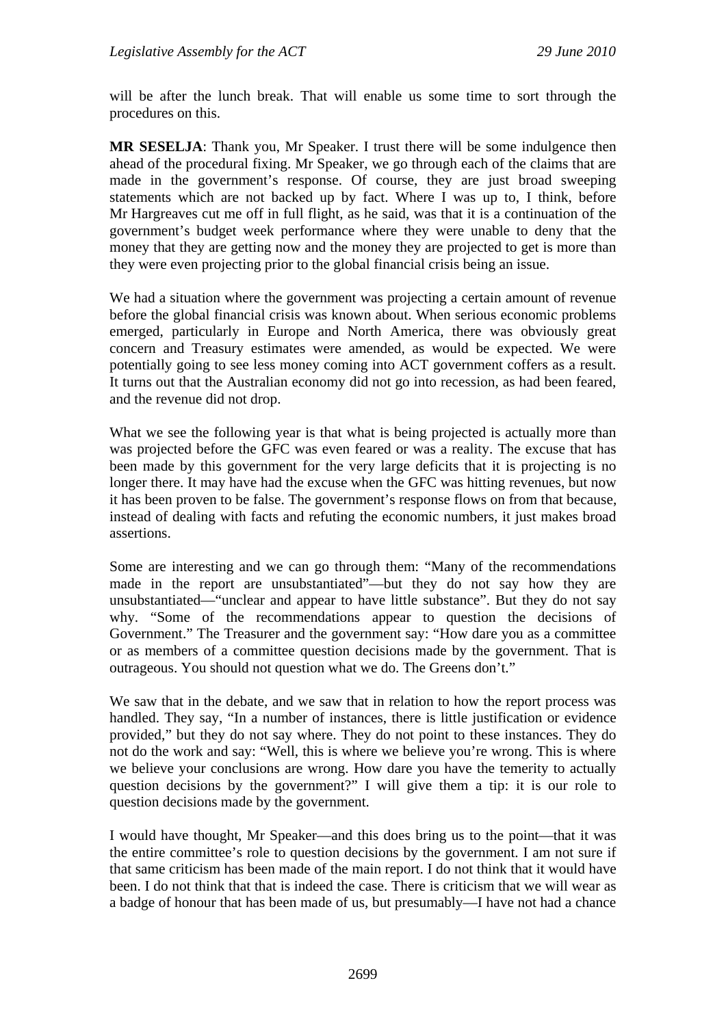will be after the lunch break. That will enable us some time to sort through the procedures on this.

**MR SESELJA**: Thank you, Mr Speaker. I trust there will be some indulgence then ahead of the procedural fixing. Mr Speaker, we go through each of the claims that are made in the government's response. Of course, they are just broad sweeping statements which are not backed up by fact. Where I was up to, I think, before Mr Hargreaves cut me off in full flight, as he said, was that it is a continuation of the government's budget week performance where they were unable to deny that the money that they are getting now and the money they are projected to get is more than they were even projecting prior to the global financial crisis being an issue.

We had a situation where the government was projecting a certain amount of revenue before the global financial crisis was known about. When serious economic problems emerged, particularly in Europe and North America, there was obviously great concern and Treasury estimates were amended, as would be expected. We were potentially going to see less money coming into ACT government coffers as a result. It turns out that the Australian economy did not go into recession, as had been feared, and the revenue did not drop.

What we see the following year is that what is being projected is actually more than was projected before the GFC was even feared or was a reality. The excuse that has been made by this government for the very large deficits that it is projecting is no longer there. It may have had the excuse when the GFC was hitting revenues, but now it has been proven to be false. The government's response flows on from that because, instead of dealing with facts and refuting the economic numbers, it just makes broad assertions.

Some are interesting and we can go through them: "Many of the recommendations made in the report are unsubstantiated"—but they do not say how they are unsubstantiated—"unclear and appear to have little substance". But they do not say why. "Some of the recommendations appear to question the decisions of Government." The Treasurer and the government say: "How dare you as a committee or as members of a committee question decisions made by the government. That is outrageous. You should not question what we do. The Greens don't."

We saw that in the debate, and we saw that in relation to how the report process was handled. They say, "In a number of instances, there is little justification or evidence provided," but they do not say where. They do not point to these instances. They do not do the work and say: "Well, this is where we believe you're wrong. This is where we believe your conclusions are wrong. How dare you have the temerity to actually question decisions by the government?" I will give them a tip: it is our role to question decisions made by the government.

I would have thought, Mr Speaker—and this does bring us to the point—that it was the entire committee's role to question decisions by the government. I am not sure if that same criticism has been made of the main report. I do not think that it would have been. I do not think that that is indeed the case. There is criticism that we will wear as a badge of honour that has been made of us, but presumably—I have not had a chance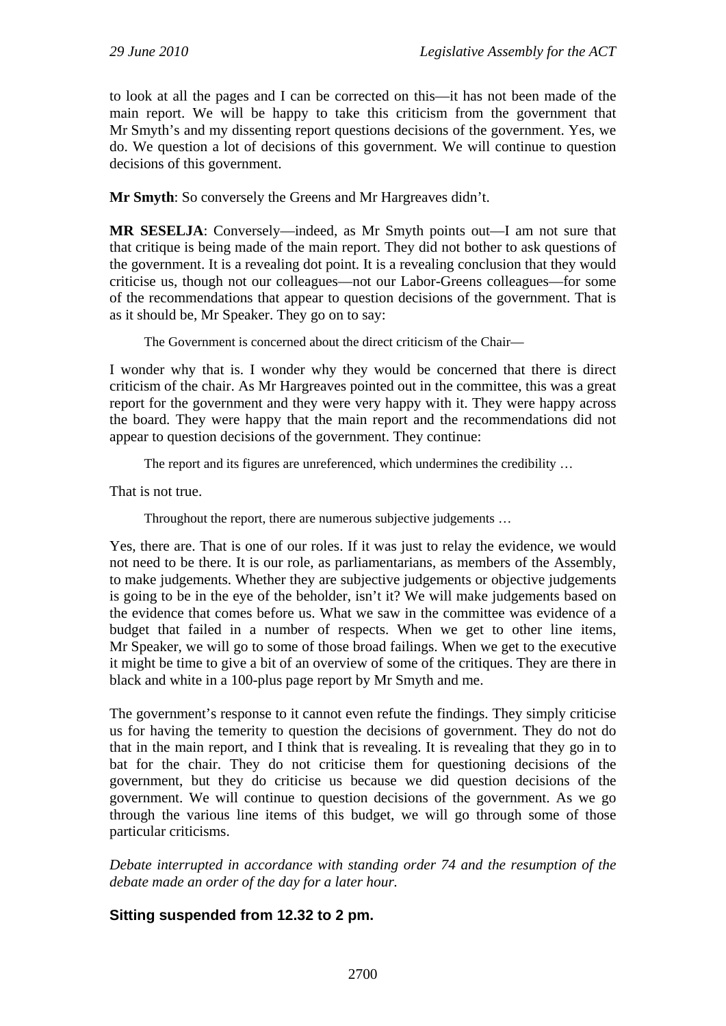to look at all the pages and I can be corrected on this—it has not been made of the main report. We will be happy to take this criticism from the government that Mr Smyth's and my dissenting report questions decisions of the government. Yes, we do. We question a lot of decisions of this government. We will continue to question decisions of this government.

**Mr Smyth**: So conversely the Greens and Mr Hargreaves didn't.

**MR SESELJA**: Conversely—indeed, as Mr Smyth points out—I am not sure that that critique is being made of the main report. They did not bother to ask questions of the government. It is a revealing dot point. It is a revealing conclusion that they would criticise us, though not our colleagues—not our Labor-Greens colleagues—for some of the recommendations that appear to question decisions of the government. That is as it should be, Mr Speaker. They go on to say:

The Government is concerned about the direct criticism of the Chair—

I wonder why that is. I wonder why they would be concerned that there is direct criticism of the chair. As Mr Hargreaves pointed out in the committee, this was a great report for the government and they were very happy with it. They were happy across the board. They were happy that the main report and the recommendations did not appear to question decisions of the government. They continue:

The report and its figures are unreferenced, which undermines the credibility …

That is not true.

Throughout the report, there are numerous subjective judgements …

Yes, there are. That is one of our roles. If it was just to relay the evidence, we would not need to be there. It is our role, as parliamentarians, as members of the Assembly, to make judgements. Whether they are subjective judgements or objective judgements is going to be in the eye of the beholder, isn't it? We will make judgements based on the evidence that comes before us. What we saw in the committee was evidence of a budget that failed in a number of respects. When we get to other line items, Mr Speaker, we will go to some of those broad failings. When we get to the executive it might be time to give a bit of an overview of some of the critiques. They are there in black and white in a 100-plus page report by Mr Smyth and me.

The government's response to it cannot even refute the findings. They simply criticise us for having the temerity to question the decisions of government. They do not do that in the main report, and I think that is revealing. It is revealing that they go in to bat for the chair. They do not criticise them for questioning decisions of the government, but they do criticise us because we did question decisions of the government. We will continue to question decisions of the government. As we go through the various line items of this budget, we will go through some of those particular criticisms.

*Debate interrupted in accordance with standing order 74 and the resumption of the debate made an order of the day for a later hour.*

## **Sitting suspended from 12.32 to 2 pm.**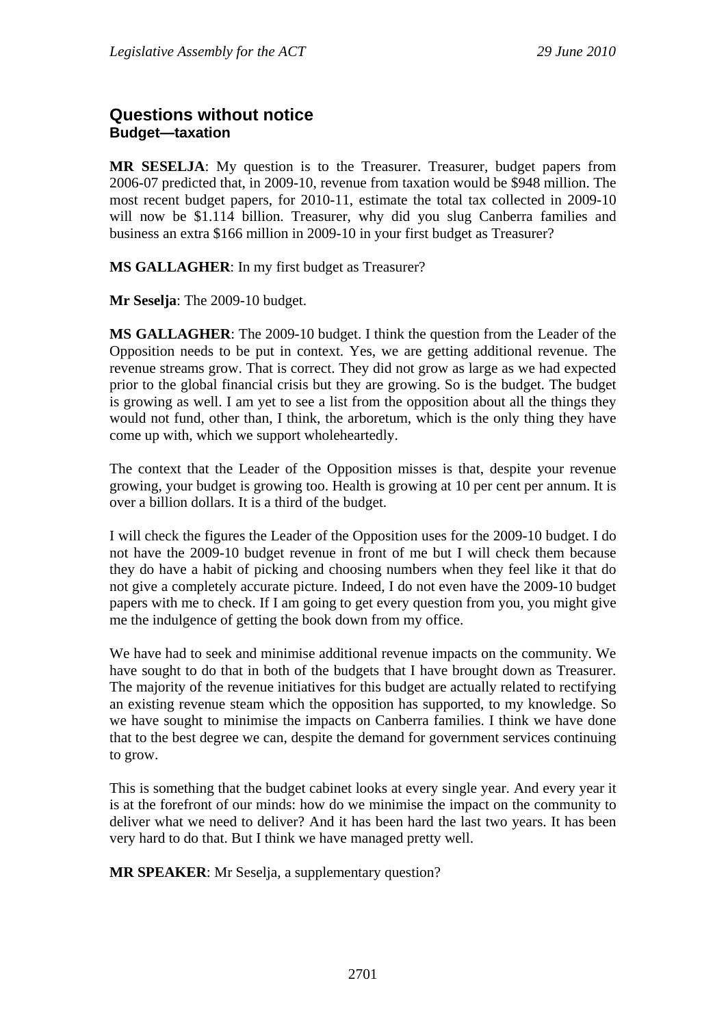## **Questions without notice Budget—taxation**

**MR SESELJA**: My question is to the Treasurer. Treasurer, budget papers from 2006-07 predicted that, in 2009-10, revenue from taxation would be \$948 million. The most recent budget papers, for 2010-11, estimate the total tax collected in 2009-10 will now be \$1.114 billion. Treasurer, why did you slug Canberra families and business an extra \$166 million in 2009-10 in your first budget as Treasurer?

**MS GALLAGHER**: In my first budget as Treasurer?

**Mr Seselja**: The 2009-10 budget.

**MS GALLAGHER**: The 2009-10 budget. I think the question from the Leader of the Opposition needs to be put in context. Yes, we are getting additional revenue. The revenue streams grow. That is correct. They did not grow as large as we had expected prior to the global financial crisis but they are growing. So is the budget. The budget is growing as well. I am yet to see a list from the opposition about all the things they would not fund, other than, I think, the arboretum, which is the only thing they have come up with, which we support wholeheartedly.

The context that the Leader of the Opposition misses is that, despite your revenue growing, your budget is growing too. Health is growing at 10 per cent per annum. It is over a billion dollars. It is a third of the budget.

I will check the figures the Leader of the Opposition uses for the 2009-10 budget. I do not have the 2009-10 budget revenue in front of me but I will check them because they do have a habit of picking and choosing numbers when they feel like it that do not give a completely accurate picture. Indeed, I do not even have the 2009-10 budget papers with me to check. If I am going to get every question from you, you might give me the indulgence of getting the book down from my office.

We have had to seek and minimise additional revenue impacts on the community. We have sought to do that in both of the budgets that I have brought down as Treasurer. The majority of the revenue initiatives for this budget are actually related to rectifying an existing revenue steam which the opposition has supported, to my knowledge. So we have sought to minimise the impacts on Canberra families. I think we have done that to the best degree we can, despite the demand for government services continuing to grow.

This is something that the budget cabinet looks at every single year. And every year it is at the forefront of our minds: how do we minimise the impact on the community to deliver what we need to deliver? And it has been hard the last two years. It has been very hard to do that. But I think we have managed pretty well.

**MR SPEAKER**: Mr Seselja, a supplementary question?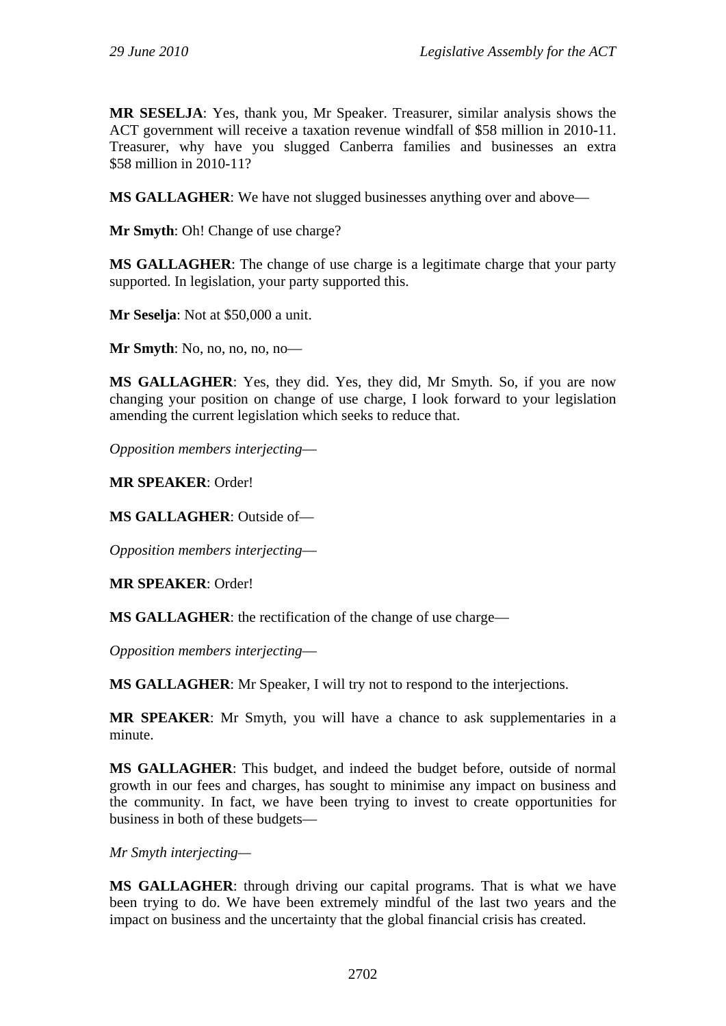**MR SESELJA**: Yes, thank you, Mr Speaker. Treasurer, similar analysis shows the ACT government will receive a taxation revenue windfall of \$58 million in 2010-11. Treasurer, why have you slugged Canberra families and businesses an extra \$58 million in 2010-11?

**MS GALLAGHER**: We have not slugged businesses anything over and above—

**Mr Smyth**: Oh! Change of use charge?

**MS GALLAGHER**: The change of use charge is a legitimate charge that your party supported. In legislation, your party supported this.

**Mr Seselja**: Not at \$50,000 a unit.

**Mr Smyth**: No, no, no, no, no—

**MS GALLAGHER**: Yes, they did. Yes, they did, Mr Smyth. So, if you are now changing your position on change of use charge, I look forward to your legislation amending the current legislation which seeks to reduce that.

*Opposition members interjecting*—

**MR SPEAKER**: Order!

**MS GALLAGHER**: Outside of—

*Opposition members interjecting*—

**MR SPEAKER**: Order!

**MS GALLAGHER**: the rectification of the change of use charge—

*Opposition members interjecting*—

**MS GALLAGHER**: Mr Speaker, I will try not to respond to the interjections.

**MR SPEAKER**: Mr Smyth, you will have a chance to ask supplementaries in a minute.

**MS GALLAGHER**: This budget, and indeed the budget before, outside of normal growth in our fees and charges, has sought to minimise any impact on business and the community. In fact, we have been trying to invest to create opportunities for business in both of these budgets—

*Mr Smyth interjecting—*

**MS GALLAGHER**: through driving our capital programs. That is what we have been trying to do. We have been extremely mindful of the last two years and the impact on business and the uncertainty that the global financial crisis has created.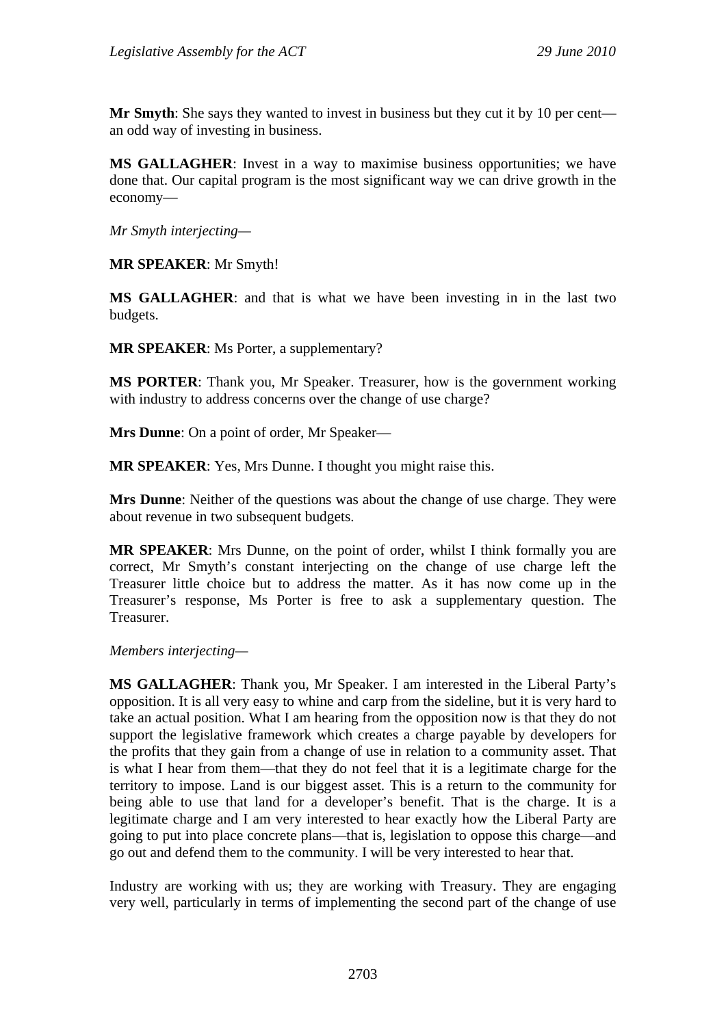**Mr Smyth**: She says they wanted to invest in business but they cut it by 10 per cent an odd way of investing in business.

**MS GALLAGHER**: Invest in a way to maximise business opportunities; we have done that. Our capital program is the most significant way we can drive growth in the economy—

*Mr Smyth interjecting—*

**MR SPEAKER**: Mr Smyth!

**MS GALLAGHER**: and that is what we have been investing in in the last two budgets.

**MR SPEAKER**: Ms Porter, a supplementary?

**MS PORTER**: Thank you, Mr Speaker. Treasurer, how is the government working with industry to address concerns over the change of use charge?

**Mrs Dunne**: On a point of order, Mr Speaker—

**MR SPEAKER**: Yes, Mrs Dunne. I thought you might raise this.

**Mrs Dunne**: Neither of the questions was about the change of use charge. They were about revenue in two subsequent budgets.

**MR SPEAKER**: Mrs Dunne, on the point of order, whilst I think formally you are correct, Mr Smyth's constant interjecting on the change of use charge left the Treasurer little choice but to address the matter. As it has now come up in the Treasurer's response, Ms Porter is free to ask a supplementary question. The Treasurer.

*Members interjecting—* 

**MS GALLAGHER**: Thank you, Mr Speaker. I am interested in the Liberal Party's opposition. It is all very easy to whine and carp from the sideline, but it is very hard to take an actual position. What I am hearing from the opposition now is that they do not support the legislative framework which creates a charge payable by developers for the profits that they gain from a change of use in relation to a community asset. That is what I hear from them—that they do not feel that it is a legitimate charge for the territory to impose. Land is our biggest asset. This is a return to the community for being able to use that land for a developer's benefit. That is the charge. It is a legitimate charge and I am very interested to hear exactly how the Liberal Party are going to put into place concrete plans—that is, legislation to oppose this charge—and go out and defend them to the community. I will be very interested to hear that.

Industry are working with us; they are working with Treasury. They are engaging very well, particularly in terms of implementing the second part of the change of use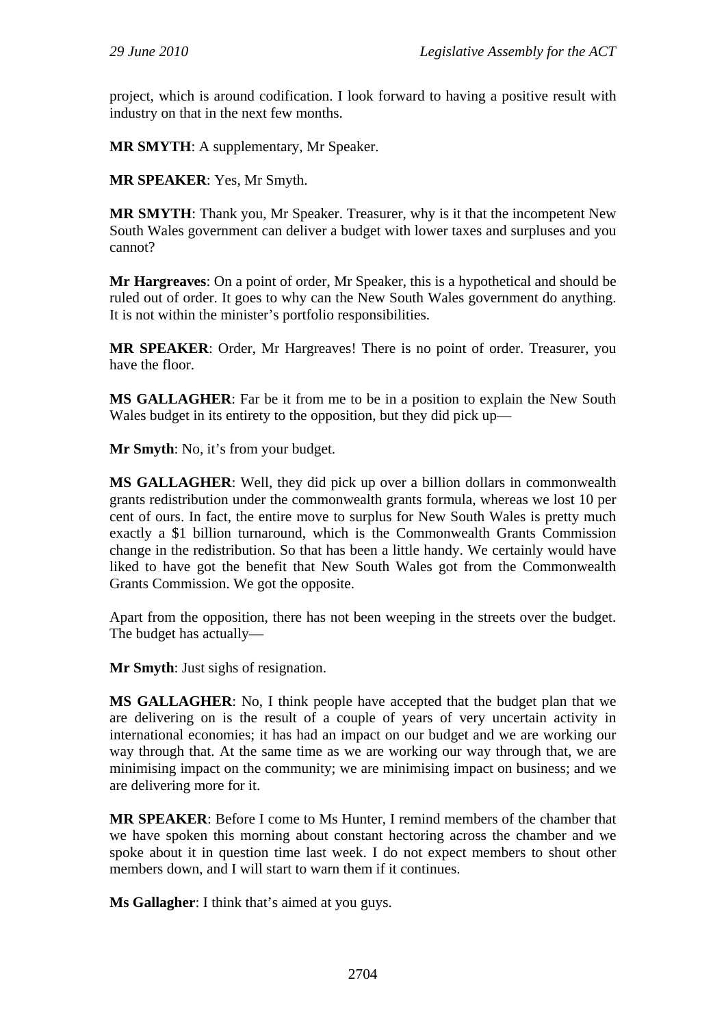project, which is around codification. I look forward to having a positive result with industry on that in the next few months.

**MR SMYTH**: A supplementary, Mr Speaker.

**MR SPEAKER**: Yes, Mr Smyth.

**MR SMYTH**: Thank you, Mr Speaker. Treasurer, why is it that the incompetent New South Wales government can deliver a budget with lower taxes and surpluses and you cannot?

**Mr Hargreaves**: On a point of order, Mr Speaker, this is a hypothetical and should be ruled out of order. It goes to why can the New South Wales government do anything. It is not within the minister's portfolio responsibilities.

**MR SPEAKER**: Order, Mr Hargreaves! There is no point of order. Treasurer, you have the floor.

**MS GALLAGHER**: Far be it from me to be in a position to explain the New South Wales budget in its entirety to the opposition, but they did pick up—

**Mr Smyth**: No, it's from your budget.

**MS GALLAGHER**: Well, they did pick up over a billion dollars in commonwealth grants redistribution under the commonwealth grants formula, whereas we lost 10 per cent of ours. In fact, the entire move to surplus for New South Wales is pretty much exactly a \$1 billion turnaround, which is the Commonwealth Grants Commission change in the redistribution. So that has been a little handy. We certainly would have liked to have got the benefit that New South Wales got from the Commonwealth Grants Commission. We got the opposite.

Apart from the opposition, there has not been weeping in the streets over the budget. The budget has actually—

**Mr Smyth**: Just sighs of resignation.

**MS GALLAGHER**: No, I think people have accepted that the budget plan that we are delivering on is the result of a couple of years of very uncertain activity in international economies; it has had an impact on our budget and we are working our way through that. At the same time as we are working our way through that, we are minimising impact on the community; we are minimising impact on business; and we are delivering more for it.

**MR SPEAKER**: Before I come to Ms Hunter, I remind members of the chamber that we have spoken this morning about constant hectoring across the chamber and we spoke about it in question time last week. I do not expect members to shout other members down, and I will start to warn them if it continues.

**Ms Gallagher**: I think that's aimed at you guys.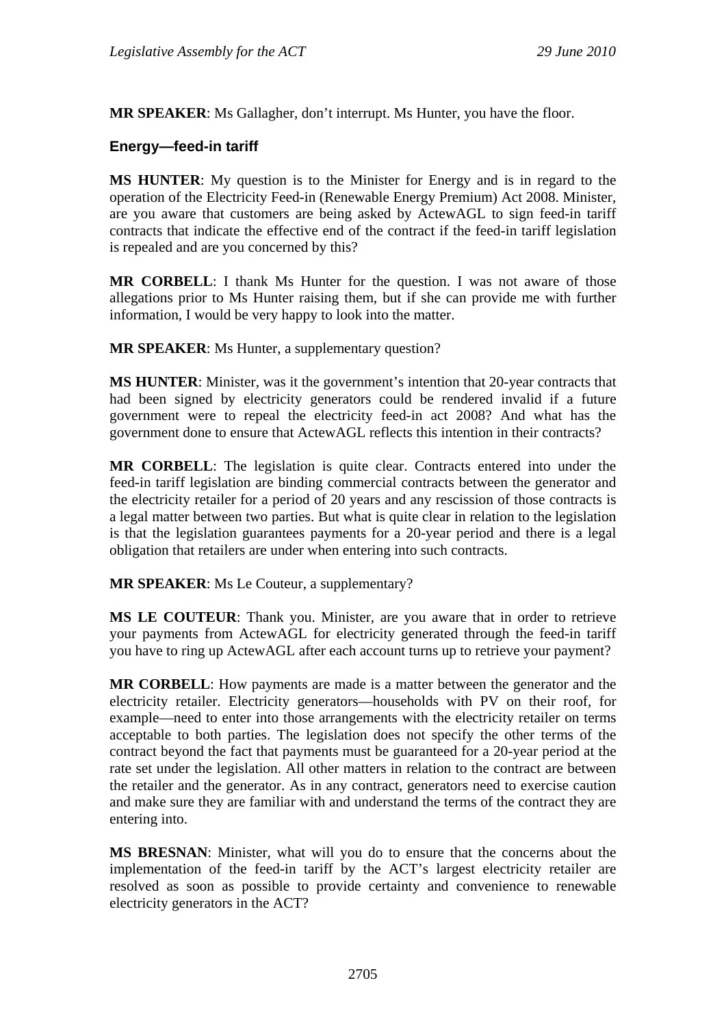**MR SPEAKER**: Ms Gallagher, don't interrupt. Ms Hunter, you have the floor.

## **Energy—feed-in tariff**

**MS HUNTER**: My question is to the Minister for Energy and is in regard to the operation of the Electricity Feed-in (Renewable Energy Premium) Act 2008. Minister, are you aware that customers are being asked by ActewAGL to sign feed-in tariff contracts that indicate the effective end of the contract if the feed-in tariff legislation is repealed and are you concerned by this?

**MR CORBELL**: I thank Ms Hunter for the question. I was not aware of those allegations prior to Ms Hunter raising them, but if she can provide me with further information, I would be very happy to look into the matter.

**MR SPEAKER**: Ms Hunter, a supplementary question?

**MS HUNTER:** Minister, was it the government's intention that 20-year contracts that had been signed by electricity generators could be rendered invalid if a future government were to repeal the electricity feed-in act 2008? And what has the government done to ensure that ActewAGL reflects this intention in their contracts?

**MR CORBELL**: The legislation is quite clear. Contracts entered into under the feed-in tariff legislation are binding commercial contracts between the generator and the electricity retailer for a period of 20 years and any rescission of those contracts is a legal matter between two parties. But what is quite clear in relation to the legislation is that the legislation guarantees payments for a 20-year period and there is a legal obligation that retailers are under when entering into such contracts.

**MR SPEAKER**: Ms Le Couteur, a supplementary?

**MS LE COUTEUR**: Thank you. Minister, are you aware that in order to retrieve your payments from ActewAGL for electricity generated through the feed-in tariff you have to ring up ActewAGL after each account turns up to retrieve your payment?

**MR CORBELL**: How payments are made is a matter between the generator and the electricity retailer. Electricity generators—households with PV on their roof, for example—need to enter into those arrangements with the electricity retailer on terms acceptable to both parties. The legislation does not specify the other terms of the contract beyond the fact that payments must be guaranteed for a 20-year period at the rate set under the legislation. All other matters in relation to the contract are between the retailer and the generator. As in any contract, generators need to exercise caution and make sure they are familiar with and understand the terms of the contract they are entering into.

**MS BRESNAN**: Minister, what will you do to ensure that the concerns about the implementation of the feed-in tariff by the ACT's largest electricity retailer are resolved as soon as possible to provide certainty and convenience to renewable electricity generators in the ACT?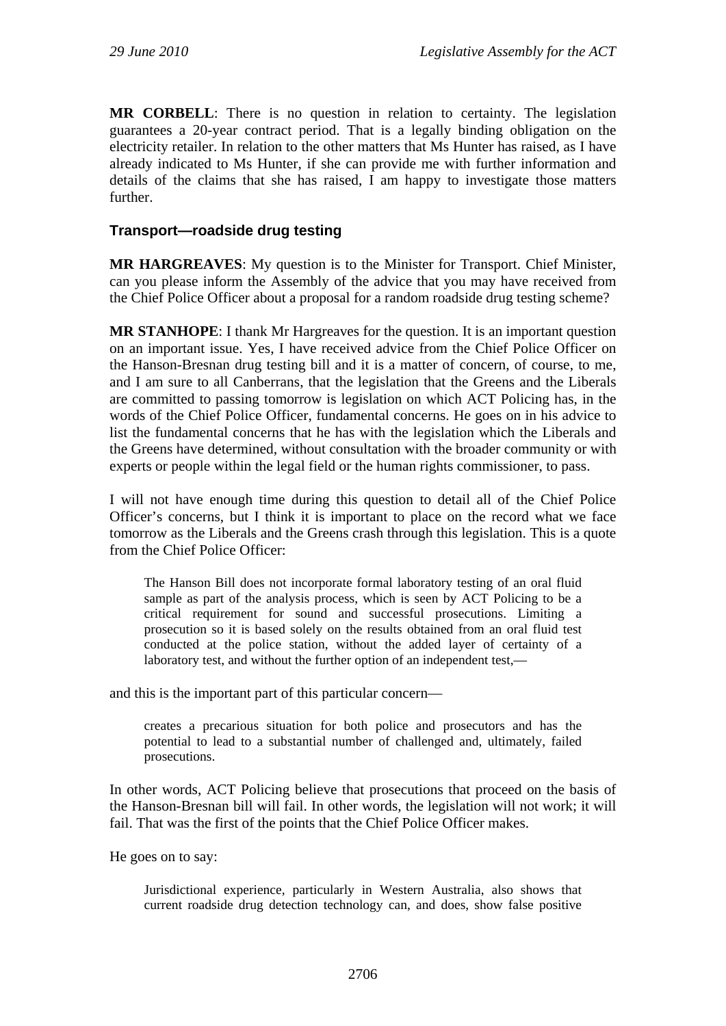**MR CORBELL**: There is no question in relation to certainty. The legislation guarantees a 20-year contract period. That is a legally binding obligation on the electricity retailer. In relation to the other matters that Ms Hunter has raised, as I have already indicated to Ms Hunter, if she can provide me with further information and details of the claims that she has raised, I am happy to investigate those matters further.

#### **Transport—roadside drug testing**

**MR HARGREAVES**: My question is to the Minister for Transport. Chief Minister, can you please inform the Assembly of the advice that you may have received from the Chief Police Officer about a proposal for a random roadside drug testing scheme?

**MR STANHOPE**: I thank Mr Hargreaves for the question. It is an important question on an important issue. Yes, I have received advice from the Chief Police Officer on the Hanson-Bresnan drug testing bill and it is a matter of concern, of course, to me, and I am sure to all Canberrans, that the legislation that the Greens and the Liberals are committed to passing tomorrow is legislation on which ACT Policing has, in the words of the Chief Police Officer, fundamental concerns. He goes on in his advice to list the fundamental concerns that he has with the legislation which the Liberals and the Greens have determined, without consultation with the broader community or with experts or people within the legal field or the human rights commissioner, to pass.

I will not have enough time during this question to detail all of the Chief Police Officer's concerns, but I think it is important to place on the record what we face tomorrow as the Liberals and the Greens crash through this legislation. This is a quote from the Chief Police Officer:

The Hanson Bill does not incorporate formal laboratory testing of an oral fluid sample as part of the analysis process, which is seen by ACT Policing to be a critical requirement for sound and successful prosecutions. Limiting a prosecution so it is based solely on the results obtained from an oral fluid test conducted at the police station, without the added layer of certainty of a laboratory test, and without the further option of an independent test,—

and this is the important part of this particular concern—

creates a precarious situation for both police and prosecutors and has the potential to lead to a substantial number of challenged and, ultimately, failed prosecutions.

In other words, ACT Policing believe that prosecutions that proceed on the basis of the Hanson-Bresnan bill will fail. In other words, the legislation will not work; it will fail. That was the first of the points that the Chief Police Officer makes.

He goes on to say:

Jurisdictional experience, particularly in Western Australia, also shows that current roadside drug detection technology can, and does, show false positive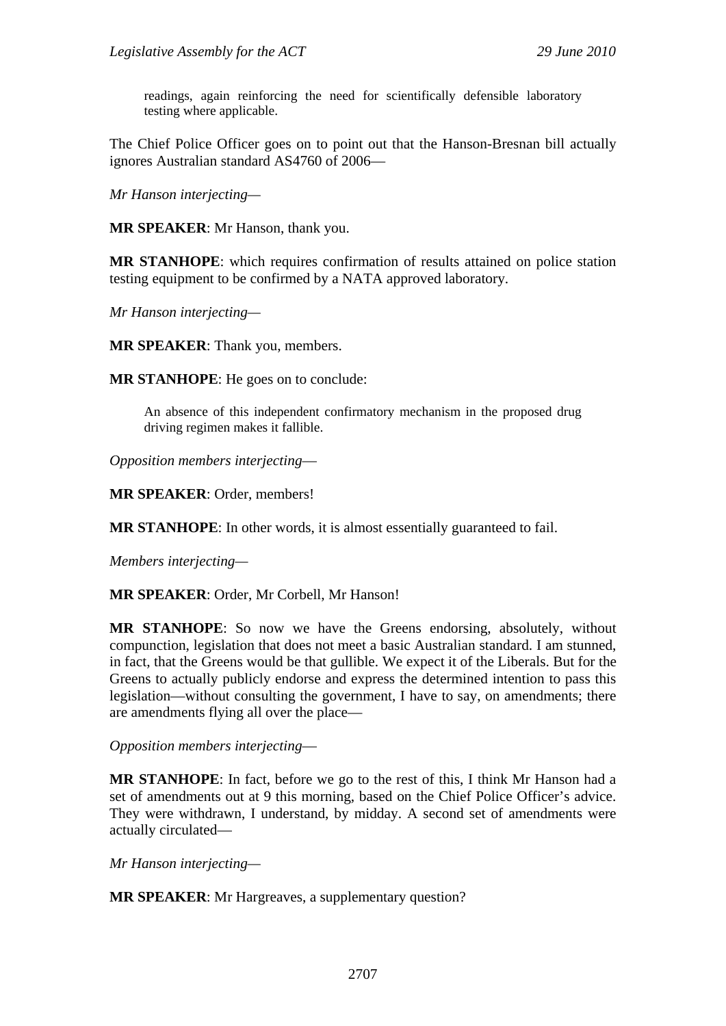readings, again reinforcing the need for scientifically defensible laboratory testing where applicable.

The Chief Police Officer goes on to point out that the Hanson-Bresnan bill actually ignores Australian standard AS4760 of 2006—

*Mr Hanson interjecting—*

**MR SPEAKER**: Mr Hanson, thank you.

**MR STANHOPE**: which requires confirmation of results attained on police station testing equipment to be confirmed by a NATA approved laboratory.

*Mr Hanson interjecting—*

**MR SPEAKER**: Thank you, members.

**MR STANHOPE**: He goes on to conclude:

An absence of this independent confirmatory mechanism in the proposed drug driving regimen makes it fallible.

*Opposition members interjecting*—

**MR SPEAKER**: Order, members!

**MR STANHOPE**: In other words, it is almost essentially guaranteed to fail.

*Members interjecting—* 

**MR SPEAKER**: Order, Mr Corbell, Mr Hanson!

**MR STANHOPE**: So now we have the Greens endorsing, absolutely, without compunction, legislation that does not meet a basic Australian standard. I am stunned, in fact, that the Greens would be that gullible. We expect it of the Liberals. But for the Greens to actually publicly endorse and express the determined intention to pass this legislation—without consulting the government, I have to say, on amendments; there are amendments flying all over the place—

*Opposition members interjecting*—

**MR STANHOPE**: In fact, before we go to the rest of this, I think Mr Hanson had a set of amendments out at 9 this morning, based on the Chief Police Officer's advice. They were withdrawn, I understand, by midday. A second set of amendments were actually circulated—

*Mr Hanson interjecting—*

**MR SPEAKER**: Mr Hargreaves, a supplementary question?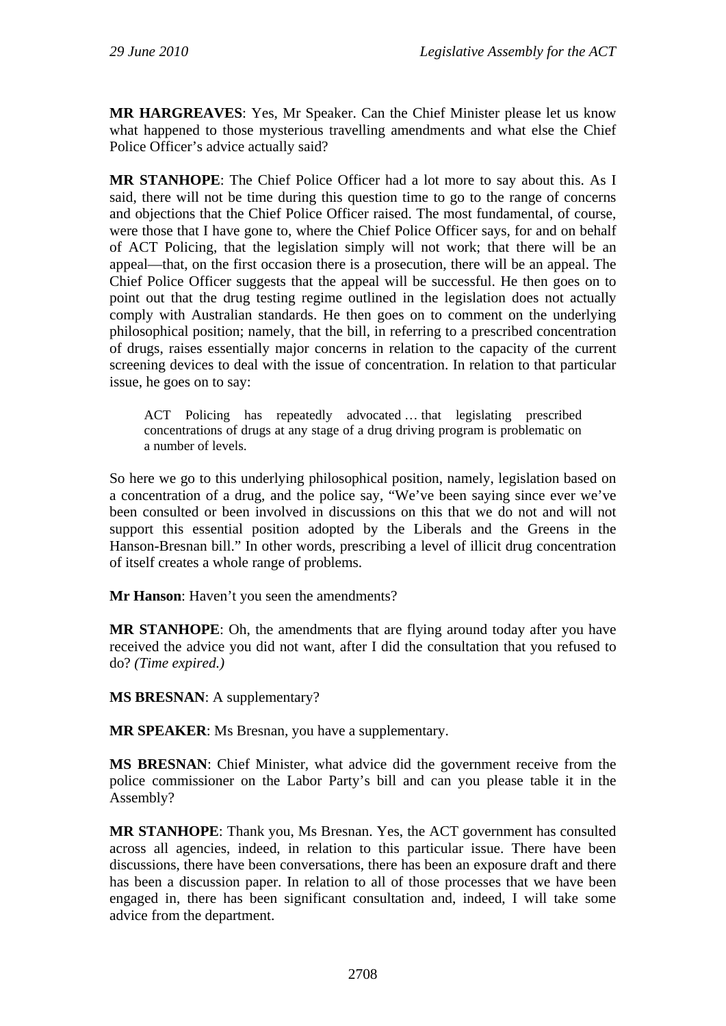**MR HARGREAVES**: Yes, Mr Speaker. Can the Chief Minister please let us know what happened to those mysterious travelling amendments and what else the Chief Police Officer's advice actually said?

**MR STANHOPE**: The Chief Police Officer had a lot more to say about this. As I said, there will not be time during this question time to go to the range of concerns and objections that the Chief Police Officer raised. The most fundamental, of course, were those that I have gone to, where the Chief Police Officer says, for and on behalf of ACT Policing, that the legislation simply will not work; that there will be an appeal—that, on the first occasion there is a prosecution, there will be an appeal. The Chief Police Officer suggests that the appeal will be successful. He then goes on to point out that the drug testing regime outlined in the legislation does not actually comply with Australian standards. He then goes on to comment on the underlying philosophical position; namely, that the bill, in referring to a prescribed concentration of drugs, raises essentially major concerns in relation to the capacity of the current screening devices to deal with the issue of concentration. In relation to that particular issue, he goes on to say:

ACT Policing has repeatedly advocated … that legislating prescribed concentrations of drugs at any stage of a drug driving program is problematic on a number of levels.

So here we go to this underlying philosophical position, namely, legislation based on a concentration of a drug, and the police say, "We've been saying since ever we've been consulted or been involved in discussions on this that we do not and will not support this essential position adopted by the Liberals and the Greens in the Hanson-Bresnan bill." In other words, prescribing a level of illicit drug concentration of itself creates a whole range of problems.

**Mr Hanson**: Haven't you seen the amendments?

**MR STANHOPE**: Oh, the amendments that are flying around today after you have received the advice you did not want, after I did the consultation that you refused to do? *(Time expired.)*

**MS BRESNAN**: A supplementary?

**MR SPEAKER**: Ms Bresnan, you have a supplementary.

**MS BRESNAN**: Chief Minister, what advice did the government receive from the police commissioner on the Labor Party's bill and can you please table it in the Assembly?

**MR STANHOPE**: Thank you, Ms Bresnan. Yes, the ACT government has consulted across all agencies, indeed, in relation to this particular issue. There have been discussions, there have been conversations, there has been an exposure draft and there has been a discussion paper. In relation to all of those processes that we have been engaged in, there has been significant consultation and, indeed, I will take some advice from the department.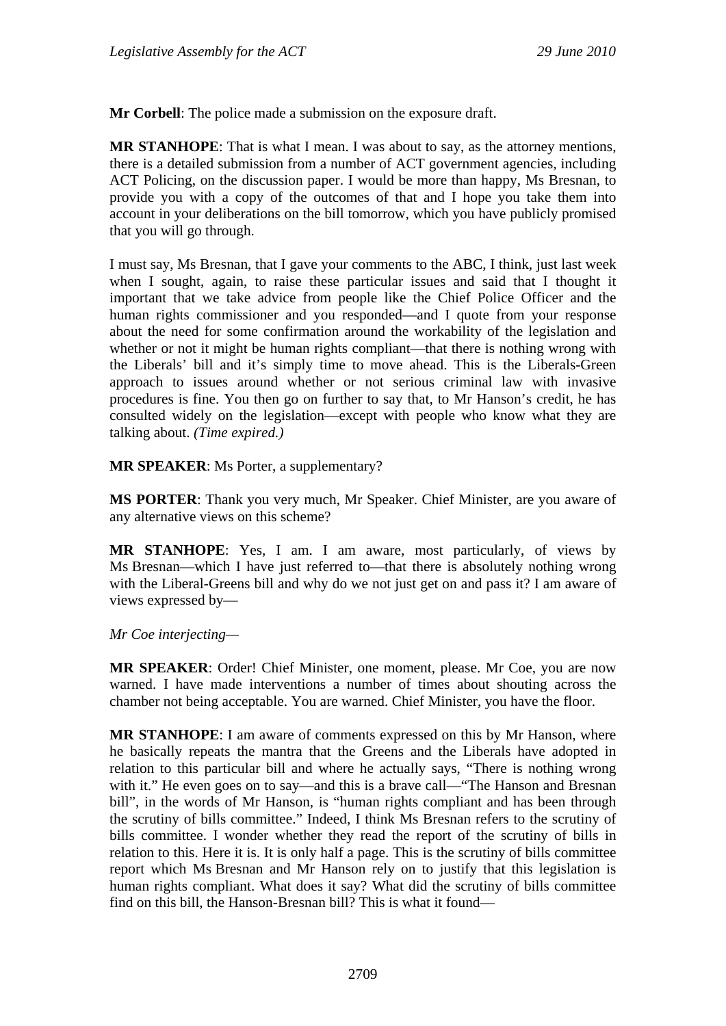**Mr Corbell**: The police made a submission on the exposure draft.

**MR STANHOPE**: That is what I mean. I was about to say, as the attorney mentions, there is a detailed submission from a number of ACT government agencies, including ACT Policing, on the discussion paper. I would be more than happy, Ms Bresnan, to provide you with a copy of the outcomes of that and I hope you take them into account in your deliberations on the bill tomorrow, which you have publicly promised that you will go through.

I must say, Ms Bresnan, that I gave your comments to the ABC, I think, just last week when I sought, again, to raise these particular issues and said that I thought it important that we take advice from people like the Chief Police Officer and the human rights commissioner and you responded—and I quote from your response about the need for some confirmation around the workability of the legislation and whether or not it might be human rights compliant—that there is nothing wrong with the Liberals' bill and it's simply time to move ahead. This is the Liberals-Green approach to issues around whether or not serious criminal law with invasive procedures is fine. You then go on further to say that, to Mr Hanson's credit, he has consulted widely on the legislation—except with people who know what they are talking about. *(Time expired.)* 

**MR SPEAKER**: Ms Porter, a supplementary?

**MS PORTER**: Thank you very much, Mr Speaker. Chief Minister, are you aware of any alternative views on this scheme?

**MR STANHOPE**: Yes, I am. I am aware, most particularly, of views by Ms Bresnan—which I have just referred to—that there is absolutely nothing wrong with the Liberal-Greens bill and why do we not just get on and pass it? I am aware of views expressed by—

*Mr Coe interjecting—*

**MR SPEAKER**: Order! Chief Minister, one moment, please. Mr Coe, you are now warned. I have made interventions a number of times about shouting across the chamber not being acceptable. You are warned. Chief Minister, you have the floor.

**MR STANHOPE**: I am aware of comments expressed on this by Mr Hanson, where he basically repeats the mantra that the Greens and the Liberals have adopted in relation to this particular bill and where he actually says, "There is nothing wrong with it." He even goes on to say—and this is a brave call—"The Hanson and Bresnan bill", in the words of Mr Hanson, is "human rights compliant and has been through the scrutiny of bills committee." Indeed, I think Ms Bresnan refers to the scrutiny of bills committee. I wonder whether they read the report of the scrutiny of bills in relation to this. Here it is. It is only half a page. This is the scrutiny of bills committee report which Ms Bresnan and Mr Hanson rely on to justify that this legislation is human rights compliant. What does it say? What did the scrutiny of bills committee find on this bill, the Hanson-Bresnan bill? This is what it found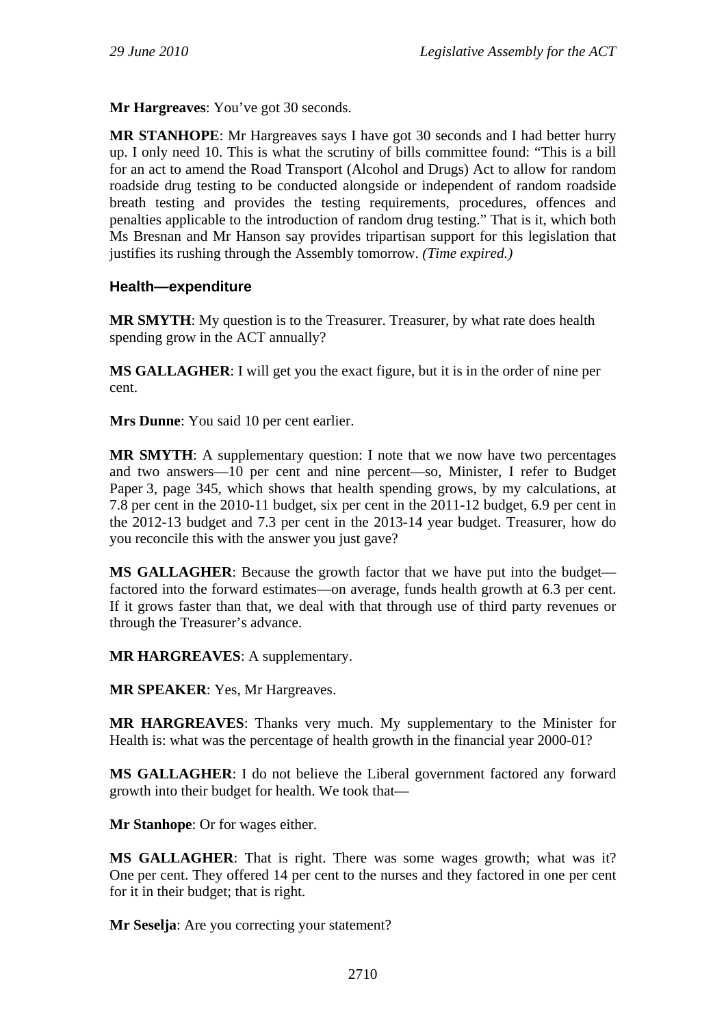**Mr Hargreaves**: You've got 30 seconds.

**MR STANHOPE**: Mr Hargreaves says I have got 30 seconds and I had better hurry up. I only need 10. This is what the scrutiny of bills committee found: "This is a bill for an act to amend the Road Transport (Alcohol and Drugs) Act to allow for random roadside drug testing to be conducted alongside or independent of random roadside breath testing and provides the testing requirements, procedures, offences and penalties applicable to the introduction of random drug testing." That is it, which both Ms Bresnan and Mr Hanson say provides tripartisan support for this legislation that justifies its rushing through the Assembly tomorrow. *(Time expired.)*

#### **Health—expenditure**

**MR SMYTH**: My question is to the Treasurer. Treasurer, by what rate does health spending grow in the ACT annually?

**MS GALLAGHER**: I will get you the exact figure, but it is in the order of nine per cent.

**Mrs Dunne**: You said 10 per cent earlier.

**MR SMYTH**: A supplementary question: I note that we now have two percentages and two answers—10 per cent and nine percent—so, Minister, I refer to Budget Paper 3, page 345, which shows that health spending grows, by my calculations, at 7.8 per cent in the 2010-11 budget, six per cent in the 2011-12 budget, 6.9 per cent in the 2012-13 budget and 7.3 per cent in the 2013-14 year budget. Treasurer, how do you reconcile this with the answer you just gave?

**MS GALLAGHER**: Because the growth factor that we have put into the budget factored into the forward estimates—on average, funds health growth at 6.3 per cent. If it grows faster than that, we deal with that through use of third party revenues or through the Treasurer's advance.

**MR HARGREAVES**: A supplementary.

**MR SPEAKER**: Yes, Mr Hargreaves.

**MR HARGREAVES**: Thanks very much. My supplementary to the Minister for Health is: what was the percentage of health growth in the financial year 2000-01?

**MS GALLAGHER**: I do not believe the Liberal government factored any forward growth into their budget for health. We took that—

**Mr Stanhope**: Or for wages either.

**MS GALLAGHER**: That is right. There was some wages growth; what was it? One per cent. They offered 14 per cent to the nurses and they factored in one per cent for it in their budget; that is right.

**Mr Seselja**: Are you correcting your statement?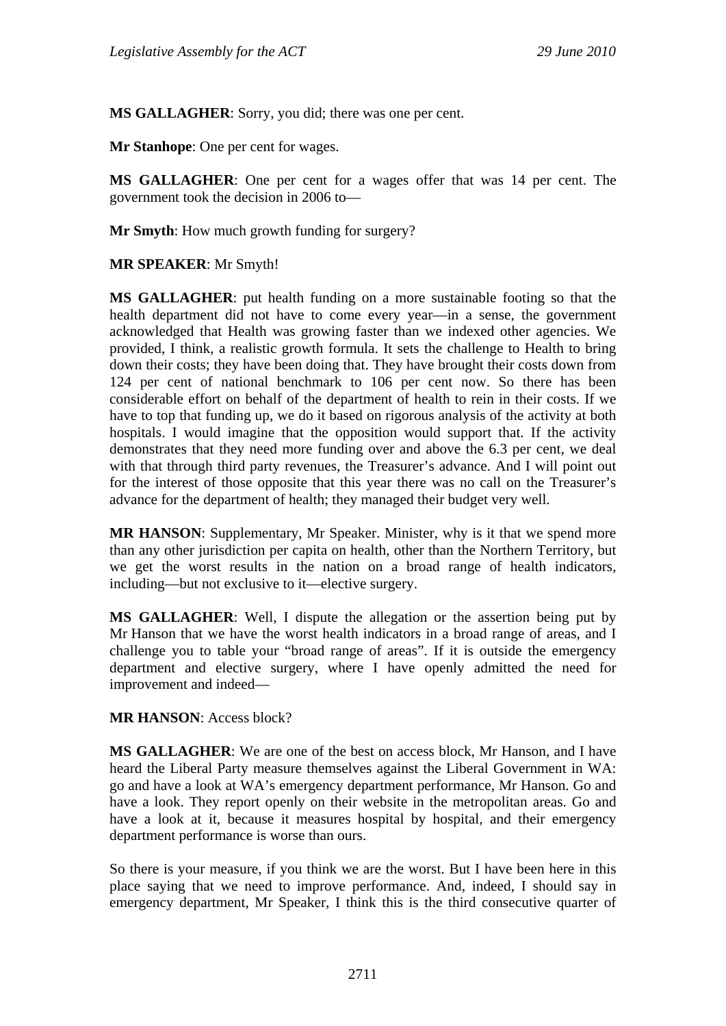**MS GALLAGHER**: Sorry, you did; there was one per cent.

**Mr Stanhope**: One per cent for wages.

**MS GALLAGHER**: One per cent for a wages offer that was 14 per cent. The government took the decision in 2006 to—

**Mr Smyth**: How much growth funding for surgery?

#### **MR SPEAKER**: Mr Smyth!

**MS GALLAGHER**: put health funding on a more sustainable footing so that the health department did not have to come every year—in a sense, the government acknowledged that Health was growing faster than we indexed other agencies. We provided, I think, a realistic growth formula. It sets the challenge to Health to bring down their costs; they have been doing that. They have brought their costs down from 124 per cent of national benchmark to 106 per cent now. So there has been considerable effort on behalf of the department of health to rein in their costs. If we have to top that funding up, we do it based on rigorous analysis of the activity at both hospitals. I would imagine that the opposition would support that. If the activity demonstrates that they need more funding over and above the 6.3 per cent, we deal with that through third party revenues, the Treasurer's advance. And I will point out for the interest of those opposite that this year there was no call on the Treasurer's advance for the department of health; they managed their budget very well.

**MR HANSON**: Supplementary, Mr Speaker. Minister, why is it that we spend more than any other jurisdiction per capita on health, other than the Northern Territory, but we get the worst results in the nation on a broad range of health indicators, including—but not exclusive to it—elective surgery.

**MS GALLAGHER**: Well, I dispute the allegation or the assertion being put by Mr Hanson that we have the worst health indicators in a broad range of areas, and I challenge you to table your "broad range of areas". If it is outside the emergency department and elective surgery, where I have openly admitted the need for improvement and indeed—

## **MR HANSON**: Access block?

**MS GALLAGHER**: We are one of the best on access block, Mr Hanson, and I have heard the Liberal Party measure themselves against the Liberal Government in WA: go and have a look at WA's emergency department performance, Mr Hanson. Go and have a look. They report openly on their website in the metropolitan areas. Go and have a look at it, because it measures hospital by hospital, and their emergency department performance is worse than ours.

So there is your measure, if you think we are the worst. But I have been here in this place saying that we need to improve performance. And, indeed, I should say in emergency department, Mr Speaker, I think this is the third consecutive quarter of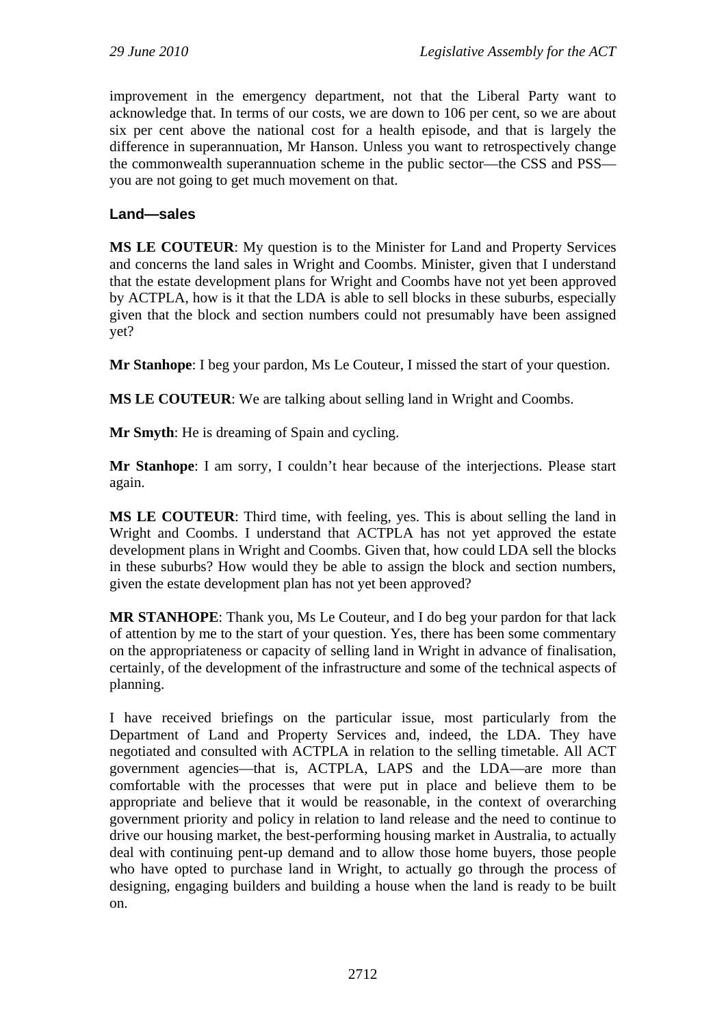improvement in the emergency department, not that the Liberal Party want to acknowledge that. In terms of our costs, we are down to 106 per cent, so we are about six per cent above the national cost for a health episode, and that is largely the difference in superannuation, Mr Hanson. Unless you want to retrospectively change the commonwealth superannuation scheme in the public sector—the CSS and PSS you are not going to get much movement on that.

## **Land—sales**

**MS LE COUTEUR**: My question is to the Minister for Land and Property Services and concerns the land sales in Wright and Coombs. Minister, given that I understand that the estate development plans for Wright and Coombs have not yet been approved by ACTPLA, how is it that the LDA is able to sell blocks in these suburbs, especially given that the block and section numbers could not presumably have been assigned yet?

**Mr Stanhope**: I beg your pardon, Ms Le Couteur, I missed the start of your question.

**MS LE COUTEUR**: We are talking about selling land in Wright and Coombs.

**Mr Smyth**: He is dreaming of Spain and cycling.

**Mr Stanhope**: I am sorry, I couldn't hear because of the interjections. Please start again.

**MS LE COUTEUR**: Third time, with feeling, yes. This is about selling the land in Wright and Coombs. I understand that ACTPLA has not yet approved the estate development plans in Wright and Coombs. Given that, how could LDA sell the blocks in these suburbs? How would they be able to assign the block and section numbers, given the estate development plan has not yet been approved?

**MR STANHOPE**: Thank you, Ms Le Couteur, and I do beg your pardon for that lack of attention by me to the start of your question. Yes, there has been some commentary on the appropriateness or capacity of selling land in Wright in advance of finalisation, certainly, of the development of the infrastructure and some of the technical aspects of planning.

I have received briefings on the particular issue, most particularly from the Department of Land and Property Services and, indeed, the LDA. They have negotiated and consulted with ACTPLA in relation to the selling timetable. All ACT government agencies—that is, ACTPLA, LAPS and the LDA—are more than comfortable with the processes that were put in place and believe them to be appropriate and believe that it would be reasonable, in the context of overarching government priority and policy in relation to land release and the need to continue to drive our housing market, the best-performing housing market in Australia, to actually deal with continuing pent-up demand and to allow those home buyers, those people who have opted to purchase land in Wright, to actually go through the process of designing, engaging builders and building a house when the land is ready to be built on.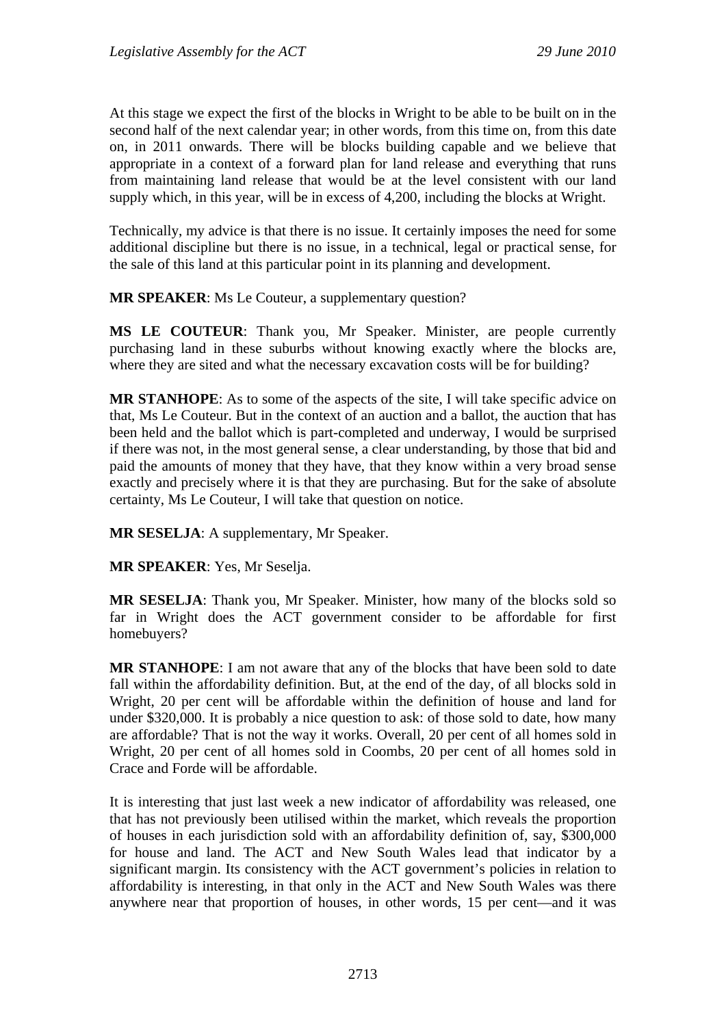At this stage we expect the first of the blocks in Wright to be able to be built on in the second half of the next calendar year; in other words, from this time on, from this date on, in 2011 onwards. There will be blocks building capable and we believe that appropriate in a context of a forward plan for land release and everything that runs from maintaining land release that would be at the level consistent with our land supply which, in this year, will be in excess of 4,200, including the blocks at Wright.

Technically, my advice is that there is no issue. It certainly imposes the need for some additional discipline but there is no issue, in a technical, legal or practical sense, for the sale of this land at this particular point in its planning and development.

**MR SPEAKER**: Ms Le Couteur, a supplementary question?

**MS LE COUTEUR**: Thank you, Mr Speaker. Minister, are people currently purchasing land in these suburbs without knowing exactly where the blocks are, where they are sited and what the necessary excavation costs will be for building?

**MR STANHOPE**: As to some of the aspects of the site, I will take specific advice on that, Ms Le Couteur. But in the context of an auction and a ballot, the auction that has been held and the ballot which is part-completed and underway, I would be surprised if there was not, in the most general sense, a clear understanding, by those that bid and paid the amounts of money that they have, that they know within a very broad sense exactly and precisely where it is that they are purchasing. But for the sake of absolute certainty, Ms Le Couteur, I will take that question on notice.

**MR SESELJA**: A supplementary, Mr Speaker.

**MR SPEAKER**: Yes, Mr Seselja.

**MR SESELJA**: Thank you, Mr Speaker. Minister, how many of the blocks sold so far in Wright does the ACT government consider to be affordable for first homebuyers?

**MR STANHOPE**: I am not aware that any of the blocks that have been sold to date fall within the affordability definition. But, at the end of the day, of all blocks sold in Wright, 20 per cent will be affordable within the definition of house and land for under \$320,000. It is probably a nice question to ask: of those sold to date, how many are affordable? That is not the way it works. Overall, 20 per cent of all homes sold in Wright, 20 per cent of all homes sold in Coombs, 20 per cent of all homes sold in Crace and Forde will be affordable.

It is interesting that just last week a new indicator of affordability was released, one that has not previously been utilised within the market, which reveals the proportion of houses in each jurisdiction sold with an affordability definition of, say, \$300,000 for house and land. The ACT and New South Wales lead that indicator by a significant margin. Its consistency with the ACT government's policies in relation to affordability is interesting, in that only in the ACT and New South Wales was there anywhere near that proportion of houses, in other words, 15 per cent—and it was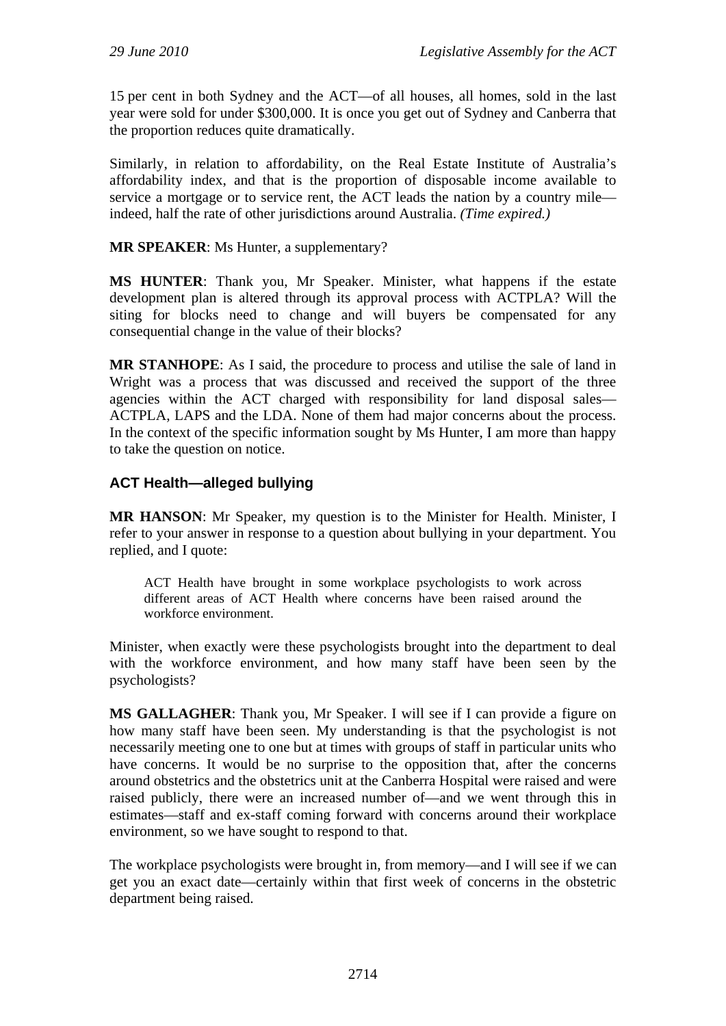15 per cent in both Sydney and the ACT—of all houses, all homes, sold in the last year were sold for under \$300,000. It is once you get out of Sydney and Canberra that the proportion reduces quite dramatically.

Similarly, in relation to affordability, on the Real Estate Institute of Australia's affordability index, and that is the proportion of disposable income available to service a mortgage or to service rent, the ACT leads the nation by a country mile indeed, half the rate of other jurisdictions around Australia. *(Time expired.)*

## **MR SPEAKER**: Ms Hunter, a supplementary?

**MS HUNTER**: Thank you, Mr Speaker. Minister, what happens if the estate development plan is altered through its approval process with ACTPLA? Will the siting for blocks need to change and will buyers be compensated for any consequential change in the value of their blocks?

**MR STANHOPE**: As I said, the procedure to process and utilise the sale of land in Wright was a process that was discussed and received the support of the three agencies within the ACT charged with responsibility for land disposal sales— ACTPLA, LAPS and the LDA. None of them had major concerns about the process. In the context of the specific information sought by Ms Hunter, I am more than happy to take the question on notice.

## **ACT Health—alleged bullying**

**MR HANSON**: Mr Speaker, my question is to the Minister for Health. Minister, I refer to your answer in response to a question about bullying in your department. You replied, and I quote:

ACT Health have brought in some workplace psychologists to work across different areas of ACT Health where concerns have been raised around the workforce environment.

Minister, when exactly were these psychologists brought into the department to deal with the workforce environment, and how many staff have been seen by the psychologists?

**MS GALLAGHER**: Thank you, Mr Speaker. I will see if I can provide a figure on how many staff have been seen. My understanding is that the psychologist is not necessarily meeting one to one but at times with groups of staff in particular units who have concerns. It would be no surprise to the opposition that, after the concerns around obstetrics and the obstetrics unit at the Canberra Hospital were raised and were raised publicly, there were an increased number of—and we went through this in estimates—staff and ex-staff coming forward with concerns around their workplace environment, so we have sought to respond to that.

The workplace psychologists were brought in, from memory—and I will see if we can get you an exact date—certainly within that first week of concerns in the obstetric department being raised.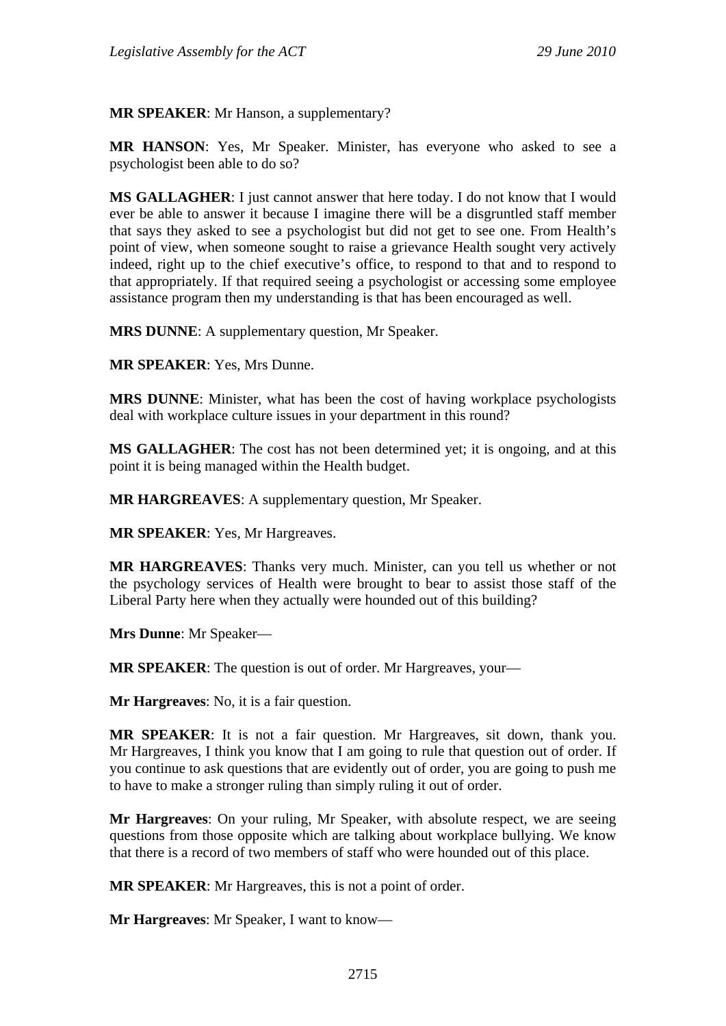**MR SPEAKER**: Mr Hanson, a supplementary?

**MR HANSON**: Yes, Mr Speaker. Minister, has everyone who asked to see a psychologist been able to do so?

**MS GALLAGHER**: I just cannot answer that here today. I do not know that I would ever be able to answer it because I imagine there will be a disgruntled staff member that says they asked to see a psychologist but did not get to see one. From Health's point of view, when someone sought to raise a grievance Health sought very actively indeed, right up to the chief executive's office, to respond to that and to respond to that appropriately. If that required seeing a psychologist or accessing some employee assistance program then my understanding is that has been encouraged as well.

**MRS DUNNE**: A supplementary question, Mr Speaker.

**MR SPEAKER**: Yes, Mrs Dunne.

**MRS DUNNE**: Minister, what has been the cost of having workplace psychologists deal with workplace culture issues in your department in this round?

**MS GALLAGHER**: The cost has not been determined yet; it is ongoing, and at this point it is being managed within the Health budget.

**MR HARGREAVES**: A supplementary question, Mr Speaker.

**MR SPEAKER**: Yes, Mr Hargreaves.

**MR HARGREAVES**: Thanks very much. Minister, can you tell us whether or not the psychology services of Health were brought to bear to assist those staff of the Liberal Party here when they actually were hounded out of this building?

**Mrs Dunne**: Mr Speaker—

**MR SPEAKER**: The question is out of order. Mr Hargreaves, your—

**Mr Hargreaves**: No, it is a fair question.

**MR SPEAKER**: It is not a fair question. Mr Hargreaves, sit down, thank you. Mr Hargreaves, I think you know that I am going to rule that question out of order. If you continue to ask questions that are evidently out of order, you are going to push me to have to make a stronger ruling than simply ruling it out of order.

**Mr Hargreaves**: On your ruling, Mr Speaker, with absolute respect, we are seeing questions from those opposite which are talking about workplace bullying. We know that there is a record of two members of staff who were hounded out of this place.

**MR SPEAKER**: Mr Hargreaves, this is not a point of order.

**Mr Hargreaves**: Mr Speaker, I want to know—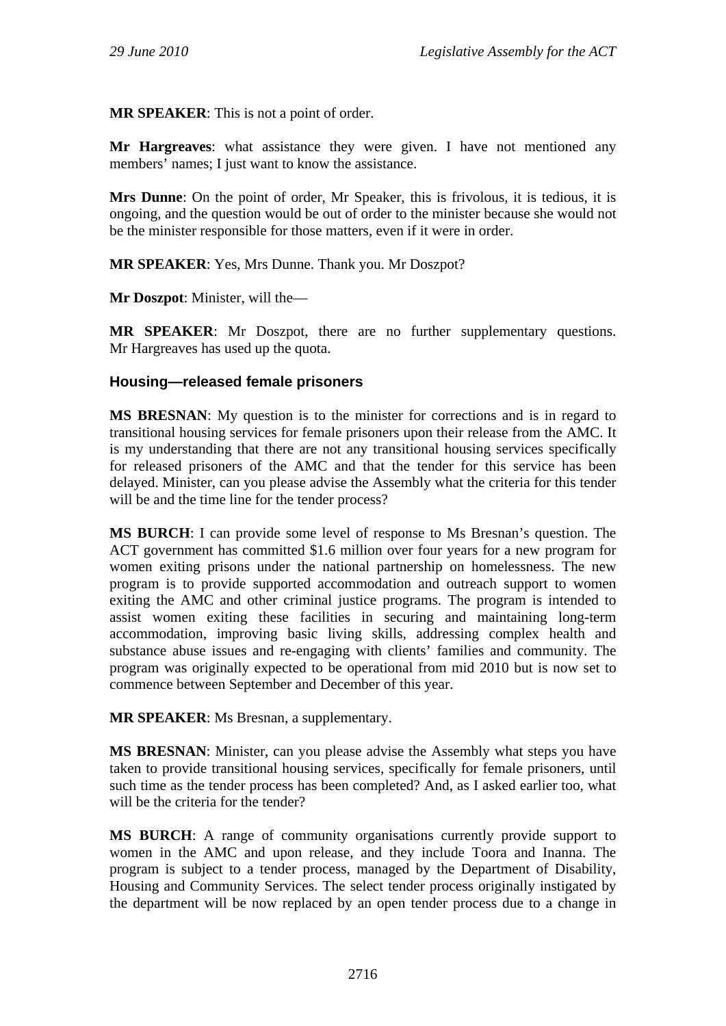**MR SPEAKER**: This is not a point of order.

**Mr Hargreaves**: what assistance they were given. I have not mentioned any members' names; I just want to know the assistance.

**Mrs Dunne**: On the point of order, Mr Speaker, this is frivolous, it is tedious, it is ongoing, and the question would be out of order to the minister because she would not be the minister responsible for those matters, even if it were in order.

**MR SPEAKER**: Yes, Mrs Dunne. Thank you. Mr Doszpot?

**Mr Doszpot**: Minister, will the—

**MR SPEAKER**: Mr Doszpot, there are no further supplementary questions. Mr Hargreaves has used up the quota.

#### **Housing—released female prisoners**

**MS BRESNAN**: My question is to the minister for corrections and is in regard to transitional housing services for female prisoners upon their release from the AMC. It is my understanding that there are not any transitional housing services specifically for released prisoners of the AMC and that the tender for this service has been delayed. Minister, can you please advise the Assembly what the criteria for this tender will be and the time line for the tender process?

**MS BURCH**: I can provide some level of response to Ms Bresnan's question. The ACT government has committed \$1.6 million over four years for a new program for women exiting prisons under the national partnership on homelessness. The new program is to provide supported accommodation and outreach support to women exiting the AMC and other criminal justice programs. The program is intended to assist women exiting these facilities in securing and maintaining long-term accommodation, improving basic living skills, addressing complex health and substance abuse issues and re-engaging with clients' families and community. The program was originally expected to be operational from mid 2010 but is now set to commence between September and December of this year.

**MR SPEAKER**: Ms Bresnan, a supplementary.

**MS BRESNAN**: Minister, can you please advise the Assembly what steps you have taken to provide transitional housing services, specifically for female prisoners, until such time as the tender process has been completed? And, as I asked earlier too, what will be the criteria for the tender?

**MS BURCH**: A range of community organisations currently provide support to women in the AMC and upon release, and they include Toora and Inanna. The program is subject to a tender process, managed by the Department of Disability, Housing and Community Services. The select tender process originally instigated by the department will be now replaced by an open tender process due to a change in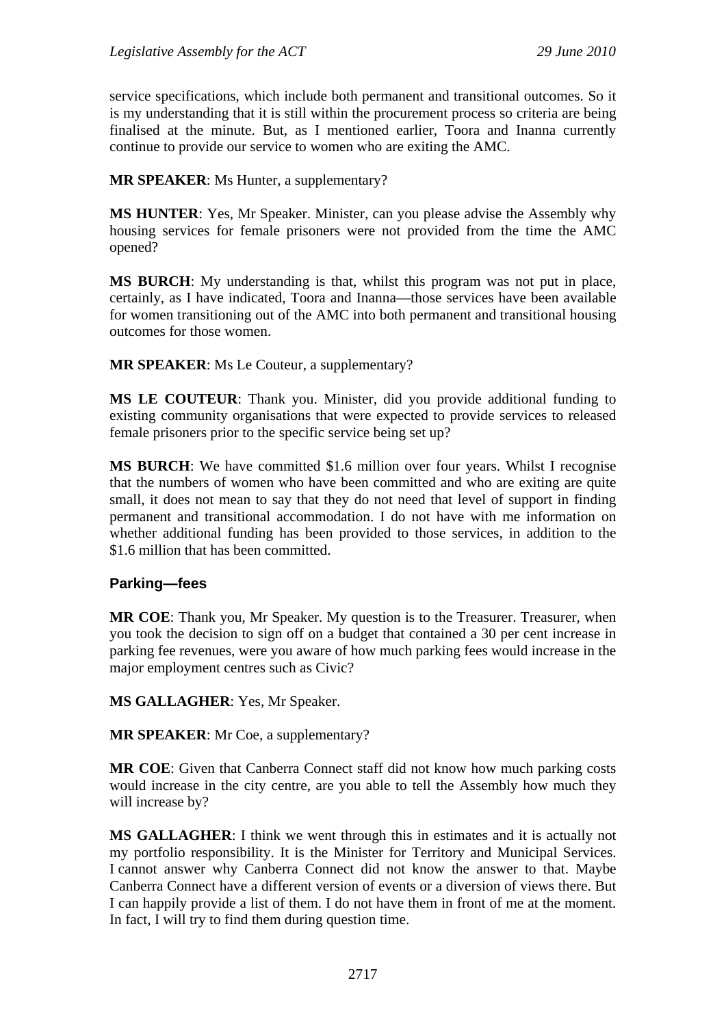service specifications, which include both permanent and transitional outcomes. So it is my understanding that it is still within the procurement process so criteria are being finalised at the minute. But, as I mentioned earlier, Toora and Inanna currently continue to provide our service to women who are exiting the AMC.

**MR SPEAKER**: Ms Hunter, a supplementary?

**MS HUNTER**: Yes, Mr Speaker. Minister, can you please advise the Assembly why housing services for female prisoners were not provided from the time the AMC opened?

**MS BURCH**: My understanding is that, whilst this program was not put in place, certainly, as I have indicated, Toora and Inanna—those services have been available for women transitioning out of the AMC into both permanent and transitional housing outcomes for those women.

**MR SPEAKER**: Ms Le Couteur, a supplementary?

**MS LE COUTEUR**: Thank you. Minister, did you provide additional funding to existing community organisations that were expected to provide services to released female prisoners prior to the specific service being set up?

**MS BURCH:** We have committed \$1.6 million over four years. Whilst I recognise that the numbers of women who have been committed and who are exiting are quite small, it does not mean to say that they do not need that level of support in finding permanent and transitional accommodation. I do not have with me information on whether additional funding has been provided to those services, in addition to the \$1.6 million that has been committed.

## **Parking—fees**

**MR COE**: Thank you, Mr Speaker. My question is to the Treasurer. Treasurer, when you took the decision to sign off on a budget that contained a 30 per cent increase in parking fee revenues, were you aware of how much parking fees would increase in the major employment centres such as Civic?

**MS GALLAGHER**: Yes, Mr Speaker.

**MR SPEAKER**: Mr Coe, a supplementary?

**MR COE**: Given that Canberra Connect staff did not know how much parking costs would increase in the city centre, are you able to tell the Assembly how much they will increase by?

**MS GALLAGHER**: I think we went through this in estimates and it is actually not my portfolio responsibility. It is the Minister for Territory and Municipal Services. I cannot answer why Canberra Connect did not know the answer to that. Maybe Canberra Connect have a different version of events or a diversion of views there. But I can happily provide a list of them. I do not have them in front of me at the moment. In fact, I will try to find them during question time.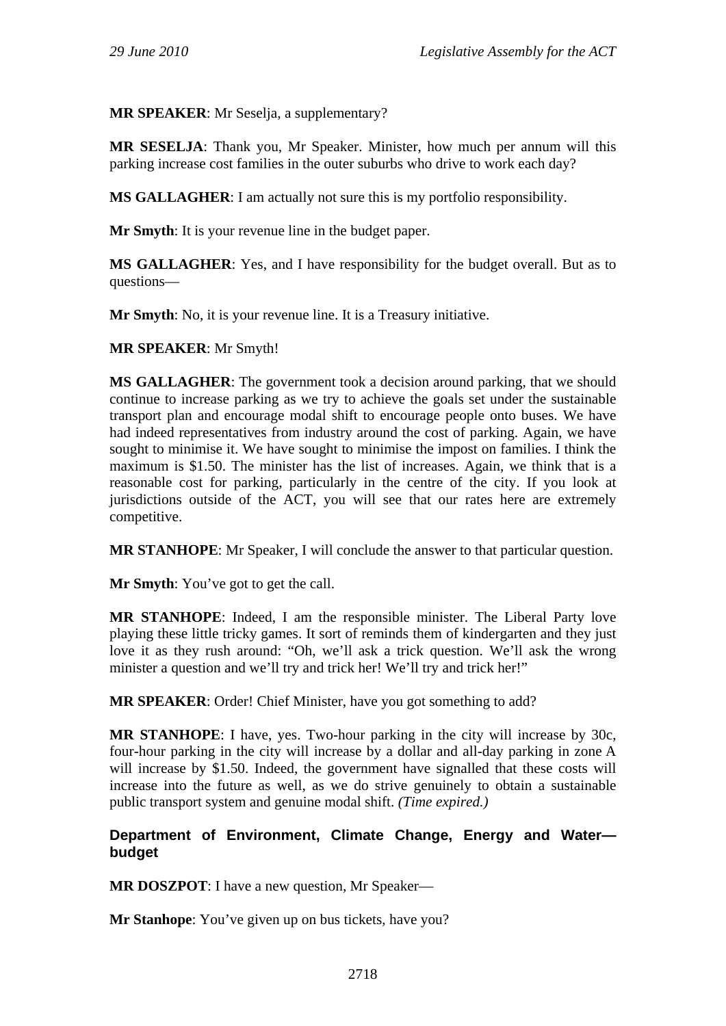**MR SPEAKER**: Mr Seselja, a supplementary?

**MR SESELJA**: Thank you, Mr Speaker. Minister, how much per annum will this parking increase cost families in the outer suburbs who drive to work each day?

**MS GALLAGHER**: I am actually not sure this is my portfolio responsibility.

**Mr Smyth**: It is your revenue line in the budget paper.

**MS GALLAGHER**: Yes, and I have responsibility for the budget overall. But as to questions—

**Mr Smyth**: No, it is your revenue line. It is a Treasury initiative.

#### **MR SPEAKER**: Mr Smyth!

**MS GALLAGHER**: The government took a decision around parking, that we should continue to increase parking as we try to achieve the goals set under the sustainable transport plan and encourage modal shift to encourage people onto buses. We have had indeed representatives from industry around the cost of parking. Again, we have sought to minimise it. We have sought to minimise the impost on families. I think the maximum is \$1.50. The minister has the list of increases. Again, we think that is a reasonable cost for parking, particularly in the centre of the city. If you look at jurisdictions outside of the ACT, you will see that our rates here are extremely competitive.

**MR STANHOPE**: Mr Speaker, I will conclude the answer to that particular question.

**Mr Smyth**: You've got to get the call.

**MR STANHOPE**: Indeed, I am the responsible minister. The Liberal Party love playing these little tricky games. It sort of reminds them of kindergarten and they just love it as they rush around: "Oh, we'll ask a trick question. We'll ask the wrong minister a question and we'll try and trick her! We'll try and trick her!"

**MR SPEAKER**: Order! Chief Minister, have you got something to add?

**MR STANHOPE**: I have, yes. Two-hour parking in the city will increase by 30c, four-hour parking in the city will increase by a dollar and all-day parking in zone A will increase by \$1.50. Indeed, the government have signalled that these costs will increase into the future as well, as we do strive genuinely to obtain a sustainable public transport system and genuine modal shift. *(Time expired.)*

## **Department of Environment, Climate Change, Energy and Water budget**

**MR DOSZPOT**: I have a new question, Mr Speaker—

**Mr Stanhope**: You've given up on bus tickets, have you?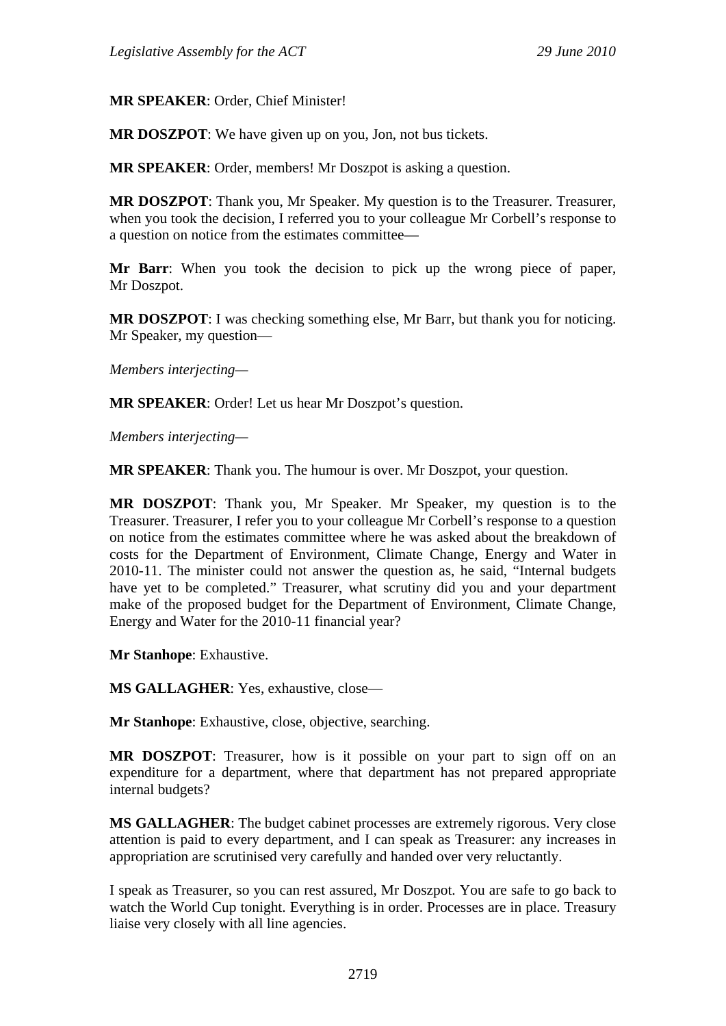## **MR SPEAKER**: Order, Chief Minister!

**MR DOSZPOT**: We have given up on you, Jon, not bus tickets.

**MR SPEAKER**: Order, members! Mr Doszpot is asking a question.

**MR DOSZPOT**: Thank you, Mr Speaker. My question is to the Treasurer. Treasurer, when you took the decision, I referred you to your colleague Mr Corbell's response to a question on notice from the estimates committee—

**Mr Barr**: When you took the decision to pick up the wrong piece of paper, Mr Doszpot.

**MR DOSZPOT**: I was checking something else, Mr Barr, but thank you for noticing. Mr Speaker, my question—

*Members interjecting—*

**MR SPEAKER**: Order! Let us hear Mr Doszpot's question.

*Members interjecting—*

**MR SPEAKER**: Thank you. The humour is over. Mr Doszpot, your question.

**MR DOSZPOT**: Thank you, Mr Speaker. Mr Speaker, my question is to the Treasurer. Treasurer, I refer you to your colleague Mr Corbell's response to a question on notice from the estimates committee where he was asked about the breakdown of costs for the Department of Environment, Climate Change, Energy and Water in 2010-11. The minister could not answer the question as, he said, "Internal budgets have yet to be completed." Treasurer, what scrutiny did you and your department make of the proposed budget for the Department of Environment, Climate Change, Energy and Water for the 2010-11 financial year?

**Mr Stanhope**: Exhaustive.

**MS GALLAGHER**: Yes, exhaustive, close—

**Mr Stanhope**: Exhaustive, close, objective, searching.

**MR DOSZPOT**: Treasurer, how is it possible on your part to sign off on an expenditure for a department, where that department has not prepared appropriate internal budgets?

**MS GALLAGHER**: The budget cabinet processes are extremely rigorous. Very close attention is paid to every department, and I can speak as Treasurer: any increases in appropriation are scrutinised very carefully and handed over very reluctantly.

I speak as Treasurer, so you can rest assured, Mr Doszpot. You are safe to go back to watch the World Cup tonight. Everything is in order. Processes are in place. Treasury liaise very closely with all line agencies.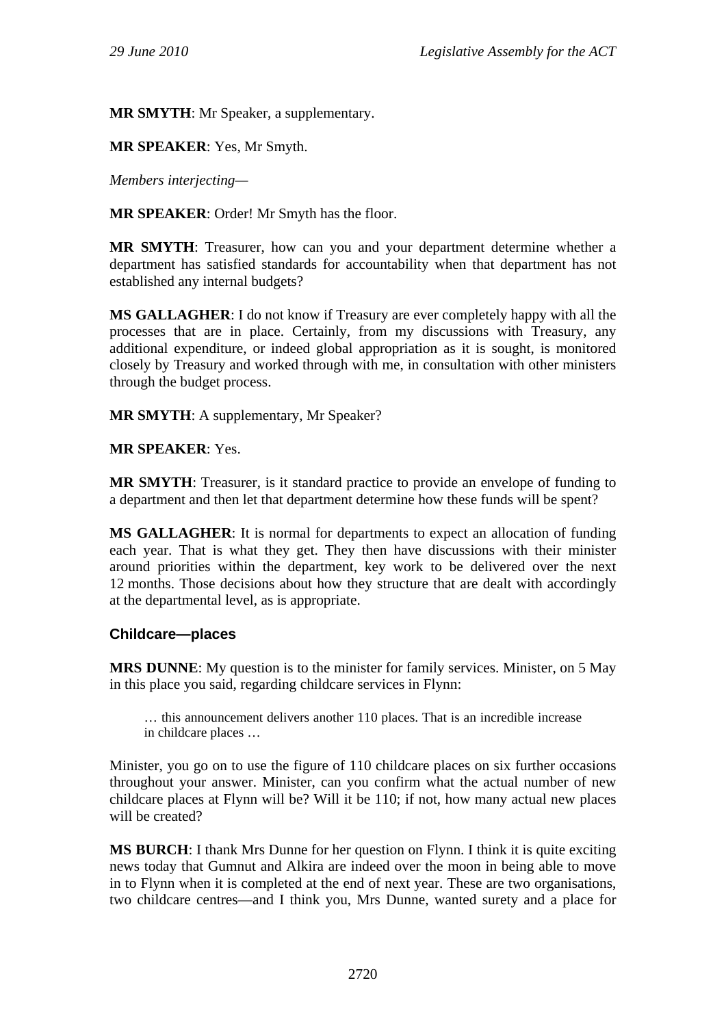**MR SMYTH**: Mr Speaker, a supplementary.

**MR SPEAKER**: Yes, Mr Smyth.

*Members interjecting—*

**MR SPEAKER**: Order! Mr Smyth has the floor.

**MR SMYTH**: Treasurer, how can you and your department determine whether a department has satisfied standards for accountability when that department has not established any internal budgets?

**MS GALLAGHER**: I do not know if Treasury are ever completely happy with all the processes that are in place. Certainly, from my discussions with Treasury, any additional expenditure, or indeed global appropriation as it is sought, is monitored closely by Treasury and worked through with me, in consultation with other ministers through the budget process.

**MR SMYTH**: A supplementary, Mr Speaker?

**MR SPEAKER**: Yes.

**MR SMYTH**: Treasurer, is it standard practice to provide an envelope of funding to a department and then let that department determine how these funds will be spent?

**MS GALLAGHER**: It is normal for departments to expect an allocation of funding each year. That is what they get. They then have discussions with their minister around priorities within the department, key work to be delivered over the next 12 months. Those decisions about how they structure that are dealt with accordingly at the departmental level, as is appropriate.

## **Childcare—places**

**MRS DUNNE**: My question is to the minister for family services. Minister, on 5 May in this place you said, regarding childcare services in Flynn:

… this announcement delivers another 110 places. That is an incredible increase in childcare places …

Minister, you go on to use the figure of 110 childcare places on six further occasions throughout your answer. Minister, can you confirm what the actual number of new childcare places at Flynn will be? Will it be 110; if not, how many actual new places will be created?

**MS BURCH**: I thank Mrs Dunne for her question on Flynn. I think it is quite exciting news today that Gumnut and Alkira are indeed over the moon in being able to move in to Flynn when it is completed at the end of next year. These are two organisations, two childcare centres—and I think you, Mrs Dunne, wanted surety and a place for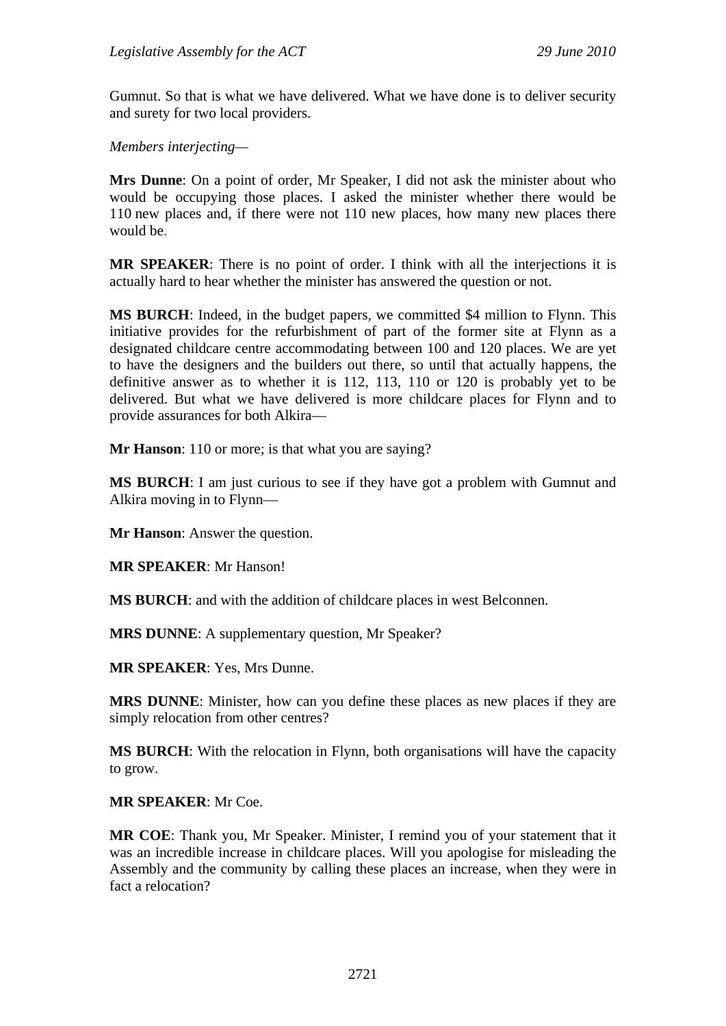Gumnut. So that is what we have delivered. What we have done is to deliver security and surety for two local providers.

*Members interjecting—*

**Mrs Dunne**: On a point of order, Mr Speaker, I did not ask the minister about who would be occupying those places. I asked the minister whether there would be 110 new places and, if there were not 110 new places, how many new places there would be.

**MR SPEAKER**: There is no point of order. I think with all the interjections it is actually hard to hear whether the minister has answered the question or not.

**MS BURCH**: Indeed, in the budget papers, we committed \$4 million to Flynn. This initiative provides for the refurbishment of part of the former site at Flynn as a designated childcare centre accommodating between 100 and 120 places. We are yet to have the designers and the builders out there, so until that actually happens, the definitive answer as to whether it is 112, 113, 110 or 120 is probably yet to be delivered. But what we have delivered is more childcare places for Flynn and to provide assurances for both Alkira—

**Mr Hanson**: 110 or more; is that what you are saying?

**MS BURCH**: I am just curious to see if they have got a problem with Gumnut and Alkira moving in to Flynn—

**Mr Hanson**: Answer the question.

**MR SPEAKER**: Mr Hanson!

**MS BURCH**: and with the addition of childcare places in west Belconnen.

**MRS DUNNE**: A supplementary question, Mr Speaker?

**MR SPEAKER**: Yes, Mrs Dunne.

**MRS DUNNE**: Minister, how can you define these places as new places if they are simply relocation from other centres?

**MS BURCH**: With the relocation in Flynn, both organisations will have the capacity to grow.

**MR SPEAKER**: Mr Coe.

**MR COE**: Thank you, Mr Speaker. Minister, I remind you of your statement that it was an incredible increase in childcare places. Will you apologise for misleading the Assembly and the community by calling these places an increase, when they were in fact a relocation?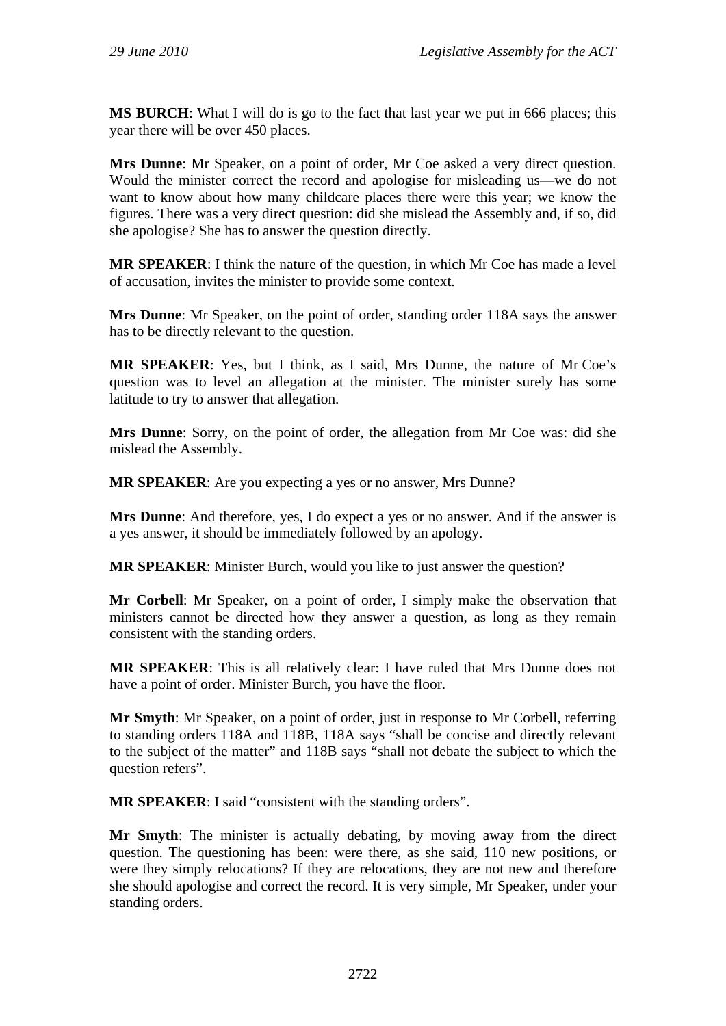**MS BURCH**: What I will do is go to the fact that last year we put in 666 places; this year there will be over 450 places.

**Mrs Dunne**: Mr Speaker, on a point of order, Mr Coe asked a very direct question. Would the minister correct the record and apologise for misleading us—we do not want to know about how many childcare places there were this year; we know the figures. There was a very direct question: did she mislead the Assembly and, if so, did she apologise? She has to answer the question directly.

**MR SPEAKER**: I think the nature of the question, in which Mr Coe has made a level of accusation, invites the minister to provide some context.

**Mrs Dunne**: Mr Speaker, on the point of order, standing order 118A says the answer has to be directly relevant to the question.

**MR SPEAKER**: Yes, but I think, as I said, Mrs Dunne, the nature of Mr Coe's question was to level an allegation at the minister. The minister surely has some latitude to try to answer that allegation.

**Mrs Dunne**: Sorry, on the point of order, the allegation from Mr Coe was: did she mislead the Assembly.

**MR SPEAKER**: Are you expecting a yes or no answer, Mrs Dunne?

**Mrs Dunne**: And therefore, yes, I do expect a yes or no answer. And if the answer is a yes answer, it should be immediately followed by an apology.

**MR SPEAKER**: Minister Burch, would you like to just answer the question?

**Mr Corbell**: Mr Speaker, on a point of order, I simply make the observation that ministers cannot be directed how they answer a question, as long as they remain consistent with the standing orders.

**MR SPEAKER**: This is all relatively clear: I have ruled that Mrs Dunne does not have a point of order. Minister Burch, you have the floor.

**Mr Smyth**: Mr Speaker, on a point of order, just in response to Mr Corbell, referring to standing orders 118A and 118B, 118A says "shall be concise and directly relevant to the subject of the matter" and 118B says "shall not debate the subject to which the question refers".

**MR SPEAKER**: I said "consistent with the standing orders".

**Mr Smyth**: The minister is actually debating, by moving away from the direct question. The questioning has been: were there, as she said, 110 new positions, or were they simply relocations? If they are relocations, they are not new and therefore she should apologise and correct the record. It is very simple, Mr Speaker, under your standing orders.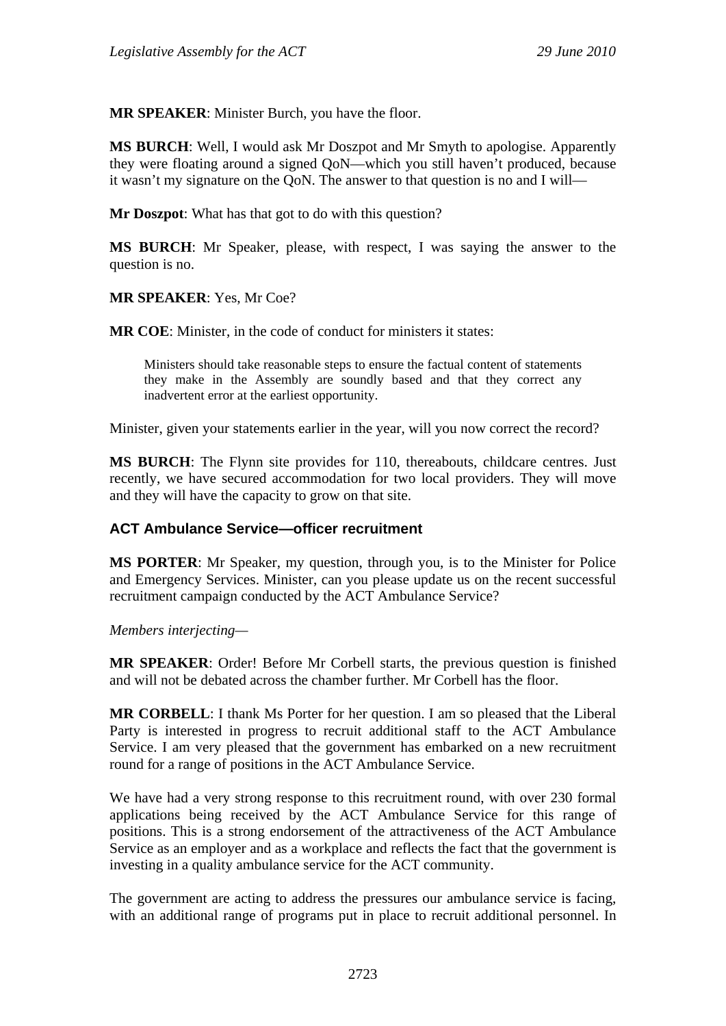**MR SPEAKER**: Minister Burch, you have the floor.

**MS BURCH**: Well, I would ask Mr Doszpot and Mr Smyth to apologise. Apparently they were floating around a signed QoN—which you still haven't produced, because it wasn't my signature on the QoN. The answer to that question is no and I will—

**Mr Doszpot**: What has that got to do with this question?

**MS BURCH**: Mr Speaker, please, with respect, I was saying the answer to the question is no.

**MR SPEAKER**: Yes, Mr Coe?

**MR COE**: Minister, in the code of conduct for ministers it states:

Ministers should take reasonable steps to ensure the factual content of statements they make in the Assembly are soundly based and that they correct any inadvertent error at the earliest opportunity.

Minister, given your statements earlier in the year, will you now correct the record?

**MS BURCH**: The Flynn site provides for 110, thereabouts, childcare centres. Just recently, we have secured accommodation for two local providers. They will move and they will have the capacity to grow on that site.

## **ACT Ambulance Service—officer recruitment**

**MS PORTER**: Mr Speaker, my question, through you, is to the Minister for Police and Emergency Services. Minister, can you please update us on the recent successful recruitment campaign conducted by the ACT Ambulance Service?

*Members interjecting—*

**MR SPEAKER**: Order! Before Mr Corbell starts, the previous question is finished and will not be debated across the chamber further. Mr Corbell has the floor.

**MR CORBELL**: I thank Ms Porter for her question. I am so pleased that the Liberal Party is interested in progress to recruit additional staff to the ACT Ambulance Service. I am very pleased that the government has embarked on a new recruitment round for a range of positions in the ACT Ambulance Service.

We have had a very strong response to this recruitment round, with over 230 formal applications being received by the ACT Ambulance Service for this range of positions. This is a strong endorsement of the attractiveness of the ACT Ambulance Service as an employer and as a workplace and reflects the fact that the government is investing in a quality ambulance service for the ACT community.

The government are acting to address the pressures our ambulance service is facing, with an additional range of programs put in place to recruit additional personnel. In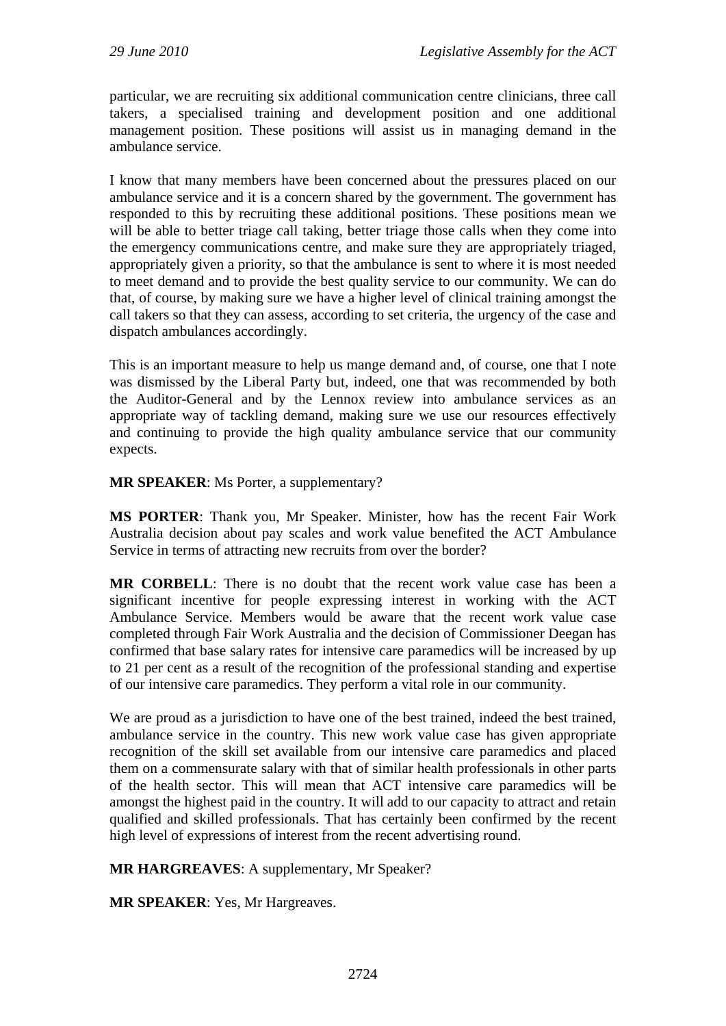particular, we are recruiting six additional communication centre clinicians, three call takers, a specialised training and development position and one additional management position. These positions will assist us in managing demand in the ambulance service.

I know that many members have been concerned about the pressures placed on our ambulance service and it is a concern shared by the government. The government has responded to this by recruiting these additional positions. These positions mean we will be able to better triage call taking, better triage those calls when they come into the emergency communications centre, and make sure they are appropriately triaged, appropriately given a priority, so that the ambulance is sent to where it is most needed to meet demand and to provide the best quality service to our community. We can do that, of course, by making sure we have a higher level of clinical training amongst the call takers so that they can assess, according to set criteria, the urgency of the case and dispatch ambulances accordingly.

This is an important measure to help us mange demand and, of course, one that I note was dismissed by the Liberal Party but, indeed, one that was recommended by both the Auditor-General and by the Lennox review into ambulance services as an appropriate way of tackling demand, making sure we use our resources effectively and continuing to provide the high quality ambulance service that our community expects.

**MR SPEAKER**: Ms Porter, a supplementary?

**MS PORTER**: Thank you, Mr Speaker. Minister, how has the recent Fair Work Australia decision about pay scales and work value benefited the ACT Ambulance Service in terms of attracting new recruits from over the border?

**MR CORBELL**: There is no doubt that the recent work value case has been a significant incentive for people expressing interest in working with the ACT Ambulance Service. Members would be aware that the recent work value case completed through Fair Work Australia and the decision of Commissioner Deegan has confirmed that base salary rates for intensive care paramedics will be increased by up to 21 per cent as a result of the recognition of the professional standing and expertise of our intensive care paramedics. They perform a vital role in our community.

We are proud as a jurisdiction to have one of the best trained, indeed the best trained, ambulance service in the country. This new work value case has given appropriate recognition of the skill set available from our intensive care paramedics and placed them on a commensurate salary with that of similar health professionals in other parts of the health sector. This will mean that ACT intensive care paramedics will be amongst the highest paid in the country. It will add to our capacity to attract and retain qualified and skilled professionals. That has certainly been confirmed by the recent high level of expressions of interest from the recent advertising round.

**MR HARGREAVES**: A supplementary, Mr Speaker?

**MR SPEAKER**: Yes, Mr Hargreaves.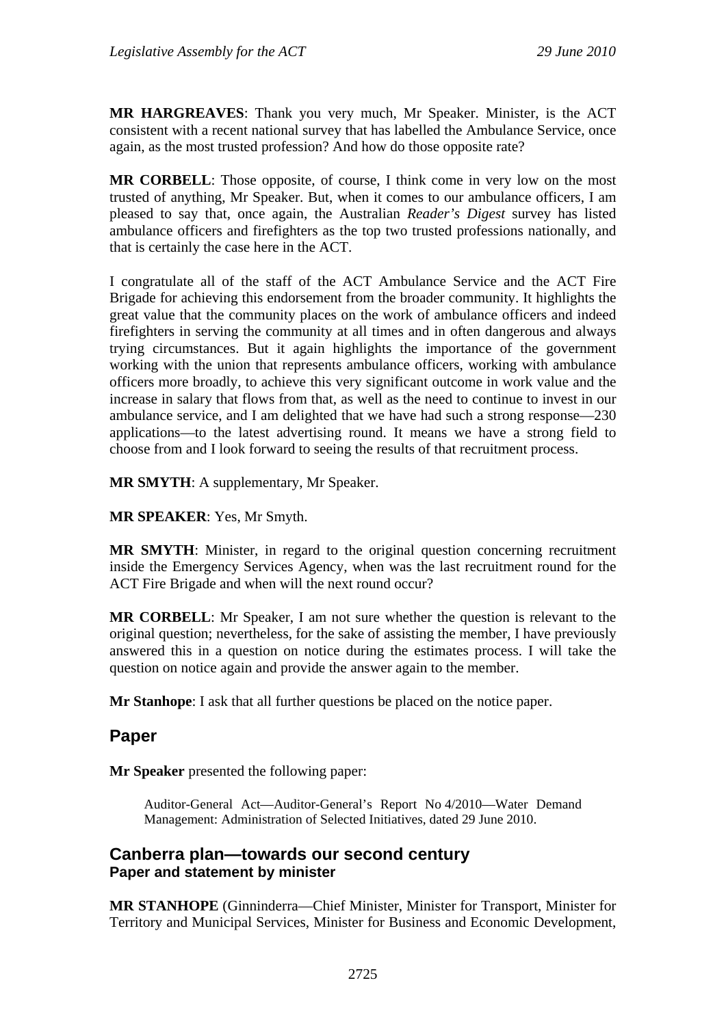**MR HARGREAVES**: Thank you very much, Mr Speaker. Minister, is the ACT consistent with a recent national survey that has labelled the Ambulance Service, once again, as the most trusted profession? And how do those opposite rate?

**MR CORBELL**: Those opposite, of course, I think come in very low on the most trusted of anything, Mr Speaker. But, when it comes to our ambulance officers, I am pleased to say that, once again, the Australian *Reader's Digest* survey has listed ambulance officers and firefighters as the top two trusted professions nationally, and that is certainly the case here in the ACT.

I congratulate all of the staff of the ACT Ambulance Service and the ACT Fire Brigade for achieving this endorsement from the broader community. It highlights the great value that the community places on the work of ambulance officers and indeed firefighters in serving the community at all times and in often dangerous and always trying circumstances. But it again highlights the importance of the government working with the union that represents ambulance officers, working with ambulance officers more broadly, to achieve this very significant outcome in work value and the increase in salary that flows from that, as well as the need to continue to invest in our ambulance service, and I am delighted that we have had such a strong response—230 applications—to the latest advertising round. It means we have a strong field to choose from and I look forward to seeing the results of that recruitment process.

**MR SMYTH**: A supplementary, Mr Speaker.

**MR SPEAKER**: Yes, Mr Smyth.

**MR SMYTH**: Minister, in regard to the original question concerning recruitment inside the Emergency Services Agency, when was the last recruitment round for the ACT Fire Brigade and when will the next round occur?

**MR CORBELL**: Mr Speaker, I am not sure whether the question is relevant to the original question; nevertheless, for the sake of assisting the member, I have previously answered this in a question on notice during the estimates process. I will take the question on notice again and provide the answer again to the member.

**Mr Stanhope**: I ask that all further questions be placed on the notice paper.

## **Paper**

**Mr Speaker** presented the following paper:

Auditor-General Act—Auditor-General's Report No 4/2010—Water Demand Management: Administration of Selected Initiatives, dated 29 June 2010.

#### **Canberra plan—towards our second century Paper and statement by minister**

**MR STANHOPE** (Ginninderra—Chief Minister, Minister for Transport, Minister for Territory and Municipal Services, Minister for Business and Economic Development,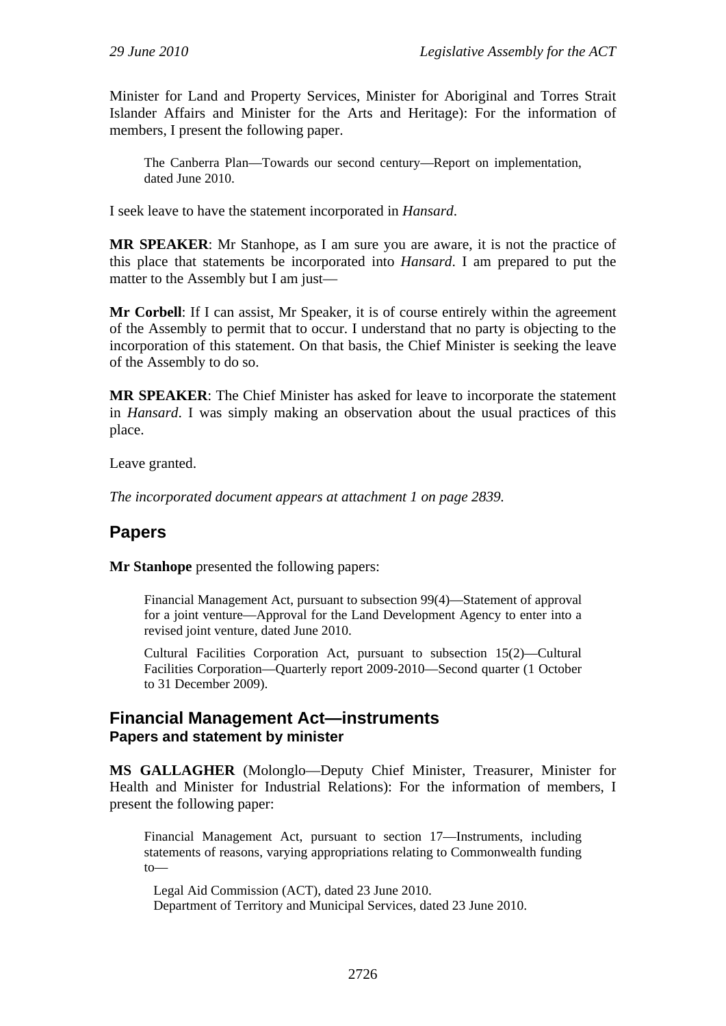Minister for Land and Property Services, Minister for Aboriginal and Torres Strait Islander Affairs and Minister for the Arts and Heritage): For the information of members, I present the following paper.

The Canberra Plan—Towards our second century—Report on implementation, dated June 2010.

I seek leave to have the statement incorporated in *Hansard*.

**MR SPEAKER**: Mr Stanhope, as I am sure you are aware, it is not the practice of this place that statements be incorporated into *Hansard*. I am prepared to put the matter to the Assembly but I am just—

**Mr Corbell**: If I can assist, Mr Speaker, it is of course entirely within the agreement of the Assembly to permit that to occur. I understand that no party is objecting to the incorporation of this statement. On that basis, the Chief Minister is seeking the leave of the Assembly to do so.

**MR SPEAKER**: The Chief Minister has asked for leave to incorporate the statement in *Hansard*. I was simply making an observation about the usual practices of this place.

Leave granted.

*The incorporated document appears at attachment 1 on page 2839.* 

## **Papers**

**Mr Stanhope** presented the following papers:

Financial Management Act, pursuant to subsection 99(4)—Statement of approval for a joint venture—Approval for the Land Development Agency to enter into a revised joint venture, dated June 2010.

Cultural Facilities Corporation Act, pursuant to subsection 15(2)—Cultural Facilities Corporation—Quarterly report 2009-2010—Second quarter (1 October to 31 December 2009).

#### **Financial Management Act—instruments Papers and statement by minister**

**MS GALLAGHER** (Molonglo—Deputy Chief Minister, Treasurer, Minister for Health and Minister for Industrial Relations): For the information of members, I present the following paper:

Financial Management Act, pursuant to section 17—Instruments, including statements of reasons, varying appropriations relating to Commonwealth funding to—

Legal Aid Commission (ACT), dated 23 June 2010. Department of Territory and Municipal Services, dated 23 June 2010.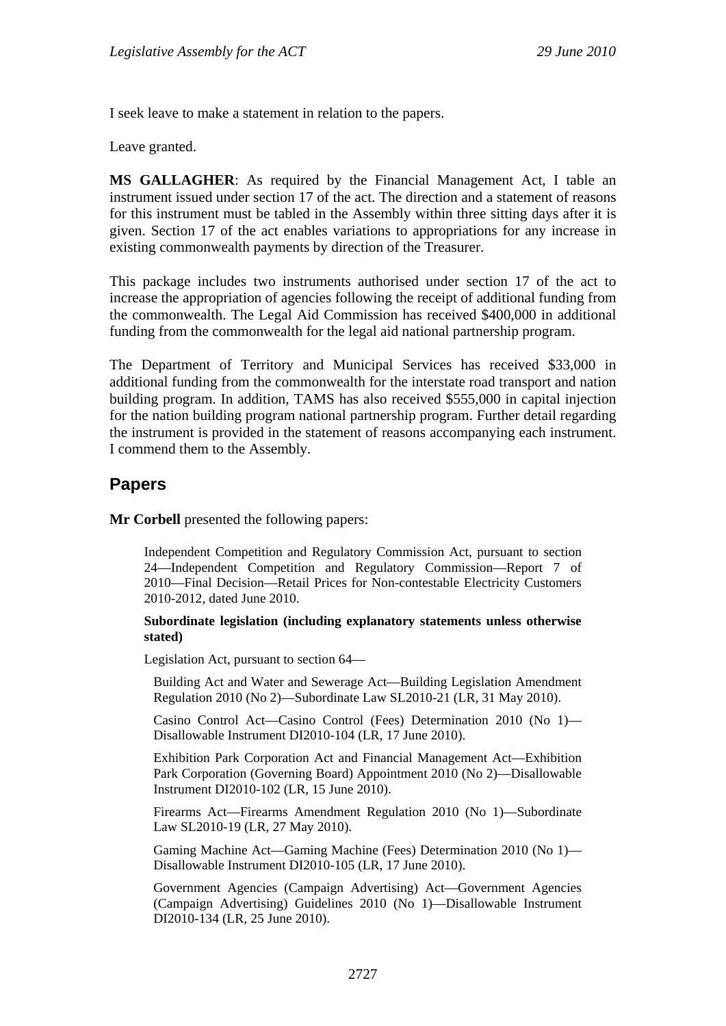I seek leave to make a statement in relation to the papers.

Leave granted.

**MS GALLAGHER**: As required by the Financial Management Act, I table an instrument issued under section 17 of the act. The direction and a statement of reasons for this instrument must be tabled in the Assembly within three sitting days after it is given. Section 17 of the act enables variations to appropriations for any increase in existing commonwealth payments by direction of the Treasurer.

This package includes two instruments authorised under section 17 of the act to increase the appropriation of agencies following the receipt of additional funding from the commonwealth. The Legal Aid Commission has received \$400,000 in additional funding from the commonwealth for the legal aid national partnership program.

The Department of Territory and Municipal Services has received \$33,000 in additional funding from the commonwealth for the interstate road transport and nation building program. In addition, TAMS has also received \$555,000 in capital injection for the nation building program national partnership program. Further detail regarding the instrument is provided in the statement of reasons accompanying each instrument. I commend them to the Assembly.

## **Papers**

**Mr Corbell** presented the following papers:

Independent Competition and Regulatory Commission Act, pursuant to section 24—Independent Competition and Regulatory Commission—Report 7 of 2010—Final Decision—Retail Prices for Non-contestable Electricity Customers 2010-2012, dated June 2010.

**Subordinate legislation (including explanatory statements unless otherwise stated)** 

Legislation Act, pursuant to section 64—

Building Act and Water and Sewerage Act—Building Legislation Amendment Regulation 2010 (No 2)—Subordinate Law SL2010-21 (LR, 31 May 2010).

Casino Control Act—Casino Control (Fees) Determination 2010 (No 1)— Disallowable Instrument DI2010-104 (LR, 17 June 2010).

Exhibition Park Corporation Act and Financial Management Act—Exhibition Park Corporation (Governing Board) Appointment 2010 (No 2)—Disallowable Instrument DI2010-102 (LR, 15 June 2010).

Firearms Act—Firearms Amendment Regulation 2010 (No 1)—Subordinate Law SL2010-19 (LR, 27 May 2010).

Gaming Machine Act—Gaming Machine (Fees) Determination 2010 (No 1)— Disallowable Instrument DI2010-105 (LR, 17 June 2010).

Government Agencies (Campaign Advertising) Act—Government Agencies (Campaign Advertising) Guidelines 2010 (No 1)—Disallowable Instrument DI2010-134 (LR, 25 June 2010).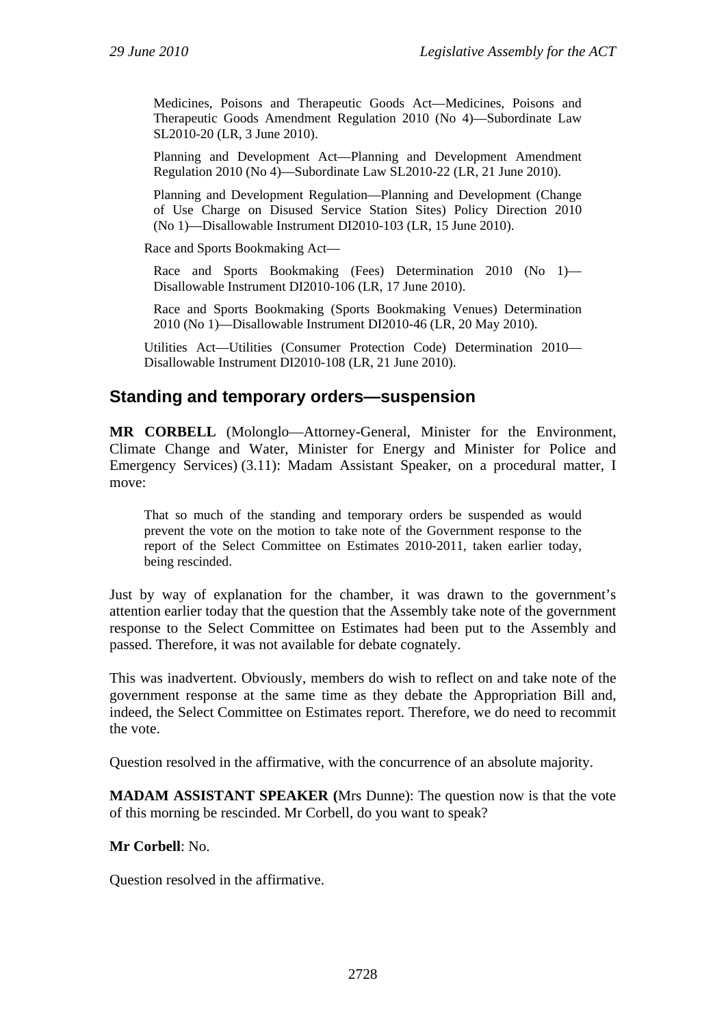Medicines, Poisons and Therapeutic Goods Act—Medicines, Poisons and Therapeutic Goods Amendment Regulation 2010 (No 4)—Subordinate Law SL2010-20 (LR, 3 June 2010).

Planning and Development Act—Planning and Development Amendment Regulation 2010 (No 4)—Subordinate Law SL2010-22 (LR, 21 June 2010).

Planning and Development Regulation—Planning and Development (Change of Use Charge on Disused Service Station Sites) Policy Direction 2010 (No 1)—Disallowable Instrument DI2010-103 (LR, 15 June 2010).

Race and Sports Bookmaking Act—

Race and Sports Bookmaking (Fees) Determination 2010 (No 1)— Disallowable Instrument DI2010-106 (LR, 17 June 2010).

Race and Sports Bookmaking (Sports Bookmaking Venues) Determination 2010 (No 1)—Disallowable Instrument DI2010-46 (LR, 20 May 2010).

Utilities Act—Utilities (Consumer Protection Code) Determination 2010— Disallowable Instrument DI2010-108 (LR, 21 June 2010).

#### **Standing and temporary orders—suspension**

**MR CORBELL** (Molonglo—Attorney-General, Minister for the Environment, Climate Change and Water, Minister for Energy and Minister for Police and Emergency Services) (3.11): Madam Assistant Speaker, on a procedural matter, I move:

That so much of the standing and temporary orders be suspended as would prevent the vote on the motion to take note of the Government response to the report of the Select Committee on Estimates 2010-2011, taken earlier today, being rescinded.

Just by way of explanation for the chamber, it was drawn to the government's attention earlier today that the question that the Assembly take note of the government response to the Select Committee on Estimates had been put to the Assembly and passed. Therefore, it was not available for debate cognately.

This was inadvertent. Obviously, members do wish to reflect on and take note of the government response at the same time as they debate the Appropriation Bill and, indeed, the Select Committee on Estimates report. Therefore, we do need to recommit the vote.

Question resolved in the affirmative, with the concurrence of an absolute majority.

**MADAM ASSISTANT SPEAKER (**Mrs Dunne): The question now is that the vote of this morning be rescinded. Mr Corbell, do you want to speak?

#### **Mr Corbell**: No.

Question resolved in the affirmative.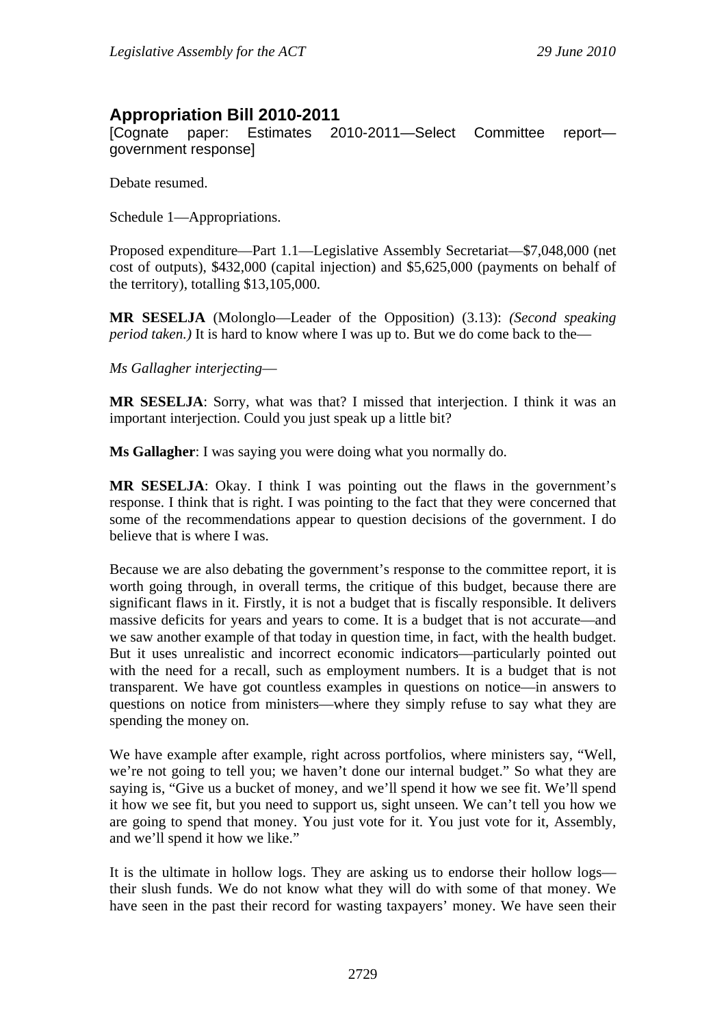# **Appropriation Bill 2010-2011**

[Cognate paper: Estimates 2010-2011—Select Committee report government response]

Debate resumed.

Schedule 1—Appropriations.

Proposed expenditure—Part 1.1—Legislative Assembly Secretariat—\$7,048,000 (net cost of outputs), \$432,000 (capital injection) and \$5,625,000 (payments on behalf of the territory), totalling \$13,105,000.

**MR SESELJA** (Molonglo—Leader of the Opposition) (3.13): *(Second speaking period taken.*) It is hard to know where I was up to. But we do come back to the—

*Ms Gallagher interjecting*—

**MR SESELJA**: Sorry, what was that? I missed that interjection. I think it was an important interjection. Could you just speak up a little bit?

**Ms Gallagher**: I was saying you were doing what you normally do.

**MR SESELJA**: Okay. I think I was pointing out the flaws in the government's response. I think that is right. I was pointing to the fact that they were concerned that some of the recommendations appear to question decisions of the government. I do believe that is where I was.

Because we are also debating the government's response to the committee report, it is worth going through, in overall terms, the critique of this budget, because there are significant flaws in it. Firstly, it is not a budget that is fiscally responsible. It delivers massive deficits for years and years to come. It is a budget that is not accurate—and we saw another example of that today in question time, in fact, with the health budget. But it uses unrealistic and incorrect economic indicators—particularly pointed out with the need for a recall, such as employment numbers. It is a budget that is not transparent. We have got countless examples in questions on notice—in answers to questions on notice from ministers—where they simply refuse to say what they are spending the money on.

We have example after example, right across portfolios, where ministers say, "Well, we're not going to tell you; we haven't done our internal budget." So what they are saying is, "Give us a bucket of money, and we'll spend it how we see fit. We'll spend it how we see fit, but you need to support us, sight unseen. We can't tell you how we are going to spend that money. You just vote for it. You just vote for it, Assembly, and we'll spend it how we like."

It is the ultimate in hollow logs. They are asking us to endorse their hollow logs their slush funds. We do not know what they will do with some of that money. We have seen in the past their record for wasting taxpayers' money. We have seen their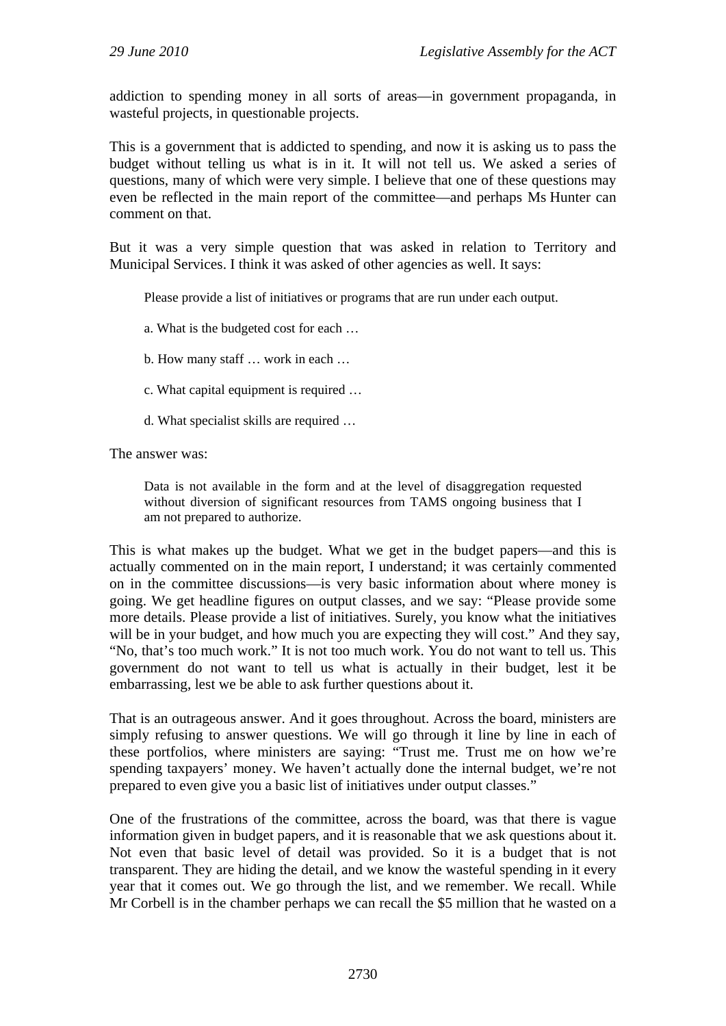addiction to spending money in all sorts of areas—in government propaganda, in wasteful projects, in questionable projects.

This is a government that is addicted to spending, and now it is asking us to pass the budget without telling us what is in it. It will not tell us. We asked a series of questions, many of which were very simple. I believe that one of these questions may even be reflected in the main report of the committee—and perhaps Ms Hunter can comment on that.

But it was a very simple question that was asked in relation to Territory and Municipal Services. I think it was asked of other agencies as well. It says:

Please provide a list of initiatives or programs that are run under each output.

a. What is the budgeted cost for each …

- b. How many staff … work in each …
- c. What capital equipment is required …
- d. What specialist skills are required …

The answer was:

Data is not available in the form and at the level of disaggregation requested without diversion of significant resources from TAMS ongoing business that I am not prepared to authorize.

This is what makes up the budget. What we get in the budget papers—and this is actually commented on in the main report, I understand; it was certainly commented on in the committee discussions—is very basic information about where money is going. We get headline figures on output classes, and we say: "Please provide some more details. Please provide a list of initiatives. Surely, you know what the initiatives will be in your budget, and how much you are expecting they will cost." And they say, "No, that's too much work." It is not too much work. You do not want to tell us. This government do not want to tell us what is actually in their budget, lest it be embarrassing, lest we be able to ask further questions about it.

That is an outrageous answer. And it goes throughout. Across the board, ministers are simply refusing to answer questions. We will go through it line by line in each of these portfolios, where ministers are saying: "Trust me. Trust me on how we're spending taxpayers' money. We haven't actually done the internal budget, we're not prepared to even give you a basic list of initiatives under output classes."

One of the frustrations of the committee, across the board, was that there is vague information given in budget papers, and it is reasonable that we ask questions about it. Not even that basic level of detail was provided. So it is a budget that is not transparent. They are hiding the detail, and we know the wasteful spending in it every year that it comes out. We go through the list, and we remember. We recall. While Mr Corbell is in the chamber perhaps we can recall the \$5 million that he wasted on a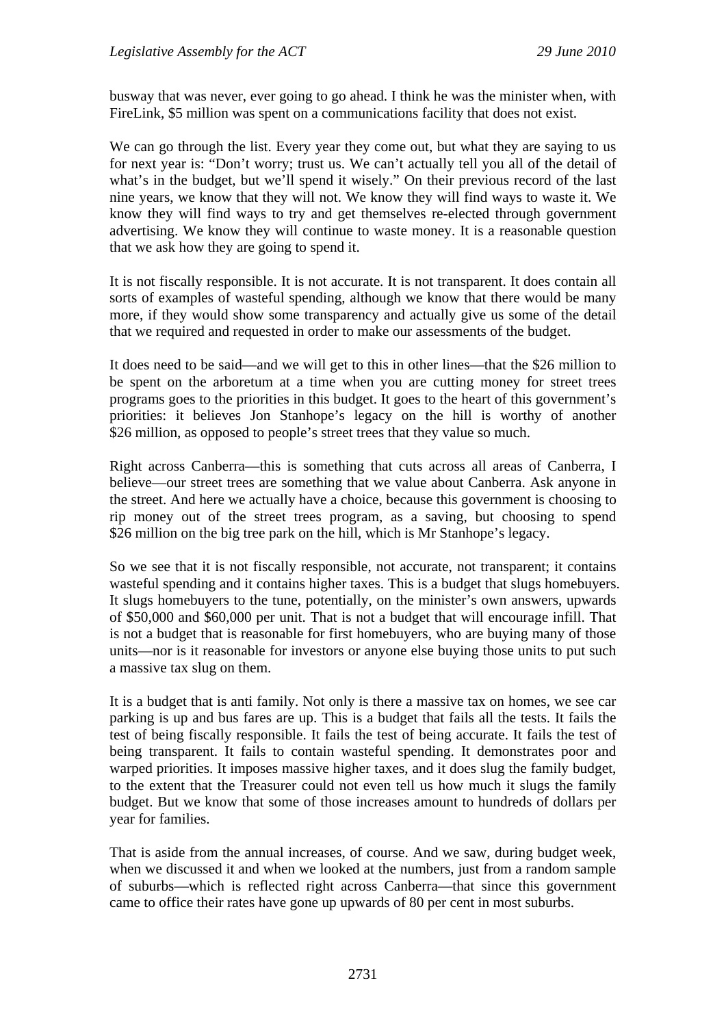busway that was never, ever going to go ahead. I think he was the minister when, with FireLink, \$5 million was spent on a communications facility that does not exist.

We can go through the list. Every year they come out, but what they are saying to us for next year is: "Don't worry; trust us. We can't actually tell you all of the detail of what's in the budget, but we'll spend it wisely." On their previous record of the last nine years, we know that they will not. We know they will find ways to waste it. We know they will find ways to try and get themselves re-elected through government advertising. We know they will continue to waste money. It is a reasonable question that we ask how they are going to spend it.

It is not fiscally responsible. It is not accurate. It is not transparent. It does contain all sorts of examples of wasteful spending, although we know that there would be many more, if they would show some transparency and actually give us some of the detail that we required and requested in order to make our assessments of the budget.

It does need to be said—and we will get to this in other lines—that the \$26 million to be spent on the arboretum at a time when you are cutting money for street trees programs goes to the priorities in this budget. It goes to the heart of this government's priorities: it believes Jon Stanhope's legacy on the hill is worthy of another \$26 million, as opposed to people's street trees that they value so much.

Right across Canberra—this is something that cuts across all areas of Canberra, I believe—our street trees are something that we value about Canberra. Ask anyone in the street. And here we actually have a choice, because this government is choosing to rip money out of the street trees program, as a saving, but choosing to spend \$26 million on the big tree park on the hill, which is Mr Stanhope's legacy.

So we see that it is not fiscally responsible, not accurate, not transparent; it contains wasteful spending and it contains higher taxes. This is a budget that slugs homebuyers. It slugs homebuyers to the tune, potentially, on the minister's own answers, upwards of \$50,000 and \$60,000 per unit. That is not a budget that will encourage infill. That is not a budget that is reasonable for first homebuyers, who are buying many of those units—nor is it reasonable for investors or anyone else buying those units to put such a massive tax slug on them.

It is a budget that is anti family. Not only is there a massive tax on homes, we see car parking is up and bus fares are up. This is a budget that fails all the tests. It fails the test of being fiscally responsible. It fails the test of being accurate. It fails the test of being transparent. It fails to contain wasteful spending. It demonstrates poor and warped priorities. It imposes massive higher taxes, and it does slug the family budget, to the extent that the Treasurer could not even tell us how much it slugs the family budget. But we know that some of those increases amount to hundreds of dollars per year for families.

That is aside from the annual increases, of course. And we saw, during budget week, when we discussed it and when we looked at the numbers, just from a random sample of suburbs—which is reflected right across Canberra—that since this government came to office their rates have gone up upwards of 80 per cent in most suburbs.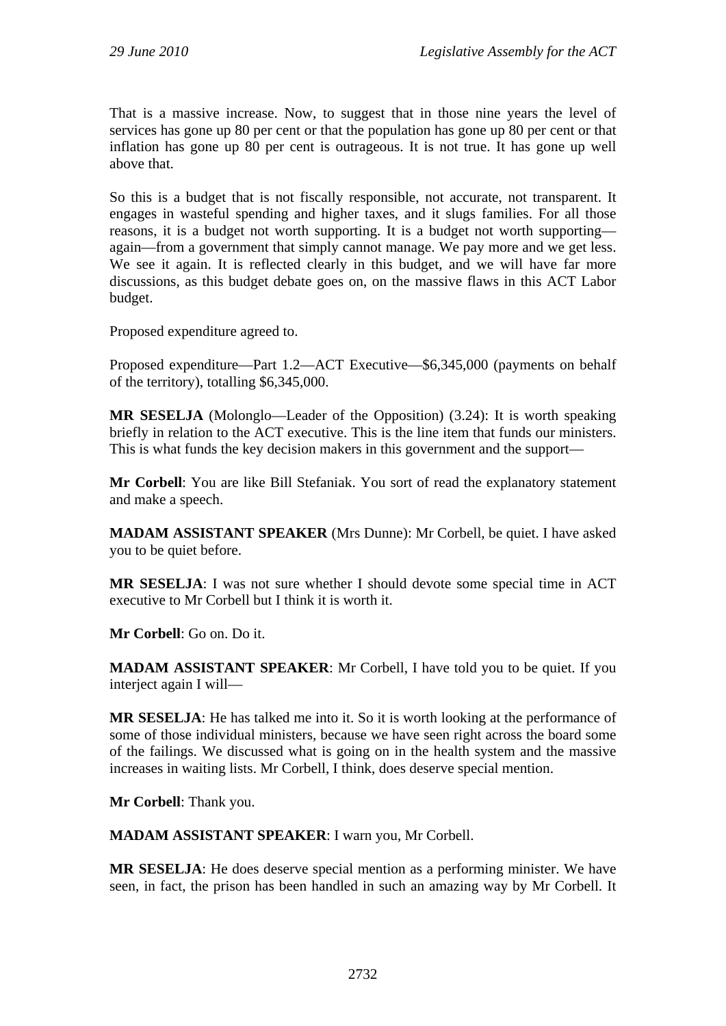That is a massive increase. Now, to suggest that in those nine years the level of services has gone up 80 per cent or that the population has gone up 80 per cent or that inflation has gone up 80 per cent is outrageous. It is not true. It has gone up well above that.

So this is a budget that is not fiscally responsible, not accurate, not transparent. It engages in wasteful spending and higher taxes, and it slugs families. For all those reasons, it is a budget not worth supporting. It is a budget not worth supporting again—from a government that simply cannot manage. We pay more and we get less. We see it again. It is reflected clearly in this budget, and we will have far more discussions, as this budget debate goes on, on the massive flaws in this ACT Labor budget.

Proposed expenditure agreed to.

Proposed expenditure—Part 1.2—ACT Executive—\$6,345,000 (payments on behalf of the territory), totalling \$6,345,000.

**MR SESELJA** (Molonglo—Leader of the Opposition) (3.24): It is worth speaking briefly in relation to the ACT executive. This is the line item that funds our ministers. This is what funds the key decision makers in this government and the support—

**Mr Corbell**: You are like Bill Stefaniak. You sort of read the explanatory statement and make a speech.

**MADAM ASSISTANT SPEAKER** (Mrs Dunne): Mr Corbell, be quiet. I have asked you to be quiet before.

**MR SESELJA**: I was not sure whether I should devote some special time in ACT executive to Mr Corbell but I think it is worth it.

**Mr Corbell**: Go on. Do it.

**MADAM ASSISTANT SPEAKER**: Mr Corbell, I have told you to be quiet. If you interject again I will—

**MR SESELJA**: He has talked me into it. So it is worth looking at the performance of some of those individual ministers, because we have seen right across the board some of the failings. We discussed what is going on in the health system and the massive increases in waiting lists. Mr Corbell, I think, does deserve special mention.

**Mr Corbell**: Thank you.

**MADAM ASSISTANT SPEAKER**: I warn you, Mr Corbell.

**MR SESELJA**: He does deserve special mention as a performing minister. We have seen, in fact, the prison has been handled in such an amazing way by Mr Corbell. It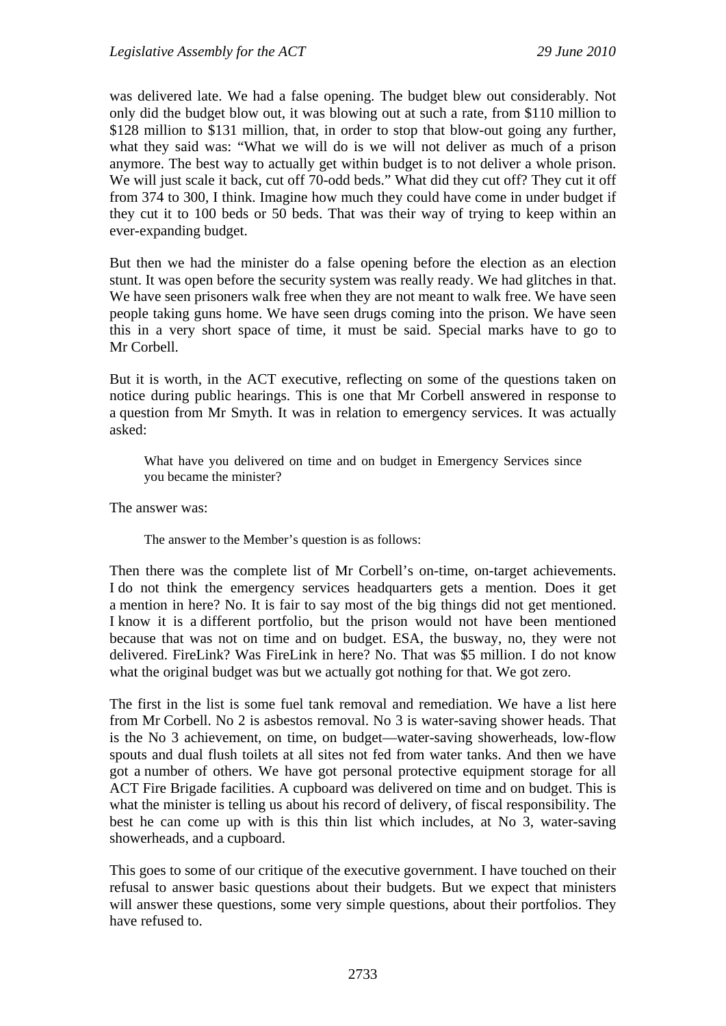was delivered late. We had a false opening. The budget blew out considerably. Not only did the budget blow out, it was blowing out at such a rate, from \$110 million to \$128 million to \$131 million, that, in order to stop that blow-out going any further, what they said was: "What we will do is we will not deliver as much of a prison anymore. The best way to actually get within budget is to not deliver a whole prison. We will just scale it back, cut off 70-odd beds." What did they cut off? They cut it off from 374 to 300, I think. Imagine how much they could have come in under budget if they cut it to 100 beds or 50 beds. That was their way of trying to keep within an ever-expanding budget.

But then we had the minister do a false opening before the election as an election stunt. It was open before the security system was really ready. We had glitches in that. We have seen prisoners walk free when they are not meant to walk free. We have seen people taking guns home. We have seen drugs coming into the prison. We have seen this in a very short space of time, it must be said. Special marks have to go to Mr Corbell.

But it is worth, in the ACT executive, reflecting on some of the questions taken on notice during public hearings. This is one that Mr Corbell answered in response to a question from Mr Smyth. It was in relation to emergency services. It was actually asked:

What have you delivered on time and on budget in Emergency Services since you became the minister?

The answer was:

The answer to the Member's question is as follows:

Then there was the complete list of Mr Corbell's on-time, on-target achievements. I do not think the emergency services headquarters gets a mention. Does it get a mention in here? No. It is fair to say most of the big things did not get mentioned. I know it is a different portfolio, but the prison would not have been mentioned because that was not on time and on budget. ESA, the busway, no, they were not delivered. FireLink? Was FireLink in here? No. That was \$5 million. I do not know what the original budget was but we actually got nothing for that. We got zero.

The first in the list is some fuel tank removal and remediation. We have a list here from Mr Corbell. No 2 is asbestos removal. No 3 is water-saving shower heads. That is the No 3 achievement, on time, on budget—water-saving showerheads, low-flow spouts and dual flush toilets at all sites not fed from water tanks. And then we have got a number of others. We have got personal protective equipment storage for all ACT Fire Brigade facilities. A cupboard was delivered on time and on budget. This is what the minister is telling us about his record of delivery, of fiscal responsibility. The best he can come up with is this thin list which includes, at No 3, water-saving showerheads, and a cupboard.

This goes to some of our critique of the executive government. I have touched on their refusal to answer basic questions about their budgets. But we expect that ministers will answer these questions, some very simple questions, about their portfolios. They have refused to.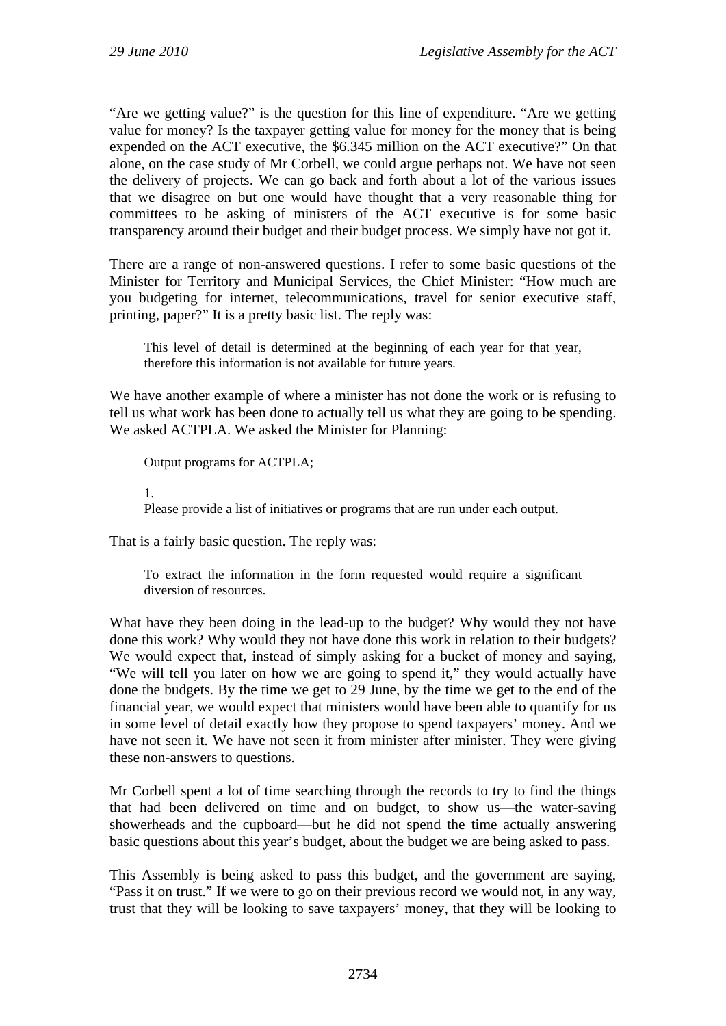"Are we getting value?" is the question for this line of expenditure. "Are we getting value for money? Is the taxpayer getting value for money for the money that is being expended on the ACT executive, the \$6.345 million on the ACT executive?" On that alone, on the case study of Mr Corbell, we could argue perhaps not. We have not seen the delivery of projects. We can go back and forth about a lot of the various issues that we disagree on but one would have thought that a very reasonable thing for committees to be asking of ministers of the ACT executive is for some basic transparency around their budget and their budget process. We simply have not got it.

There are a range of non-answered questions. I refer to some basic questions of the Minister for Territory and Municipal Services, the Chief Minister: "How much are you budgeting for internet, telecommunications, travel for senior executive staff, printing, paper?" It is a pretty basic list. The reply was:

This level of detail is determined at the beginning of each year for that year, therefore this information is not available for future years.

We have another example of where a minister has not done the work or is refusing to tell us what work has been done to actually tell us what they are going to be spending. We asked ACTPLA. We asked the Minister for Planning:

Output programs for ACTPLA;

1.

Please provide a list of initiatives or programs that are run under each output.

That is a fairly basic question. The reply was:

To extract the information in the form requested would require a significant diversion of resources.

What have they been doing in the lead-up to the budget? Why would they not have done this work? Why would they not have done this work in relation to their budgets? We would expect that, instead of simply asking for a bucket of money and saying, "We will tell you later on how we are going to spend it," they would actually have done the budgets. By the time we get to 29 June, by the time we get to the end of the financial year, we would expect that ministers would have been able to quantify for us in some level of detail exactly how they propose to spend taxpayers' money. And we have not seen it. We have not seen it from minister after minister. They were giving these non-answers to questions.

Mr Corbell spent a lot of time searching through the records to try to find the things that had been delivered on time and on budget, to show us—the water-saving showerheads and the cupboard—but he did not spend the time actually answering basic questions about this year's budget, about the budget we are being asked to pass.

This Assembly is being asked to pass this budget, and the government are saying, "Pass it on trust." If we were to go on their previous record we would not, in any way, trust that they will be looking to save taxpayers' money, that they will be looking to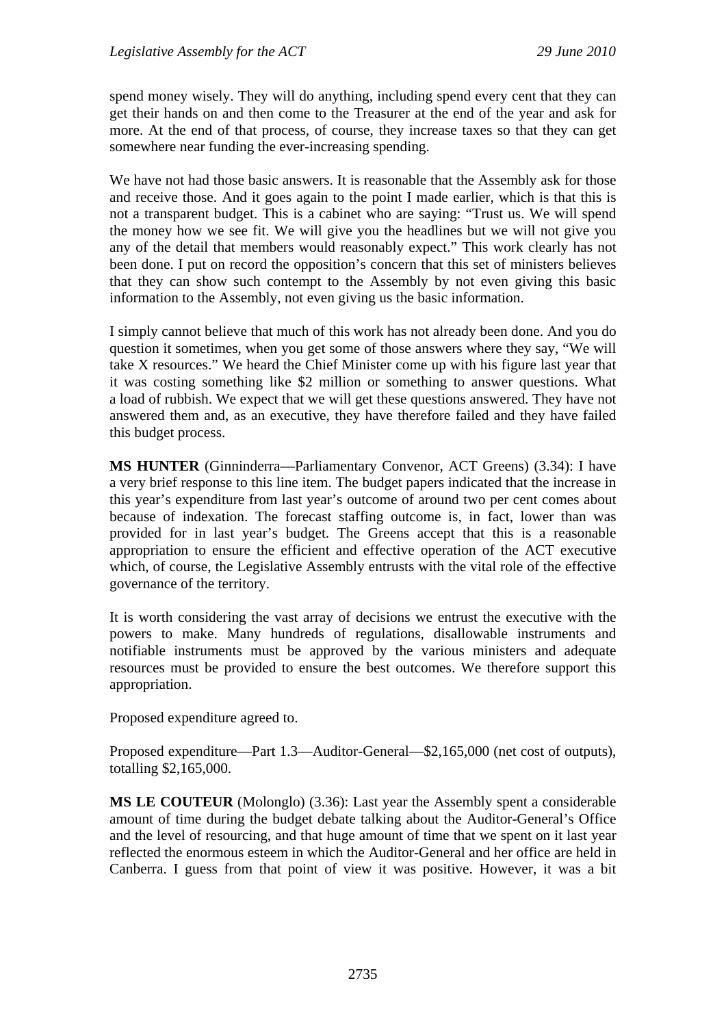spend money wisely. They will do anything, including spend every cent that they can get their hands on and then come to the Treasurer at the end of the year and ask for more. At the end of that process, of course, they increase taxes so that they can get somewhere near funding the ever-increasing spending.

We have not had those basic answers. It is reasonable that the Assembly ask for those and receive those. And it goes again to the point I made earlier, which is that this is not a transparent budget. This is a cabinet who are saying: "Trust us. We will spend the money how we see fit. We will give you the headlines but we will not give you any of the detail that members would reasonably expect." This work clearly has not been done. I put on record the opposition's concern that this set of ministers believes that they can show such contempt to the Assembly by not even giving this basic information to the Assembly, not even giving us the basic information.

I simply cannot believe that much of this work has not already been done. And you do question it sometimes, when you get some of those answers where they say, "We will take X resources." We heard the Chief Minister come up with his figure last year that it was costing something like \$2 million or something to answer questions. What a load of rubbish. We expect that we will get these questions answered. They have not answered them and, as an executive, they have therefore failed and they have failed this budget process.

**MS HUNTER** (Ginninderra—Parliamentary Convenor, ACT Greens) (3.34): I have a very brief response to this line item. The budget papers indicated that the increase in this year's expenditure from last year's outcome of around two per cent comes about because of indexation. The forecast staffing outcome is, in fact, lower than was provided for in last year's budget. The Greens accept that this is a reasonable appropriation to ensure the efficient and effective operation of the ACT executive which, of course, the Legislative Assembly entrusts with the vital role of the effective governance of the territory.

It is worth considering the vast array of decisions we entrust the executive with the powers to make. Many hundreds of regulations, disallowable instruments and notifiable instruments must be approved by the various ministers and adequate resources must be provided to ensure the best outcomes. We therefore support this appropriation.

Proposed expenditure agreed to.

Proposed expenditure—Part 1.3—Auditor-General—\$2,165,000 (net cost of outputs), totalling \$2,165,000.

**MS LE COUTEUR** (Molonglo) (3.36): Last year the Assembly spent a considerable amount of time during the budget debate talking about the Auditor-General's Office and the level of resourcing, and that huge amount of time that we spent on it last year reflected the enormous esteem in which the Auditor-General and her office are held in Canberra. I guess from that point of view it was positive. However, it was a bit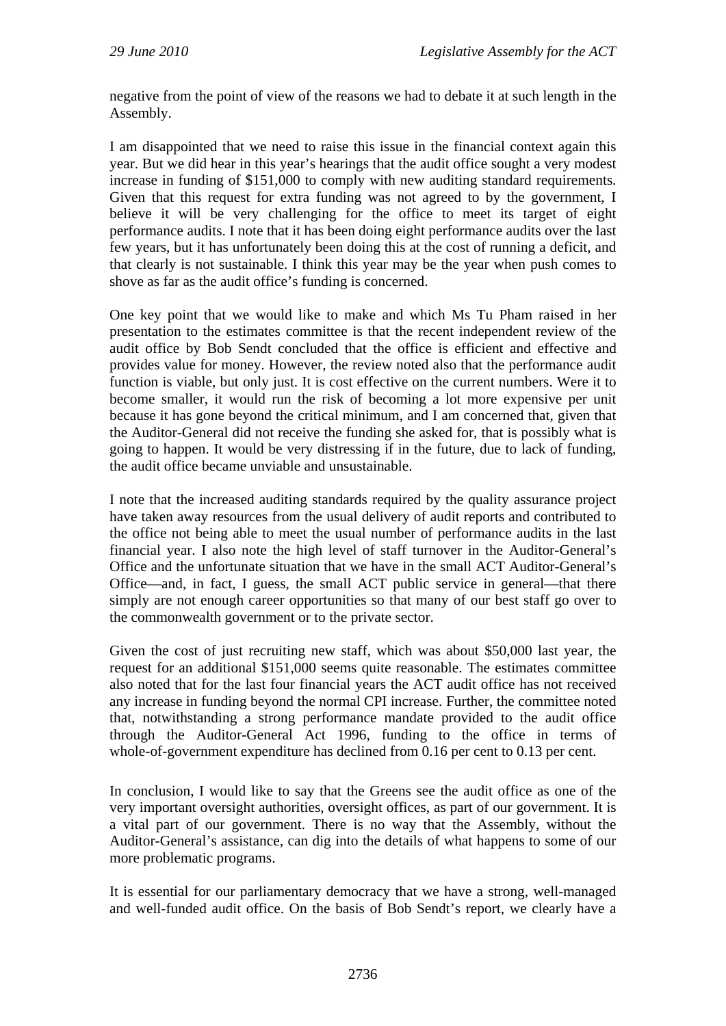negative from the point of view of the reasons we had to debate it at such length in the Assembly.

I am disappointed that we need to raise this issue in the financial context again this year. But we did hear in this year's hearings that the audit office sought a very modest increase in funding of \$151,000 to comply with new auditing standard requirements. Given that this request for extra funding was not agreed to by the government, I believe it will be very challenging for the office to meet its target of eight performance audits. I note that it has been doing eight performance audits over the last few years, but it has unfortunately been doing this at the cost of running a deficit, and that clearly is not sustainable. I think this year may be the year when push comes to shove as far as the audit office's funding is concerned.

One key point that we would like to make and which Ms Tu Pham raised in her presentation to the estimates committee is that the recent independent review of the audit office by Bob Sendt concluded that the office is efficient and effective and provides value for money. However, the review noted also that the performance audit function is viable, but only just. It is cost effective on the current numbers. Were it to become smaller, it would run the risk of becoming a lot more expensive per unit because it has gone beyond the critical minimum, and I am concerned that, given that the Auditor-General did not receive the funding she asked for, that is possibly what is going to happen. It would be very distressing if in the future, due to lack of funding, the audit office became unviable and unsustainable.

I note that the increased auditing standards required by the quality assurance project have taken away resources from the usual delivery of audit reports and contributed to the office not being able to meet the usual number of performance audits in the last financial year. I also note the high level of staff turnover in the Auditor-General's Office and the unfortunate situation that we have in the small ACT Auditor-General's Office—and, in fact, I guess, the small ACT public service in general—that there simply are not enough career opportunities so that many of our best staff go over to the commonwealth government or to the private sector.

Given the cost of just recruiting new staff, which was about \$50,000 last year, the request for an additional \$151,000 seems quite reasonable. The estimates committee also noted that for the last four financial years the ACT audit office has not received any increase in funding beyond the normal CPI increase. Further, the committee noted that, notwithstanding a strong performance mandate provided to the audit office through the Auditor-General Act 1996, funding to the office in terms of whole-of-government expenditure has declined from 0.16 per cent to 0.13 per cent.

In conclusion, I would like to say that the Greens see the audit office as one of the very important oversight authorities, oversight offices, as part of our government. It is a vital part of our government. There is no way that the Assembly, without the Auditor-General's assistance, can dig into the details of what happens to some of our more problematic programs.

It is essential for our parliamentary democracy that we have a strong, well-managed and well-funded audit office. On the basis of Bob Sendt's report, we clearly have a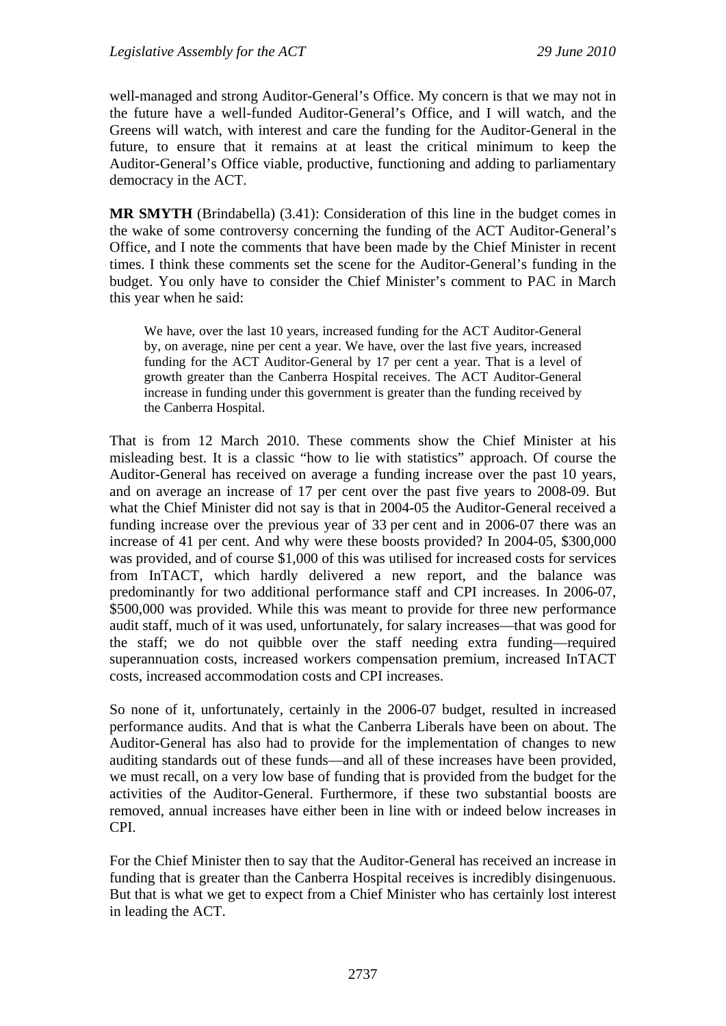well-managed and strong Auditor-General's Office. My concern is that we may not in the future have a well-funded Auditor-General's Office, and I will watch, and the Greens will watch, with interest and care the funding for the Auditor-General in the future, to ensure that it remains at at least the critical minimum to keep the Auditor-General's Office viable, productive, functioning and adding to parliamentary democracy in the ACT.

**MR SMYTH** (Brindabella) (3.41): Consideration of this line in the budget comes in the wake of some controversy concerning the funding of the ACT Auditor-General's Office, and I note the comments that have been made by the Chief Minister in recent times. I think these comments set the scene for the Auditor-General's funding in the budget. You only have to consider the Chief Minister's comment to PAC in March this year when he said:

We have, over the last 10 years, increased funding for the ACT Auditor-General by, on average, nine per cent a year. We have, over the last five years, increased funding for the ACT Auditor-General by 17 per cent a year. That is a level of growth greater than the Canberra Hospital receives. The ACT Auditor-General increase in funding under this government is greater than the funding received by the Canberra Hospital.

That is from 12 March 2010. These comments show the Chief Minister at his misleading best. It is a classic "how to lie with statistics" approach. Of course the Auditor-General has received on average a funding increase over the past 10 years, and on average an increase of 17 per cent over the past five years to 2008-09. But what the Chief Minister did not say is that in 2004-05 the Auditor-General received a funding increase over the previous year of 33 per cent and in 2006-07 there was an increase of 41 per cent. And why were these boosts provided? In 2004-05, \$300,000 was provided, and of course \$1,000 of this was utilised for increased costs for services from InTACT, which hardly delivered a new report, and the balance was predominantly for two additional performance staff and CPI increases. In 2006-07, \$500,000 was provided. While this was meant to provide for three new performance audit staff, much of it was used, unfortunately, for salary increases—that was good for the staff; we do not quibble over the staff needing extra funding—required superannuation costs, increased workers compensation premium, increased InTACT costs, increased accommodation costs and CPI increases.

So none of it, unfortunately, certainly in the 2006-07 budget, resulted in increased performance audits. And that is what the Canberra Liberals have been on about. The Auditor-General has also had to provide for the implementation of changes to new auditing standards out of these funds—and all of these increases have been provided, we must recall, on a very low base of funding that is provided from the budget for the activities of the Auditor-General. Furthermore, if these two substantial boosts are removed, annual increases have either been in line with or indeed below increases in CPI.

For the Chief Minister then to say that the Auditor-General has received an increase in funding that is greater than the Canberra Hospital receives is incredibly disingenuous. But that is what we get to expect from a Chief Minister who has certainly lost interest in leading the ACT.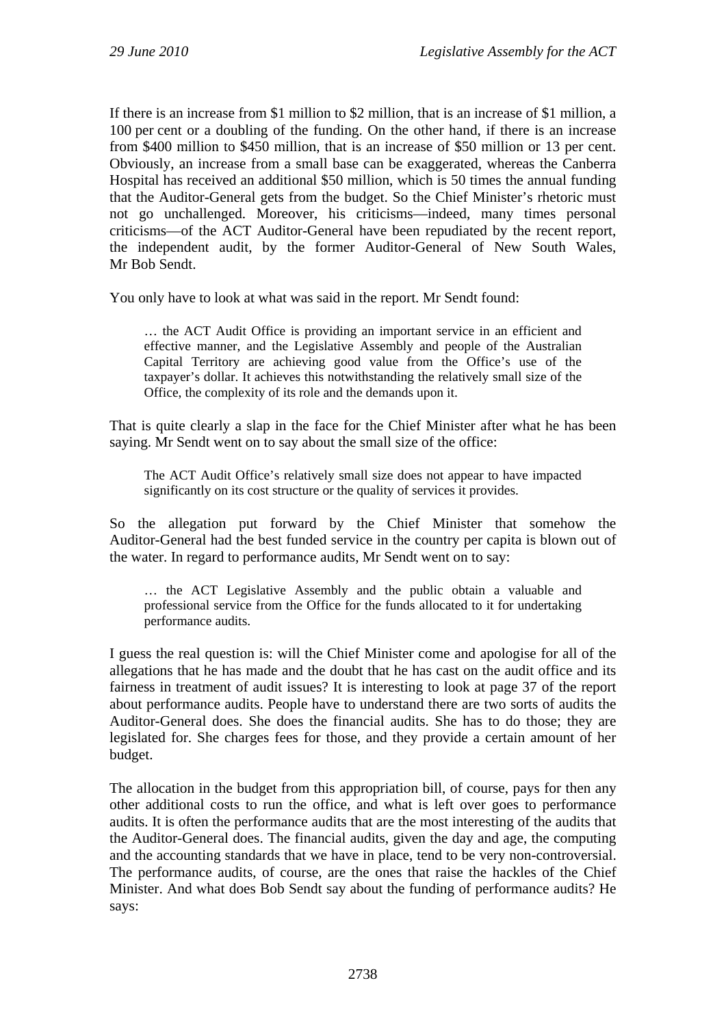If there is an increase from \$1 million to \$2 million, that is an increase of \$1 million, a 100 per cent or a doubling of the funding. On the other hand, if there is an increase from \$400 million to \$450 million, that is an increase of \$50 million or 13 per cent. Obviously, an increase from a small base can be exaggerated, whereas the Canberra Hospital has received an additional \$50 million, which is 50 times the annual funding that the Auditor-General gets from the budget. So the Chief Minister's rhetoric must not go unchallenged. Moreover, his criticisms—indeed, many times personal criticisms—of the ACT Auditor-General have been repudiated by the recent report, the independent audit, by the former Auditor-General of New South Wales, Mr Bob Sendt.

You only have to look at what was said in the report. Mr Sendt found:

… the ACT Audit Office is providing an important service in an efficient and effective manner, and the Legislative Assembly and people of the Australian Capital Territory are achieving good value from the Office's use of the taxpayer's dollar. It achieves this notwithstanding the relatively small size of the Office, the complexity of its role and the demands upon it.

That is quite clearly a slap in the face for the Chief Minister after what he has been saying. Mr Sendt went on to say about the small size of the office:

The ACT Audit Office's relatively small size does not appear to have impacted significantly on its cost structure or the quality of services it provides.

So the allegation put forward by the Chief Minister that somehow the Auditor-General had the best funded service in the country per capita is blown out of the water. In regard to performance audits, Mr Sendt went on to say:

… the ACT Legislative Assembly and the public obtain a valuable and professional service from the Office for the funds allocated to it for undertaking performance audits.

I guess the real question is: will the Chief Minister come and apologise for all of the allegations that he has made and the doubt that he has cast on the audit office and its fairness in treatment of audit issues? It is interesting to look at page 37 of the report about performance audits. People have to understand there are two sorts of audits the Auditor-General does. She does the financial audits. She has to do those; they are legislated for. She charges fees for those, and they provide a certain amount of her budget.

The allocation in the budget from this appropriation bill, of course, pays for then any other additional costs to run the office, and what is left over goes to performance audits. It is often the performance audits that are the most interesting of the audits that the Auditor-General does. The financial audits, given the day and age, the computing and the accounting standards that we have in place, tend to be very non-controversial. The performance audits, of course, are the ones that raise the hackles of the Chief Minister. And what does Bob Sendt say about the funding of performance audits? He says: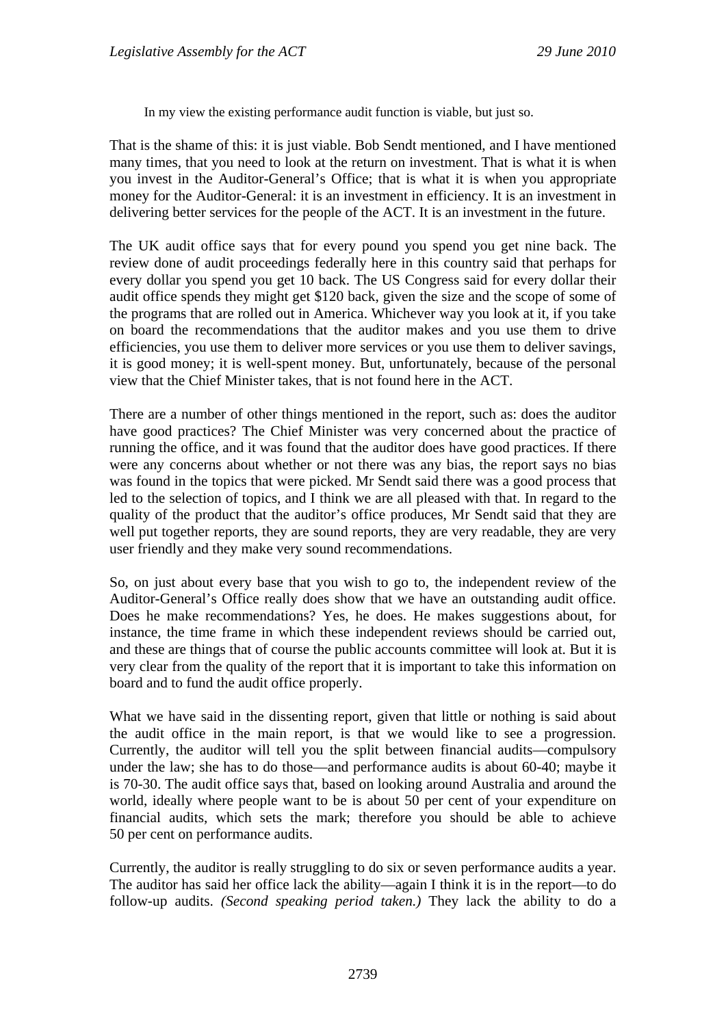In my view the existing performance audit function is viable, but just so.

That is the shame of this: it is just viable. Bob Sendt mentioned, and I have mentioned many times, that you need to look at the return on investment. That is what it is when you invest in the Auditor-General's Office; that is what it is when you appropriate money for the Auditor-General: it is an investment in efficiency. It is an investment in delivering better services for the people of the ACT. It is an investment in the future.

The UK audit office says that for every pound you spend you get nine back. The review done of audit proceedings federally here in this country said that perhaps for every dollar you spend you get 10 back. The US Congress said for every dollar their audit office spends they might get \$120 back, given the size and the scope of some of the programs that are rolled out in America. Whichever way you look at it, if you take on board the recommendations that the auditor makes and you use them to drive efficiencies, you use them to deliver more services or you use them to deliver savings, it is good money; it is well-spent money. But, unfortunately, because of the personal view that the Chief Minister takes, that is not found here in the ACT.

There are a number of other things mentioned in the report, such as: does the auditor have good practices? The Chief Minister was very concerned about the practice of running the office, and it was found that the auditor does have good practices. If there were any concerns about whether or not there was any bias, the report says no bias was found in the topics that were picked. Mr Sendt said there was a good process that led to the selection of topics, and I think we are all pleased with that. In regard to the quality of the product that the auditor's office produces, Mr Sendt said that they are well put together reports, they are sound reports, they are very readable, they are very user friendly and they make very sound recommendations.

So, on just about every base that you wish to go to, the independent review of the Auditor-General's Office really does show that we have an outstanding audit office. Does he make recommendations? Yes, he does. He makes suggestions about, for instance, the time frame in which these independent reviews should be carried out, and these are things that of course the public accounts committee will look at. But it is very clear from the quality of the report that it is important to take this information on board and to fund the audit office properly.

What we have said in the dissenting report, given that little or nothing is said about the audit office in the main report, is that we would like to see a progression. Currently, the auditor will tell you the split between financial audits—compulsory under the law; she has to do those—and performance audits is about 60-40; maybe it is 70-30. The audit office says that, based on looking around Australia and around the world, ideally where people want to be is about 50 per cent of your expenditure on financial audits, which sets the mark; therefore you should be able to achieve 50 per cent on performance audits.

Currently, the auditor is really struggling to do six or seven performance audits a year. The auditor has said her office lack the ability—again I think it is in the report—to do follow-up audits. *(Second speaking period taken.)* They lack the ability to do a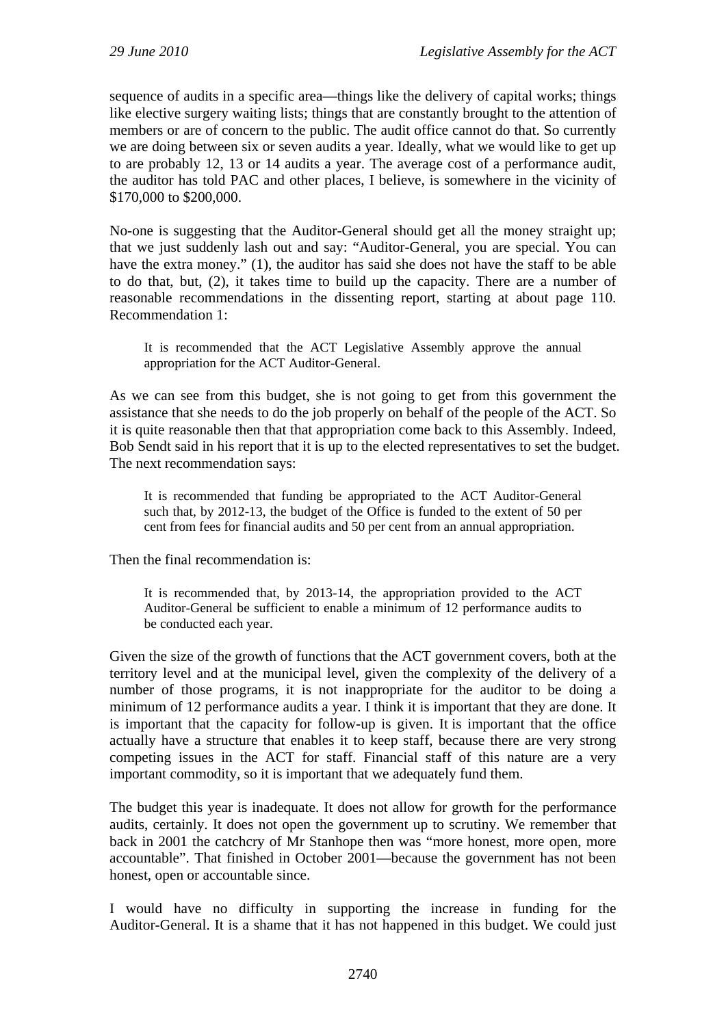sequence of audits in a specific area—things like the delivery of capital works; things like elective surgery waiting lists; things that are constantly brought to the attention of members or are of concern to the public. The audit office cannot do that. So currently we are doing between six or seven audits a year. Ideally, what we would like to get up to are probably 12, 13 or 14 audits a year. The average cost of a performance audit, the auditor has told PAC and other places, I believe, is somewhere in the vicinity of \$170,000 to \$200,000.

No-one is suggesting that the Auditor-General should get all the money straight up; that we just suddenly lash out and say: "Auditor-General, you are special. You can have the extra money." (1), the auditor has said she does not have the staff to be able to do that, but, (2), it takes time to build up the capacity. There are a number of reasonable recommendations in the dissenting report, starting at about page 110. Recommendation 1:

It is recommended that the ACT Legislative Assembly approve the annual appropriation for the ACT Auditor-General.

As we can see from this budget, she is not going to get from this government the assistance that she needs to do the job properly on behalf of the people of the ACT. So it is quite reasonable then that that appropriation come back to this Assembly. Indeed, Bob Sendt said in his report that it is up to the elected representatives to set the budget. The next recommendation says:

It is recommended that funding be appropriated to the ACT Auditor-General such that, by 2012-13, the budget of the Office is funded to the extent of 50 per cent from fees for financial audits and 50 per cent from an annual appropriation.

Then the final recommendation is:

It is recommended that, by 2013-14, the appropriation provided to the ACT Auditor-General be sufficient to enable a minimum of 12 performance audits to be conducted each year.

Given the size of the growth of functions that the ACT government covers, both at the territory level and at the municipal level, given the complexity of the delivery of a number of those programs, it is not inappropriate for the auditor to be doing a minimum of 12 performance audits a year. I think it is important that they are done. It is important that the capacity for follow-up is given. It is important that the office actually have a structure that enables it to keep staff, because there are very strong competing issues in the ACT for staff. Financial staff of this nature are a very important commodity, so it is important that we adequately fund them.

The budget this year is inadequate. It does not allow for growth for the performance audits, certainly. It does not open the government up to scrutiny. We remember that back in 2001 the catchcry of Mr Stanhope then was "more honest, more open, more accountable". That finished in October 2001—because the government has not been honest, open or accountable since.

I would have no difficulty in supporting the increase in funding for the Auditor-General. It is a shame that it has not happened in this budget. We could just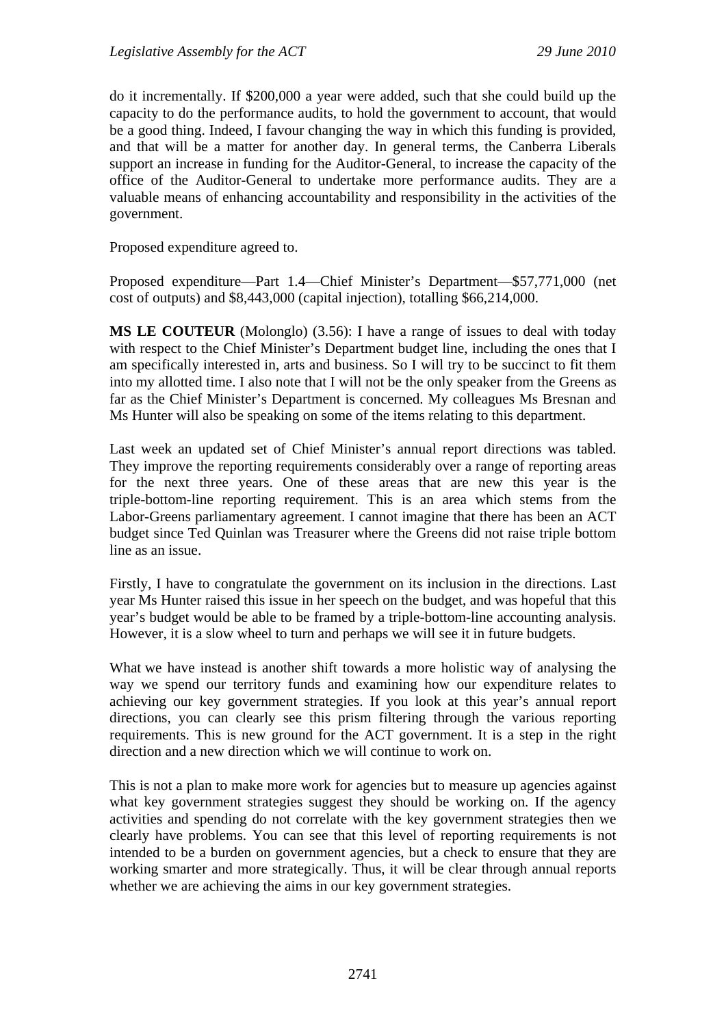do it incrementally. If \$200,000 a year were added, such that she could build up the capacity to do the performance audits, to hold the government to account, that would be a good thing. Indeed, I favour changing the way in which this funding is provided, and that will be a matter for another day. In general terms, the Canberra Liberals support an increase in funding for the Auditor-General, to increase the capacity of the office of the Auditor-General to undertake more performance audits. They are a valuable means of enhancing accountability and responsibility in the activities of the government.

Proposed expenditure agreed to.

Proposed expenditure—Part 1.4—Chief Minister's Department—\$57,771,000 (net cost of outputs) and \$8,443,000 (capital injection), totalling \$66,214,000.

**MS LE COUTEUR** (Molonglo) (3.56): I have a range of issues to deal with today with respect to the Chief Minister's Department budget line, including the ones that I am specifically interested in, arts and business. So I will try to be succinct to fit them into my allotted time. I also note that I will not be the only speaker from the Greens as far as the Chief Minister's Department is concerned. My colleagues Ms Bresnan and Ms Hunter will also be speaking on some of the items relating to this department.

Last week an updated set of Chief Minister's annual report directions was tabled. They improve the reporting requirements considerably over a range of reporting areas for the next three years. One of these areas that are new this year is the triple-bottom-line reporting requirement. This is an area which stems from the Labor-Greens parliamentary agreement. I cannot imagine that there has been an ACT budget since Ted Quinlan was Treasurer where the Greens did not raise triple bottom line as an issue.

Firstly, I have to congratulate the government on its inclusion in the directions. Last year Ms Hunter raised this issue in her speech on the budget, and was hopeful that this year's budget would be able to be framed by a triple-bottom-line accounting analysis. However, it is a slow wheel to turn and perhaps we will see it in future budgets.

What we have instead is another shift towards a more holistic way of analysing the way we spend our territory funds and examining how our expenditure relates to achieving our key government strategies. If you look at this year's annual report directions, you can clearly see this prism filtering through the various reporting requirements. This is new ground for the ACT government. It is a step in the right direction and a new direction which we will continue to work on.

This is not a plan to make more work for agencies but to measure up agencies against what key government strategies suggest they should be working on. If the agency activities and spending do not correlate with the key government strategies then we clearly have problems. You can see that this level of reporting requirements is not intended to be a burden on government agencies, but a check to ensure that they are working smarter and more strategically. Thus, it will be clear through annual reports whether we are achieving the aims in our key government strategies.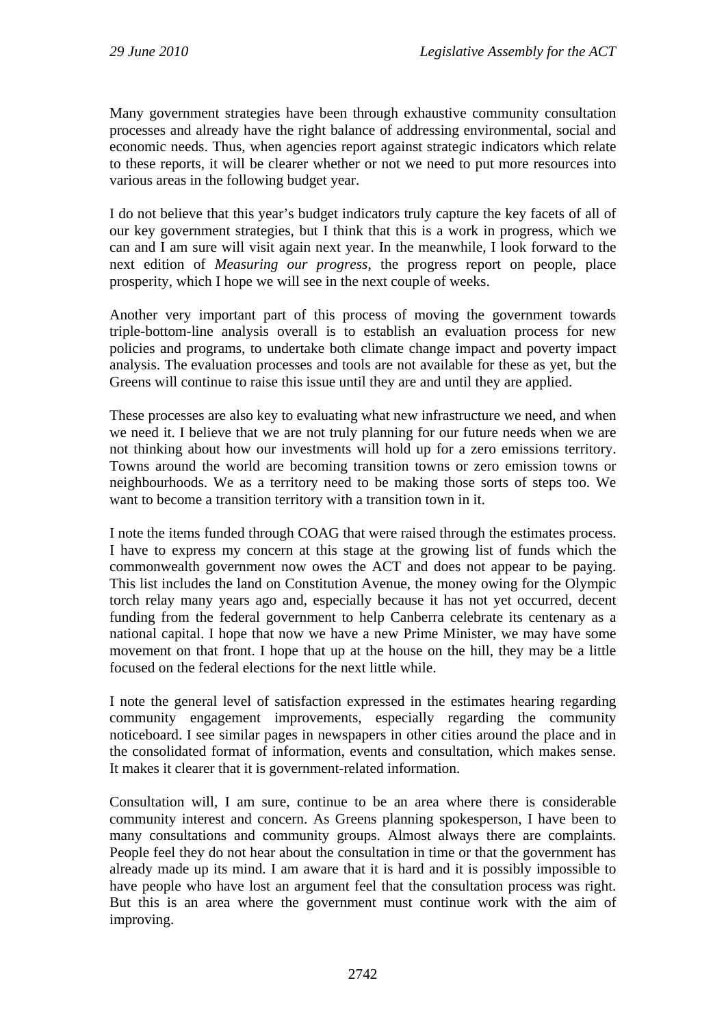Many government strategies have been through exhaustive community consultation processes and already have the right balance of addressing environmental, social and economic needs. Thus, when agencies report against strategic indicators which relate to these reports, it will be clearer whether or not we need to put more resources into various areas in the following budget year.

I do not believe that this year's budget indicators truly capture the key facets of all of our key government strategies, but I think that this is a work in progress, which we can and I am sure will visit again next year. In the meanwhile, I look forward to the next edition of *Measuring our progress*, the progress report on people, place prosperity, which I hope we will see in the next couple of weeks.

Another very important part of this process of moving the government towards triple-bottom-line analysis overall is to establish an evaluation process for new policies and programs, to undertake both climate change impact and poverty impact analysis. The evaluation processes and tools are not available for these as yet, but the Greens will continue to raise this issue until they are and until they are applied.

These processes are also key to evaluating what new infrastructure we need, and when we need it. I believe that we are not truly planning for our future needs when we are not thinking about how our investments will hold up for a zero emissions territory. Towns around the world are becoming transition towns or zero emission towns or neighbourhoods. We as a territory need to be making those sorts of steps too. We want to become a transition territory with a transition town in it.

I note the items funded through COAG that were raised through the estimates process. I have to express my concern at this stage at the growing list of funds which the commonwealth government now owes the ACT and does not appear to be paying. This list includes the land on Constitution Avenue, the money owing for the Olympic torch relay many years ago and, especially because it has not yet occurred, decent funding from the federal government to help Canberra celebrate its centenary as a national capital. I hope that now we have a new Prime Minister, we may have some movement on that front. I hope that up at the house on the hill, they may be a little focused on the federal elections for the next little while.

I note the general level of satisfaction expressed in the estimates hearing regarding community engagement improvements, especially regarding the community noticeboard. I see similar pages in newspapers in other cities around the place and in the consolidated format of information, events and consultation, which makes sense. It makes it clearer that it is government-related information.

Consultation will, I am sure, continue to be an area where there is considerable community interest and concern. As Greens planning spokesperson, I have been to many consultations and community groups. Almost always there are complaints. People feel they do not hear about the consultation in time or that the government has already made up its mind. I am aware that it is hard and it is possibly impossible to have people who have lost an argument feel that the consultation process was right. But this is an area where the government must continue work with the aim of improving.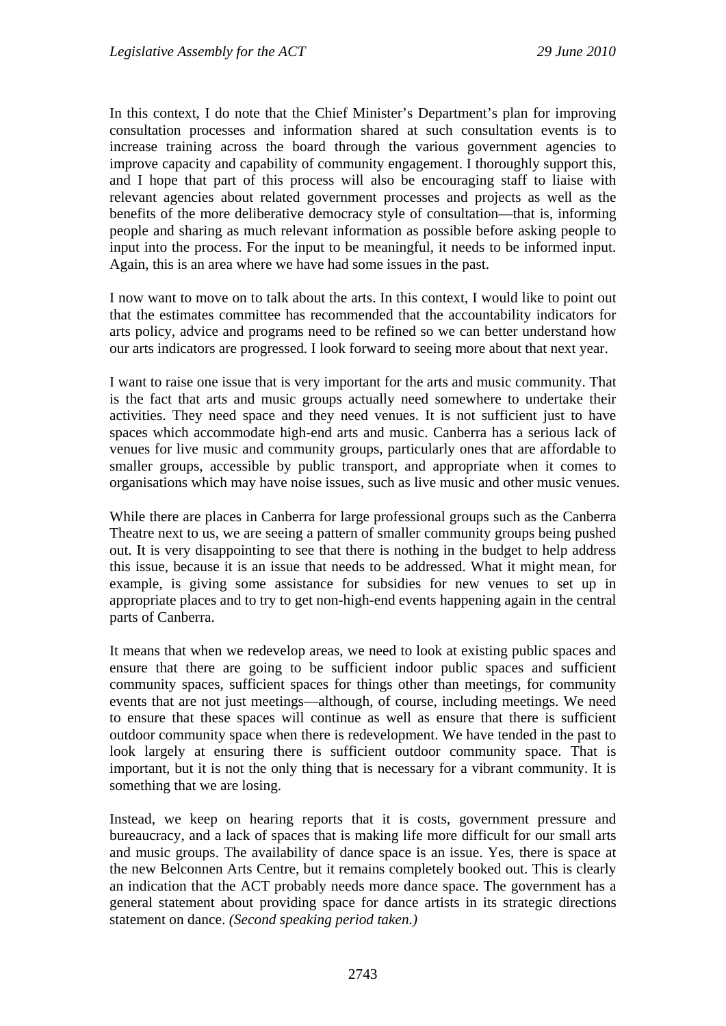In this context, I do note that the Chief Minister's Department's plan for improving consultation processes and information shared at such consultation events is to increase training across the board through the various government agencies to improve capacity and capability of community engagement. I thoroughly support this, and I hope that part of this process will also be encouraging staff to liaise with relevant agencies about related government processes and projects as well as the benefits of the more deliberative democracy style of consultation—that is, informing people and sharing as much relevant information as possible before asking people to input into the process. For the input to be meaningful, it needs to be informed input. Again, this is an area where we have had some issues in the past.

I now want to move on to talk about the arts. In this context, I would like to point out that the estimates committee has recommended that the accountability indicators for arts policy, advice and programs need to be refined so we can better understand how our arts indicators are progressed. I look forward to seeing more about that next year.

I want to raise one issue that is very important for the arts and music community. That is the fact that arts and music groups actually need somewhere to undertake their activities. They need space and they need venues. It is not sufficient just to have spaces which accommodate high-end arts and music. Canberra has a serious lack of venues for live music and community groups, particularly ones that are affordable to smaller groups, accessible by public transport, and appropriate when it comes to organisations which may have noise issues, such as live music and other music venues.

While there are places in Canberra for large professional groups such as the Canberra Theatre next to us, we are seeing a pattern of smaller community groups being pushed out. It is very disappointing to see that there is nothing in the budget to help address this issue, because it is an issue that needs to be addressed. What it might mean, for example, is giving some assistance for subsidies for new venues to set up in appropriate places and to try to get non-high-end events happening again in the central parts of Canberra.

It means that when we redevelop areas, we need to look at existing public spaces and ensure that there are going to be sufficient indoor public spaces and sufficient community spaces, sufficient spaces for things other than meetings, for community events that are not just meetings—although, of course, including meetings. We need to ensure that these spaces will continue as well as ensure that there is sufficient outdoor community space when there is redevelopment. We have tended in the past to look largely at ensuring there is sufficient outdoor community space. That is important, but it is not the only thing that is necessary for a vibrant community. It is something that we are losing.

Instead, we keep on hearing reports that it is costs, government pressure and bureaucracy, and a lack of spaces that is making life more difficult for our small arts and music groups. The availability of dance space is an issue. Yes, there is space at the new Belconnen Arts Centre, but it remains completely booked out. This is clearly an indication that the ACT probably needs more dance space. The government has a general statement about providing space for dance artists in its strategic directions statement on dance. *(Second speaking period taken.)*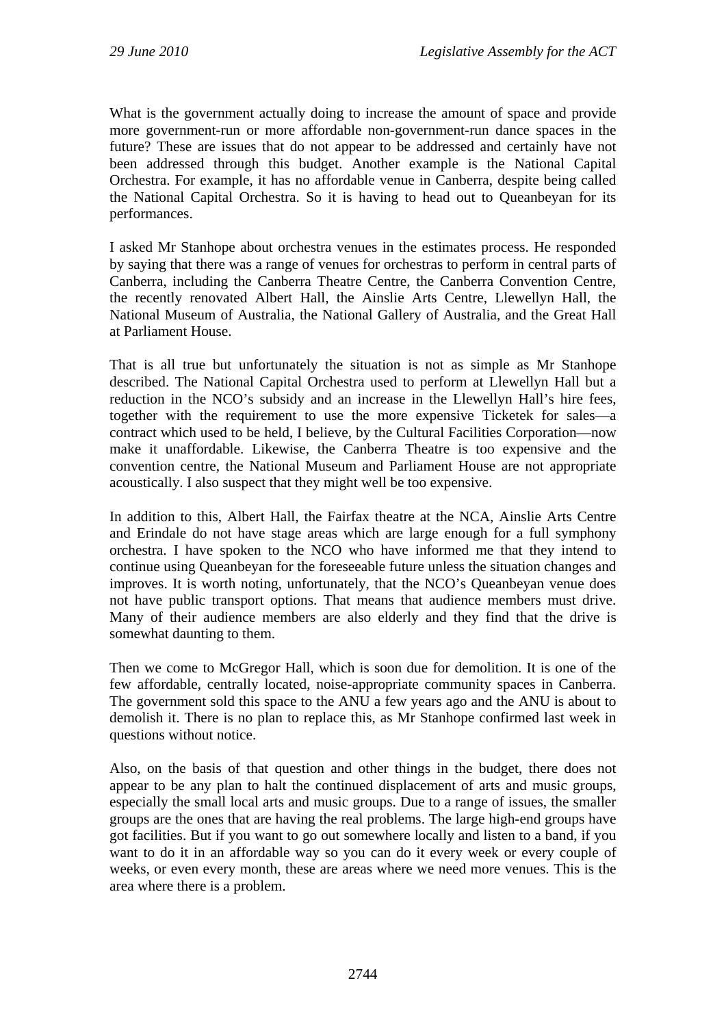What is the government actually doing to increase the amount of space and provide more government-run or more affordable non-government-run dance spaces in the future? These are issues that do not appear to be addressed and certainly have not been addressed through this budget. Another example is the National Capital Orchestra. For example, it has no affordable venue in Canberra, despite being called the National Capital Orchestra. So it is having to head out to Queanbeyan for its performances.

I asked Mr Stanhope about orchestra venues in the estimates process. He responded by saying that there was a range of venues for orchestras to perform in central parts of Canberra, including the Canberra Theatre Centre, the Canberra Convention Centre, the recently renovated Albert Hall, the Ainslie Arts Centre, Llewellyn Hall, the National Museum of Australia, the National Gallery of Australia, and the Great Hall at Parliament House.

That is all true but unfortunately the situation is not as simple as Mr Stanhope described. The National Capital Orchestra used to perform at Llewellyn Hall but a reduction in the NCO's subsidy and an increase in the Llewellyn Hall's hire fees, together with the requirement to use the more expensive Ticketek for sales—a contract which used to be held, I believe, by the Cultural Facilities Corporation—now make it unaffordable. Likewise, the Canberra Theatre is too expensive and the convention centre, the National Museum and Parliament House are not appropriate acoustically. I also suspect that they might well be too expensive.

In addition to this, Albert Hall, the Fairfax theatre at the NCA, Ainslie Arts Centre and Erindale do not have stage areas which are large enough for a full symphony orchestra. I have spoken to the NCO who have informed me that they intend to continue using Queanbeyan for the foreseeable future unless the situation changes and improves. It is worth noting, unfortunately, that the NCO's Queanbeyan venue does not have public transport options. That means that audience members must drive. Many of their audience members are also elderly and they find that the drive is somewhat daunting to them.

Then we come to McGregor Hall, which is soon due for demolition. It is one of the few affordable, centrally located, noise-appropriate community spaces in Canberra. The government sold this space to the ANU a few years ago and the ANU is about to demolish it. There is no plan to replace this, as Mr Stanhope confirmed last week in questions without notice.

Also, on the basis of that question and other things in the budget, there does not appear to be any plan to halt the continued displacement of arts and music groups, especially the small local arts and music groups. Due to a range of issues, the smaller groups are the ones that are having the real problems. The large high-end groups have got facilities. But if you want to go out somewhere locally and listen to a band, if you want to do it in an affordable way so you can do it every week or every couple of weeks, or even every month, these are areas where we need more venues. This is the area where there is a problem.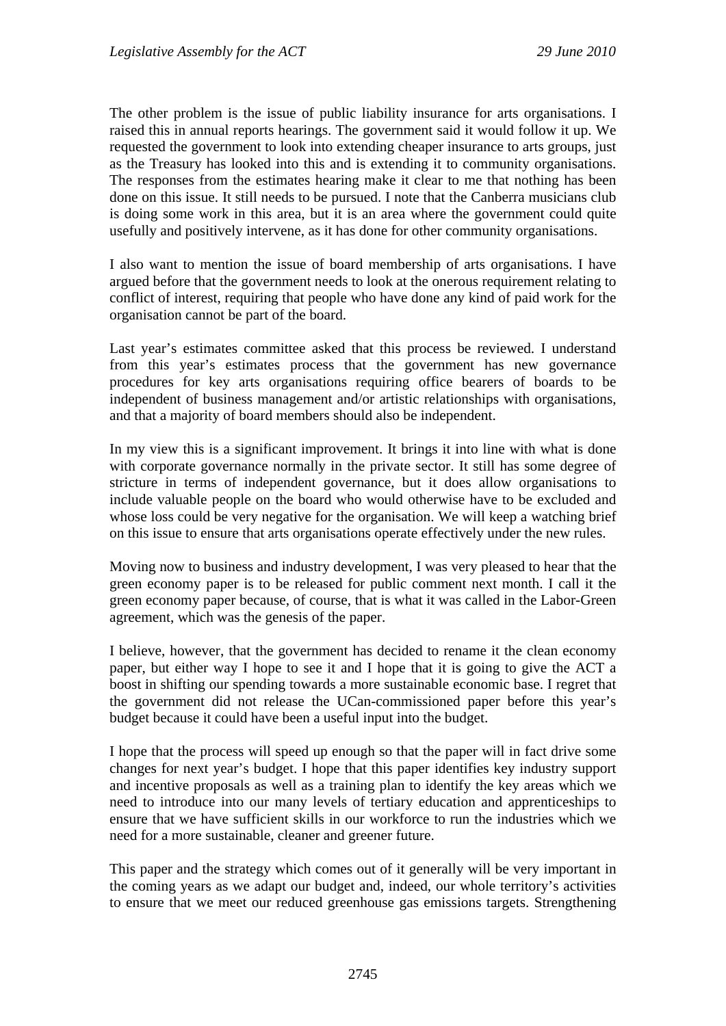The other problem is the issue of public liability insurance for arts organisations. I raised this in annual reports hearings. The government said it would follow it up. We requested the government to look into extending cheaper insurance to arts groups, just as the Treasury has looked into this and is extending it to community organisations. The responses from the estimates hearing make it clear to me that nothing has been done on this issue. It still needs to be pursued. I note that the Canberra musicians club is doing some work in this area, but it is an area where the government could quite usefully and positively intervene, as it has done for other community organisations.

I also want to mention the issue of board membership of arts organisations. I have argued before that the government needs to look at the onerous requirement relating to conflict of interest, requiring that people who have done any kind of paid work for the organisation cannot be part of the board.

Last year's estimates committee asked that this process be reviewed. I understand from this year's estimates process that the government has new governance procedures for key arts organisations requiring office bearers of boards to be independent of business management and/or artistic relationships with organisations, and that a majority of board members should also be independent.

In my view this is a significant improvement. It brings it into line with what is done with corporate governance normally in the private sector. It still has some degree of stricture in terms of independent governance, but it does allow organisations to include valuable people on the board who would otherwise have to be excluded and whose loss could be very negative for the organisation. We will keep a watching brief on this issue to ensure that arts organisations operate effectively under the new rules.

Moving now to business and industry development, I was very pleased to hear that the green economy paper is to be released for public comment next month. I call it the green economy paper because, of course, that is what it was called in the Labor-Green agreement, which was the genesis of the paper.

I believe, however, that the government has decided to rename it the clean economy paper, but either way I hope to see it and I hope that it is going to give the ACT a boost in shifting our spending towards a more sustainable economic base. I regret that the government did not release the UCan-commissioned paper before this year's budget because it could have been a useful input into the budget.

I hope that the process will speed up enough so that the paper will in fact drive some changes for next year's budget. I hope that this paper identifies key industry support and incentive proposals as well as a training plan to identify the key areas which we need to introduce into our many levels of tertiary education and apprenticeships to ensure that we have sufficient skills in our workforce to run the industries which we need for a more sustainable, cleaner and greener future.

This paper and the strategy which comes out of it generally will be very important in the coming years as we adapt our budget and, indeed, our whole territory's activities to ensure that we meet our reduced greenhouse gas emissions targets. Strengthening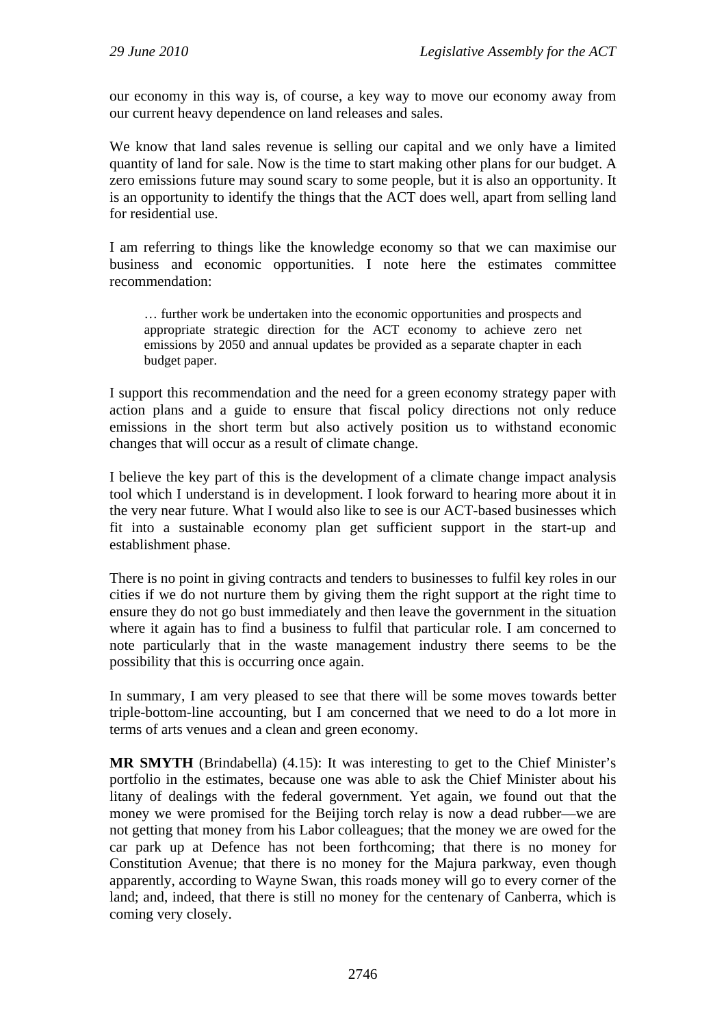our economy in this way is, of course, a key way to move our economy away from our current heavy dependence on land releases and sales.

We know that land sales revenue is selling our capital and we only have a limited quantity of land for sale. Now is the time to start making other plans for our budget. A zero emissions future may sound scary to some people, but it is also an opportunity. It is an opportunity to identify the things that the ACT does well, apart from selling land for residential use.

I am referring to things like the knowledge economy so that we can maximise our business and economic opportunities. I note here the estimates committee recommendation:

… further work be undertaken into the economic opportunities and prospects and appropriate strategic direction for the ACT economy to achieve zero net emissions by 2050 and annual updates be provided as a separate chapter in each budget paper.

I support this recommendation and the need for a green economy strategy paper with action plans and a guide to ensure that fiscal policy directions not only reduce emissions in the short term but also actively position us to withstand economic changes that will occur as a result of climate change.

I believe the key part of this is the development of a climate change impact analysis tool which I understand is in development. I look forward to hearing more about it in the very near future. What I would also like to see is our ACT-based businesses which fit into a sustainable economy plan get sufficient support in the start-up and establishment phase.

There is no point in giving contracts and tenders to businesses to fulfil key roles in our cities if we do not nurture them by giving them the right support at the right time to ensure they do not go bust immediately and then leave the government in the situation where it again has to find a business to fulfil that particular role. I am concerned to note particularly that in the waste management industry there seems to be the possibility that this is occurring once again.

In summary, I am very pleased to see that there will be some moves towards better triple-bottom-line accounting, but I am concerned that we need to do a lot more in terms of arts venues and a clean and green economy.

**MR SMYTH** (Brindabella) (4.15): It was interesting to get to the Chief Minister's portfolio in the estimates, because one was able to ask the Chief Minister about his litany of dealings with the federal government. Yet again, we found out that the money we were promised for the Beijing torch relay is now a dead rubber—we are not getting that money from his Labor colleagues; that the money we are owed for the car park up at Defence has not been forthcoming; that there is no money for Constitution Avenue; that there is no money for the Majura parkway, even though apparently, according to Wayne Swan, this roads money will go to every corner of the land; and, indeed, that there is still no money for the centenary of Canberra, which is coming very closely.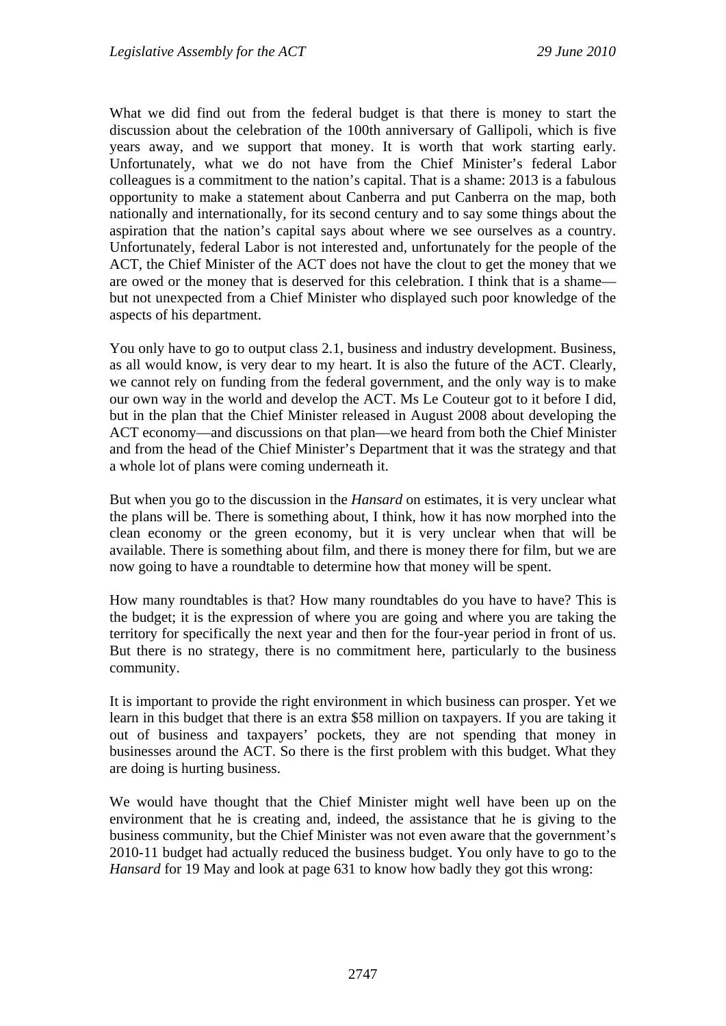What we did find out from the federal budget is that there is money to start the discussion about the celebration of the 100th anniversary of Gallipoli, which is five years away, and we support that money. It is worth that work starting early. Unfortunately, what we do not have from the Chief Minister's federal Labor colleagues is a commitment to the nation's capital. That is a shame: 2013 is a fabulous opportunity to make a statement about Canberra and put Canberra on the map, both nationally and internationally, for its second century and to say some things about the aspiration that the nation's capital says about where we see ourselves as a country. Unfortunately, federal Labor is not interested and, unfortunately for the people of the ACT, the Chief Minister of the ACT does not have the clout to get the money that we are owed or the money that is deserved for this celebration. I think that is a shame but not unexpected from a Chief Minister who displayed such poor knowledge of the aspects of his department.

You only have to go to output class 2.1, business and industry development. Business, as all would know, is very dear to my heart. It is also the future of the ACT. Clearly, we cannot rely on funding from the federal government, and the only way is to make our own way in the world and develop the ACT. Ms Le Couteur got to it before I did, but in the plan that the Chief Minister released in August 2008 about developing the ACT economy—and discussions on that plan—we heard from both the Chief Minister and from the head of the Chief Minister's Department that it was the strategy and that a whole lot of plans were coming underneath it.

But when you go to the discussion in the *Hansard* on estimates, it is very unclear what the plans will be. There is something about, I think, how it has now morphed into the clean economy or the green economy, but it is very unclear when that will be available. There is something about film, and there is money there for film, but we are now going to have a roundtable to determine how that money will be spent.

How many roundtables is that? How many roundtables do you have to have? This is the budget; it is the expression of where you are going and where you are taking the territory for specifically the next year and then for the four-year period in front of us. But there is no strategy, there is no commitment here, particularly to the business community.

It is important to provide the right environment in which business can prosper. Yet we learn in this budget that there is an extra \$58 million on taxpayers. If you are taking it out of business and taxpayers' pockets, they are not spending that money in businesses around the ACT. So there is the first problem with this budget. What they are doing is hurting business.

We would have thought that the Chief Minister might well have been up on the environment that he is creating and, indeed, the assistance that he is giving to the business community, but the Chief Minister was not even aware that the government's 2010-11 budget had actually reduced the business budget. You only have to go to the *Hansard* for 19 May and look at page 631 to know how badly they got this wrong: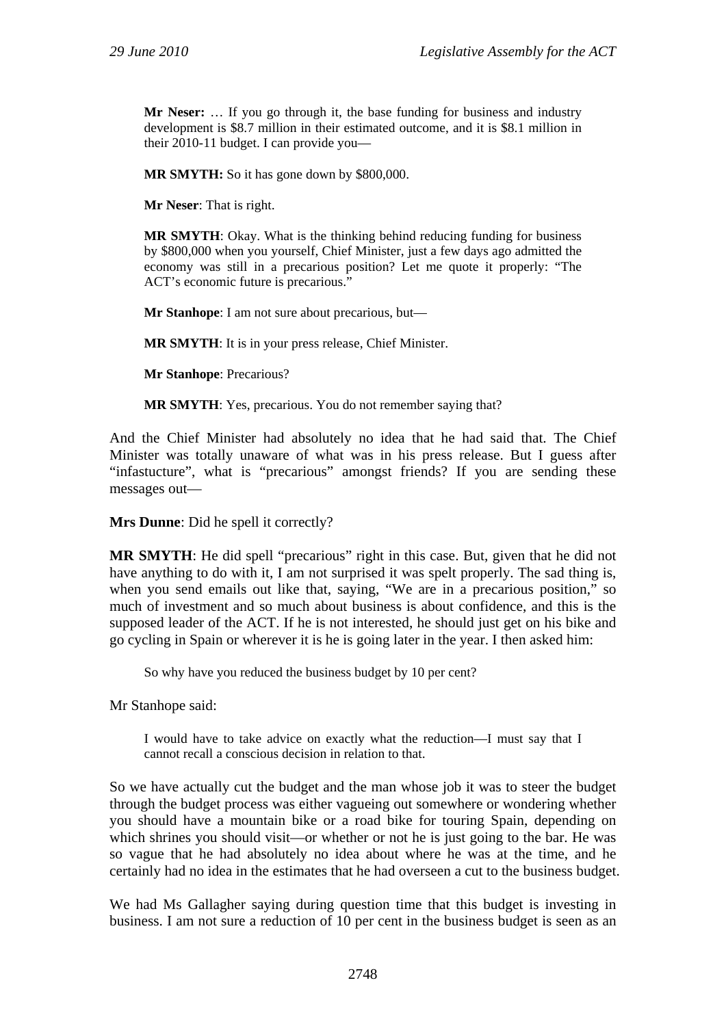**Mr Neser:** … If you go through it, the base funding for business and industry development is \$8.7 million in their estimated outcome, and it is \$8.1 million in their 2010-11 budget. I can provide you—

**MR SMYTH:** So it has gone down by \$800,000.

**Mr Neser**: That is right.

**MR SMYTH**: Okay. What is the thinking behind reducing funding for business by \$800,000 when you yourself, Chief Minister, just a few days ago admitted the economy was still in a precarious position? Let me quote it properly: "The ACT's economic future is precarious."

**Mr Stanhope**: I am not sure about precarious, but—

**MR SMYTH**: It is in your press release, Chief Minister.

**Mr Stanhope**: Precarious?

**MR SMYTH**: Yes, precarious. You do not remember saying that?

And the Chief Minister had absolutely no idea that he had said that. The Chief Minister was totally unaware of what was in his press release. But I guess after "infastucture", what is "precarious" amongst friends? If you are sending these messages out—

**Mrs Dunne**: Did he spell it correctly?

**MR SMYTH**: He did spell "precarious" right in this case. But, given that he did not have anything to do with it, I am not surprised it was spelt properly. The sad thing is, when you send emails out like that, saying, "We are in a precarious position," so much of investment and so much about business is about confidence, and this is the supposed leader of the ACT. If he is not interested, he should just get on his bike and go cycling in Spain or wherever it is he is going later in the year. I then asked him:

So why have you reduced the business budget by 10 per cent?

Mr Stanhope said:

I would have to take advice on exactly what the reduction—I must say that I cannot recall a conscious decision in relation to that.

So we have actually cut the budget and the man whose job it was to steer the budget through the budget process was either vagueing out somewhere or wondering whether you should have a mountain bike or a road bike for touring Spain, depending on which shrines you should visit—or whether or not he is just going to the bar. He was so vague that he had absolutely no idea about where he was at the time, and he certainly had no idea in the estimates that he had overseen a cut to the business budget.

We had Ms Gallagher saying during question time that this budget is investing in business. I am not sure a reduction of 10 per cent in the business budget is seen as an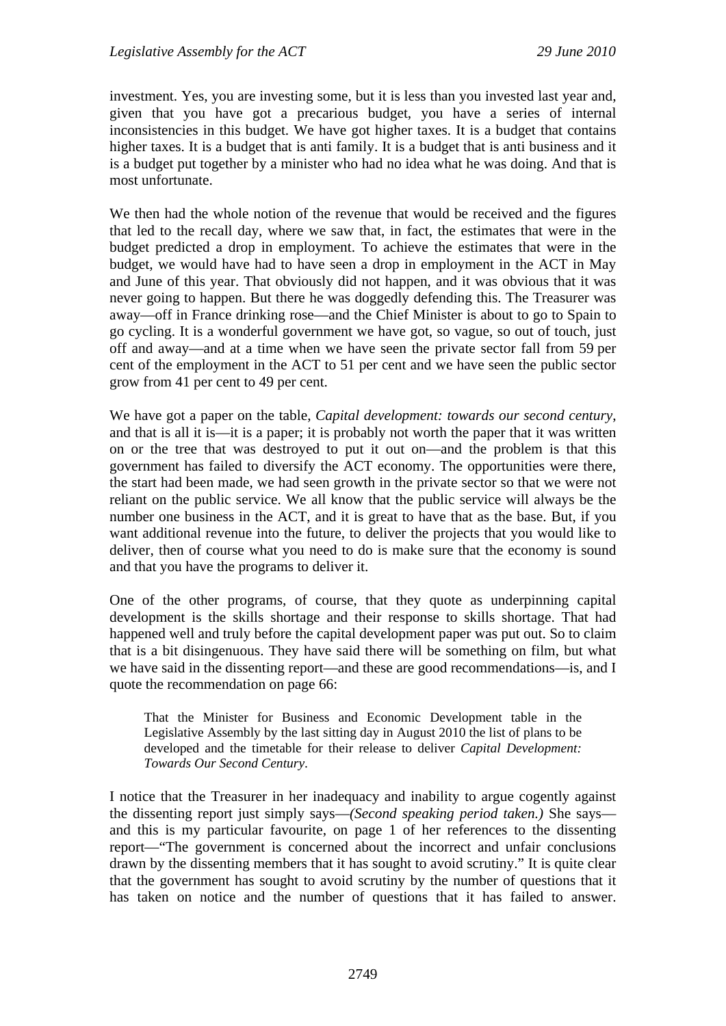investment. Yes, you are investing some, but it is less than you invested last year and, given that you have got a precarious budget, you have a series of internal inconsistencies in this budget. We have got higher taxes. It is a budget that contains higher taxes. It is a budget that is anti family. It is a budget that is anti business and it is a budget put together by a minister who had no idea what he was doing. And that is most unfortunate.

We then had the whole notion of the revenue that would be received and the figures that led to the recall day, where we saw that, in fact, the estimates that were in the budget predicted a drop in employment. To achieve the estimates that were in the budget, we would have had to have seen a drop in employment in the ACT in May and June of this year. That obviously did not happen, and it was obvious that it was never going to happen. But there he was doggedly defending this. The Treasurer was away—off in France drinking rose—and the Chief Minister is about to go to Spain to go cycling. It is a wonderful government we have got, so vague, so out of touch, just off and away—and at a time when we have seen the private sector fall from 59 per cent of the employment in the ACT to 51 per cent and we have seen the public sector grow from 41 per cent to 49 per cent.

We have got a paper on the table, *Capital development: towards our second century*, and that is all it is—it is a paper; it is probably not worth the paper that it was written on or the tree that was destroyed to put it out on—and the problem is that this government has failed to diversify the ACT economy. The opportunities were there, the start had been made, we had seen growth in the private sector so that we were not reliant on the public service. We all know that the public service will always be the number one business in the ACT, and it is great to have that as the base. But, if you want additional revenue into the future, to deliver the projects that you would like to deliver, then of course what you need to do is make sure that the economy is sound and that you have the programs to deliver it.

One of the other programs, of course, that they quote as underpinning capital development is the skills shortage and their response to skills shortage. That had happened well and truly before the capital development paper was put out. So to claim that is a bit disingenuous. They have said there will be something on film, but what we have said in the dissenting report—and these are good recommendations—is, and I quote the recommendation on page 66:

That the Minister for Business and Economic Development table in the Legislative Assembly by the last sitting day in August 2010 the list of plans to be developed and the timetable for their release to deliver *Capital Development: Towards Our Second Century*.

I notice that the Treasurer in her inadequacy and inability to argue cogently against the dissenting report just simply says—*(Second speaking period taken.)* She says and this is my particular favourite, on page 1 of her references to the dissenting report—"The government is concerned about the incorrect and unfair conclusions drawn by the dissenting members that it has sought to avoid scrutiny." It is quite clear that the government has sought to avoid scrutiny by the number of questions that it has taken on notice and the number of questions that it has failed to answer.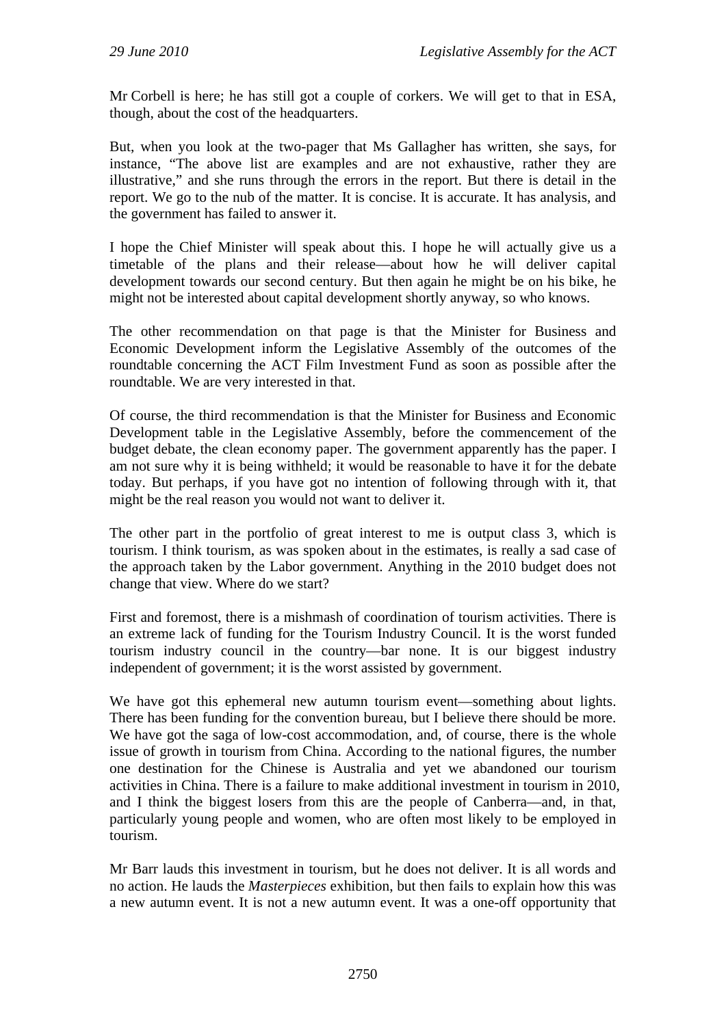Mr Corbell is here; he has still got a couple of corkers. We will get to that in ESA, though, about the cost of the headquarters.

But, when you look at the two-pager that Ms Gallagher has written, she says, for instance, "The above list are examples and are not exhaustive, rather they are illustrative," and she runs through the errors in the report. But there is detail in the report. We go to the nub of the matter. It is concise. It is accurate. It has analysis, and the government has failed to answer it.

I hope the Chief Minister will speak about this. I hope he will actually give us a timetable of the plans and their release—about how he will deliver capital development towards our second century. But then again he might be on his bike, he might not be interested about capital development shortly anyway, so who knows.

The other recommendation on that page is that the Minister for Business and Economic Development inform the Legislative Assembly of the outcomes of the roundtable concerning the ACT Film Investment Fund as soon as possible after the roundtable. We are very interested in that.

Of course, the third recommendation is that the Minister for Business and Economic Development table in the Legislative Assembly, before the commencement of the budget debate, the clean economy paper. The government apparently has the paper. I am not sure why it is being withheld; it would be reasonable to have it for the debate today. But perhaps, if you have got no intention of following through with it, that might be the real reason you would not want to deliver it.

The other part in the portfolio of great interest to me is output class 3, which is tourism. I think tourism, as was spoken about in the estimates, is really a sad case of the approach taken by the Labor government. Anything in the 2010 budget does not change that view. Where do we start?

First and foremost, there is a mishmash of coordination of tourism activities. There is an extreme lack of funding for the Tourism Industry Council. It is the worst funded tourism industry council in the country—bar none. It is our biggest industry independent of government; it is the worst assisted by government.

We have got this ephemeral new autumn tourism event—something about lights. There has been funding for the convention bureau, but I believe there should be more. We have got the saga of low-cost accommodation, and, of course, there is the whole issue of growth in tourism from China. According to the national figures, the number one destination for the Chinese is Australia and yet we abandoned our tourism activities in China. There is a failure to make additional investment in tourism in 2010, and I think the biggest losers from this are the people of Canberra—and, in that, particularly young people and women, who are often most likely to be employed in tourism.

Mr Barr lauds this investment in tourism, but he does not deliver. It is all words and no action. He lauds the *Masterpieces* exhibition, but then fails to explain how this was a new autumn event. It is not a new autumn event. It was a one-off opportunity that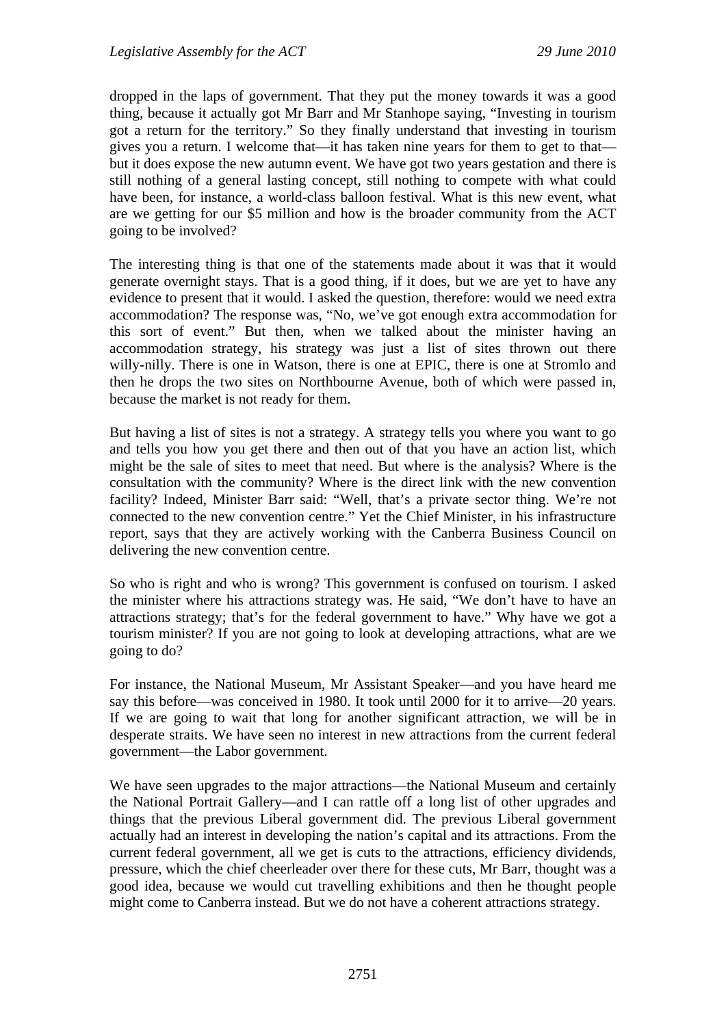dropped in the laps of government. That they put the money towards it was a good thing, because it actually got Mr Barr and Mr Stanhope saying, "Investing in tourism got a return for the territory." So they finally understand that investing in tourism gives you a return. I welcome that—it has taken nine years for them to get to that but it does expose the new autumn event. We have got two years gestation and there is still nothing of a general lasting concept, still nothing to compete with what could have been, for instance, a world-class balloon festival. What is this new event, what are we getting for our \$5 million and how is the broader community from the ACT going to be involved?

The interesting thing is that one of the statements made about it was that it would generate overnight stays. That is a good thing, if it does, but we are yet to have any evidence to present that it would. I asked the question, therefore: would we need extra accommodation? The response was, "No, we've got enough extra accommodation for this sort of event." But then, when we talked about the minister having an accommodation strategy, his strategy was just a list of sites thrown out there willy-nilly. There is one in Watson, there is one at EPIC, there is one at Stromlo and then he drops the two sites on Northbourne Avenue, both of which were passed in, because the market is not ready for them.

But having a list of sites is not a strategy. A strategy tells you where you want to go and tells you how you get there and then out of that you have an action list, which might be the sale of sites to meet that need. But where is the analysis? Where is the consultation with the community? Where is the direct link with the new convention facility? Indeed, Minister Barr said: "Well, that's a private sector thing. We're not connected to the new convention centre." Yet the Chief Minister, in his infrastructure report, says that they are actively working with the Canberra Business Council on delivering the new convention centre.

So who is right and who is wrong? This government is confused on tourism. I asked the minister where his attractions strategy was. He said, "We don't have to have an attractions strategy; that's for the federal government to have." Why have we got a tourism minister? If you are not going to look at developing attractions, what are we going to do?

For instance, the National Museum, Mr Assistant Speaker—and you have heard me say this before—was conceived in 1980. It took until 2000 for it to arrive—20 years. If we are going to wait that long for another significant attraction, we will be in desperate straits. We have seen no interest in new attractions from the current federal government—the Labor government.

We have seen upgrades to the major attractions—the National Museum and certainly the National Portrait Gallery—and I can rattle off a long list of other upgrades and things that the previous Liberal government did. The previous Liberal government actually had an interest in developing the nation's capital and its attractions. From the current federal government, all we get is cuts to the attractions, efficiency dividends, pressure, which the chief cheerleader over there for these cuts, Mr Barr, thought was a good idea, because we would cut travelling exhibitions and then he thought people might come to Canberra instead. But we do not have a coherent attractions strategy.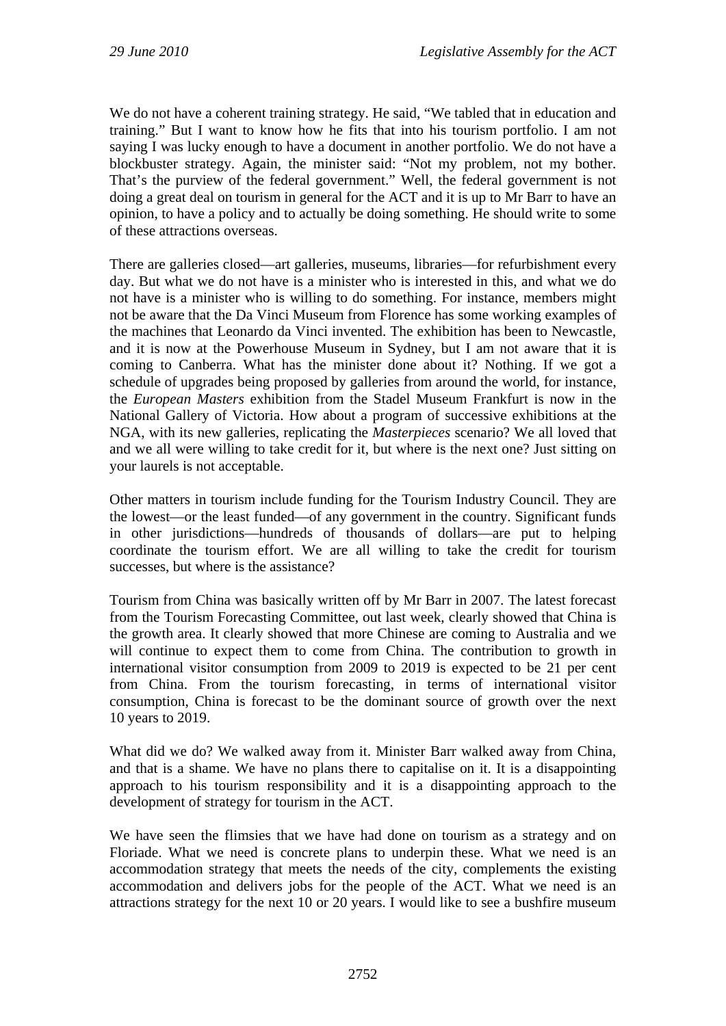We do not have a coherent training strategy. He said, "We tabled that in education and training." But I want to know how he fits that into his tourism portfolio. I am not saying I was lucky enough to have a document in another portfolio. We do not have a blockbuster strategy. Again, the minister said: "Not my problem, not my bother. That's the purview of the federal government." Well, the federal government is not doing a great deal on tourism in general for the ACT and it is up to Mr Barr to have an opinion, to have a policy and to actually be doing something. He should write to some of these attractions overseas.

There are galleries closed—art galleries, museums, libraries—for refurbishment every day. But what we do not have is a minister who is interested in this, and what we do not have is a minister who is willing to do something. For instance, members might not be aware that the Da Vinci Museum from Florence has some working examples of the machines that Leonardo da Vinci invented. The exhibition has been to Newcastle, and it is now at the Powerhouse Museum in Sydney, but I am not aware that it is coming to Canberra. What has the minister done about it? Nothing. If we got a schedule of upgrades being proposed by galleries from around the world, for instance, the *European Masters* exhibition from the Stadel Museum Frankfurt is now in the National Gallery of Victoria. How about a program of successive exhibitions at the NGA, with its new galleries, replicating the *Masterpieces* scenario? We all loved that and we all were willing to take credit for it, but where is the next one? Just sitting on your laurels is not acceptable.

Other matters in tourism include funding for the Tourism Industry Council. They are the lowest—or the least funded—of any government in the country. Significant funds in other jurisdictions—hundreds of thousands of dollars—are put to helping coordinate the tourism effort. We are all willing to take the credit for tourism successes, but where is the assistance?

Tourism from China was basically written off by Mr Barr in 2007. The latest forecast from the Tourism Forecasting Committee, out last week, clearly showed that China is the growth area. It clearly showed that more Chinese are coming to Australia and we will continue to expect them to come from China. The contribution to growth in international visitor consumption from 2009 to 2019 is expected to be 21 per cent from China. From the tourism forecasting, in terms of international visitor consumption, China is forecast to be the dominant source of growth over the next 10 years to 2019.

What did we do? We walked away from it. Minister Barr walked away from China, and that is a shame. We have no plans there to capitalise on it. It is a disappointing approach to his tourism responsibility and it is a disappointing approach to the development of strategy for tourism in the ACT.

We have seen the flimsies that we have had done on tourism as a strategy and on Floriade. What we need is concrete plans to underpin these. What we need is an accommodation strategy that meets the needs of the city, complements the existing accommodation and delivers jobs for the people of the ACT. What we need is an attractions strategy for the next 10 or 20 years. I would like to see a bushfire museum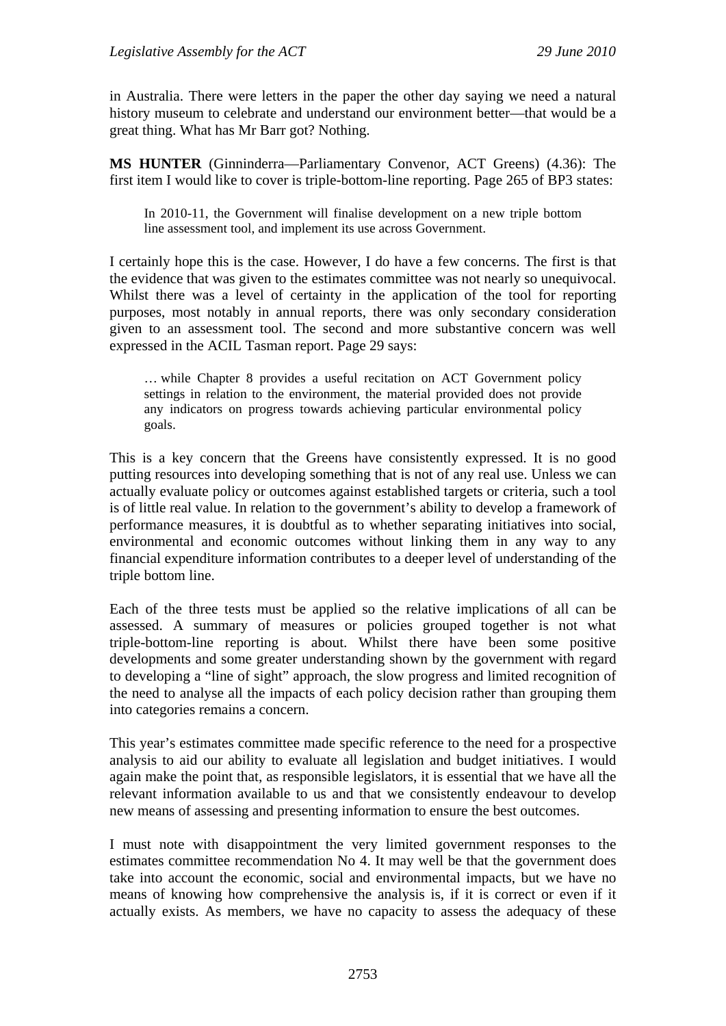in Australia. There were letters in the paper the other day saying we need a natural history museum to celebrate and understand our environment better—that would be a great thing. What has Mr Barr got? Nothing.

**MS HUNTER** (Ginninderra—Parliamentary Convenor, ACT Greens) (4.36): The first item I would like to cover is triple-bottom-line reporting. Page 265 of BP3 states:

In 2010-11, the Government will finalise development on a new triple bottom line assessment tool, and implement its use across Government.

I certainly hope this is the case. However, I do have a few concerns. The first is that the evidence that was given to the estimates committee was not nearly so unequivocal. Whilst there was a level of certainty in the application of the tool for reporting purposes, most notably in annual reports, there was only secondary consideration given to an assessment tool. The second and more substantive concern was well expressed in the ACIL Tasman report. Page 29 says:

… while Chapter 8 provides a useful recitation on ACT Government policy settings in relation to the environment, the material provided does not provide any indicators on progress towards achieving particular environmental policy goals.

This is a key concern that the Greens have consistently expressed. It is no good putting resources into developing something that is not of any real use. Unless we can actually evaluate policy or outcomes against established targets or criteria, such a tool is of little real value. In relation to the government's ability to develop a framework of performance measures, it is doubtful as to whether separating initiatives into social, environmental and economic outcomes without linking them in any way to any financial expenditure information contributes to a deeper level of understanding of the triple bottom line.

Each of the three tests must be applied so the relative implications of all can be assessed. A summary of measures or policies grouped together is not what triple-bottom-line reporting is about. Whilst there have been some positive developments and some greater understanding shown by the government with regard to developing a "line of sight" approach, the slow progress and limited recognition of the need to analyse all the impacts of each policy decision rather than grouping them into categories remains a concern.

This year's estimates committee made specific reference to the need for a prospective analysis to aid our ability to evaluate all legislation and budget initiatives. I would again make the point that, as responsible legislators, it is essential that we have all the relevant information available to us and that we consistently endeavour to develop new means of assessing and presenting information to ensure the best outcomes.

I must note with disappointment the very limited government responses to the estimates committee recommendation No 4. It may well be that the government does take into account the economic, social and environmental impacts, but we have no means of knowing how comprehensive the analysis is, if it is correct or even if it actually exists. As members, we have no capacity to assess the adequacy of these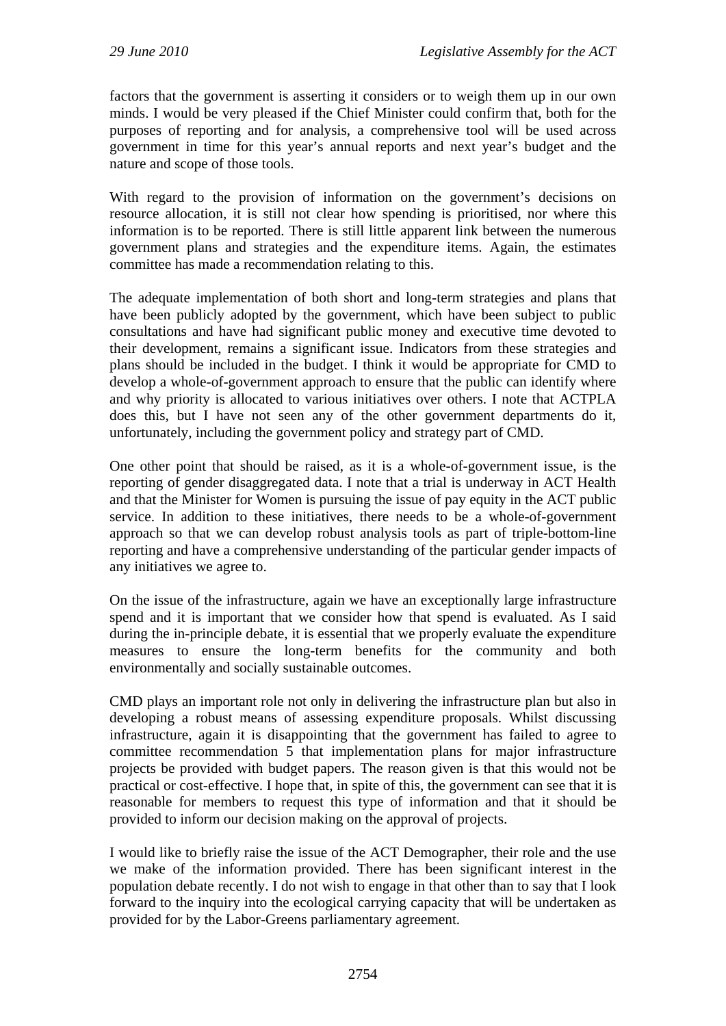factors that the government is asserting it considers or to weigh them up in our own minds. I would be very pleased if the Chief Minister could confirm that, both for the purposes of reporting and for analysis, a comprehensive tool will be used across government in time for this year's annual reports and next year's budget and the nature and scope of those tools.

With regard to the provision of information on the government's decisions on resource allocation, it is still not clear how spending is prioritised, nor where this information is to be reported. There is still little apparent link between the numerous government plans and strategies and the expenditure items. Again, the estimates committee has made a recommendation relating to this.

The adequate implementation of both short and long-term strategies and plans that have been publicly adopted by the government, which have been subject to public consultations and have had significant public money and executive time devoted to their development, remains a significant issue. Indicators from these strategies and plans should be included in the budget. I think it would be appropriate for CMD to develop a whole-of-government approach to ensure that the public can identify where and why priority is allocated to various initiatives over others. I note that ACTPLA does this, but I have not seen any of the other government departments do it, unfortunately, including the government policy and strategy part of CMD.

One other point that should be raised, as it is a whole-of-government issue, is the reporting of gender disaggregated data. I note that a trial is underway in ACT Health and that the Minister for Women is pursuing the issue of pay equity in the ACT public service. In addition to these initiatives, there needs to be a whole-of-government approach so that we can develop robust analysis tools as part of triple-bottom-line reporting and have a comprehensive understanding of the particular gender impacts of any initiatives we agree to.

On the issue of the infrastructure, again we have an exceptionally large infrastructure spend and it is important that we consider how that spend is evaluated. As I said during the in-principle debate, it is essential that we properly evaluate the expenditure measures to ensure the long-term benefits for the community and both environmentally and socially sustainable outcomes.

CMD plays an important role not only in delivering the infrastructure plan but also in developing a robust means of assessing expenditure proposals. Whilst discussing infrastructure, again it is disappointing that the government has failed to agree to committee recommendation 5 that implementation plans for major infrastructure projects be provided with budget papers. The reason given is that this would not be practical or cost-effective. I hope that, in spite of this, the government can see that it is reasonable for members to request this type of information and that it should be provided to inform our decision making on the approval of projects.

I would like to briefly raise the issue of the ACT Demographer, their role and the use we make of the information provided. There has been significant interest in the population debate recently. I do not wish to engage in that other than to say that I look forward to the inquiry into the ecological carrying capacity that will be undertaken as provided for by the Labor-Greens parliamentary agreement.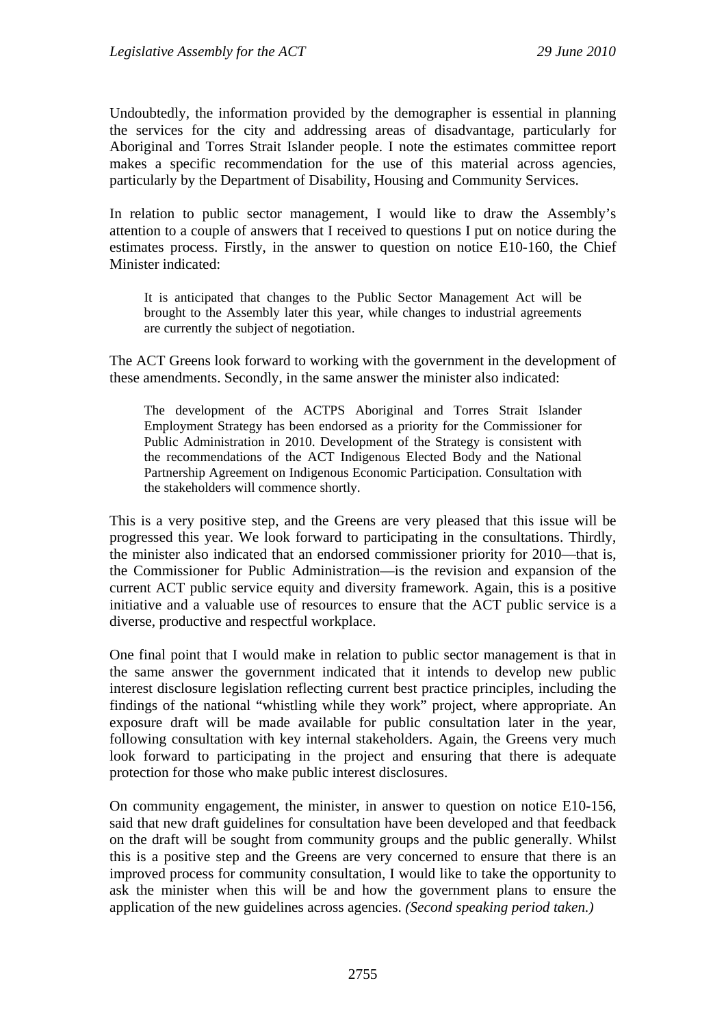Undoubtedly, the information provided by the demographer is essential in planning the services for the city and addressing areas of disadvantage, particularly for Aboriginal and Torres Strait Islander people. I note the estimates committee report makes a specific recommendation for the use of this material across agencies, particularly by the Department of Disability, Housing and Community Services.

In relation to public sector management, I would like to draw the Assembly's attention to a couple of answers that I received to questions I put on notice during the estimates process. Firstly, in the answer to question on notice E10-160, the Chief Minister indicated:

It is anticipated that changes to the Public Sector Management Act will be brought to the Assembly later this year, while changes to industrial agreements are currently the subject of negotiation.

The ACT Greens look forward to working with the government in the development of these amendments. Secondly, in the same answer the minister also indicated:

The development of the ACTPS Aboriginal and Torres Strait Islander Employment Strategy has been endorsed as a priority for the Commissioner for Public Administration in 2010. Development of the Strategy is consistent with the recommendations of the ACT Indigenous Elected Body and the National Partnership Agreement on Indigenous Economic Participation. Consultation with the stakeholders will commence shortly.

This is a very positive step, and the Greens are very pleased that this issue will be progressed this year. We look forward to participating in the consultations. Thirdly, the minister also indicated that an endorsed commissioner priority for 2010—that is, the Commissioner for Public Administration—is the revision and expansion of the current ACT public service equity and diversity framework. Again, this is a positive initiative and a valuable use of resources to ensure that the ACT public service is a diverse, productive and respectful workplace.

One final point that I would make in relation to public sector management is that in the same answer the government indicated that it intends to develop new public interest disclosure legislation reflecting current best practice principles, including the findings of the national "whistling while they work" project, where appropriate. An exposure draft will be made available for public consultation later in the year, following consultation with key internal stakeholders. Again, the Greens very much look forward to participating in the project and ensuring that there is adequate protection for those who make public interest disclosures.

On community engagement, the minister, in answer to question on notice E10-156, said that new draft guidelines for consultation have been developed and that feedback on the draft will be sought from community groups and the public generally. Whilst this is a positive step and the Greens are very concerned to ensure that there is an improved process for community consultation, I would like to take the opportunity to ask the minister when this will be and how the government plans to ensure the application of the new guidelines across agencies. *(Second speaking period taken.)*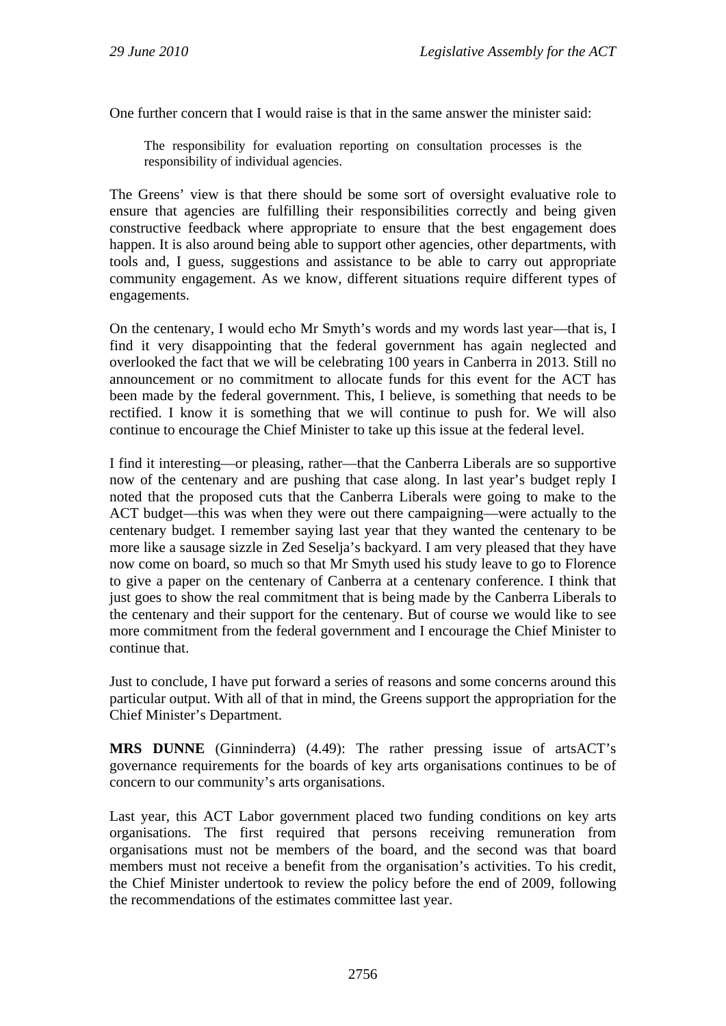One further concern that I would raise is that in the same answer the minister said:

The responsibility for evaluation reporting on consultation processes is the responsibility of individual agencies.

The Greens' view is that there should be some sort of oversight evaluative role to ensure that agencies are fulfilling their responsibilities correctly and being given constructive feedback where appropriate to ensure that the best engagement does happen. It is also around being able to support other agencies, other departments, with tools and, I guess, suggestions and assistance to be able to carry out appropriate community engagement. As we know, different situations require different types of engagements.

On the centenary, I would echo Mr Smyth's words and my words last year—that is, I find it very disappointing that the federal government has again neglected and overlooked the fact that we will be celebrating 100 years in Canberra in 2013. Still no announcement or no commitment to allocate funds for this event for the ACT has been made by the federal government. This, I believe, is something that needs to be rectified. I know it is something that we will continue to push for. We will also continue to encourage the Chief Minister to take up this issue at the federal level.

I find it interesting—or pleasing, rather—that the Canberra Liberals are so supportive now of the centenary and are pushing that case along. In last year's budget reply I noted that the proposed cuts that the Canberra Liberals were going to make to the ACT budget—this was when they were out there campaigning—were actually to the centenary budget. I remember saying last year that they wanted the centenary to be more like a sausage sizzle in Zed Seselja's backyard. I am very pleased that they have now come on board, so much so that Mr Smyth used his study leave to go to Florence to give a paper on the centenary of Canberra at a centenary conference. I think that just goes to show the real commitment that is being made by the Canberra Liberals to the centenary and their support for the centenary. But of course we would like to see more commitment from the federal government and I encourage the Chief Minister to continue that.

Just to conclude, I have put forward a series of reasons and some concerns around this particular output. With all of that in mind, the Greens support the appropriation for the Chief Minister's Department.

**MRS DUNNE** (Ginninderra) (4.49): The rather pressing issue of artsACT's governance requirements for the boards of key arts organisations continues to be of concern to our community's arts organisations.

Last year, this ACT Labor government placed two funding conditions on key arts organisations. The first required that persons receiving remuneration from organisations must not be members of the board, and the second was that board members must not receive a benefit from the organisation's activities. To his credit, the Chief Minister undertook to review the policy before the end of 2009, following the recommendations of the estimates committee last year.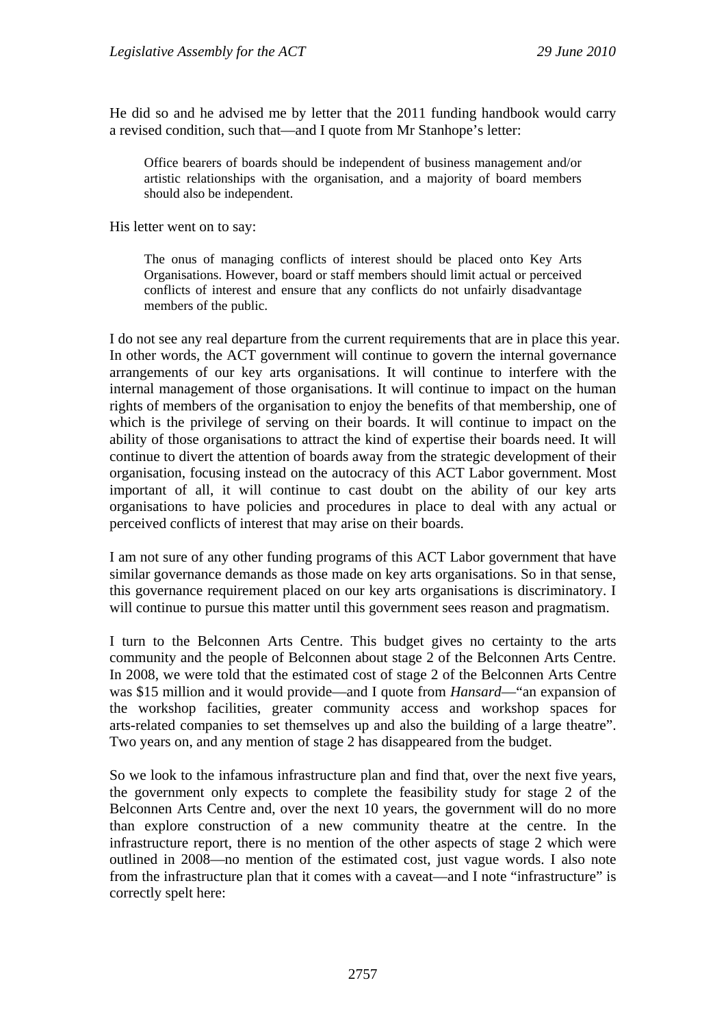He did so and he advised me by letter that the 2011 funding handbook would carry a revised condition, such that—and I quote from Mr Stanhope's letter:

Office bearers of boards should be independent of business management and/or artistic relationships with the organisation, and a majority of board members should also be independent.

His letter went on to say:

The onus of managing conflicts of interest should be placed onto Key Arts Organisations. However, board or staff members should limit actual or perceived conflicts of interest and ensure that any conflicts do not unfairly disadvantage members of the public.

I do not see any real departure from the current requirements that are in place this year. In other words, the ACT government will continue to govern the internal governance arrangements of our key arts organisations. It will continue to interfere with the internal management of those organisations. It will continue to impact on the human rights of members of the organisation to enjoy the benefits of that membership, one of which is the privilege of serving on their boards. It will continue to impact on the ability of those organisations to attract the kind of expertise their boards need. It will continue to divert the attention of boards away from the strategic development of their organisation, focusing instead on the autocracy of this ACT Labor government. Most important of all, it will continue to cast doubt on the ability of our key arts organisations to have policies and procedures in place to deal with any actual or perceived conflicts of interest that may arise on their boards.

I am not sure of any other funding programs of this ACT Labor government that have similar governance demands as those made on key arts organisations. So in that sense, this governance requirement placed on our key arts organisations is discriminatory. I will continue to pursue this matter until this government sees reason and pragmatism.

I turn to the Belconnen Arts Centre. This budget gives no certainty to the arts community and the people of Belconnen about stage 2 of the Belconnen Arts Centre. In 2008, we were told that the estimated cost of stage 2 of the Belconnen Arts Centre was \$15 million and it would provide—and I quote from *Hansard*—"an expansion of the workshop facilities, greater community access and workshop spaces for arts-related companies to set themselves up and also the building of a large theatre". Two years on, and any mention of stage 2 has disappeared from the budget.

So we look to the infamous infrastructure plan and find that, over the next five years, the government only expects to complete the feasibility study for stage 2 of the Belconnen Arts Centre and, over the next 10 years, the government will do no more than explore construction of a new community theatre at the centre. In the infrastructure report, there is no mention of the other aspects of stage 2 which were outlined in 2008—no mention of the estimated cost, just vague words. I also note from the infrastructure plan that it comes with a caveat—and I note "infrastructure" is correctly spelt here: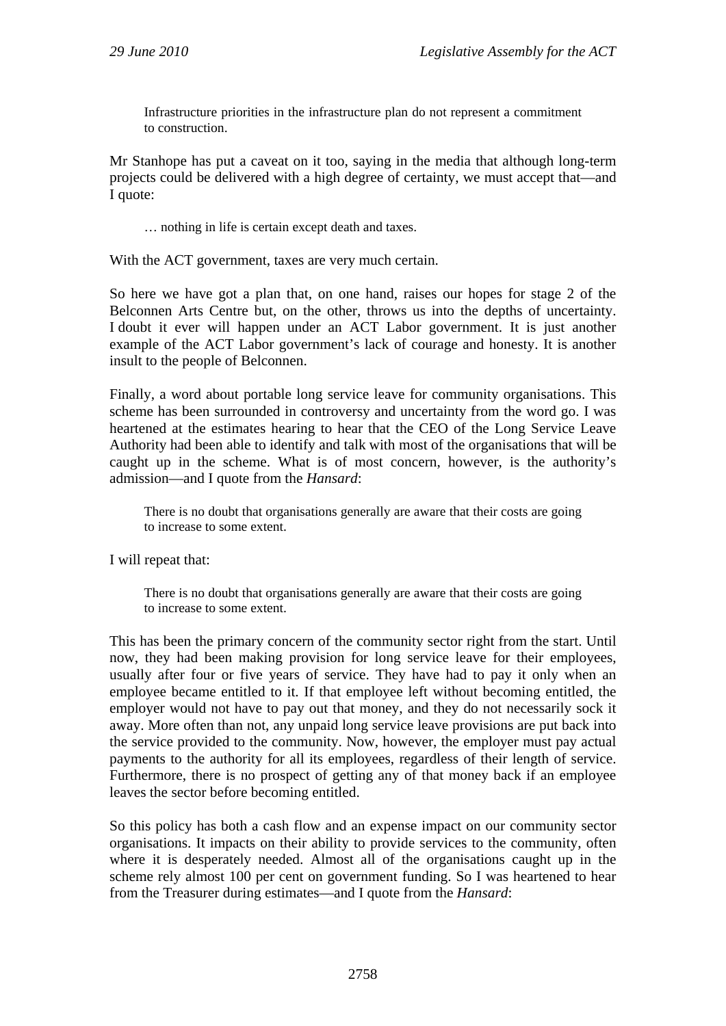Infrastructure priorities in the infrastructure plan do not represent a commitment to construction.

Mr Stanhope has put a caveat on it too, saying in the media that although long-term projects could be delivered with a high degree of certainty, we must accept that—and I quote:

… nothing in life is certain except death and taxes.

With the ACT government, taxes are very much certain.

So here we have got a plan that, on one hand, raises our hopes for stage 2 of the Belconnen Arts Centre but, on the other, throws us into the depths of uncertainty. I doubt it ever will happen under an ACT Labor government. It is just another example of the ACT Labor government's lack of courage and honesty. It is another insult to the people of Belconnen.

Finally, a word about portable long service leave for community organisations. This scheme has been surrounded in controversy and uncertainty from the word go. I was heartened at the estimates hearing to hear that the CEO of the Long Service Leave Authority had been able to identify and talk with most of the organisations that will be caught up in the scheme. What is of most concern, however, is the authority's admission—and I quote from the *Hansard*:

There is no doubt that organisations generally are aware that their costs are going to increase to some extent.

I will repeat that:

There is no doubt that organisations generally are aware that their costs are going to increase to some extent.

This has been the primary concern of the community sector right from the start. Until now, they had been making provision for long service leave for their employees, usually after four or five years of service. They have had to pay it only when an employee became entitled to it. If that employee left without becoming entitled, the employer would not have to pay out that money, and they do not necessarily sock it away. More often than not, any unpaid long service leave provisions are put back into the service provided to the community. Now, however, the employer must pay actual payments to the authority for all its employees, regardless of their length of service. Furthermore, there is no prospect of getting any of that money back if an employee leaves the sector before becoming entitled.

So this policy has both a cash flow and an expense impact on our community sector organisations. It impacts on their ability to provide services to the community, often where it is desperately needed. Almost all of the organisations caught up in the scheme rely almost 100 per cent on government funding. So I was heartened to hear from the Treasurer during estimates—and I quote from the *Hansard*: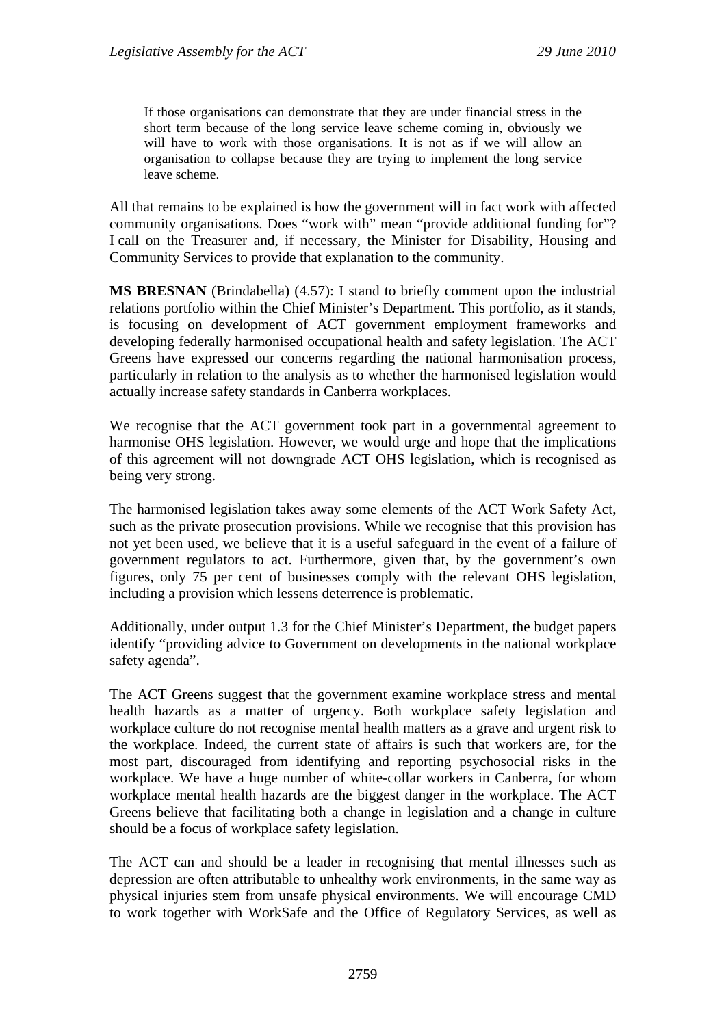If those organisations can demonstrate that they are under financial stress in the short term because of the long service leave scheme coming in, obviously we will have to work with those organisations. It is not as if we will allow an organisation to collapse because they are trying to implement the long service leave scheme.

All that remains to be explained is how the government will in fact work with affected community organisations. Does "work with" mean "provide additional funding for"? I call on the Treasurer and, if necessary, the Minister for Disability, Housing and Community Services to provide that explanation to the community.

**MS BRESNAN** (Brindabella) (4.57): I stand to briefly comment upon the industrial relations portfolio within the Chief Minister's Department. This portfolio, as it stands, is focusing on development of ACT government employment frameworks and developing federally harmonised occupational health and safety legislation. The ACT Greens have expressed our concerns regarding the national harmonisation process, particularly in relation to the analysis as to whether the harmonised legislation would actually increase safety standards in Canberra workplaces.

We recognise that the ACT government took part in a governmental agreement to harmonise OHS legislation. However, we would urge and hope that the implications of this agreement will not downgrade ACT OHS legislation, which is recognised as being very strong.

The harmonised legislation takes away some elements of the ACT Work Safety Act, such as the private prosecution provisions. While we recognise that this provision has not yet been used, we believe that it is a useful safeguard in the event of a failure of government regulators to act. Furthermore, given that, by the government's own figures, only 75 per cent of businesses comply with the relevant OHS legislation, including a provision which lessens deterrence is problematic.

Additionally, under output 1.3 for the Chief Minister's Department, the budget papers identify "providing advice to Government on developments in the national workplace safety agenda".

The ACT Greens suggest that the government examine workplace stress and mental health hazards as a matter of urgency. Both workplace safety legislation and workplace culture do not recognise mental health matters as a grave and urgent risk to the workplace. Indeed, the current state of affairs is such that workers are, for the most part, discouraged from identifying and reporting psychosocial risks in the workplace. We have a huge number of white-collar workers in Canberra, for whom workplace mental health hazards are the biggest danger in the workplace. The ACT Greens believe that facilitating both a change in legislation and a change in culture should be a focus of workplace safety legislation.

The ACT can and should be a leader in recognising that mental illnesses such as depression are often attributable to unhealthy work environments, in the same way as physical injuries stem from unsafe physical environments. We will encourage CMD to work together with WorkSafe and the Office of Regulatory Services, as well as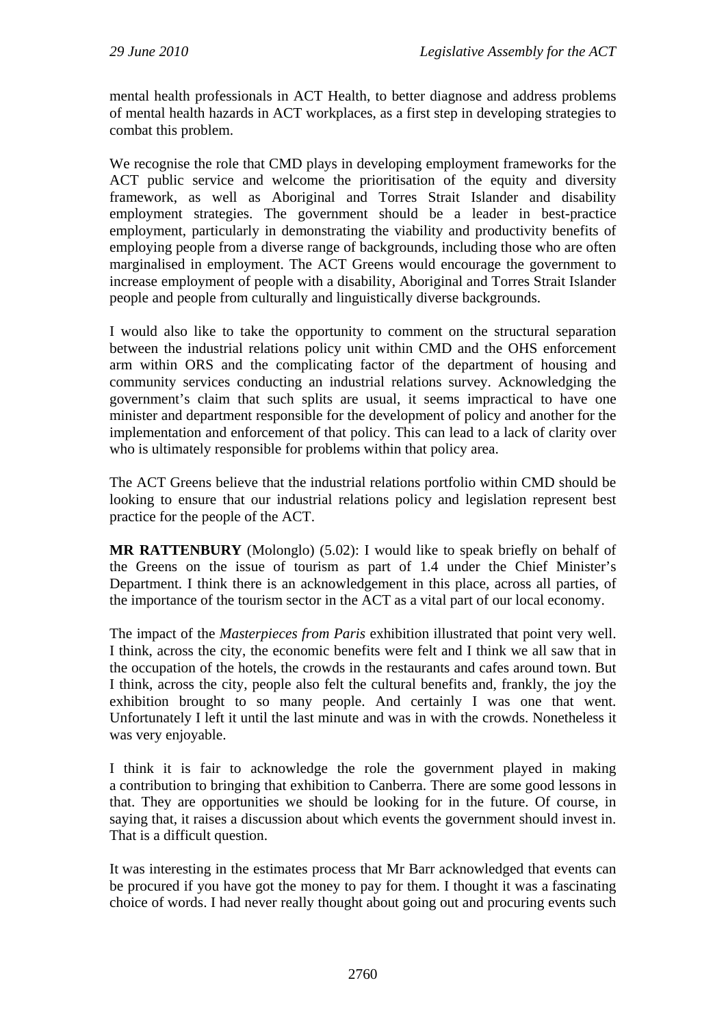mental health professionals in ACT Health, to better diagnose and address problems of mental health hazards in ACT workplaces, as a first step in developing strategies to combat this problem.

We recognise the role that CMD plays in developing employment frameworks for the ACT public service and welcome the prioritisation of the equity and diversity framework, as well as Aboriginal and Torres Strait Islander and disability employment strategies. The government should be a leader in best-practice employment, particularly in demonstrating the viability and productivity benefits of employing people from a diverse range of backgrounds, including those who are often marginalised in employment. The ACT Greens would encourage the government to increase employment of people with a disability, Aboriginal and Torres Strait Islander people and people from culturally and linguistically diverse backgrounds.

I would also like to take the opportunity to comment on the structural separation between the industrial relations policy unit within CMD and the OHS enforcement arm within ORS and the complicating factor of the department of housing and community services conducting an industrial relations survey. Acknowledging the government's claim that such splits are usual, it seems impractical to have one minister and department responsible for the development of policy and another for the implementation and enforcement of that policy. This can lead to a lack of clarity over who is ultimately responsible for problems within that policy area.

The ACT Greens believe that the industrial relations portfolio within CMD should be looking to ensure that our industrial relations policy and legislation represent best practice for the people of the ACT.

**MR RATTENBURY** (Molonglo) (5.02): I would like to speak briefly on behalf of the Greens on the issue of tourism as part of 1.4 under the Chief Minister's Department. I think there is an acknowledgement in this place, across all parties, of the importance of the tourism sector in the ACT as a vital part of our local economy.

The impact of the *Masterpieces from Paris* exhibition illustrated that point very well. I think, across the city, the economic benefits were felt and I think we all saw that in the occupation of the hotels, the crowds in the restaurants and cafes around town. But I think, across the city, people also felt the cultural benefits and, frankly, the joy the exhibition brought to so many people. And certainly I was one that went. Unfortunately I left it until the last minute and was in with the crowds. Nonetheless it was very enjoyable.

I think it is fair to acknowledge the role the government played in making a contribution to bringing that exhibition to Canberra. There are some good lessons in that. They are opportunities we should be looking for in the future. Of course, in saying that, it raises a discussion about which events the government should invest in. That is a difficult question.

It was interesting in the estimates process that Mr Barr acknowledged that events can be procured if you have got the money to pay for them. I thought it was a fascinating choice of words. I had never really thought about going out and procuring events such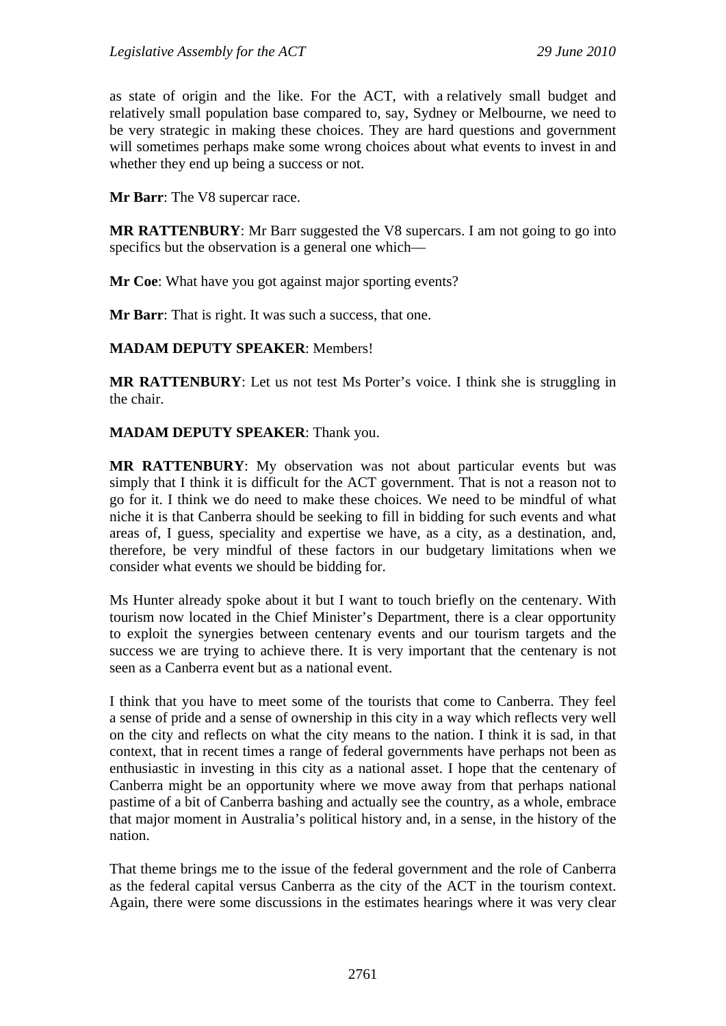as state of origin and the like. For the ACT, with a relatively small budget and relatively small population base compared to, say, Sydney or Melbourne, we need to be very strategic in making these choices. They are hard questions and government will sometimes perhaps make some wrong choices about what events to invest in and whether they end up being a success or not.

**Mr Barr**: The V8 supercar race.

**MR RATTENBURY**: Mr Barr suggested the V8 supercars. I am not going to go into specifics but the observation is a general one which—

**Mr Coe**: What have you got against major sporting events?

**Mr Barr:** That is right. It was such a success, that one.

## **MADAM DEPUTY SPEAKER**: Members!

**MR RATTENBURY**: Let us not test Ms Porter's voice. I think she is struggling in the chair.

## **MADAM DEPUTY SPEAKER**: Thank you.

**MR RATTENBURY**: My observation was not about particular events but was simply that I think it is difficult for the ACT government. That is not a reason not to go for it. I think we do need to make these choices. We need to be mindful of what niche it is that Canberra should be seeking to fill in bidding for such events and what areas of, I guess, speciality and expertise we have, as a city, as a destination, and, therefore, be very mindful of these factors in our budgetary limitations when we consider what events we should be bidding for.

Ms Hunter already spoke about it but I want to touch briefly on the centenary. With tourism now located in the Chief Minister's Department, there is a clear opportunity to exploit the synergies between centenary events and our tourism targets and the success we are trying to achieve there. It is very important that the centenary is not seen as a Canberra event but as a national event.

I think that you have to meet some of the tourists that come to Canberra. They feel a sense of pride and a sense of ownership in this city in a way which reflects very well on the city and reflects on what the city means to the nation. I think it is sad, in that context, that in recent times a range of federal governments have perhaps not been as enthusiastic in investing in this city as a national asset. I hope that the centenary of Canberra might be an opportunity where we move away from that perhaps national pastime of a bit of Canberra bashing and actually see the country, as a whole, embrace that major moment in Australia's political history and, in a sense, in the history of the nation.

That theme brings me to the issue of the federal government and the role of Canberra as the federal capital versus Canberra as the city of the ACT in the tourism context. Again, there were some discussions in the estimates hearings where it was very clear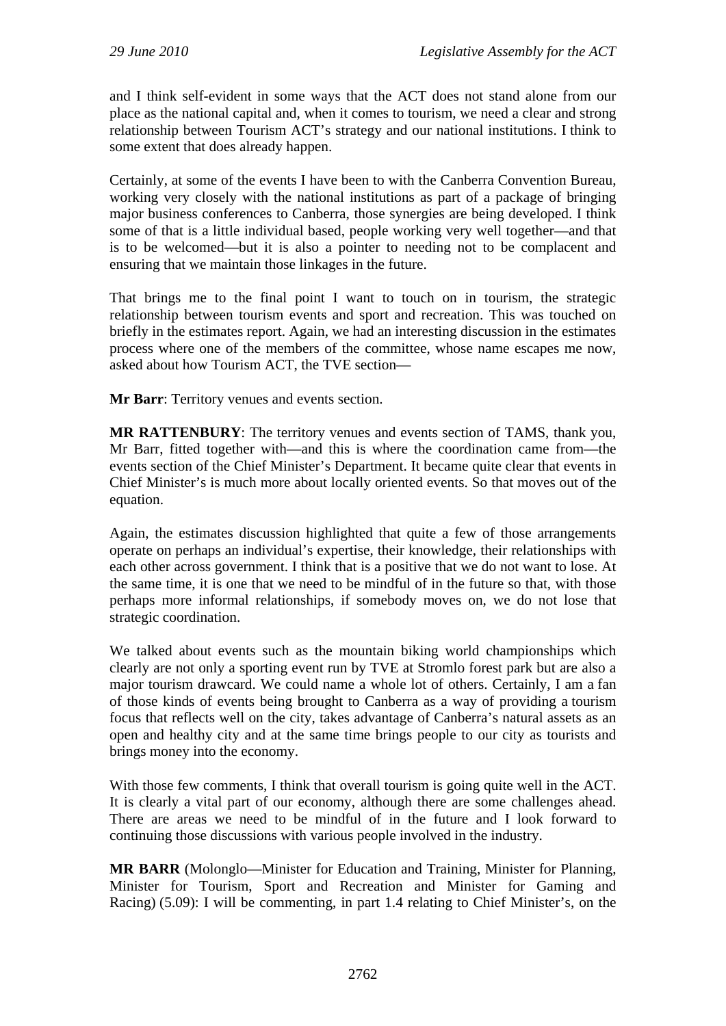and I think self-evident in some ways that the ACT does not stand alone from our place as the national capital and, when it comes to tourism, we need a clear and strong relationship between Tourism ACT's strategy and our national institutions. I think to some extent that does already happen.

Certainly, at some of the events I have been to with the Canberra Convention Bureau, working very closely with the national institutions as part of a package of bringing major business conferences to Canberra, those synergies are being developed. I think some of that is a little individual based, people working very well together—and that is to be welcomed—but it is also a pointer to needing not to be complacent and ensuring that we maintain those linkages in the future.

That brings me to the final point I want to touch on in tourism, the strategic relationship between tourism events and sport and recreation. This was touched on briefly in the estimates report. Again, we had an interesting discussion in the estimates process where one of the members of the committee, whose name escapes me now, asked about how Tourism ACT, the TVE section—

**Mr Barr**: Territory venues and events section.

**MR RATTENBURY**: The territory venues and events section of TAMS, thank you, Mr Barr, fitted together with—and this is where the coordination came from—the events section of the Chief Minister's Department. It became quite clear that events in Chief Minister's is much more about locally oriented events. So that moves out of the equation.

Again, the estimates discussion highlighted that quite a few of those arrangements operate on perhaps an individual's expertise, their knowledge, their relationships with each other across government. I think that is a positive that we do not want to lose. At the same time, it is one that we need to be mindful of in the future so that, with those perhaps more informal relationships, if somebody moves on, we do not lose that strategic coordination.

We talked about events such as the mountain biking world championships which clearly are not only a sporting event run by TVE at Stromlo forest park but are also a major tourism drawcard. We could name a whole lot of others. Certainly, I am a fan of those kinds of events being brought to Canberra as a way of providing a tourism focus that reflects well on the city, takes advantage of Canberra's natural assets as an open and healthy city and at the same time brings people to our city as tourists and brings money into the economy.

With those few comments, I think that overall tourism is going quite well in the ACT. It is clearly a vital part of our economy, although there are some challenges ahead. There are areas we need to be mindful of in the future and I look forward to continuing those discussions with various people involved in the industry.

**MR BARR** (Molonglo—Minister for Education and Training, Minister for Planning, Minister for Tourism, Sport and Recreation and Minister for Gaming and Racing) (5.09): I will be commenting, in part 1.4 relating to Chief Minister's, on the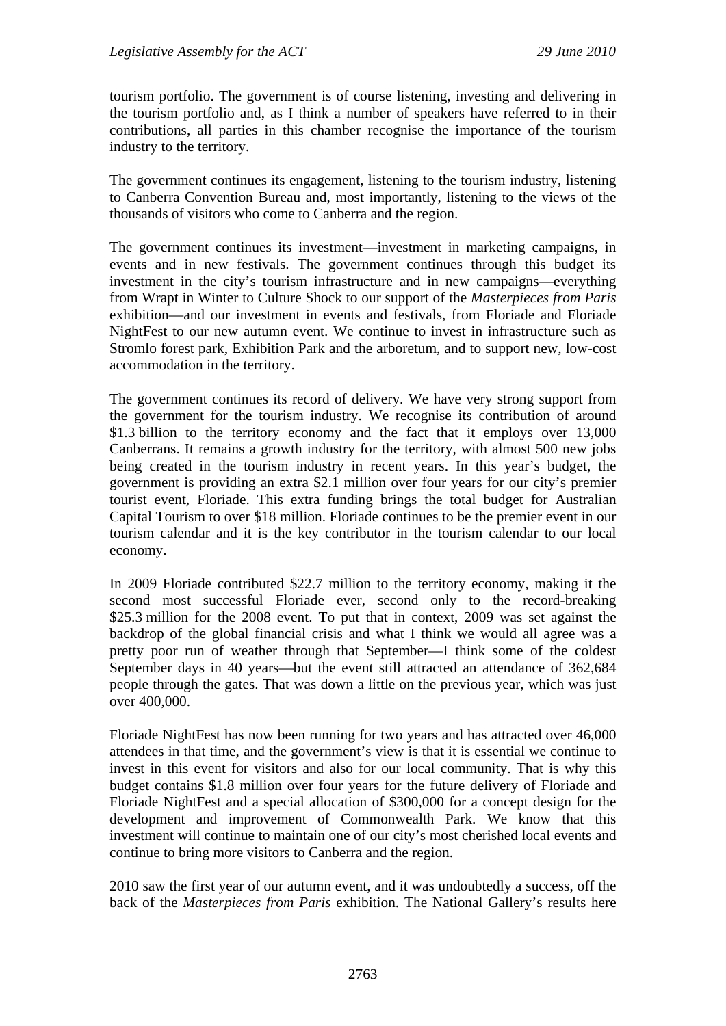tourism portfolio. The government is of course listening, investing and delivering in the tourism portfolio and, as I think a number of speakers have referred to in their contributions, all parties in this chamber recognise the importance of the tourism industry to the territory.

The government continues its engagement, listening to the tourism industry, listening to Canberra Convention Bureau and, most importantly, listening to the views of the thousands of visitors who come to Canberra and the region.

The government continues its investment—investment in marketing campaigns, in events and in new festivals. The government continues through this budget its investment in the city's tourism infrastructure and in new campaigns—everything from Wrapt in Winter to Culture Shock to our support of the *Masterpieces from Paris* exhibition—and our investment in events and festivals, from Floriade and Floriade NightFest to our new autumn event. We continue to invest in infrastructure such as Stromlo forest park, Exhibition Park and the arboretum, and to support new, low-cost accommodation in the territory.

The government continues its record of delivery. We have very strong support from the government for the tourism industry. We recognise its contribution of around \$1.3 billion to the territory economy and the fact that it employs over 13,000 Canberrans. It remains a growth industry for the territory, with almost 500 new jobs being created in the tourism industry in recent years. In this year's budget, the government is providing an extra \$2.1 million over four years for our city's premier tourist event, Floriade. This extra funding brings the total budget for Australian Capital Tourism to over \$18 million. Floriade continues to be the premier event in our tourism calendar and it is the key contributor in the tourism calendar to our local economy.

In 2009 Floriade contributed \$22.7 million to the territory economy, making it the second most successful Floriade ever, second only to the record-breaking \$25.3 million for the 2008 event. To put that in context, 2009 was set against the backdrop of the global financial crisis and what I think we would all agree was a pretty poor run of weather through that September—I think some of the coldest September days in 40 years—but the event still attracted an attendance of 362,684 people through the gates. That was down a little on the previous year, which was just over 400,000.

Floriade NightFest has now been running for two years and has attracted over 46,000 attendees in that time, and the government's view is that it is essential we continue to invest in this event for visitors and also for our local community. That is why this budget contains \$1.8 million over four years for the future delivery of Floriade and Floriade NightFest and a special allocation of \$300,000 for a concept design for the development and improvement of Commonwealth Park. We know that this investment will continue to maintain one of our city's most cherished local events and continue to bring more visitors to Canberra and the region.

2010 saw the first year of our autumn event, and it was undoubtedly a success, off the back of the *Masterpieces from Paris* exhibition. The National Gallery's results here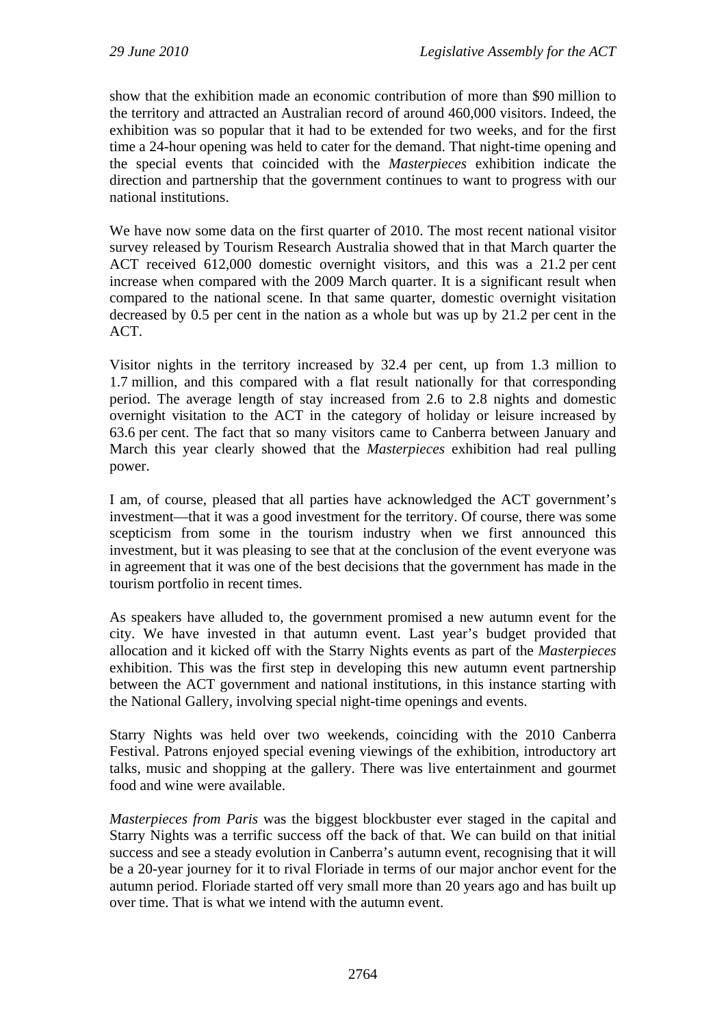show that the exhibition made an economic contribution of more than \$90 million to the territory and attracted an Australian record of around 460,000 visitors. Indeed, the exhibition was so popular that it had to be extended for two weeks, and for the first time a 24-hour opening was held to cater for the demand. That night-time opening and the special events that coincided with the *Masterpieces* exhibition indicate the direction and partnership that the government continues to want to progress with our national institutions.

We have now some data on the first quarter of 2010. The most recent national visitor survey released by Tourism Research Australia showed that in that March quarter the ACT received 612,000 domestic overnight visitors, and this was a 21.2 per cent increase when compared with the 2009 March quarter. It is a significant result when compared to the national scene. In that same quarter, domestic overnight visitation decreased by 0.5 per cent in the nation as a whole but was up by 21.2 per cent in the ACT.

Visitor nights in the territory increased by 32.4 per cent, up from 1.3 million to 1.7 million, and this compared with a flat result nationally for that corresponding period. The average length of stay increased from 2.6 to 2.8 nights and domestic overnight visitation to the ACT in the category of holiday or leisure increased by 63.6 per cent. The fact that so many visitors came to Canberra between January and March this year clearly showed that the *Masterpieces* exhibition had real pulling power.

I am, of course, pleased that all parties have acknowledged the ACT government's investment—that it was a good investment for the territory. Of course, there was some scepticism from some in the tourism industry when we first announced this investment, but it was pleasing to see that at the conclusion of the event everyone was in agreement that it was one of the best decisions that the government has made in the tourism portfolio in recent times.

As speakers have alluded to, the government promised a new autumn event for the city. We have invested in that autumn event. Last year's budget provided that allocation and it kicked off with the Starry Nights events as part of the *Masterpieces*  exhibition. This was the first step in developing this new autumn event partnership between the ACT government and national institutions, in this instance starting with the National Gallery, involving special night-time openings and events.

Starry Nights was held over two weekends, coinciding with the 2010 Canberra Festival. Patrons enjoyed special evening viewings of the exhibition, introductory art talks, music and shopping at the gallery. There was live entertainment and gourmet food and wine were available.

*Masterpieces from Paris* was the biggest blockbuster ever staged in the capital and Starry Nights was a terrific success off the back of that. We can build on that initial success and see a steady evolution in Canberra's autumn event, recognising that it will be a 20-year journey for it to rival Floriade in terms of our major anchor event for the autumn period. Floriade started off very small more than 20 years ago and has built up over time. That is what we intend with the autumn event.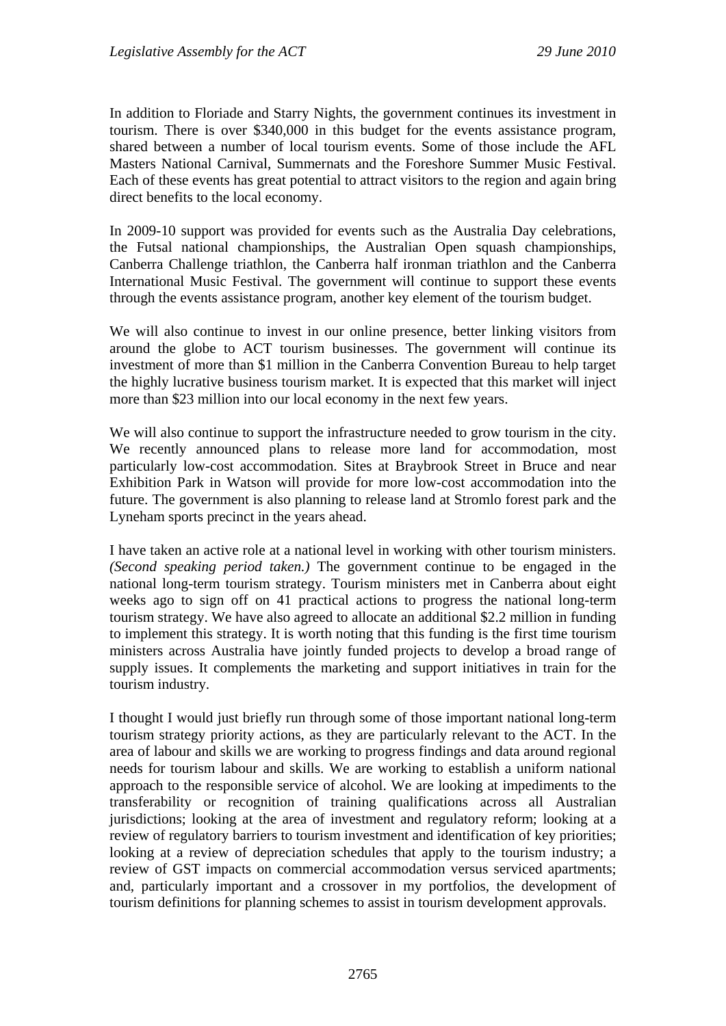In addition to Floriade and Starry Nights, the government continues its investment in tourism. There is over \$340,000 in this budget for the events assistance program, shared between a number of local tourism events. Some of those include the AFL Masters National Carnival, Summernats and the Foreshore Summer Music Festival. Each of these events has great potential to attract visitors to the region and again bring direct benefits to the local economy.

In 2009-10 support was provided for events such as the Australia Day celebrations, the Futsal national championships, the Australian Open squash championships, Canberra Challenge triathlon, the Canberra half ironman triathlon and the Canberra International Music Festival. The government will continue to support these events through the events assistance program, another key element of the tourism budget.

We will also continue to invest in our online presence, better linking visitors from around the globe to ACT tourism businesses. The government will continue its investment of more than \$1 million in the Canberra Convention Bureau to help target the highly lucrative business tourism market. It is expected that this market will inject more than \$23 million into our local economy in the next few years.

We will also continue to support the infrastructure needed to grow tourism in the city. We recently announced plans to release more land for accommodation, most particularly low-cost accommodation. Sites at Braybrook Street in Bruce and near Exhibition Park in Watson will provide for more low-cost accommodation into the future. The government is also planning to release land at Stromlo forest park and the Lyneham sports precinct in the years ahead.

I have taken an active role at a national level in working with other tourism ministers. *(Second speaking period taken.)* The government continue to be engaged in the national long-term tourism strategy. Tourism ministers met in Canberra about eight weeks ago to sign off on 41 practical actions to progress the national long-term tourism strategy. We have also agreed to allocate an additional \$2.2 million in funding to implement this strategy. It is worth noting that this funding is the first time tourism ministers across Australia have jointly funded projects to develop a broad range of supply issues. It complements the marketing and support initiatives in train for the tourism industry.

I thought I would just briefly run through some of those important national long-term tourism strategy priority actions, as they are particularly relevant to the ACT. In the area of labour and skills we are working to progress findings and data around regional needs for tourism labour and skills. We are working to establish a uniform national approach to the responsible service of alcohol. We are looking at impediments to the transferability or recognition of training qualifications across all Australian jurisdictions; looking at the area of investment and regulatory reform; looking at a review of regulatory barriers to tourism investment and identification of key priorities; looking at a review of depreciation schedules that apply to the tourism industry; a review of GST impacts on commercial accommodation versus serviced apartments; and, particularly important and a crossover in my portfolios, the development of tourism definitions for planning schemes to assist in tourism development approvals.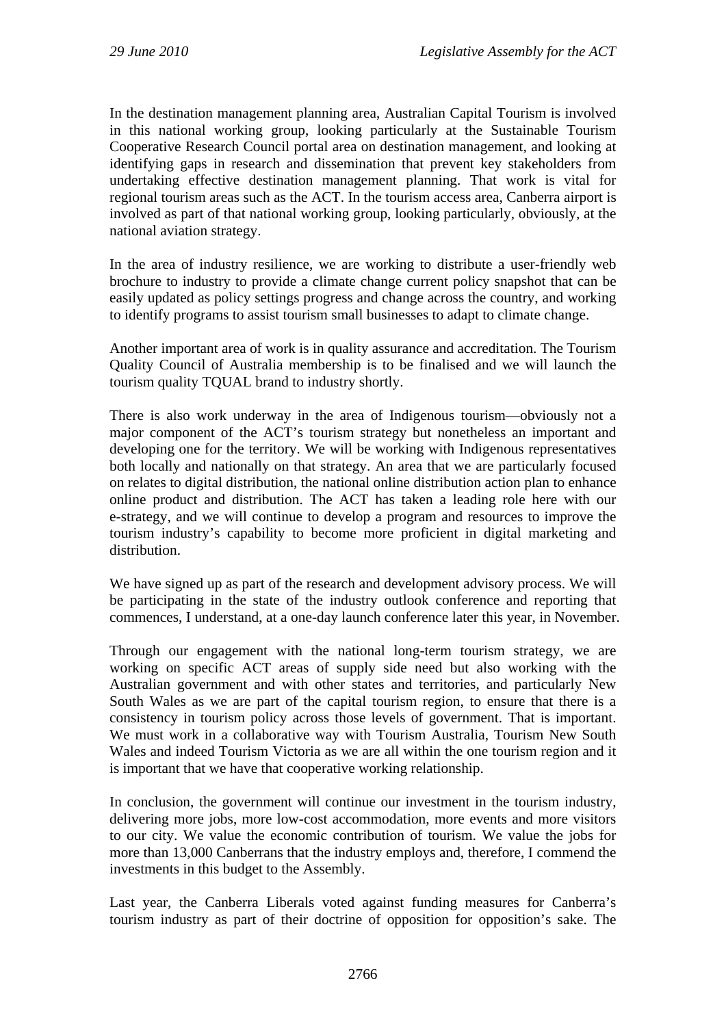In the destination management planning area, Australian Capital Tourism is involved in this national working group, looking particularly at the Sustainable Tourism Cooperative Research Council portal area on destination management, and looking at identifying gaps in research and dissemination that prevent key stakeholders from undertaking effective destination management planning. That work is vital for regional tourism areas such as the ACT. In the tourism access area, Canberra airport is involved as part of that national working group, looking particularly, obviously, at the national aviation strategy.

In the area of industry resilience, we are working to distribute a user-friendly web brochure to industry to provide a climate change current policy snapshot that can be easily updated as policy settings progress and change across the country, and working to identify programs to assist tourism small businesses to adapt to climate change.

Another important area of work is in quality assurance and accreditation. The Tourism Quality Council of Australia membership is to be finalised and we will launch the tourism quality TQUAL brand to industry shortly.

There is also work underway in the area of Indigenous tourism—obviously not a major component of the ACT's tourism strategy but nonetheless an important and developing one for the territory. We will be working with Indigenous representatives both locally and nationally on that strategy. An area that we are particularly focused on relates to digital distribution, the national online distribution action plan to enhance online product and distribution. The ACT has taken a leading role here with our e-strategy, and we will continue to develop a program and resources to improve the tourism industry's capability to become more proficient in digital marketing and distribution.

We have signed up as part of the research and development advisory process. We will be participating in the state of the industry outlook conference and reporting that commences, I understand, at a one-day launch conference later this year, in November.

Through our engagement with the national long-term tourism strategy, we are working on specific ACT areas of supply side need but also working with the Australian government and with other states and territories, and particularly New South Wales as we are part of the capital tourism region, to ensure that there is a consistency in tourism policy across those levels of government. That is important. We must work in a collaborative way with Tourism Australia, Tourism New South Wales and indeed Tourism Victoria as we are all within the one tourism region and it is important that we have that cooperative working relationship.

In conclusion, the government will continue our investment in the tourism industry, delivering more jobs, more low-cost accommodation, more events and more visitors to our city. We value the economic contribution of tourism. We value the jobs for more than 13,000 Canberrans that the industry employs and, therefore, I commend the investments in this budget to the Assembly.

Last year, the Canberra Liberals voted against funding measures for Canberra's tourism industry as part of their doctrine of opposition for opposition's sake. The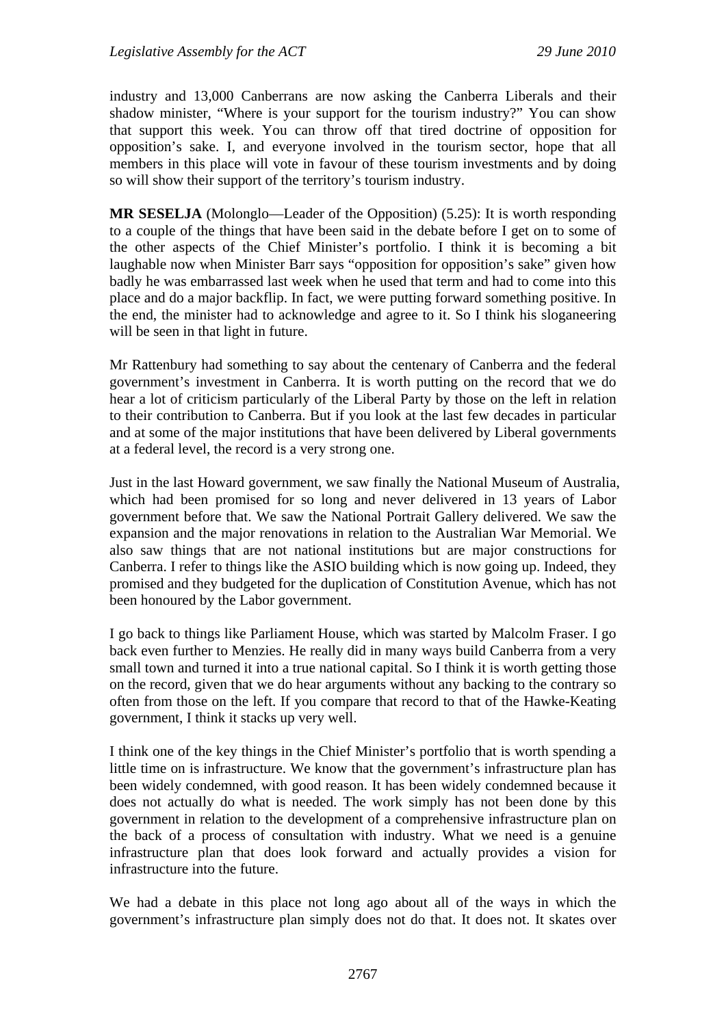industry and 13,000 Canberrans are now asking the Canberra Liberals and their shadow minister, "Where is your support for the tourism industry?" You can show that support this week. You can throw off that tired doctrine of opposition for opposition's sake. I, and everyone involved in the tourism sector, hope that all members in this place will vote in favour of these tourism investments and by doing so will show their support of the territory's tourism industry.

**MR SESELJA** (Molonglo—Leader of the Opposition) (5.25): It is worth responding to a couple of the things that have been said in the debate before I get on to some of the other aspects of the Chief Minister's portfolio. I think it is becoming a bit laughable now when Minister Barr says "opposition for opposition's sake" given how badly he was embarrassed last week when he used that term and had to come into this place and do a major backflip. In fact, we were putting forward something positive. In the end, the minister had to acknowledge and agree to it. So I think his sloganeering will be seen in that light in future.

Mr Rattenbury had something to say about the centenary of Canberra and the federal government's investment in Canberra. It is worth putting on the record that we do hear a lot of criticism particularly of the Liberal Party by those on the left in relation to their contribution to Canberra. But if you look at the last few decades in particular and at some of the major institutions that have been delivered by Liberal governments at a federal level, the record is a very strong one.

Just in the last Howard government, we saw finally the National Museum of Australia, which had been promised for so long and never delivered in 13 years of Labor government before that. We saw the National Portrait Gallery delivered. We saw the expansion and the major renovations in relation to the Australian War Memorial. We also saw things that are not national institutions but are major constructions for Canberra. I refer to things like the ASIO building which is now going up. Indeed, they promised and they budgeted for the duplication of Constitution Avenue, which has not been honoured by the Labor government.

I go back to things like Parliament House, which was started by Malcolm Fraser. I go back even further to Menzies. He really did in many ways build Canberra from a very small town and turned it into a true national capital. So I think it is worth getting those on the record, given that we do hear arguments without any backing to the contrary so often from those on the left. If you compare that record to that of the Hawke-Keating government, I think it stacks up very well.

I think one of the key things in the Chief Minister's portfolio that is worth spending a little time on is infrastructure. We know that the government's infrastructure plan has been widely condemned, with good reason. It has been widely condemned because it does not actually do what is needed. The work simply has not been done by this government in relation to the development of a comprehensive infrastructure plan on the back of a process of consultation with industry. What we need is a genuine infrastructure plan that does look forward and actually provides a vision for infrastructure into the future.

We had a debate in this place not long ago about all of the ways in which the government's infrastructure plan simply does not do that. It does not. It skates over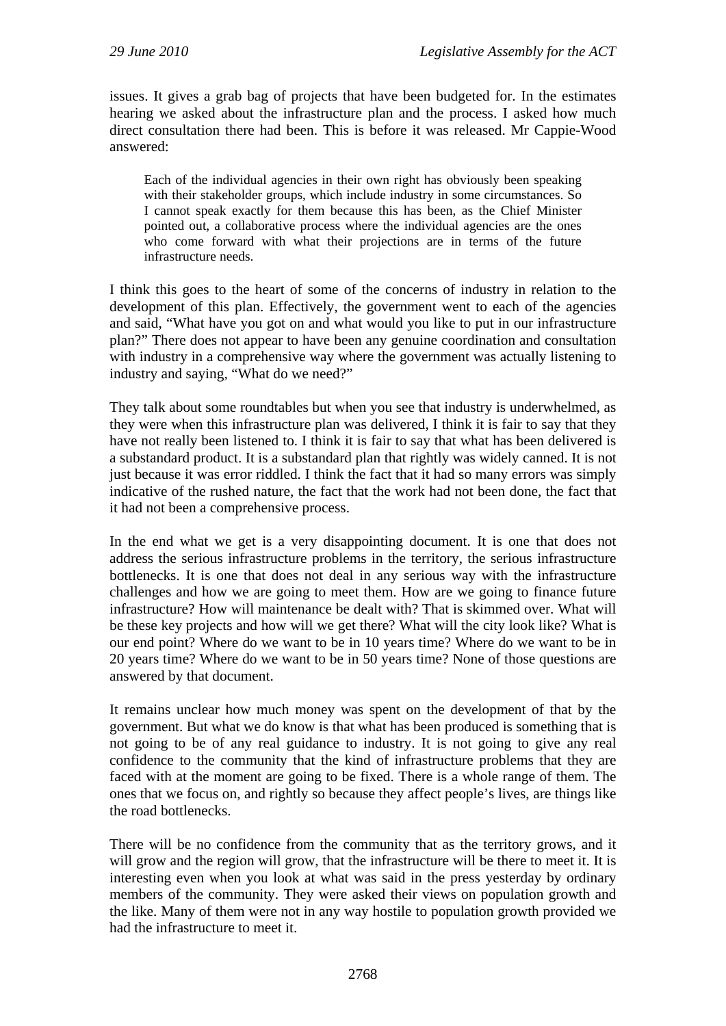issues. It gives a grab bag of projects that have been budgeted for. In the estimates hearing we asked about the infrastructure plan and the process. I asked how much direct consultation there had been. This is before it was released. Mr Cappie-Wood answered:

Each of the individual agencies in their own right has obviously been speaking with their stakeholder groups, which include industry in some circumstances. So I cannot speak exactly for them because this has been, as the Chief Minister pointed out, a collaborative process where the individual agencies are the ones who come forward with what their projections are in terms of the future infrastructure needs.

I think this goes to the heart of some of the concerns of industry in relation to the development of this plan. Effectively, the government went to each of the agencies and said, "What have you got on and what would you like to put in our infrastructure plan?" There does not appear to have been any genuine coordination and consultation with industry in a comprehensive way where the government was actually listening to industry and saying, "What do we need?"

They talk about some roundtables but when you see that industry is underwhelmed, as they were when this infrastructure plan was delivered, I think it is fair to say that they have not really been listened to. I think it is fair to say that what has been delivered is a substandard product. It is a substandard plan that rightly was widely canned. It is not just because it was error riddled. I think the fact that it had so many errors was simply indicative of the rushed nature, the fact that the work had not been done, the fact that it had not been a comprehensive process.

In the end what we get is a very disappointing document. It is one that does not address the serious infrastructure problems in the territory, the serious infrastructure bottlenecks. It is one that does not deal in any serious way with the infrastructure challenges and how we are going to meet them. How are we going to finance future infrastructure? How will maintenance be dealt with? That is skimmed over. What will be these key projects and how will we get there? What will the city look like? What is our end point? Where do we want to be in 10 years time? Where do we want to be in 20 years time? Where do we want to be in 50 years time? None of those questions are answered by that document.

It remains unclear how much money was spent on the development of that by the government. But what we do know is that what has been produced is something that is not going to be of any real guidance to industry. It is not going to give any real confidence to the community that the kind of infrastructure problems that they are faced with at the moment are going to be fixed. There is a whole range of them. The ones that we focus on, and rightly so because they affect people's lives, are things like the road bottlenecks.

There will be no confidence from the community that as the territory grows, and it will grow and the region will grow, that the infrastructure will be there to meet it. It is interesting even when you look at what was said in the press yesterday by ordinary members of the community. They were asked their views on population growth and the like. Many of them were not in any way hostile to population growth provided we had the infrastructure to meet it.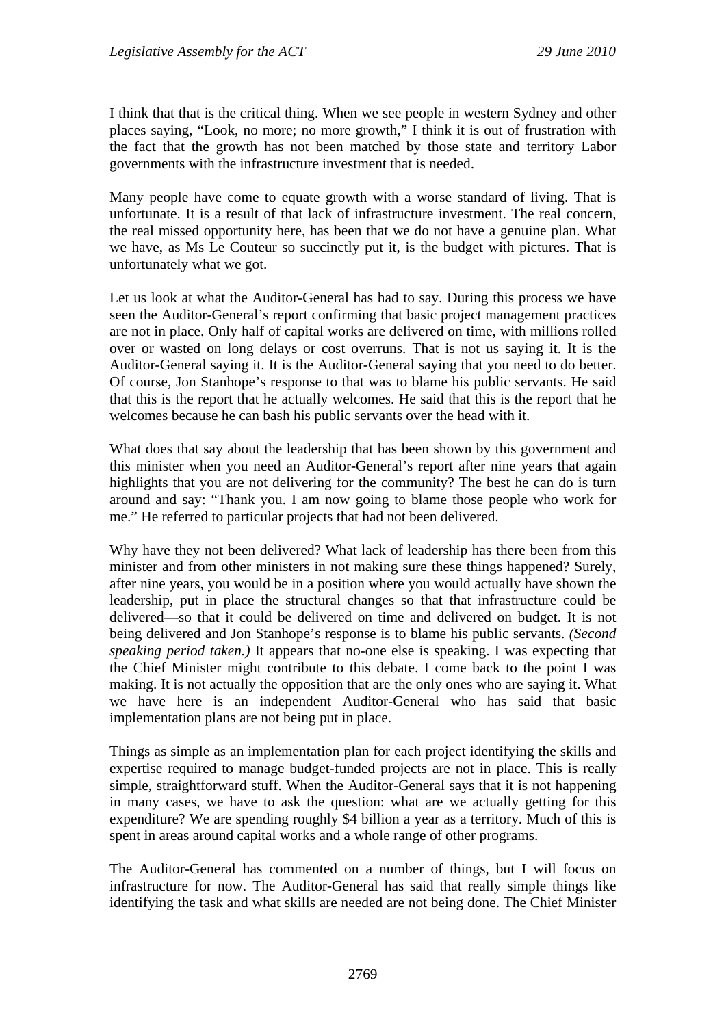I think that that is the critical thing. When we see people in western Sydney and other places saying, "Look, no more; no more growth," I think it is out of frustration with the fact that the growth has not been matched by those state and territory Labor governments with the infrastructure investment that is needed.

Many people have come to equate growth with a worse standard of living. That is unfortunate. It is a result of that lack of infrastructure investment. The real concern, the real missed opportunity here, has been that we do not have a genuine plan. What we have, as Ms Le Couteur so succinctly put it, is the budget with pictures. That is unfortunately what we got.

Let us look at what the Auditor-General has had to say. During this process we have seen the Auditor-General's report confirming that basic project management practices are not in place. Only half of capital works are delivered on time, with millions rolled over or wasted on long delays or cost overruns. That is not us saying it. It is the Auditor-General saying it. It is the Auditor-General saying that you need to do better. Of course, Jon Stanhope's response to that was to blame his public servants. He said that this is the report that he actually welcomes. He said that this is the report that he welcomes because he can bash his public servants over the head with it.

What does that say about the leadership that has been shown by this government and this minister when you need an Auditor-General's report after nine years that again highlights that you are not delivering for the community? The best he can do is turn around and say: "Thank you. I am now going to blame those people who work for me." He referred to particular projects that had not been delivered.

Why have they not been delivered? What lack of leadership has there been from this minister and from other ministers in not making sure these things happened? Surely, after nine years, you would be in a position where you would actually have shown the leadership, put in place the structural changes so that that infrastructure could be delivered—so that it could be delivered on time and delivered on budget. It is not being delivered and Jon Stanhope's response is to blame his public servants. *(Second speaking period taken.)* It appears that no-one else is speaking. I was expecting that the Chief Minister might contribute to this debate. I come back to the point I was making. It is not actually the opposition that are the only ones who are saying it. What we have here is an independent Auditor-General who has said that basic implementation plans are not being put in place.

Things as simple as an implementation plan for each project identifying the skills and expertise required to manage budget-funded projects are not in place. This is really simple, straightforward stuff. When the Auditor-General says that it is not happening in many cases, we have to ask the question: what are we actually getting for this expenditure? We are spending roughly \$4 billion a year as a territory. Much of this is spent in areas around capital works and a whole range of other programs.

The Auditor-General has commented on a number of things, but I will focus on infrastructure for now. The Auditor-General has said that really simple things like identifying the task and what skills are needed are not being done. The Chief Minister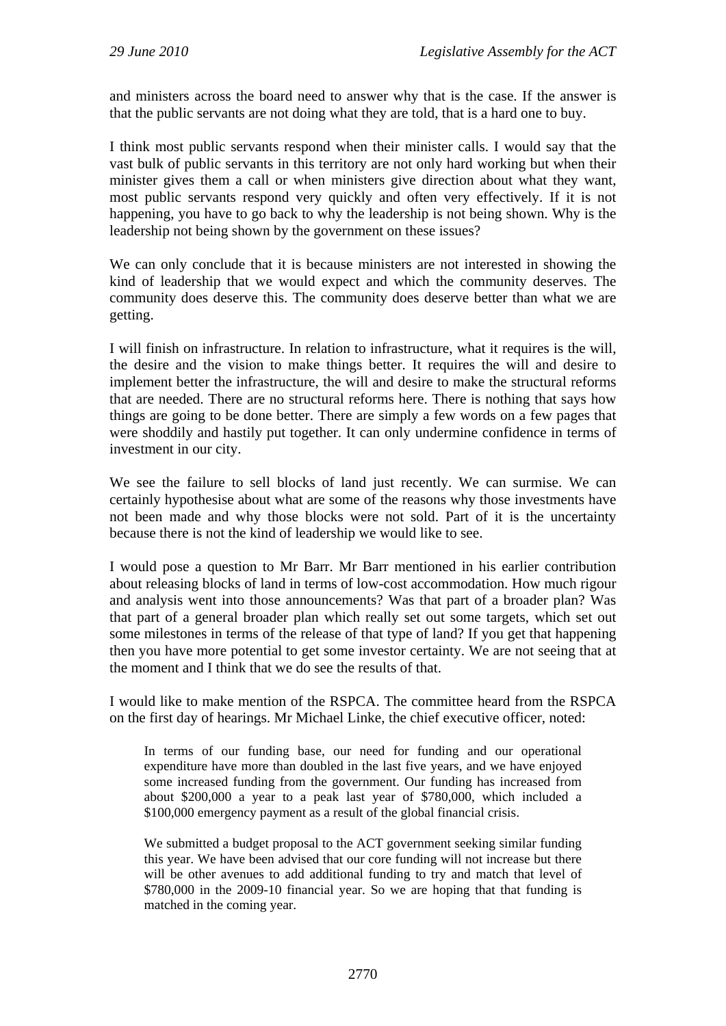and ministers across the board need to answer why that is the case. If the answer is that the public servants are not doing what they are told, that is a hard one to buy.

I think most public servants respond when their minister calls. I would say that the vast bulk of public servants in this territory are not only hard working but when their minister gives them a call or when ministers give direction about what they want, most public servants respond very quickly and often very effectively. If it is not happening, you have to go back to why the leadership is not being shown. Why is the leadership not being shown by the government on these issues?

We can only conclude that it is because ministers are not interested in showing the kind of leadership that we would expect and which the community deserves. The community does deserve this. The community does deserve better than what we are getting.

I will finish on infrastructure. In relation to infrastructure, what it requires is the will, the desire and the vision to make things better. It requires the will and desire to implement better the infrastructure, the will and desire to make the structural reforms that are needed. There are no structural reforms here. There is nothing that says how things are going to be done better. There are simply a few words on a few pages that were shoddily and hastily put together. It can only undermine confidence in terms of investment in our city.

We see the failure to sell blocks of land just recently. We can surmise. We can certainly hypothesise about what are some of the reasons why those investments have not been made and why those blocks were not sold. Part of it is the uncertainty because there is not the kind of leadership we would like to see.

I would pose a question to Mr Barr. Mr Barr mentioned in his earlier contribution about releasing blocks of land in terms of low-cost accommodation. How much rigour and analysis went into those announcements? Was that part of a broader plan? Was that part of a general broader plan which really set out some targets, which set out some milestones in terms of the release of that type of land? If you get that happening then you have more potential to get some investor certainty. We are not seeing that at the moment and I think that we do see the results of that.

I would like to make mention of the RSPCA. The committee heard from the RSPCA on the first day of hearings. Mr Michael Linke, the chief executive officer, noted:

In terms of our funding base, our need for funding and our operational expenditure have more than doubled in the last five years, and we have enjoyed some increased funding from the government. Our funding has increased from about \$200,000 a year to a peak last year of \$780,000, which included a \$100,000 emergency payment as a result of the global financial crisis.

We submitted a budget proposal to the ACT government seeking similar funding this year. We have been advised that our core funding will not increase but there will be other avenues to add additional funding to try and match that level of \$780,000 in the 2009-10 financial year. So we are hoping that that funding is matched in the coming year.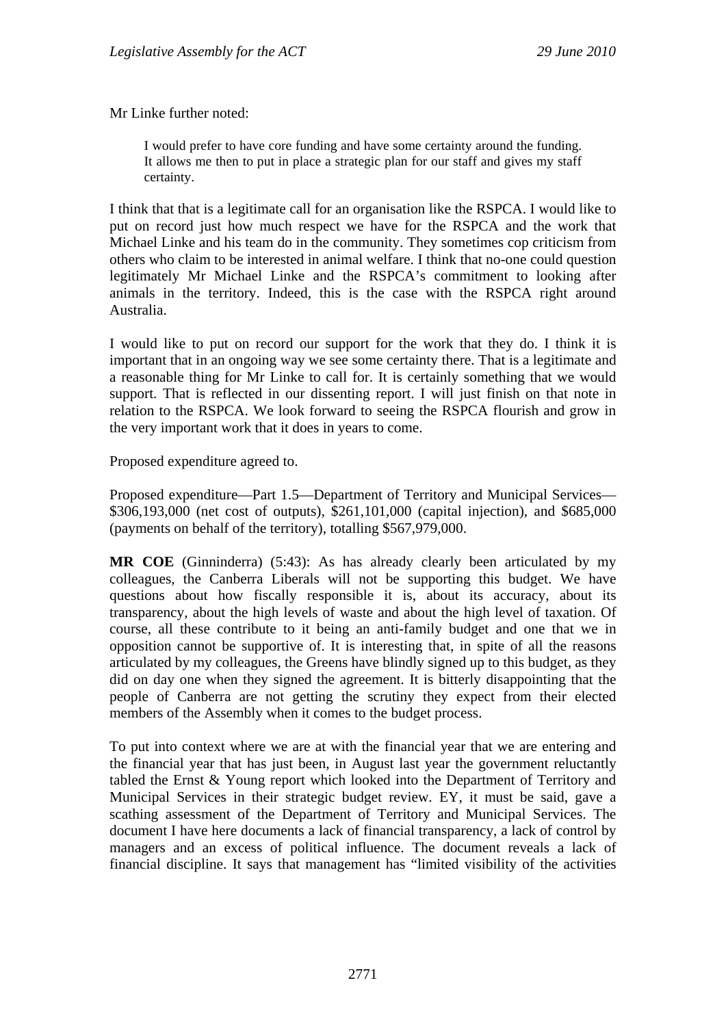Mr Linke further noted:

I would prefer to have core funding and have some certainty around the funding. It allows me then to put in place a strategic plan for our staff and gives my staff certainty.

I think that that is a legitimate call for an organisation like the RSPCA. I would like to put on record just how much respect we have for the RSPCA and the work that Michael Linke and his team do in the community. They sometimes cop criticism from others who claim to be interested in animal welfare. I think that no-one could question legitimately Mr Michael Linke and the RSPCA's commitment to looking after animals in the territory. Indeed, this is the case with the RSPCA right around Australia.

I would like to put on record our support for the work that they do. I think it is important that in an ongoing way we see some certainty there. That is a legitimate and a reasonable thing for Mr Linke to call for. It is certainly something that we would support. That is reflected in our dissenting report. I will just finish on that note in relation to the RSPCA. We look forward to seeing the RSPCA flourish and grow in the very important work that it does in years to come.

Proposed expenditure agreed to.

Proposed expenditure—Part 1.5—Department of Territory and Municipal Services— \$306,193,000 (net cost of outputs), \$261,101,000 (capital injection), and \$685,000 (payments on behalf of the territory), totalling \$567,979,000.

**MR COE** (Ginninderra) (5:43): As has already clearly been articulated by my colleagues, the Canberra Liberals will not be supporting this budget. We have questions about how fiscally responsible it is, about its accuracy, about its transparency, about the high levels of waste and about the high level of taxation. Of course, all these contribute to it being an anti-family budget and one that we in opposition cannot be supportive of. It is interesting that, in spite of all the reasons articulated by my colleagues, the Greens have blindly signed up to this budget, as they did on day one when they signed the agreement. It is bitterly disappointing that the people of Canberra are not getting the scrutiny they expect from their elected members of the Assembly when it comes to the budget process.

To put into context where we are at with the financial year that we are entering and the financial year that has just been, in August last year the government reluctantly tabled the Ernst & Young report which looked into the Department of Territory and Municipal Services in their strategic budget review. EY, it must be said, gave a scathing assessment of the Department of Territory and Municipal Services. The document I have here documents a lack of financial transparency, a lack of control by managers and an excess of political influence. The document reveals a lack of financial discipline. It says that management has "limited visibility of the activities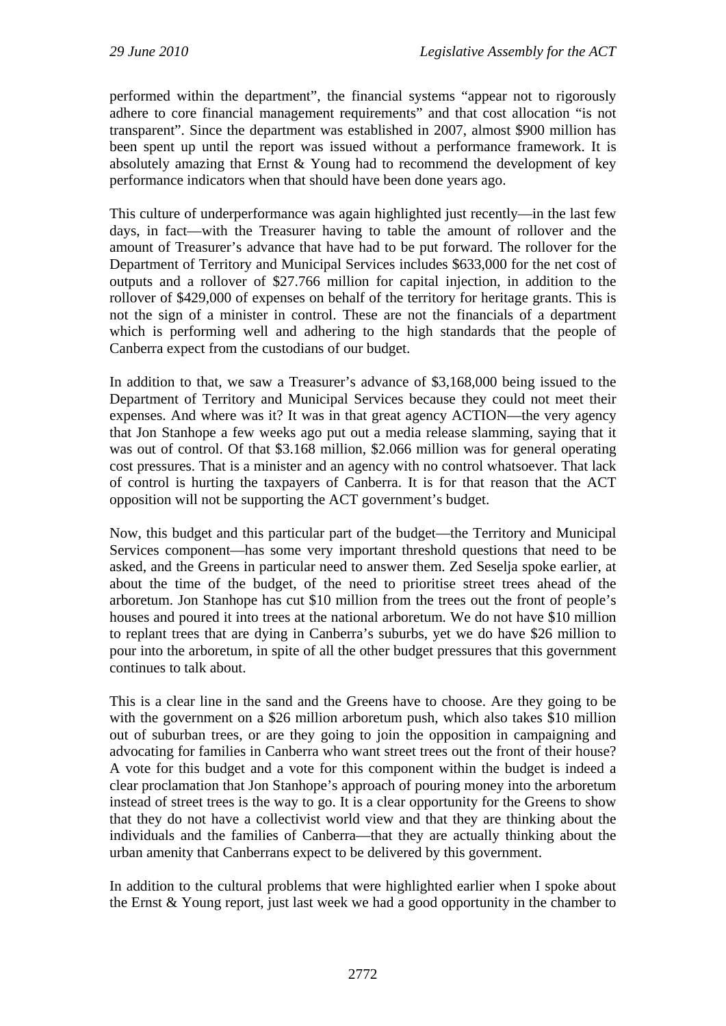performed within the department", the financial systems "appear not to rigorously adhere to core financial management requirements" and that cost allocation "is not transparent". Since the department was established in 2007, almost \$900 million has been spent up until the report was issued without a performance framework. It is absolutely amazing that Ernst  $&$  Young had to recommend the development of key performance indicators when that should have been done years ago.

This culture of underperformance was again highlighted just recently—in the last few days, in fact—with the Treasurer having to table the amount of rollover and the amount of Treasurer's advance that have had to be put forward. The rollover for the Department of Territory and Municipal Services includes \$633,000 for the net cost of outputs and a rollover of \$27.766 million for capital injection, in addition to the rollover of \$429,000 of expenses on behalf of the territory for heritage grants. This is not the sign of a minister in control. These are not the financials of a department which is performing well and adhering to the high standards that the people of Canberra expect from the custodians of our budget.

In addition to that, we saw a Treasurer's advance of \$3,168,000 being issued to the Department of Territory and Municipal Services because they could not meet their expenses. And where was it? It was in that great agency ACTION—the very agency that Jon Stanhope a few weeks ago put out a media release slamming, saying that it was out of control. Of that \$3.168 million, \$2.066 million was for general operating cost pressures. That is a minister and an agency with no control whatsoever. That lack of control is hurting the taxpayers of Canberra. It is for that reason that the ACT opposition will not be supporting the ACT government's budget.

Now, this budget and this particular part of the budget—the Territory and Municipal Services component—has some very important threshold questions that need to be asked, and the Greens in particular need to answer them. Zed Seselja spoke earlier, at about the time of the budget, of the need to prioritise street trees ahead of the arboretum. Jon Stanhope has cut \$10 million from the trees out the front of people's houses and poured it into trees at the national arboretum. We do not have \$10 million to replant trees that are dying in Canberra's suburbs, yet we do have \$26 million to pour into the arboretum, in spite of all the other budget pressures that this government continues to talk about.

This is a clear line in the sand and the Greens have to choose. Are they going to be with the government on a \$26 million arboretum push, which also takes \$10 million out of suburban trees, or are they going to join the opposition in campaigning and advocating for families in Canberra who want street trees out the front of their house? A vote for this budget and a vote for this component within the budget is indeed a clear proclamation that Jon Stanhope's approach of pouring money into the arboretum instead of street trees is the way to go. It is a clear opportunity for the Greens to show that they do not have a collectivist world view and that they are thinking about the individuals and the families of Canberra—that they are actually thinking about the urban amenity that Canberrans expect to be delivered by this government.

In addition to the cultural problems that were highlighted earlier when I spoke about the Ernst & Young report, just last week we had a good opportunity in the chamber to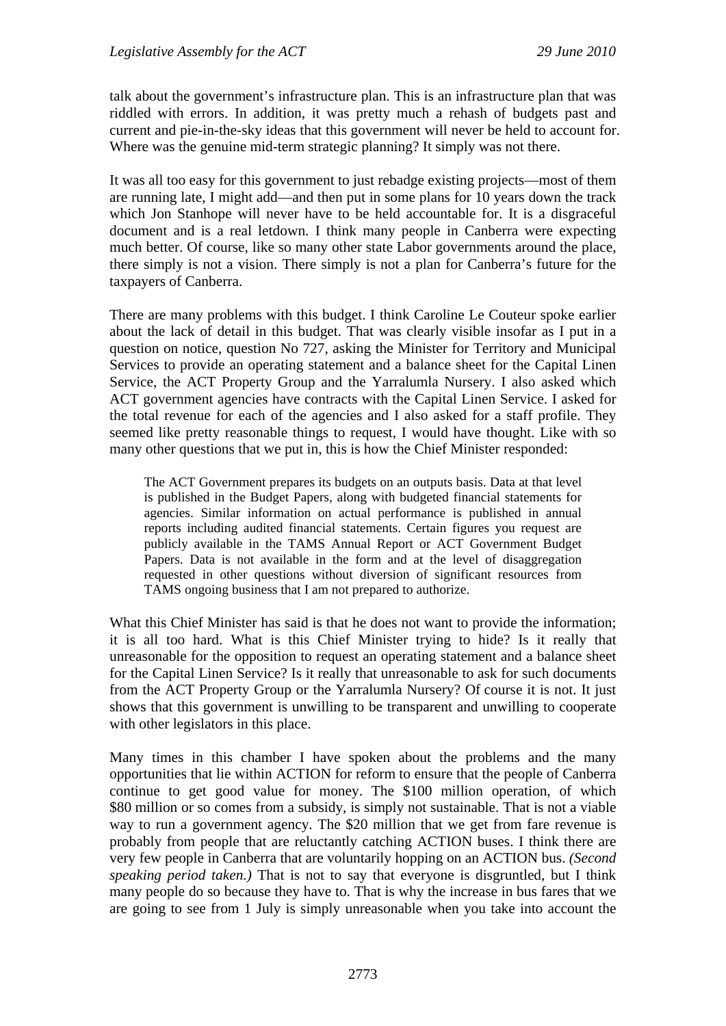talk about the government's infrastructure plan. This is an infrastructure plan that was riddled with errors. In addition, it was pretty much a rehash of budgets past and current and pie-in-the-sky ideas that this government will never be held to account for. Where was the genuine mid-term strategic planning? It simply was not there.

It was all too easy for this government to just rebadge existing projects—most of them are running late, I might add—and then put in some plans for 10 years down the track which Jon Stanhope will never have to be held accountable for. It is a disgraceful document and is a real letdown. I think many people in Canberra were expecting much better. Of course, like so many other state Labor governments around the place, there simply is not a vision. There simply is not a plan for Canberra's future for the taxpayers of Canberra.

There are many problems with this budget. I think Caroline Le Couteur spoke earlier about the lack of detail in this budget. That was clearly visible insofar as I put in a question on notice, question No 727, asking the Minister for Territory and Municipal Services to provide an operating statement and a balance sheet for the Capital Linen Service, the ACT Property Group and the Yarralumla Nursery. I also asked which ACT government agencies have contracts with the Capital Linen Service. I asked for the total revenue for each of the agencies and I also asked for a staff profile. They seemed like pretty reasonable things to request, I would have thought. Like with so many other questions that we put in, this is how the Chief Minister responded:

The ACT Government prepares its budgets on an outputs basis. Data at that level is published in the Budget Papers, along with budgeted financial statements for agencies. Similar information on actual performance is published in annual reports including audited financial statements. Certain figures you request are publicly available in the TAMS Annual Report or ACT Government Budget Papers. Data is not available in the form and at the level of disaggregation requested in other questions without diversion of significant resources from TAMS ongoing business that I am not prepared to authorize.

What this Chief Minister has said is that he does not want to provide the information; it is all too hard. What is this Chief Minister trying to hide? Is it really that unreasonable for the opposition to request an operating statement and a balance sheet for the Capital Linen Service? Is it really that unreasonable to ask for such documents from the ACT Property Group or the Yarralumla Nursery? Of course it is not. It just shows that this government is unwilling to be transparent and unwilling to cooperate with other legislators in this place.

Many times in this chamber I have spoken about the problems and the many opportunities that lie within ACTION for reform to ensure that the people of Canberra continue to get good value for money. The \$100 million operation, of which \$80 million or so comes from a subsidy, is simply not sustainable. That is not a viable way to run a government agency. The \$20 million that we get from fare revenue is probably from people that are reluctantly catching ACTION buses. I think there are very few people in Canberra that are voluntarily hopping on an ACTION bus. *(Second speaking period taken.)* That is not to say that everyone is disgruntled, but I think many people do so because they have to. That is why the increase in bus fares that we are going to see from 1 July is simply unreasonable when you take into account the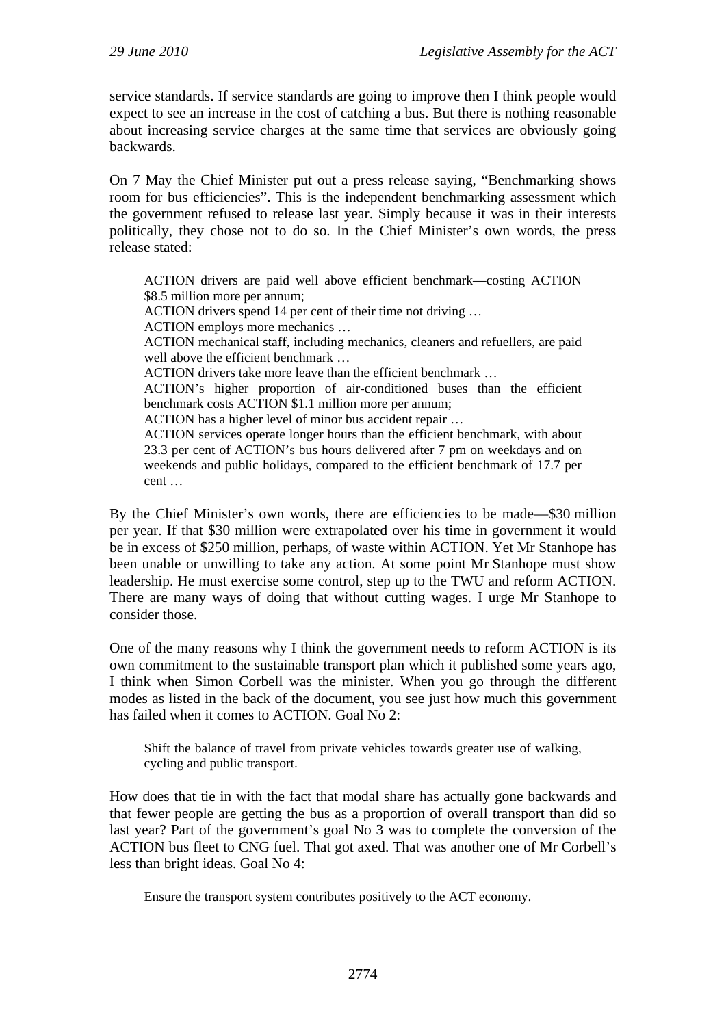service standards. If service standards are going to improve then I think people would expect to see an increase in the cost of catching a bus. But there is nothing reasonable about increasing service charges at the same time that services are obviously going backwards.

On 7 May the Chief Minister put out a press release saying, "Benchmarking shows room for bus efficiencies". This is the independent benchmarking assessment which the government refused to release last year. Simply because it was in their interests politically, they chose not to do so. In the Chief Minister's own words, the press release stated:

ACTION drivers are paid well above efficient benchmark—costing ACTION \$8.5 million more per annum; ACTION drivers spend 14 per cent of their time not driving … ACTION employs more mechanics … ACTION mechanical staff, including mechanics, cleaners and refuellers, are paid well above the efficient benchmark ... ACTION drivers take more leave than the efficient benchmark … ACTION's higher proportion of air-conditioned buses than the efficient benchmark costs ACTION \$1.1 million more per annum; ACTION has a higher level of minor bus accident repair … ACTION services operate longer hours than the efficient benchmark, with about 23.3 per cent of ACTION's bus hours delivered after 7 pm on weekdays and on weekends and public holidays, compared to the efficient benchmark of 17.7 per cent …

By the Chief Minister's own words, there are efficiencies to be made—\$30 million per year. If that \$30 million were extrapolated over his time in government it would be in excess of \$250 million, perhaps, of waste within ACTION. Yet Mr Stanhope has been unable or unwilling to take any action. At some point Mr Stanhope must show leadership. He must exercise some control, step up to the TWU and reform ACTION. There are many ways of doing that without cutting wages. I urge Mr Stanhope to consider those.

One of the many reasons why I think the government needs to reform ACTION is its own commitment to the sustainable transport plan which it published some years ago, I think when Simon Corbell was the minister. When you go through the different modes as listed in the back of the document, you see just how much this government has failed when it comes to ACTION. Goal No 2:

Shift the balance of travel from private vehicles towards greater use of walking, cycling and public transport.

How does that tie in with the fact that modal share has actually gone backwards and that fewer people are getting the bus as a proportion of overall transport than did so last year? Part of the government's goal No 3 was to complete the conversion of the ACTION bus fleet to CNG fuel. That got axed. That was another one of Mr Corbell's less than bright ideas. Goal No 4:

Ensure the transport system contributes positively to the ACT economy.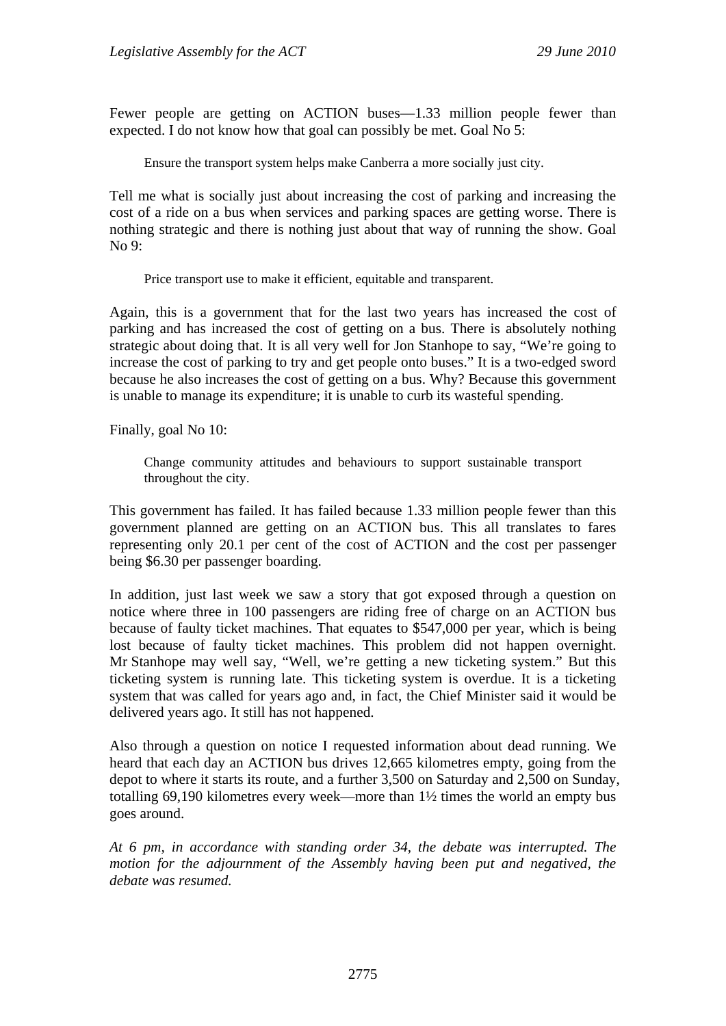Fewer people are getting on ACTION buses—1.33 million people fewer than expected. I do not know how that goal can possibly be met. Goal No 5:

Ensure the transport system helps make Canberra a more socially just city.

Tell me what is socially just about increasing the cost of parking and increasing the cost of a ride on a bus when services and parking spaces are getting worse. There is nothing strategic and there is nothing just about that way of running the show. Goal No 9:

Price transport use to make it efficient, equitable and transparent.

Again, this is a government that for the last two years has increased the cost of parking and has increased the cost of getting on a bus. There is absolutely nothing strategic about doing that. It is all very well for Jon Stanhope to say, "We're going to increase the cost of parking to try and get people onto buses." It is a two-edged sword because he also increases the cost of getting on a bus. Why? Because this government is unable to manage its expenditure; it is unable to curb its wasteful spending.

Finally, goal No 10:

Change community attitudes and behaviours to support sustainable transport throughout the city.

This government has failed. It has failed because 1.33 million people fewer than this government planned are getting on an ACTION bus. This all translates to fares representing only 20.1 per cent of the cost of ACTION and the cost per passenger being \$6.30 per passenger boarding.

In addition, just last week we saw a story that got exposed through a question on notice where three in 100 passengers are riding free of charge on an ACTION bus because of faulty ticket machines. That equates to \$547,000 per year, which is being lost because of faulty ticket machines. This problem did not happen overnight. Mr Stanhope may well say, "Well, we're getting a new ticketing system." But this ticketing system is running late. This ticketing system is overdue. It is a ticketing system that was called for years ago and, in fact, the Chief Minister said it would be delivered years ago. It still has not happened.

Also through a question on notice I requested information about dead running. We heard that each day an ACTION bus drives 12,665 kilometres empty, going from the depot to where it starts its route, and a further 3,500 on Saturday and 2,500 on Sunday, totalling 69,190 kilometres every week—more than 1½ times the world an empty bus goes around.

*At 6 pm, in accordance with standing order 34, the debate was interrupted. The motion for the adjournment of the Assembly having been put and negatived, the debate was resumed.*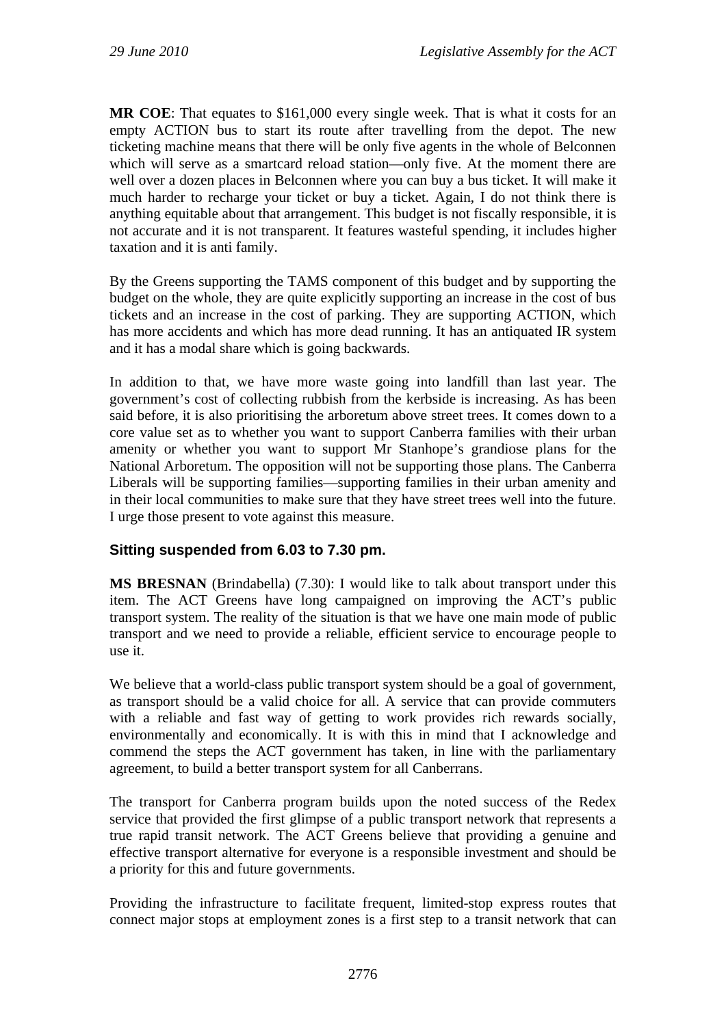**MR COE**: That equates to \$161,000 every single week. That is what it costs for an empty ACTION bus to start its route after travelling from the depot. The new ticketing machine means that there will be only five agents in the whole of Belconnen which will serve as a smartcard reload station—only five. At the moment there are well over a dozen places in Belconnen where you can buy a bus ticket. It will make it much harder to recharge your ticket or buy a ticket. Again, I do not think there is anything equitable about that arrangement. This budget is not fiscally responsible, it is not accurate and it is not transparent. It features wasteful spending, it includes higher taxation and it is anti family.

By the Greens supporting the TAMS component of this budget and by supporting the budget on the whole, they are quite explicitly supporting an increase in the cost of bus tickets and an increase in the cost of parking. They are supporting ACTION, which has more accidents and which has more dead running. It has an antiquated IR system and it has a modal share which is going backwards.

In addition to that, we have more waste going into landfill than last year. The government's cost of collecting rubbish from the kerbside is increasing. As has been said before, it is also prioritising the arboretum above street trees. It comes down to a core value set as to whether you want to support Canberra families with their urban amenity or whether you want to support Mr Stanhope's grandiose plans for the National Arboretum. The opposition will not be supporting those plans. The Canberra Liberals will be supporting families—supporting families in their urban amenity and in their local communities to make sure that they have street trees well into the future. I urge those present to vote against this measure.

## **Sitting suspended from 6.03 to 7.30 pm.**

**MS BRESNAN** (Brindabella) (7.30): I would like to talk about transport under this item. The ACT Greens have long campaigned on improving the ACT's public transport system. The reality of the situation is that we have one main mode of public transport and we need to provide a reliable, efficient service to encourage people to use it.

We believe that a world-class public transport system should be a goal of government, as transport should be a valid choice for all. A service that can provide commuters with a reliable and fast way of getting to work provides rich rewards socially, environmentally and economically. It is with this in mind that I acknowledge and commend the steps the ACT government has taken, in line with the parliamentary agreement, to build a better transport system for all Canberrans.

The transport for Canberra program builds upon the noted success of the Redex service that provided the first glimpse of a public transport network that represents a true rapid transit network. The ACT Greens believe that providing a genuine and effective transport alternative for everyone is a responsible investment and should be a priority for this and future governments.

Providing the infrastructure to facilitate frequent, limited-stop express routes that connect major stops at employment zones is a first step to a transit network that can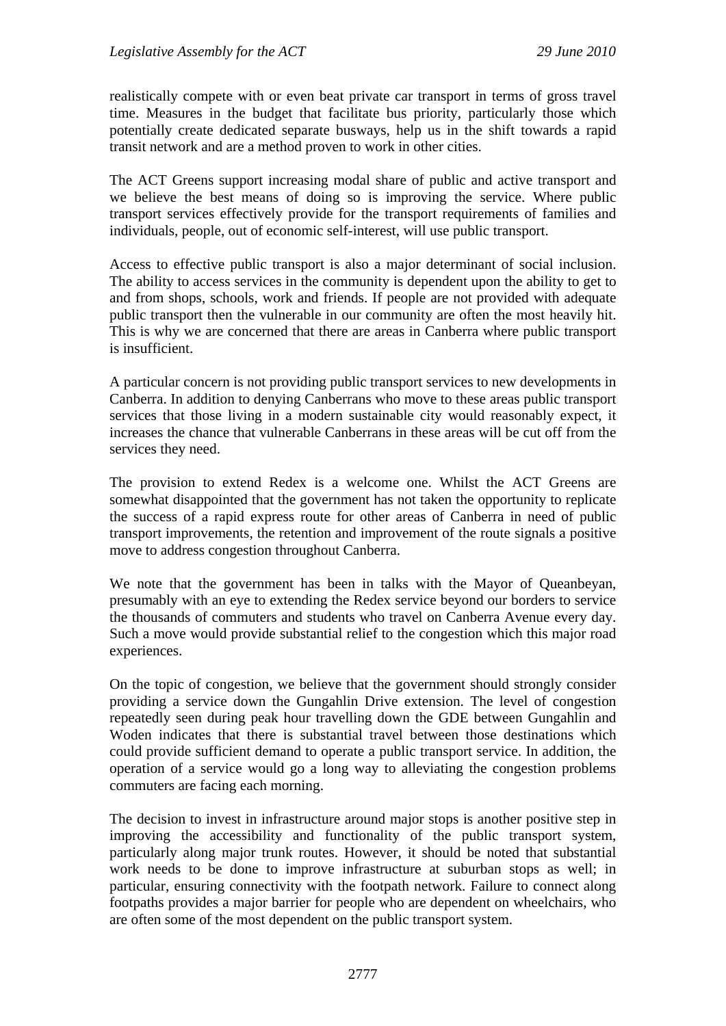realistically compete with or even beat private car transport in terms of gross travel time. Measures in the budget that facilitate bus priority, particularly those which potentially create dedicated separate busways, help us in the shift towards a rapid transit network and are a method proven to work in other cities.

The ACT Greens support increasing modal share of public and active transport and we believe the best means of doing so is improving the service. Where public transport services effectively provide for the transport requirements of families and individuals, people, out of economic self-interest, will use public transport.

Access to effective public transport is also a major determinant of social inclusion. The ability to access services in the community is dependent upon the ability to get to and from shops, schools, work and friends. If people are not provided with adequate public transport then the vulnerable in our community are often the most heavily hit. This is why we are concerned that there are areas in Canberra where public transport is insufficient.

A particular concern is not providing public transport services to new developments in Canberra. In addition to denying Canberrans who move to these areas public transport services that those living in a modern sustainable city would reasonably expect, it increases the chance that vulnerable Canberrans in these areas will be cut off from the services they need.

The provision to extend Redex is a welcome one. Whilst the ACT Greens are somewhat disappointed that the government has not taken the opportunity to replicate the success of a rapid express route for other areas of Canberra in need of public transport improvements, the retention and improvement of the route signals a positive move to address congestion throughout Canberra.

We note that the government has been in talks with the Mayor of Queanbeyan, presumably with an eye to extending the Redex service beyond our borders to service the thousands of commuters and students who travel on Canberra Avenue every day. Such a move would provide substantial relief to the congestion which this major road experiences.

On the topic of congestion, we believe that the government should strongly consider providing a service down the Gungahlin Drive extension. The level of congestion repeatedly seen during peak hour travelling down the GDE between Gungahlin and Woden indicates that there is substantial travel between those destinations which could provide sufficient demand to operate a public transport service. In addition, the operation of a service would go a long way to alleviating the congestion problems commuters are facing each morning.

The decision to invest in infrastructure around major stops is another positive step in improving the accessibility and functionality of the public transport system, particularly along major trunk routes. However, it should be noted that substantial work needs to be done to improve infrastructure at suburban stops as well; in particular, ensuring connectivity with the footpath network. Failure to connect along footpaths provides a major barrier for people who are dependent on wheelchairs, who are often some of the most dependent on the public transport system.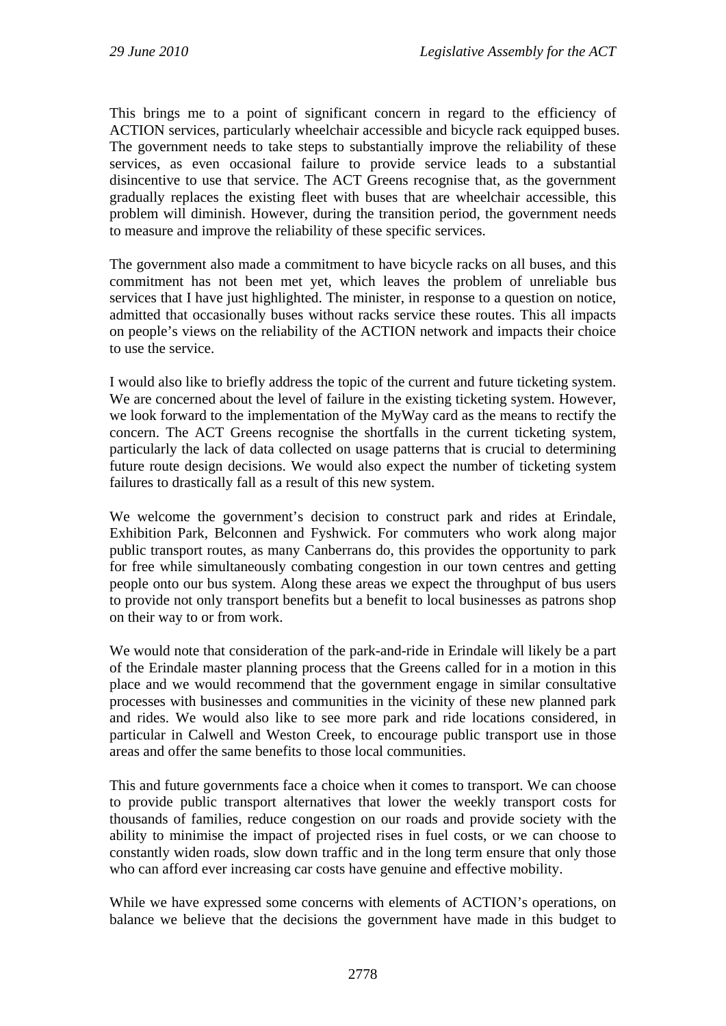This brings me to a point of significant concern in regard to the efficiency of ACTION services, particularly wheelchair accessible and bicycle rack equipped buses. The government needs to take steps to substantially improve the reliability of these services, as even occasional failure to provide service leads to a substantial disincentive to use that service. The ACT Greens recognise that, as the government gradually replaces the existing fleet with buses that are wheelchair accessible, this problem will diminish. However, during the transition period, the government needs to measure and improve the reliability of these specific services.

The government also made a commitment to have bicycle racks on all buses, and this commitment has not been met yet, which leaves the problem of unreliable bus services that I have just highlighted. The minister, in response to a question on notice, admitted that occasionally buses without racks service these routes. This all impacts on people's views on the reliability of the ACTION network and impacts their choice to use the service.

I would also like to briefly address the topic of the current and future ticketing system. We are concerned about the level of failure in the existing ticketing system. However, we look forward to the implementation of the MyWay card as the means to rectify the concern. The ACT Greens recognise the shortfalls in the current ticketing system, particularly the lack of data collected on usage patterns that is crucial to determining future route design decisions. We would also expect the number of ticketing system failures to drastically fall as a result of this new system.

We welcome the government's decision to construct park and rides at Erindale, Exhibition Park, Belconnen and Fyshwick. For commuters who work along major public transport routes, as many Canberrans do, this provides the opportunity to park for free while simultaneously combating congestion in our town centres and getting people onto our bus system. Along these areas we expect the throughput of bus users to provide not only transport benefits but a benefit to local businesses as patrons shop on their way to or from work.

We would note that consideration of the park-and-ride in Erindale will likely be a part of the Erindale master planning process that the Greens called for in a motion in this place and we would recommend that the government engage in similar consultative processes with businesses and communities in the vicinity of these new planned park and rides. We would also like to see more park and ride locations considered, in particular in Calwell and Weston Creek, to encourage public transport use in those areas and offer the same benefits to those local communities.

This and future governments face a choice when it comes to transport. We can choose to provide public transport alternatives that lower the weekly transport costs for thousands of families, reduce congestion on our roads and provide society with the ability to minimise the impact of projected rises in fuel costs, or we can choose to constantly widen roads, slow down traffic and in the long term ensure that only those who can afford ever increasing car costs have genuine and effective mobility.

While we have expressed some concerns with elements of ACTION's operations, on balance we believe that the decisions the government have made in this budget to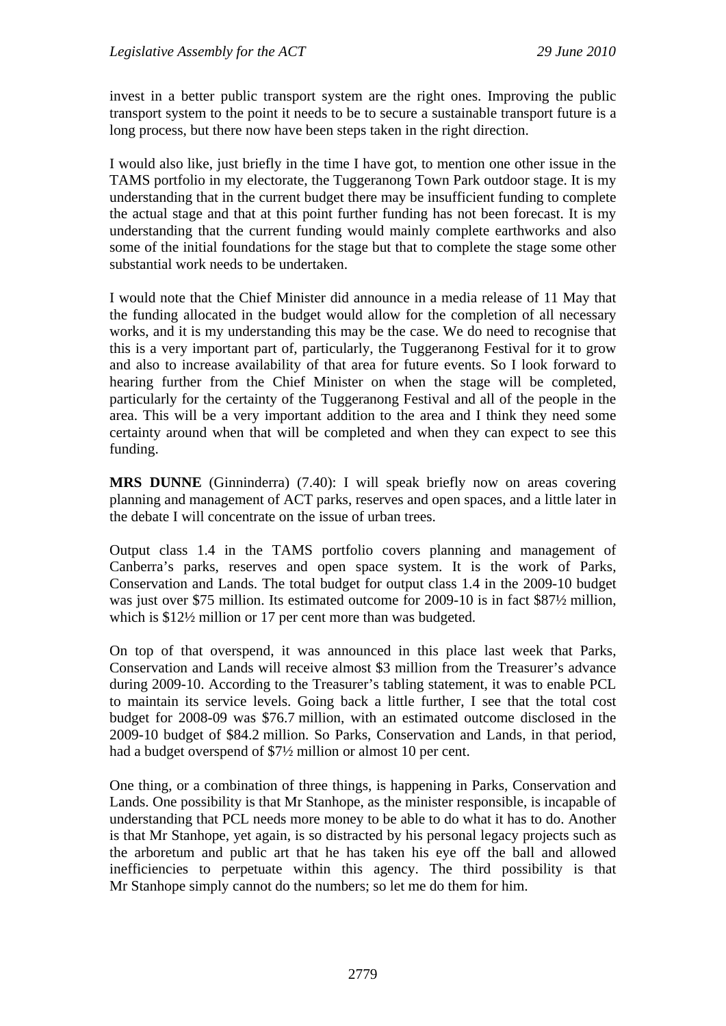invest in a better public transport system are the right ones. Improving the public transport system to the point it needs to be to secure a sustainable transport future is a long process, but there now have been steps taken in the right direction.

I would also like, just briefly in the time I have got, to mention one other issue in the TAMS portfolio in my electorate, the Tuggeranong Town Park outdoor stage. It is my understanding that in the current budget there may be insufficient funding to complete the actual stage and that at this point further funding has not been forecast. It is my understanding that the current funding would mainly complete earthworks and also some of the initial foundations for the stage but that to complete the stage some other substantial work needs to be undertaken.

I would note that the Chief Minister did announce in a media release of 11 May that the funding allocated in the budget would allow for the completion of all necessary works, and it is my understanding this may be the case. We do need to recognise that this is a very important part of, particularly, the Tuggeranong Festival for it to grow and also to increase availability of that area for future events. So I look forward to hearing further from the Chief Minister on when the stage will be completed, particularly for the certainty of the Tuggeranong Festival and all of the people in the area. This will be a very important addition to the area and I think they need some certainty around when that will be completed and when they can expect to see this funding.

**MRS DUNNE** (Ginninderra) (7.40): I will speak briefly now on areas covering planning and management of ACT parks, reserves and open spaces, and a little later in the debate I will concentrate on the issue of urban trees.

Output class 1.4 in the TAMS portfolio covers planning and management of Canberra's parks, reserves and open space system. It is the work of Parks, Conservation and Lands. The total budget for output class 1.4 in the 2009-10 budget was just over \$75 million. Its estimated outcome for 2009-10 is in fact \$87½ million, which is \$12<sup>1/2</sup> million or 17 per cent more than was budgeted.

On top of that overspend, it was announced in this place last week that Parks, Conservation and Lands will receive almost \$3 million from the Treasurer's advance during 2009-10. According to the Treasurer's tabling statement, it was to enable PCL to maintain its service levels. Going back a little further, I see that the total cost budget for 2008-09 was \$76.7 million, with an estimated outcome disclosed in the 2009-10 budget of \$84.2 million. So Parks, Conservation and Lands, in that period, had a budget overspend of  $\frac{7}{2}$  million or almost 10 per cent.

One thing, or a combination of three things, is happening in Parks, Conservation and Lands. One possibility is that Mr Stanhope, as the minister responsible, is incapable of understanding that PCL needs more money to be able to do what it has to do. Another is that Mr Stanhope, yet again, is so distracted by his personal legacy projects such as the arboretum and public art that he has taken his eye off the ball and allowed inefficiencies to perpetuate within this agency. The third possibility is that Mr Stanhope simply cannot do the numbers; so let me do them for him.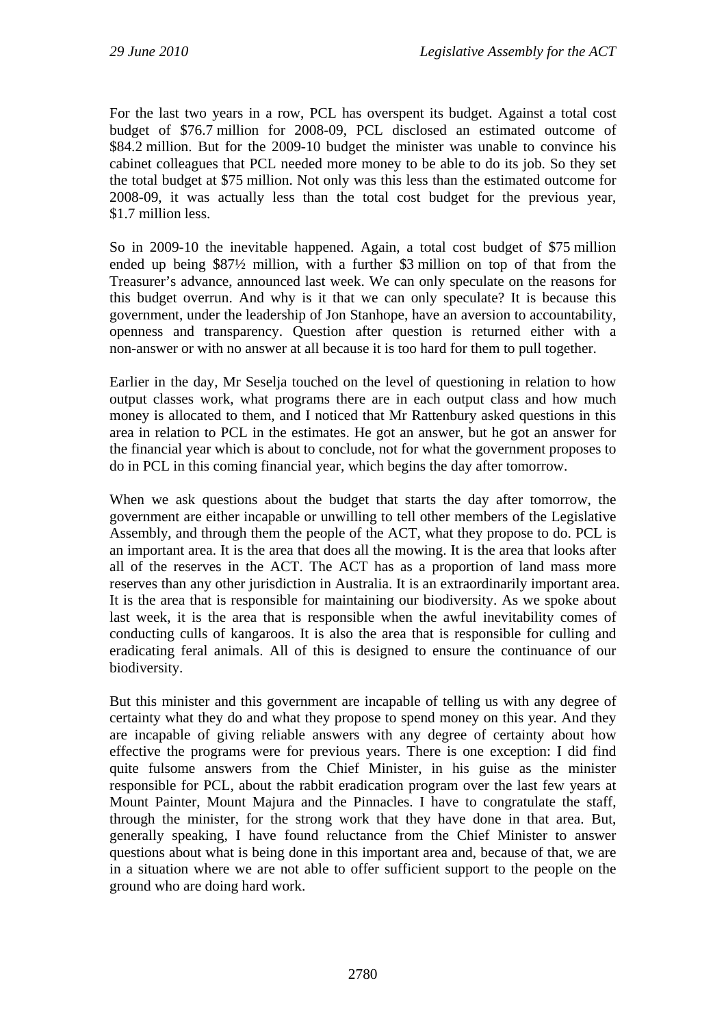For the last two years in a row, PCL has overspent its budget. Against a total cost budget of \$76.7 million for 2008-09, PCL disclosed an estimated outcome of \$84.2 million. But for the 2009-10 budget the minister was unable to convince his cabinet colleagues that PCL needed more money to be able to do its job. So they set the total budget at \$75 million. Not only was this less than the estimated outcome for 2008-09, it was actually less than the total cost budget for the previous year, \$1.7 million less.

So in 2009-10 the inevitable happened. Again, a total cost budget of \$75 million ended up being \$87½ million, with a further \$3 million on top of that from the Treasurer's advance, announced last week. We can only speculate on the reasons for this budget overrun. And why is it that we can only speculate? It is because this government, under the leadership of Jon Stanhope, have an aversion to accountability, openness and transparency. Question after question is returned either with a non-answer or with no answer at all because it is too hard for them to pull together.

Earlier in the day, Mr Seselja touched on the level of questioning in relation to how output classes work, what programs there are in each output class and how much money is allocated to them, and I noticed that Mr Rattenbury asked questions in this area in relation to PCL in the estimates. He got an answer, but he got an answer for the financial year which is about to conclude, not for what the government proposes to do in PCL in this coming financial year, which begins the day after tomorrow.

When we ask questions about the budget that starts the day after tomorrow, the government are either incapable or unwilling to tell other members of the Legislative Assembly, and through them the people of the ACT, what they propose to do. PCL is an important area. It is the area that does all the mowing. It is the area that looks after all of the reserves in the ACT. The ACT has as a proportion of land mass more reserves than any other jurisdiction in Australia. It is an extraordinarily important area. It is the area that is responsible for maintaining our biodiversity. As we spoke about last week, it is the area that is responsible when the awful inevitability comes of conducting culls of kangaroos. It is also the area that is responsible for culling and eradicating feral animals. All of this is designed to ensure the continuance of our biodiversity.

But this minister and this government are incapable of telling us with any degree of certainty what they do and what they propose to spend money on this year. And they are incapable of giving reliable answers with any degree of certainty about how effective the programs were for previous years. There is one exception: I did find quite fulsome answers from the Chief Minister, in his guise as the minister responsible for PCL, about the rabbit eradication program over the last few years at Mount Painter, Mount Majura and the Pinnacles. I have to congratulate the staff, through the minister, for the strong work that they have done in that area. But, generally speaking, I have found reluctance from the Chief Minister to answer questions about what is being done in this important area and, because of that, we are in a situation where we are not able to offer sufficient support to the people on the ground who are doing hard work.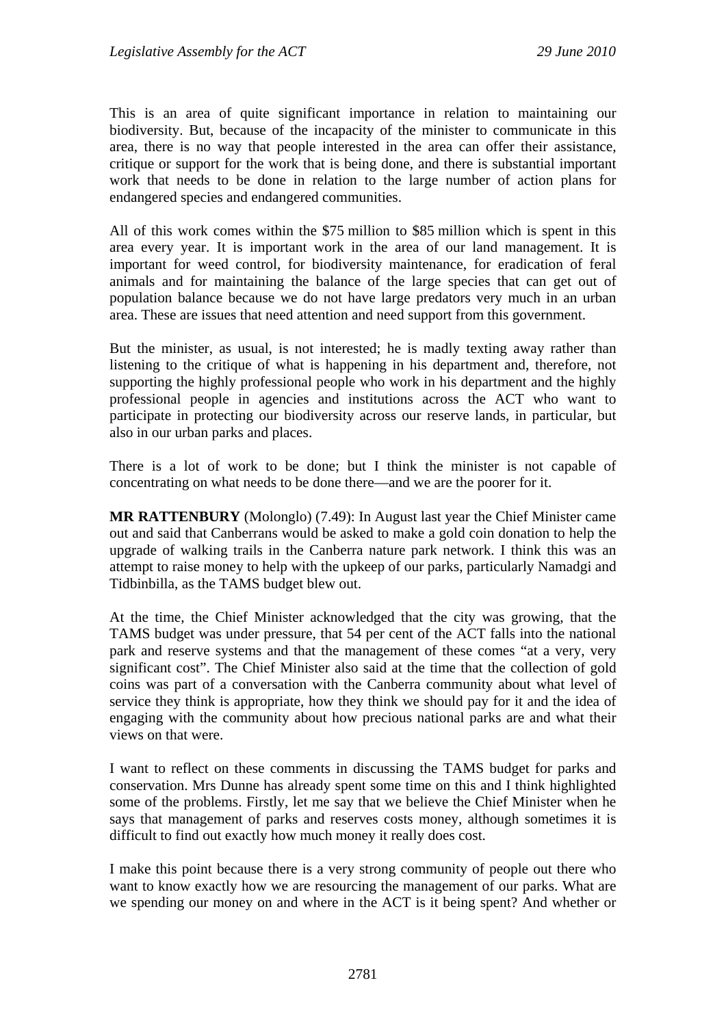This is an area of quite significant importance in relation to maintaining our biodiversity. But, because of the incapacity of the minister to communicate in this area, there is no way that people interested in the area can offer their assistance, critique or support for the work that is being done, and there is substantial important work that needs to be done in relation to the large number of action plans for endangered species and endangered communities.

All of this work comes within the \$75 million to \$85 million which is spent in this area every year. It is important work in the area of our land management. It is important for weed control, for biodiversity maintenance, for eradication of feral animals and for maintaining the balance of the large species that can get out of population balance because we do not have large predators very much in an urban area. These are issues that need attention and need support from this government.

But the minister, as usual, is not interested; he is madly texting away rather than listening to the critique of what is happening in his department and, therefore, not supporting the highly professional people who work in his department and the highly professional people in agencies and institutions across the ACT who want to participate in protecting our biodiversity across our reserve lands, in particular, but also in our urban parks and places.

There is a lot of work to be done; but I think the minister is not capable of concentrating on what needs to be done there—and we are the poorer for it.

**MR RATTENBURY** (Molonglo) (7.49): In August last year the Chief Minister came out and said that Canberrans would be asked to make a gold coin donation to help the upgrade of walking trails in the Canberra nature park network. I think this was an attempt to raise money to help with the upkeep of our parks, particularly Namadgi and Tidbinbilla, as the TAMS budget blew out.

At the time, the Chief Minister acknowledged that the city was growing, that the TAMS budget was under pressure, that 54 per cent of the ACT falls into the national park and reserve systems and that the management of these comes "at a very, very significant cost". The Chief Minister also said at the time that the collection of gold coins was part of a conversation with the Canberra community about what level of service they think is appropriate, how they think we should pay for it and the idea of engaging with the community about how precious national parks are and what their views on that were.

I want to reflect on these comments in discussing the TAMS budget for parks and conservation. Mrs Dunne has already spent some time on this and I think highlighted some of the problems. Firstly, let me say that we believe the Chief Minister when he says that management of parks and reserves costs money, although sometimes it is difficult to find out exactly how much money it really does cost.

I make this point because there is a very strong community of people out there who want to know exactly how we are resourcing the management of our parks. What are we spending our money on and where in the ACT is it being spent? And whether or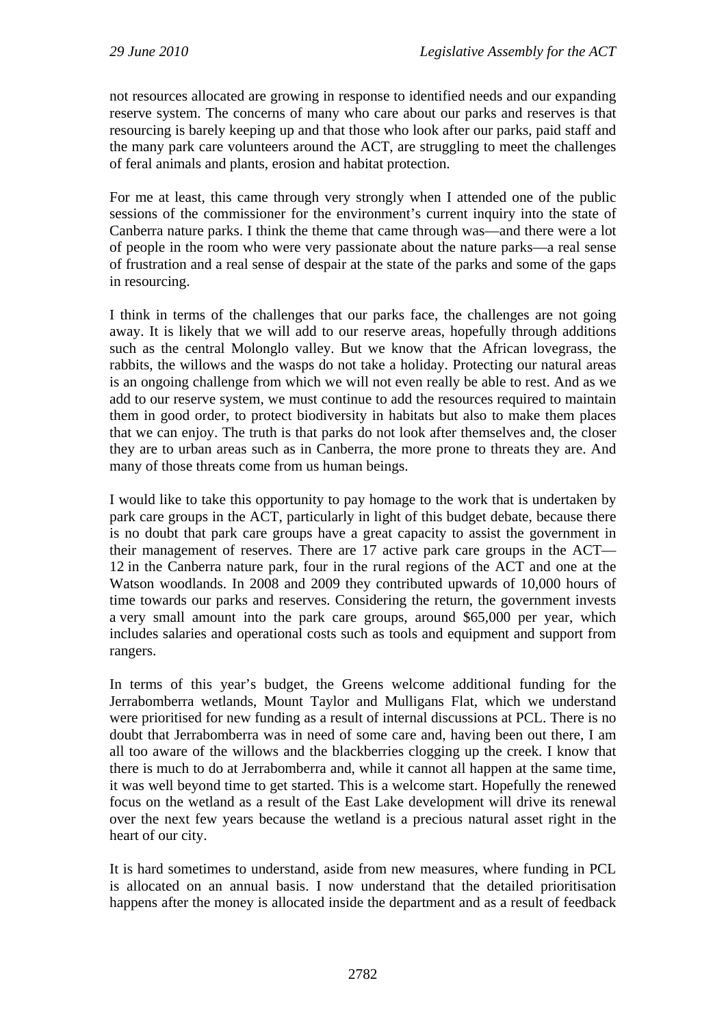not resources allocated are growing in response to identified needs and our expanding reserve system. The concerns of many who care about our parks and reserves is that resourcing is barely keeping up and that those who look after our parks, paid staff and the many park care volunteers around the ACT, are struggling to meet the challenges of feral animals and plants, erosion and habitat protection.

For me at least, this came through very strongly when I attended one of the public sessions of the commissioner for the environment's current inquiry into the state of Canberra nature parks. I think the theme that came through was—and there were a lot of people in the room who were very passionate about the nature parks—a real sense of frustration and a real sense of despair at the state of the parks and some of the gaps in resourcing.

I think in terms of the challenges that our parks face, the challenges are not going away. It is likely that we will add to our reserve areas, hopefully through additions such as the central Molonglo valley. But we know that the African lovegrass, the rabbits, the willows and the wasps do not take a holiday. Protecting our natural areas is an ongoing challenge from which we will not even really be able to rest. And as we add to our reserve system, we must continue to add the resources required to maintain them in good order, to protect biodiversity in habitats but also to make them places that we can enjoy. The truth is that parks do not look after themselves and, the closer they are to urban areas such as in Canberra, the more prone to threats they are. And many of those threats come from us human beings.

I would like to take this opportunity to pay homage to the work that is undertaken by park care groups in the ACT, particularly in light of this budget debate, because there is no doubt that park care groups have a great capacity to assist the government in their management of reserves. There are 17 active park care groups in the ACT— 12 in the Canberra nature park, four in the rural regions of the ACT and one at the Watson woodlands. In 2008 and 2009 they contributed upwards of 10,000 hours of time towards our parks and reserves. Considering the return, the government invests a very small amount into the park care groups, around \$65,000 per year, which includes salaries and operational costs such as tools and equipment and support from rangers.

In terms of this year's budget, the Greens welcome additional funding for the Jerrabomberra wetlands, Mount Taylor and Mulligans Flat, which we understand were prioritised for new funding as a result of internal discussions at PCL. There is no doubt that Jerrabomberra was in need of some care and, having been out there, I am all too aware of the willows and the blackberries clogging up the creek. I know that there is much to do at Jerrabomberra and, while it cannot all happen at the same time, it was well beyond time to get started. This is a welcome start. Hopefully the renewed focus on the wetland as a result of the East Lake development will drive its renewal over the next few years because the wetland is a precious natural asset right in the heart of our city.

It is hard sometimes to understand, aside from new measures, where funding in PCL is allocated on an annual basis. I now understand that the detailed prioritisation happens after the money is allocated inside the department and as a result of feedback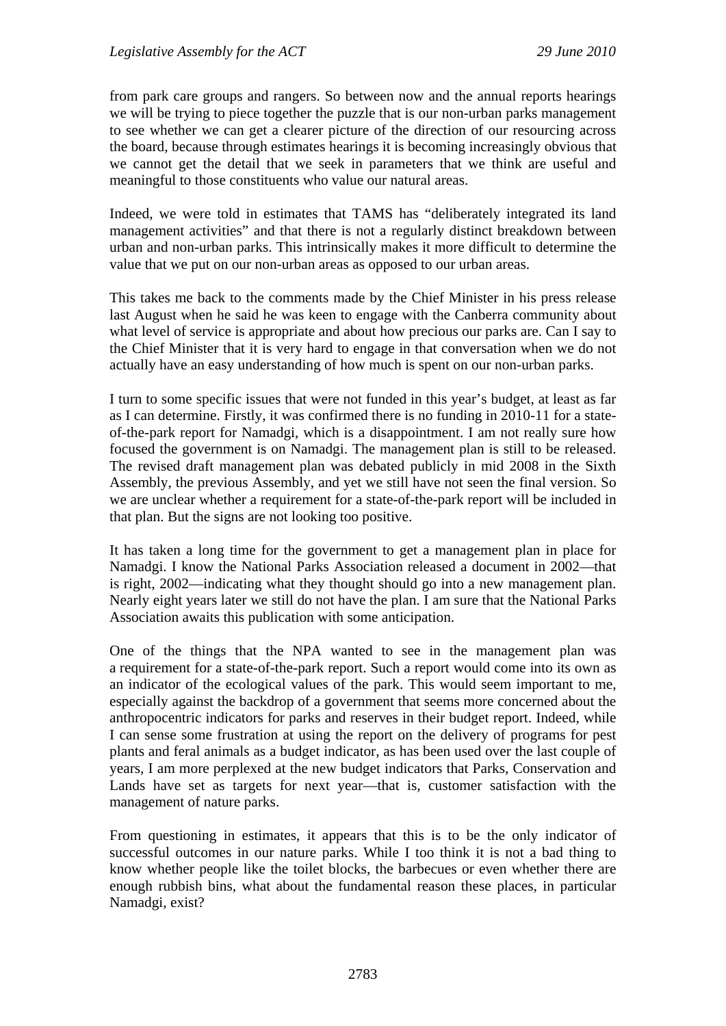from park care groups and rangers. So between now and the annual reports hearings we will be trying to piece together the puzzle that is our non-urban parks management to see whether we can get a clearer picture of the direction of our resourcing across the board, because through estimates hearings it is becoming increasingly obvious that we cannot get the detail that we seek in parameters that we think are useful and meaningful to those constituents who value our natural areas.

Indeed, we were told in estimates that TAMS has "deliberately integrated its land management activities" and that there is not a regularly distinct breakdown between urban and non-urban parks. This intrinsically makes it more difficult to determine the value that we put on our non-urban areas as opposed to our urban areas.

This takes me back to the comments made by the Chief Minister in his press release last August when he said he was keen to engage with the Canberra community about what level of service is appropriate and about how precious our parks are. Can I say to the Chief Minister that it is very hard to engage in that conversation when we do not actually have an easy understanding of how much is spent on our non-urban parks.

I turn to some specific issues that were not funded in this year's budget, at least as far as I can determine. Firstly, it was confirmed there is no funding in 2010-11 for a stateof-the-park report for Namadgi, which is a disappointment. I am not really sure how focused the government is on Namadgi. The management plan is still to be released. The revised draft management plan was debated publicly in mid 2008 in the Sixth Assembly, the previous Assembly, and yet we still have not seen the final version. So we are unclear whether a requirement for a state-of-the-park report will be included in that plan. But the signs are not looking too positive.

It has taken a long time for the government to get a management plan in place for Namadgi. I know the National Parks Association released a document in 2002—that is right, 2002—indicating what they thought should go into a new management plan. Nearly eight years later we still do not have the plan. I am sure that the National Parks Association awaits this publication with some anticipation.

One of the things that the NPA wanted to see in the management plan was a requirement for a state-of-the-park report. Such a report would come into its own as an indicator of the ecological values of the park. This would seem important to me, especially against the backdrop of a government that seems more concerned about the anthropocentric indicators for parks and reserves in their budget report. Indeed, while I can sense some frustration at using the report on the delivery of programs for pest plants and feral animals as a budget indicator, as has been used over the last couple of years, I am more perplexed at the new budget indicators that Parks, Conservation and Lands have set as targets for next year—that is, customer satisfaction with the management of nature parks.

From questioning in estimates, it appears that this is to be the only indicator of successful outcomes in our nature parks. While I too think it is not a bad thing to know whether people like the toilet blocks, the barbecues or even whether there are enough rubbish bins, what about the fundamental reason these places, in particular Namadgi, exist?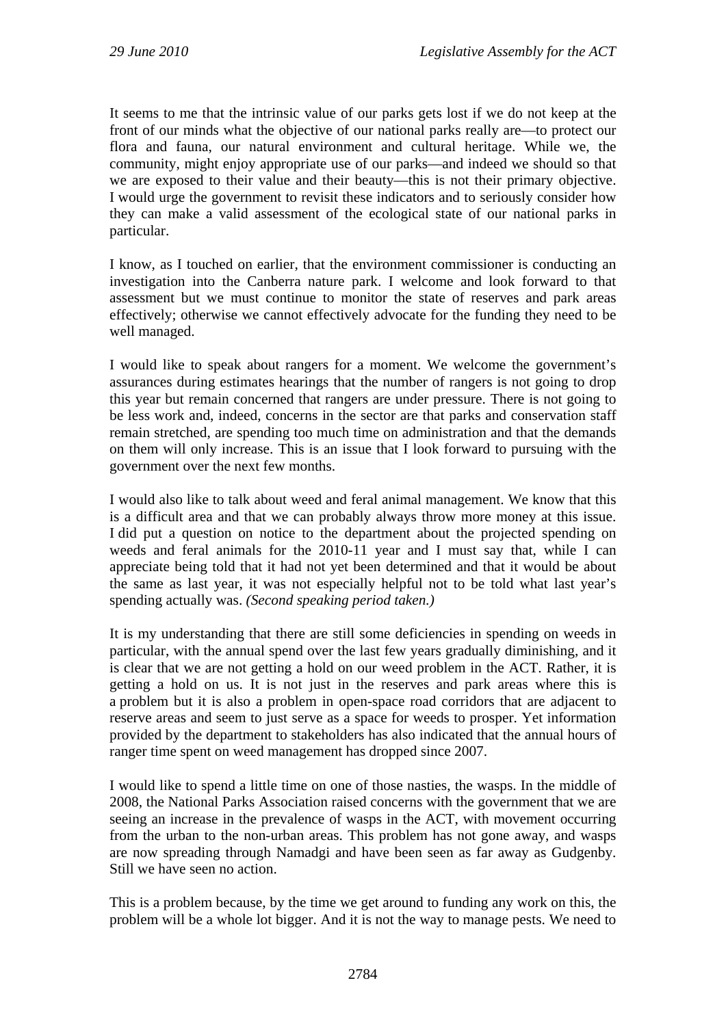It seems to me that the intrinsic value of our parks gets lost if we do not keep at the front of our minds what the objective of our national parks really are—to protect our flora and fauna, our natural environment and cultural heritage. While we, the community, might enjoy appropriate use of our parks—and indeed we should so that we are exposed to their value and their beauty—this is not their primary objective. I would urge the government to revisit these indicators and to seriously consider how they can make a valid assessment of the ecological state of our national parks in particular.

I know, as I touched on earlier, that the environment commissioner is conducting an investigation into the Canberra nature park. I welcome and look forward to that assessment but we must continue to monitor the state of reserves and park areas effectively; otherwise we cannot effectively advocate for the funding they need to be well managed.

I would like to speak about rangers for a moment. We welcome the government's assurances during estimates hearings that the number of rangers is not going to drop this year but remain concerned that rangers are under pressure. There is not going to be less work and, indeed, concerns in the sector are that parks and conservation staff remain stretched, are spending too much time on administration and that the demands on them will only increase. This is an issue that I look forward to pursuing with the government over the next few months.

I would also like to talk about weed and feral animal management. We know that this is a difficult area and that we can probably always throw more money at this issue. I did put a question on notice to the department about the projected spending on weeds and feral animals for the 2010-11 year and I must say that, while I can appreciate being told that it had not yet been determined and that it would be about the same as last year, it was not especially helpful not to be told what last year's spending actually was. *(Second speaking period taken.)*

It is my understanding that there are still some deficiencies in spending on weeds in particular, with the annual spend over the last few years gradually diminishing, and it is clear that we are not getting a hold on our weed problem in the ACT. Rather, it is getting a hold on us. It is not just in the reserves and park areas where this is a problem but it is also a problem in open-space road corridors that are adjacent to reserve areas and seem to just serve as a space for weeds to prosper. Yet information provided by the department to stakeholders has also indicated that the annual hours of ranger time spent on weed management has dropped since 2007.

I would like to spend a little time on one of those nasties, the wasps. In the middle of 2008, the National Parks Association raised concerns with the government that we are seeing an increase in the prevalence of wasps in the ACT, with movement occurring from the urban to the non-urban areas. This problem has not gone away, and wasps are now spreading through Namadgi and have been seen as far away as Gudgenby. Still we have seen no action.

This is a problem because, by the time we get around to funding any work on this, the problem will be a whole lot bigger. And it is not the way to manage pests. We need to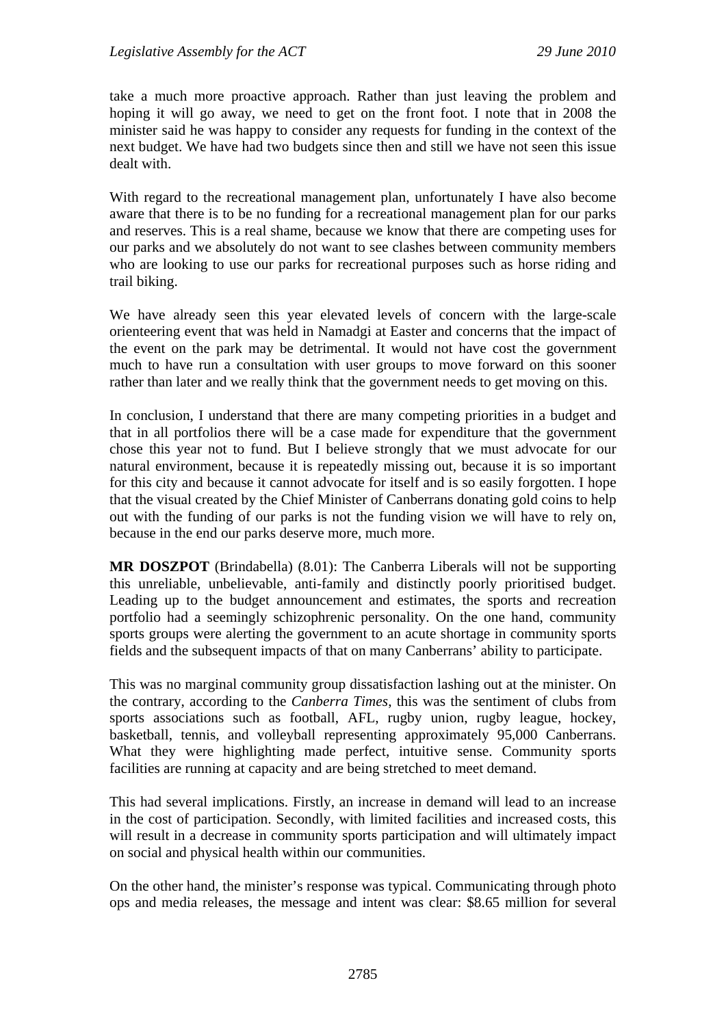take a much more proactive approach. Rather than just leaving the problem and hoping it will go away, we need to get on the front foot. I note that in 2008 the minister said he was happy to consider any requests for funding in the context of the next budget. We have had two budgets since then and still we have not seen this issue dealt with.

With regard to the recreational management plan, unfortunately I have also become aware that there is to be no funding for a recreational management plan for our parks and reserves. This is a real shame, because we know that there are competing uses for our parks and we absolutely do not want to see clashes between community members who are looking to use our parks for recreational purposes such as horse riding and trail biking.

We have already seen this year elevated levels of concern with the large-scale orienteering event that was held in Namadgi at Easter and concerns that the impact of the event on the park may be detrimental. It would not have cost the government much to have run a consultation with user groups to move forward on this sooner rather than later and we really think that the government needs to get moving on this.

In conclusion, I understand that there are many competing priorities in a budget and that in all portfolios there will be a case made for expenditure that the government chose this year not to fund. But I believe strongly that we must advocate for our natural environment, because it is repeatedly missing out, because it is so important for this city and because it cannot advocate for itself and is so easily forgotten. I hope that the visual created by the Chief Minister of Canberrans donating gold coins to help out with the funding of our parks is not the funding vision we will have to rely on, because in the end our parks deserve more, much more.

**MR DOSZPOT** (Brindabella) (8.01): The Canberra Liberals will not be supporting this unreliable, unbelievable, anti-family and distinctly poorly prioritised budget. Leading up to the budget announcement and estimates, the sports and recreation portfolio had a seemingly schizophrenic personality. On the one hand, community sports groups were alerting the government to an acute shortage in community sports fields and the subsequent impacts of that on many Canberrans' ability to participate.

This was no marginal community group dissatisfaction lashing out at the minister. On the contrary, according to the *Canberra Times*, this was the sentiment of clubs from sports associations such as football, AFL, rugby union, rugby league, hockey, basketball, tennis, and volleyball representing approximately 95,000 Canberrans. What they were highlighting made perfect, intuitive sense. Community sports facilities are running at capacity and are being stretched to meet demand.

This had several implications. Firstly, an increase in demand will lead to an increase in the cost of participation. Secondly, with limited facilities and increased costs, this will result in a decrease in community sports participation and will ultimately impact on social and physical health within our communities.

On the other hand, the minister's response was typical. Communicating through photo ops and media releases, the message and intent was clear: \$8.65 million for several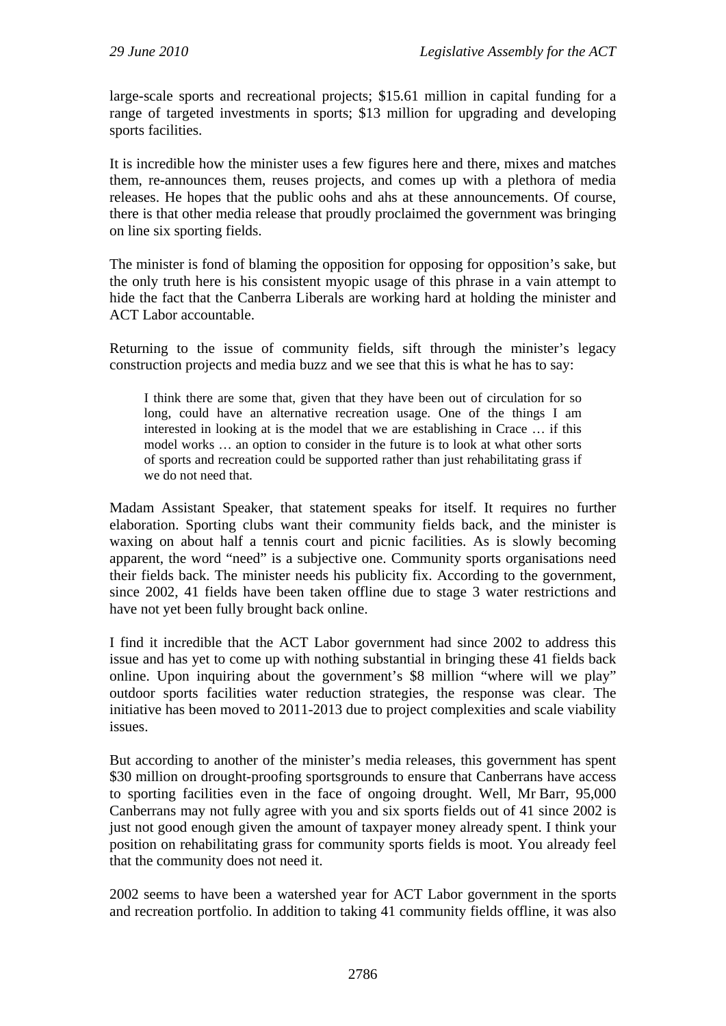large-scale sports and recreational projects; \$15.61 million in capital funding for a range of targeted investments in sports; \$13 million for upgrading and developing sports facilities.

It is incredible how the minister uses a few figures here and there, mixes and matches them, re-announces them, reuses projects, and comes up with a plethora of media releases. He hopes that the public oohs and ahs at these announcements. Of course, there is that other media release that proudly proclaimed the government was bringing on line six sporting fields.

The minister is fond of blaming the opposition for opposing for opposition's sake, but the only truth here is his consistent myopic usage of this phrase in a vain attempt to hide the fact that the Canberra Liberals are working hard at holding the minister and ACT Labor accountable.

Returning to the issue of community fields, sift through the minister's legacy construction projects and media buzz and we see that this is what he has to say:

I think there are some that, given that they have been out of circulation for so long, could have an alternative recreation usage. One of the things I am interested in looking at is the model that we are establishing in Crace … if this model works … an option to consider in the future is to look at what other sorts of sports and recreation could be supported rather than just rehabilitating grass if we do not need that.

Madam Assistant Speaker, that statement speaks for itself. It requires no further elaboration. Sporting clubs want their community fields back, and the minister is waxing on about half a tennis court and picnic facilities. As is slowly becoming apparent, the word "need" is a subjective one. Community sports organisations need their fields back. The minister needs his publicity fix. According to the government, since 2002, 41 fields have been taken offline due to stage 3 water restrictions and have not yet been fully brought back online.

I find it incredible that the ACT Labor government had since 2002 to address this issue and has yet to come up with nothing substantial in bringing these 41 fields back online. Upon inquiring about the government's \$8 million "where will we play" outdoor sports facilities water reduction strategies, the response was clear. The initiative has been moved to 2011-2013 due to project complexities and scale viability issues.

But according to another of the minister's media releases, this government has spent \$30 million on drought-proofing sportsgrounds to ensure that Canberrans have access to sporting facilities even in the face of ongoing drought. Well, Mr Barr, 95,000 Canberrans may not fully agree with you and six sports fields out of 41 since 2002 is just not good enough given the amount of taxpayer money already spent. I think your position on rehabilitating grass for community sports fields is moot. You already feel that the community does not need it.

2002 seems to have been a watershed year for ACT Labor government in the sports and recreation portfolio. In addition to taking 41 community fields offline, it was also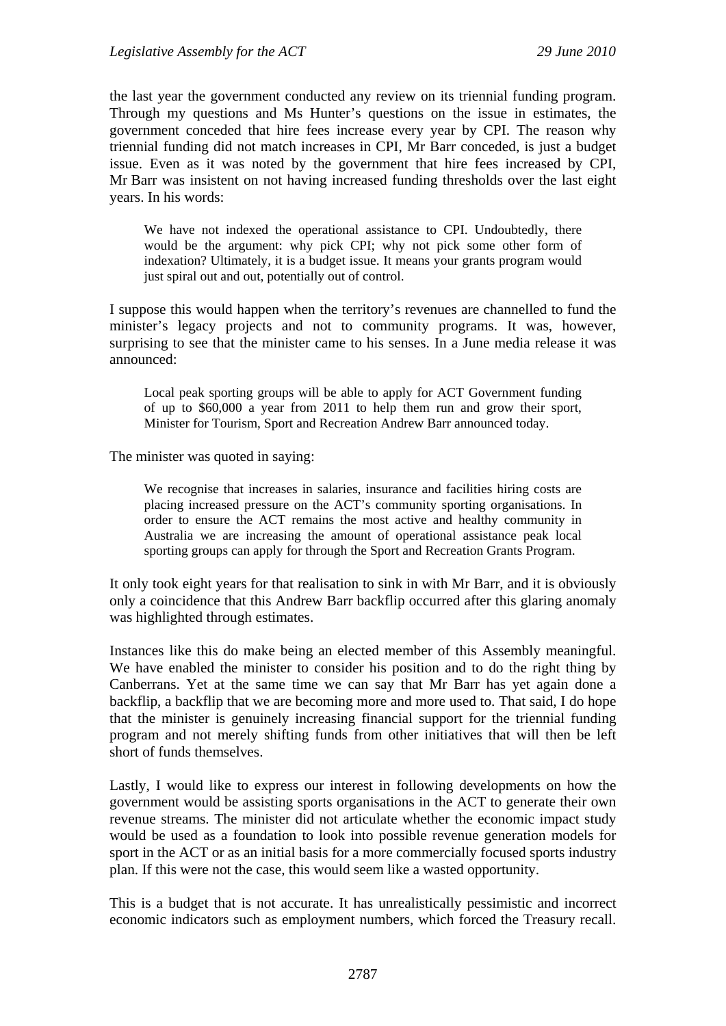the last year the government conducted any review on its triennial funding program. Through my questions and Ms Hunter's questions on the issue in estimates, the government conceded that hire fees increase every year by CPI. The reason why triennial funding did not match increases in CPI, Mr Barr conceded, is just a budget issue. Even as it was noted by the government that hire fees increased by CPI, Mr Barr was insistent on not having increased funding thresholds over the last eight years. In his words:

We have not indexed the operational assistance to CPI. Undoubtedly, there would be the argument: why pick CPI; why not pick some other form of indexation? Ultimately, it is a budget issue. It means your grants program would just spiral out and out, potentially out of control.

I suppose this would happen when the territory's revenues are channelled to fund the minister's legacy projects and not to community programs. It was, however, surprising to see that the minister came to his senses. In a June media release it was announced:

Local peak sporting groups will be able to apply for ACT Government funding of up to \$60,000 a year from 2011 to help them run and grow their sport, Minister for Tourism, Sport and Recreation Andrew Barr announced today.

The minister was quoted in saying:

We recognise that increases in salaries, insurance and facilities hiring costs are placing increased pressure on the ACT's community sporting organisations. In order to ensure the ACT remains the most active and healthy community in Australia we are increasing the amount of operational assistance peak local sporting groups can apply for through the Sport and Recreation Grants Program.

It only took eight years for that realisation to sink in with Mr Barr, and it is obviously only a coincidence that this Andrew Barr backflip occurred after this glaring anomaly was highlighted through estimates.

Instances like this do make being an elected member of this Assembly meaningful. We have enabled the minister to consider his position and to do the right thing by Canberrans. Yet at the same time we can say that Mr Barr has yet again done a backflip, a backflip that we are becoming more and more used to. That said, I do hope that the minister is genuinely increasing financial support for the triennial funding program and not merely shifting funds from other initiatives that will then be left short of funds themselves.

Lastly, I would like to express our interest in following developments on how the government would be assisting sports organisations in the ACT to generate their own revenue streams. The minister did not articulate whether the economic impact study would be used as a foundation to look into possible revenue generation models for sport in the ACT or as an initial basis for a more commercially focused sports industry plan. If this were not the case, this would seem like a wasted opportunity.

This is a budget that is not accurate. It has unrealistically pessimistic and incorrect economic indicators such as employment numbers, which forced the Treasury recall.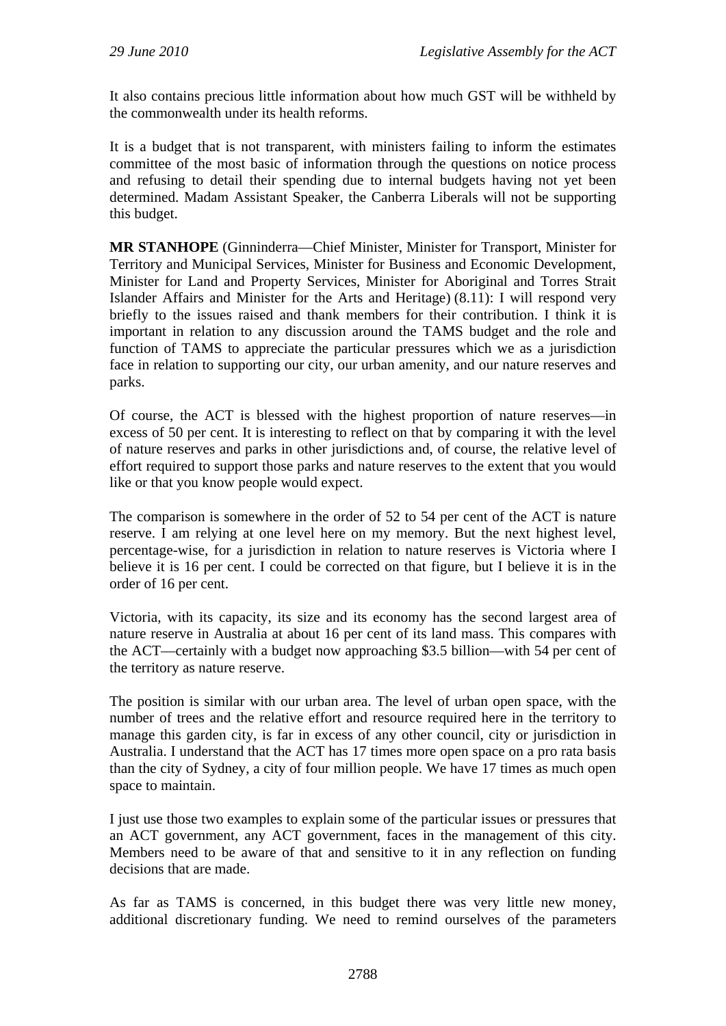It also contains precious little information about how much GST will be withheld by the commonwealth under its health reforms.

It is a budget that is not transparent, with ministers failing to inform the estimates committee of the most basic of information through the questions on notice process and refusing to detail their spending due to internal budgets having not yet been determined. Madam Assistant Speaker, the Canberra Liberals will not be supporting this budget.

**MR STANHOPE** (Ginninderra—Chief Minister, Minister for Transport, Minister for Territory and Municipal Services, Minister for Business and Economic Development, Minister for Land and Property Services, Minister for Aboriginal and Torres Strait Islander Affairs and Minister for the Arts and Heritage) (8.11): I will respond very briefly to the issues raised and thank members for their contribution. I think it is important in relation to any discussion around the TAMS budget and the role and function of TAMS to appreciate the particular pressures which we as a jurisdiction face in relation to supporting our city, our urban amenity, and our nature reserves and parks.

Of course, the ACT is blessed with the highest proportion of nature reserves—in excess of 50 per cent. It is interesting to reflect on that by comparing it with the level of nature reserves and parks in other jurisdictions and, of course, the relative level of effort required to support those parks and nature reserves to the extent that you would like or that you know people would expect.

The comparison is somewhere in the order of 52 to 54 per cent of the ACT is nature reserve. I am relying at one level here on my memory. But the next highest level, percentage-wise, for a jurisdiction in relation to nature reserves is Victoria where I believe it is 16 per cent. I could be corrected on that figure, but I believe it is in the order of 16 per cent.

Victoria, with its capacity, its size and its economy has the second largest area of nature reserve in Australia at about 16 per cent of its land mass. This compares with the ACT—certainly with a budget now approaching \$3.5 billion—with 54 per cent of the territory as nature reserve.

The position is similar with our urban area. The level of urban open space, with the number of trees and the relative effort and resource required here in the territory to manage this garden city, is far in excess of any other council, city or jurisdiction in Australia. I understand that the ACT has 17 times more open space on a pro rata basis than the city of Sydney, a city of four million people. We have 17 times as much open space to maintain.

I just use those two examples to explain some of the particular issues or pressures that an ACT government, any ACT government, faces in the management of this city. Members need to be aware of that and sensitive to it in any reflection on funding decisions that are made.

As far as TAMS is concerned, in this budget there was very little new money, additional discretionary funding. We need to remind ourselves of the parameters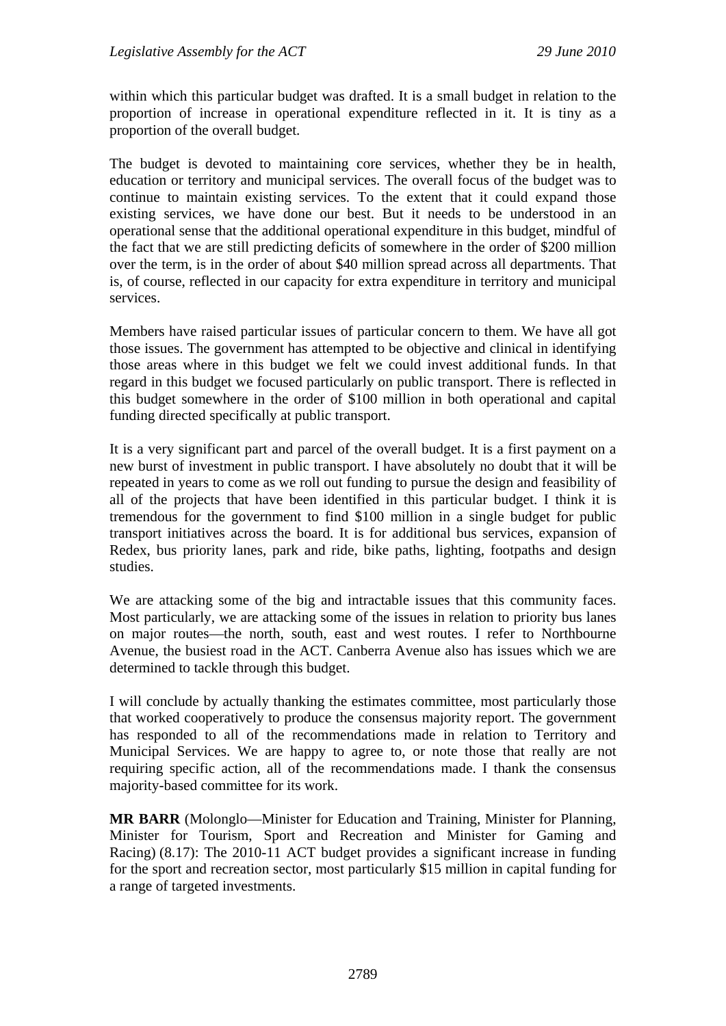within which this particular budget was drafted. It is a small budget in relation to the proportion of increase in operational expenditure reflected in it. It is tiny as a proportion of the overall budget.

The budget is devoted to maintaining core services, whether they be in health, education or territory and municipal services. The overall focus of the budget was to continue to maintain existing services. To the extent that it could expand those existing services, we have done our best. But it needs to be understood in an operational sense that the additional operational expenditure in this budget, mindful of the fact that we are still predicting deficits of somewhere in the order of \$200 million over the term, is in the order of about \$40 million spread across all departments. That is, of course, reflected in our capacity for extra expenditure in territory and municipal services.

Members have raised particular issues of particular concern to them. We have all got those issues. The government has attempted to be objective and clinical in identifying those areas where in this budget we felt we could invest additional funds. In that regard in this budget we focused particularly on public transport. There is reflected in this budget somewhere in the order of \$100 million in both operational and capital funding directed specifically at public transport.

It is a very significant part and parcel of the overall budget. It is a first payment on a new burst of investment in public transport. I have absolutely no doubt that it will be repeated in years to come as we roll out funding to pursue the design and feasibility of all of the projects that have been identified in this particular budget. I think it is tremendous for the government to find \$100 million in a single budget for public transport initiatives across the board. It is for additional bus services, expansion of Redex, bus priority lanes, park and ride, bike paths, lighting, footpaths and design studies.

We are attacking some of the big and intractable issues that this community faces. Most particularly, we are attacking some of the issues in relation to priority bus lanes on major routes—the north, south, east and west routes. I refer to Northbourne Avenue, the busiest road in the ACT. Canberra Avenue also has issues which we are determined to tackle through this budget.

I will conclude by actually thanking the estimates committee, most particularly those that worked cooperatively to produce the consensus majority report. The government has responded to all of the recommendations made in relation to Territory and Municipal Services. We are happy to agree to, or note those that really are not requiring specific action, all of the recommendations made. I thank the consensus majority-based committee for its work.

**MR BARR** (Molonglo—Minister for Education and Training, Minister for Planning, Minister for Tourism, Sport and Recreation and Minister for Gaming and Racing) (8.17): The 2010-11 ACT budget provides a significant increase in funding for the sport and recreation sector, most particularly \$15 million in capital funding for a range of targeted investments.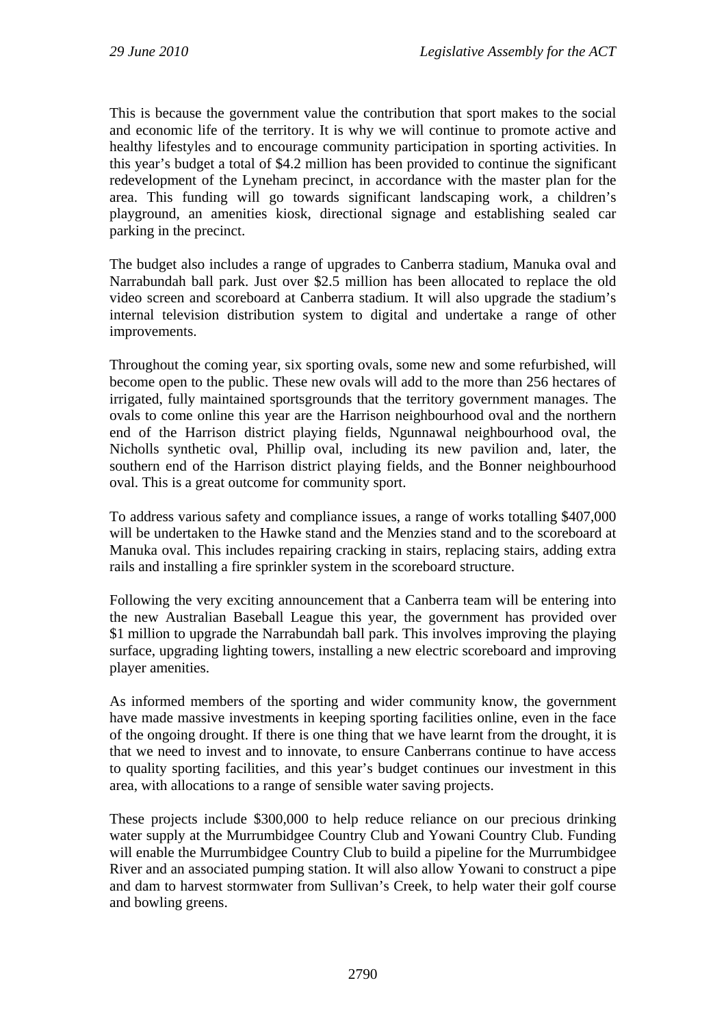This is because the government value the contribution that sport makes to the social and economic life of the territory. It is why we will continue to promote active and healthy lifestyles and to encourage community participation in sporting activities. In this year's budget a total of \$4.2 million has been provided to continue the significant redevelopment of the Lyneham precinct, in accordance with the master plan for the area. This funding will go towards significant landscaping work, a children's playground, an amenities kiosk, directional signage and establishing sealed car parking in the precinct.

The budget also includes a range of upgrades to Canberra stadium, Manuka oval and Narrabundah ball park. Just over \$2.5 million has been allocated to replace the old video screen and scoreboard at Canberra stadium. It will also upgrade the stadium's internal television distribution system to digital and undertake a range of other improvements.

Throughout the coming year, six sporting ovals, some new and some refurbished, will become open to the public. These new ovals will add to the more than 256 hectares of irrigated, fully maintained sportsgrounds that the territory government manages. The ovals to come online this year are the Harrison neighbourhood oval and the northern end of the Harrison district playing fields, Ngunnawal neighbourhood oval, the Nicholls synthetic oval, Phillip oval, including its new pavilion and, later, the southern end of the Harrison district playing fields, and the Bonner neighbourhood oval. This is a great outcome for community sport.

To address various safety and compliance issues, a range of works totalling \$407,000 will be undertaken to the Hawke stand and the Menzies stand and to the scoreboard at Manuka oval. This includes repairing cracking in stairs, replacing stairs, adding extra rails and installing a fire sprinkler system in the scoreboard structure.

Following the very exciting announcement that a Canberra team will be entering into the new Australian Baseball League this year, the government has provided over \$1 million to upgrade the Narrabundah ball park. This involves improving the playing surface, upgrading lighting towers, installing a new electric scoreboard and improving player amenities.

As informed members of the sporting and wider community know, the government have made massive investments in keeping sporting facilities online, even in the face of the ongoing drought. If there is one thing that we have learnt from the drought, it is that we need to invest and to innovate, to ensure Canberrans continue to have access to quality sporting facilities, and this year's budget continues our investment in this area, with allocations to a range of sensible water saving projects.

These projects include \$300,000 to help reduce reliance on our precious drinking water supply at the Murrumbidgee Country Club and Yowani Country Club. Funding will enable the Murrumbidgee Country Club to build a pipeline for the Murrumbidgee River and an associated pumping station. It will also allow Yowani to construct a pipe and dam to harvest stormwater from Sullivan's Creek, to help water their golf course and bowling greens.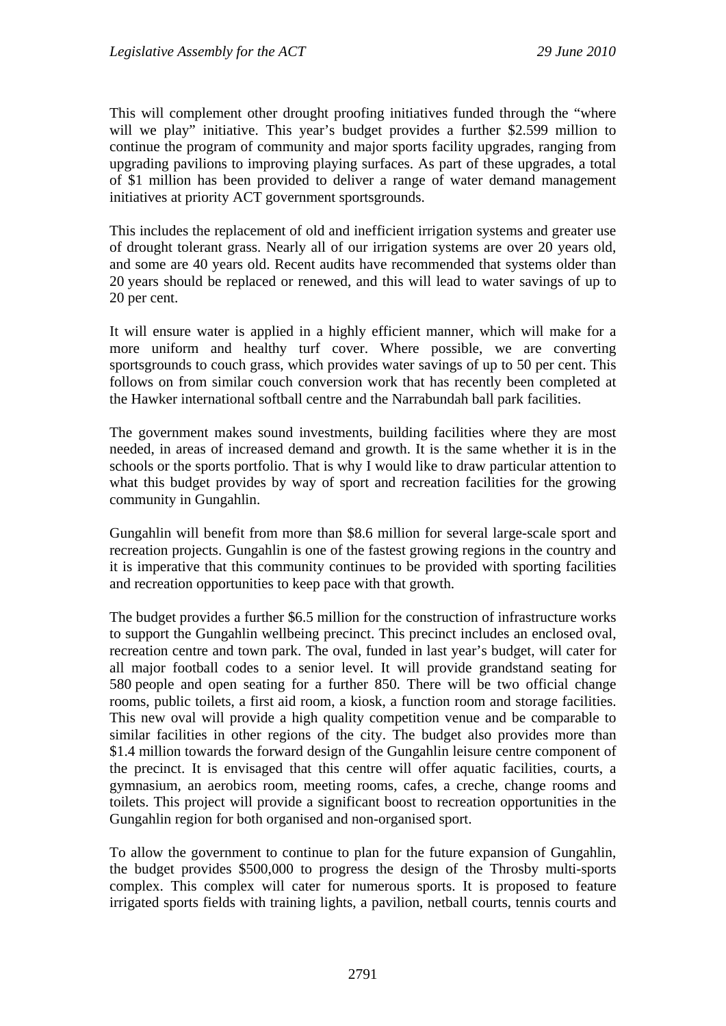This will complement other drought proofing initiatives funded through the "where will we play" initiative. This year's budget provides a further \$2.599 million to continue the program of community and major sports facility upgrades, ranging from upgrading pavilions to improving playing surfaces. As part of these upgrades, a total of \$1 million has been provided to deliver a range of water demand management initiatives at priority ACT government sportsgrounds.

This includes the replacement of old and inefficient irrigation systems and greater use of drought tolerant grass. Nearly all of our irrigation systems are over 20 years old, and some are 40 years old. Recent audits have recommended that systems older than 20 years should be replaced or renewed, and this will lead to water savings of up to 20 per cent.

It will ensure water is applied in a highly efficient manner, which will make for a more uniform and healthy turf cover. Where possible, we are converting sportsgrounds to couch grass, which provides water savings of up to 50 per cent. This follows on from similar couch conversion work that has recently been completed at the Hawker international softball centre and the Narrabundah ball park facilities.

The government makes sound investments, building facilities where they are most needed, in areas of increased demand and growth. It is the same whether it is in the schools or the sports portfolio. That is why I would like to draw particular attention to what this budget provides by way of sport and recreation facilities for the growing community in Gungahlin.

Gungahlin will benefit from more than \$8.6 million for several large-scale sport and recreation projects. Gungahlin is one of the fastest growing regions in the country and it is imperative that this community continues to be provided with sporting facilities and recreation opportunities to keep pace with that growth.

The budget provides a further \$6.5 million for the construction of infrastructure works to support the Gungahlin wellbeing precinct. This precinct includes an enclosed oval, recreation centre and town park. The oval, funded in last year's budget, will cater for all major football codes to a senior level. It will provide grandstand seating for 580 people and open seating for a further 850. There will be two official change rooms, public toilets, a first aid room, a kiosk, a function room and storage facilities. This new oval will provide a high quality competition venue and be comparable to similar facilities in other regions of the city. The budget also provides more than \$1.4 million towards the forward design of the Gungahlin leisure centre component of the precinct. It is envisaged that this centre will offer aquatic facilities, courts, a gymnasium, an aerobics room, meeting rooms, cafes, a creche, change rooms and toilets. This project will provide a significant boost to recreation opportunities in the Gungahlin region for both organised and non-organised sport.

To allow the government to continue to plan for the future expansion of Gungahlin, the budget provides \$500,000 to progress the design of the Throsby multi-sports complex. This complex will cater for numerous sports. It is proposed to feature irrigated sports fields with training lights, a pavilion, netball courts, tennis courts and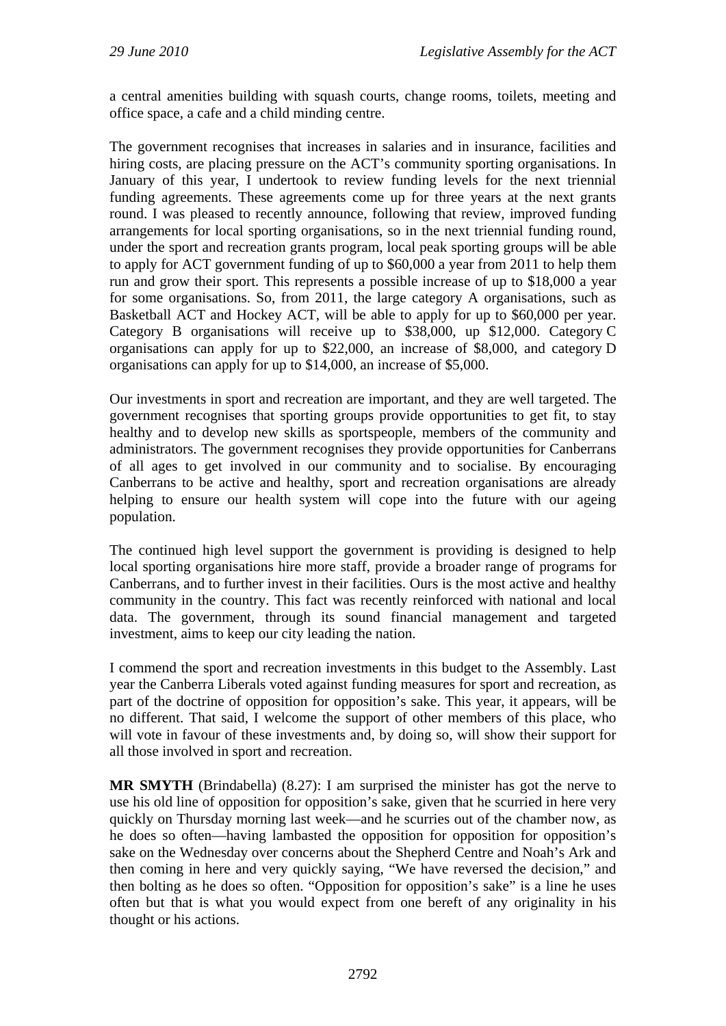a central amenities building with squash courts, change rooms, toilets, meeting and office space, a cafe and a child minding centre.

The government recognises that increases in salaries and in insurance, facilities and hiring costs, are placing pressure on the ACT's community sporting organisations. In January of this year, I undertook to review funding levels for the next triennial funding agreements. These agreements come up for three years at the next grants round. I was pleased to recently announce, following that review, improved funding arrangements for local sporting organisations, so in the next triennial funding round, under the sport and recreation grants program, local peak sporting groups will be able to apply for ACT government funding of up to \$60,000 a year from 2011 to help them run and grow their sport. This represents a possible increase of up to \$18,000 a year for some organisations. So, from 2011, the large category A organisations, such as Basketball ACT and Hockey ACT, will be able to apply for up to \$60,000 per year. Category B organisations will receive up to \$38,000, up \$12,000. Category C organisations can apply for up to \$22,000, an increase of \$8,000, and category D organisations can apply for up to \$14,000, an increase of \$5,000.

Our investments in sport and recreation are important, and they are well targeted. The government recognises that sporting groups provide opportunities to get fit, to stay healthy and to develop new skills as sportspeople, members of the community and administrators. The government recognises they provide opportunities for Canberrans of all ages to get involved in our community and to socialise. By encouraging Canberrans to be active and healthy, sport and recreation organisations are already helping to ensure our health system will cope into the future with our ageing population.

The continued high level support the government is providing is designed to help local sporting organisations hire more staff, provide a broader range of programs for Canberrans, and to further invest in their facilities. Ours is the most active and healthy community in the country. This fact was recently reinforced with national and local data. The government, through its sound financial management and targeted investment, aims to keep our city leading the nation.

I commend the sport and recreation investments in this budget to the Assembly. Last year the Canberra Liberals voted against funding measures for sport and recreation, as part of the doctrine of opposition for opposition's sake. This year, it appears, will be no different. That said, I welcome the support of other members of this place, who will vote in favour of these investments and, by doing so, will show their support for all those involved in sport and recreation.

**MR SMYTH** (Brindabella) (8.27): I am surprised the minister has got the nerve to use his old line of opposition for opposition's sake, given that he scurried in here very quickly on Thursday morning last week—and he scurries out of the chamber now, as he does so often—having lambasted the opposition for opposition for opposition's sake on the Wednesday over concerns about the Shepherd Centre and Noah's Ark and then coming in here and very quickly saying, "We have reversed the decision," and then bolting as he does so often. "Opposition for opposition's sake" is a line he uses often but that is what you would expect from one bereft of any originality in his thought or his actions.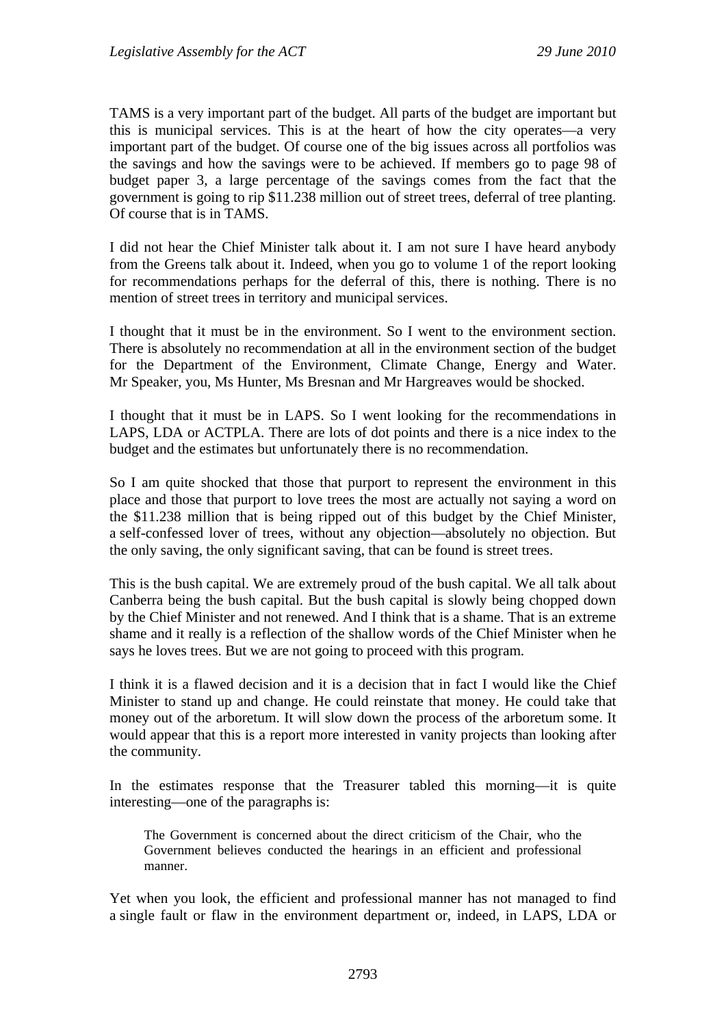TAMS is a very important part of the budget. All parts of the budget are important but this is municipal services. This is at the heart of how the city operates—a very important part of the budget. Of course one of the big issues across all portfolios was the savings and how the savings were to be achieved. If members go to page 98 of budget paper 3, a large percentage of the savings comes from the fact that the government is going to rip \$11.238 million out of street trees, deferral of tree planting. Of course that is in TAMS.

I did not hear the Chief Minister talk about it. I am not sure I have heard anybody from the Greens talk about it. Indeed, when you go to volume 1 of the report looking for recommendations perhaps for the deferral of this, there is nothing. There is no mention of street trees in territory and municipal services.

I thought that it must be in the environment. So I went to the environment section. There is absolutely no recommendation at all in the environment section of the budget for the Department of the Environment, Climate Change, Energy and Water. Mr Speaker, you, Ms Hunter, Ms Bresnan and Mr Hargreaves would be shocked.

I thought that it must be in LAPS. So I went looking for the recommendations in LAPS, LDA or ACTPLA. There are lots of dot points and there is a nice index to the budget and the estimates but unfortunately there is no recommendation.

So I am quite shocked that those that purport to represent the environment in this place and those that purport to love trees the most are actually not saying a word on the \$11.238 million that is being ripped out of this budget by the Chief Minister, a self-confessed lover of trees, without any objection—absolutely no objection. But the only saving, the only significant saving, that can be found is street trees.

This is the bush capital. We are extremely proud of the bush capital. We all talk about Canberra being the bush capital. But the bush capital is slowly being chopped down by the Chief Minister and not renewed. And I think that is a shame. That is an extreme shame and it really is a reflection of the shallow words of the Chief Minister when he says he loves trees. But we are not going to proceed with this program.

I think it is a flawed decision and it is a decision that in fact I would like the Chief Minister to stand up and change. He could reinstate that money. He could take that money out of the arboretum. It will slow down the process of the arboretum some. It would appear that this is a report more interested in vanity projects than looking after the community.

In the estimates response that the Treasurer tabled this morning—it is quite interesting—one of the paragraphs is:

The Government is concerned about the direct criticism of the Chair, who the Government believes conducted the hearings in an efficient and professional manner.

Yet when you look, the efficient and professional manner has not managed to find a single fault or flaw in the environment department or, indeed, in LAPS, LDA or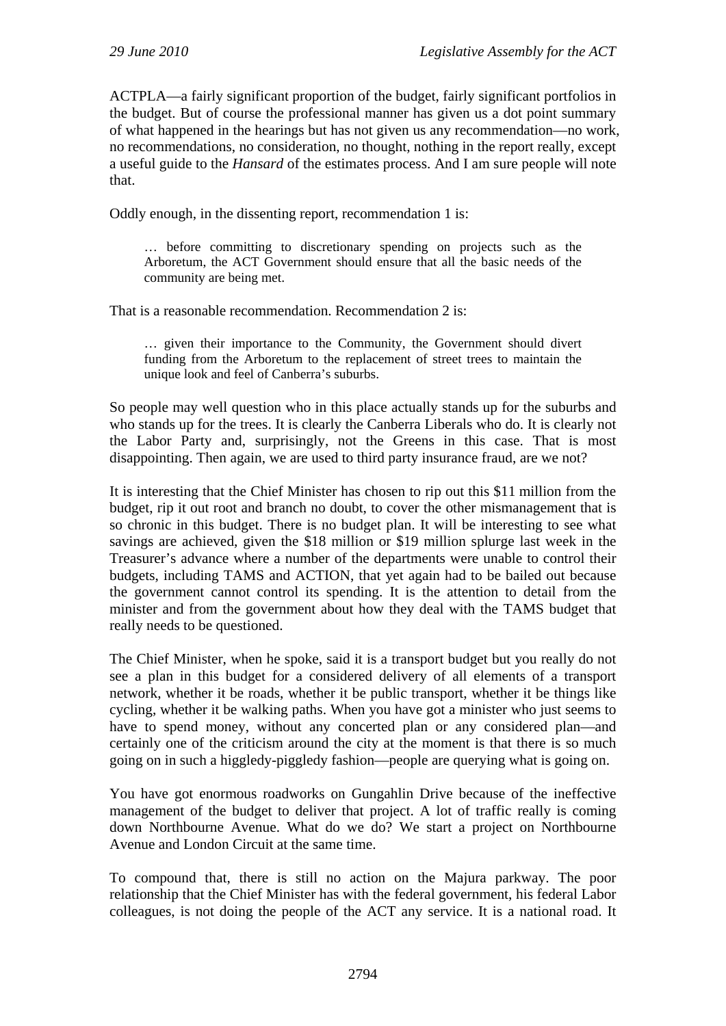ACTPLA—a fairly significant proportion of the budget, fairly significant portfolios in the budget. But of course the professional manner has given us a dot point summary of what happened in the hearings but has not given us any recommendation—no work, no recommendations, no consideration, no thought, nothing in the report really, except a useful guide to the *Hansard* of the estimates process. And I am sure people will note that.

Oddly enough, in the dissenting report, recommendation 1 is:

… before committing to discretionary spending on projects such as the Arboretum, the ACT Government should ensure that all the basic needs of the community are being met.

That is a reasonable recommendation. Recommendation 2 is:

… given their importance to the Community, the Government should divert funding from the Arboretum to the replacement of street trees to maintain the unique look and feel of Canberra's suburbs.

So people may well question who in this place actually stands up for the suburbs and who stands up for the trees. It is clearly the Canberra Liberals who do. It is clearly not the Labor Party and, surprisingly, not the Greens in this case. That is most disappointing. Then again, we are used to third party insurance fraud, are we not?

It is interesting that the Chief Minister has chosen to rip out this \$11 million from the budget, rip it out root and branch no doubt, to cover the other mismanagement that is so chronic in this budget. There is no budget plan. It will be interesting to see what savings are achieved, given the \$18 million or \$19 million splurge last week in the Treasurer's advance where a number of the departments were unable to control their budgets, including TAMS and ACTION, that yet again had to be bailed out because the government cannot control its spending. It is the attention to detail from the minister and from the government about how they deal with the TAMS budget that really needs to be questioned.

The Chief Minister, when he spoke, said it is a transport budget but you really do not see a plan in this budget for a considered delivery of all elements of a transport network, whether it be roads, whether it be public transport, whether it be things like cycling, whether it be walking paths. When you have got a minister who just seems to have to spend money, without any concerted plan or any considered plan—and certainly one of the criticism around the city at the moment is that there is so much going on in such a higgledy-piggledy fashion—people are querying what is going on.

You have got enormous roadworks on Gungahlin Drive because of the ineffective management of the budget to deliver that project. A lot of traffic really is coming down Northbourne Avenue. What do we do? We start a project on Northbourne Avenue and London Circuit at the same time.

To compound that, there is still no action on the Majura parkway. The poor relationship that the Chief Minister has with the federal government, his federal Labor colleagues, is not doing the people of the ACT any service. It is a national road. It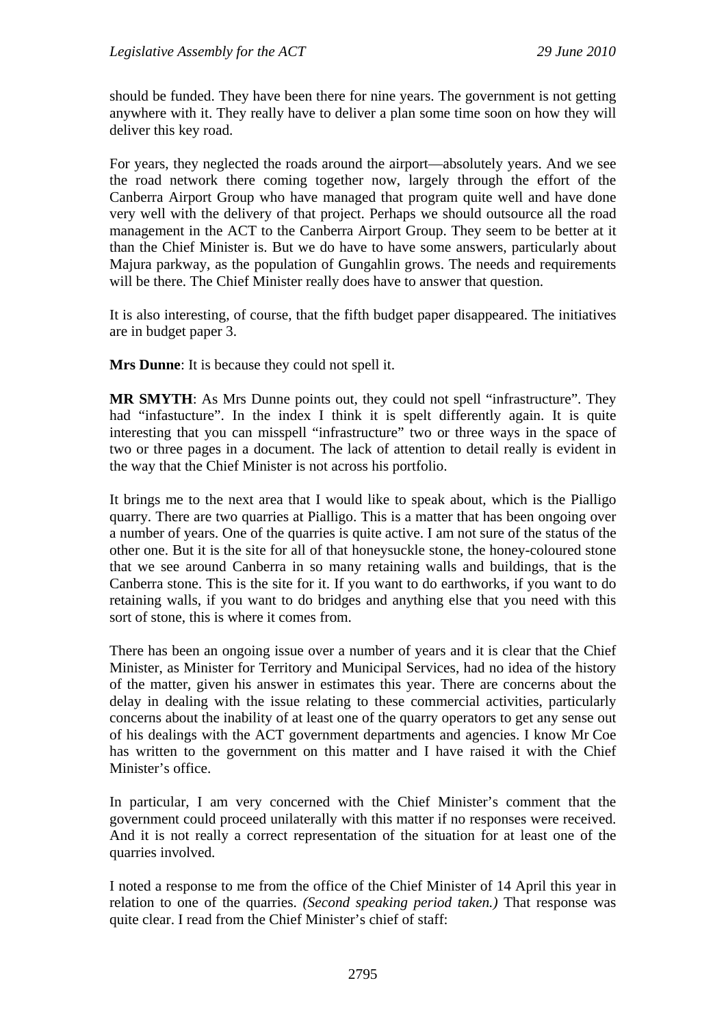should be funded. They have been there for nine years. The government is not getting anywhere with it. They really have to deliver a plan some time soon on how they will deliver this key road.

For years, they neglected the roads around the airport—absolutely years. And we see the road network there coming together now, largely through the effort of the Canberra Airport Group who have managed that program quite well and have done very well with the delivery of that project. Perhaps we should outsource all the road management in the ACT to the Canberra Airport Group. They seem to be better at it than the Chief Minister is. But we do have to have some answers, particularly about Majura parkway, as the population of Gungahlin grows. The needs and requirements will be there. The Chief Minister really does have to answer that question.

It is also interesting, of course, that the fifth budget paper disappeared. The initiatives are in budget paper 3.

**Mrs Dunne**: It is because they could not spell it.

**MR SMYTH**: As Mrs Dunne points out, they could not spell "infrastructure". They had "infastucture". In the index I think it is spelt differently again. It is quite interesting that you can misspell "infrastructure" two or three ways in the space of two or three pages in a document. The lack of attention to detail really is evident in the way that the Chief Minister is not across his portfolio.

It brings me to the next area that I would like to speak about, which is the Pialligo quarry. There are two quarries at Pialligo. This is a matter that has been ongoing over a number of years. One of the quarries is quite active. I am not sure of the status of the other one. But it is the site for all of that honeysuckle stone, the honey-coloured stone that we see around Canberra in so many retaining walls and buildings, that is the Canberra stone. This is the site for it. If you want to do earthworks, if you want to do retaining walls, if you want to do bridges and anything else that you need with this sort of stone, this is where it comes from.

There has been an ongoing issue over a number of years and it is clear that the Chief Minister, as Minister for Territory and Municipal Services, had no idea of the history of the matter, given his answer in estimates this year. There are concerns about the delay in dealing with the issue relating to these commercial activities, particularly concerns about the inability of at least one of the quarry operators to get any sense out of his dealings with the ACT government departments and agencies. I know Mr Coe has written to the government on this matter and I have raised it with the Chief Minister's office.

In particular, I am very concerned with the Chief Minister's comment that the government could proceed unilaterally with this matter if no responses were received. And it is not really a correct representation of the situation for at least one of the quarries involved.

I noted a response to me from the office of the Chief Minister of 14 April this year in relation to one of the quarries. *(Second speaking period taken.)* That response was quite clear. I read from the Chief Minister's chief of staff: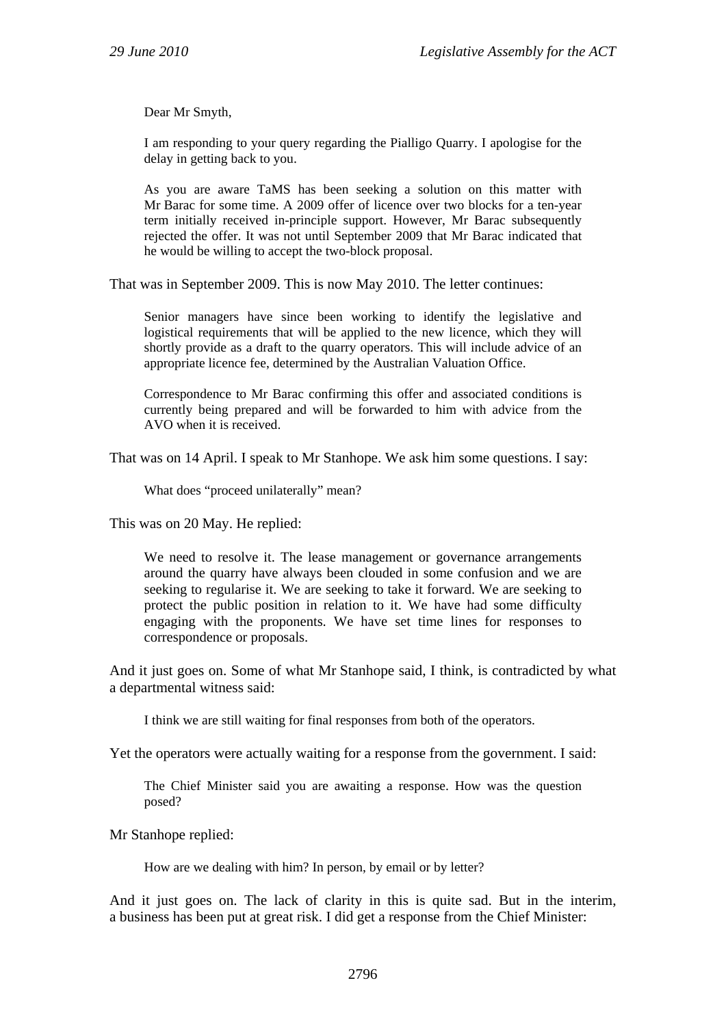Dear Mr Smyth,

I am responding to your query regarding the Pialligo Quarry. I apologise for the delay in getting back to you.

As you are aware TaMS has been seeking a solution on this matter with Mr Barac for some time. A 2009 offer of licence over two blocks for a ten-year term initially received in-principle support. However, Mr Barac subsequently rejected the offer. It was not until September 2009 that Mr Barac indicated that he would be willing to accept the two-block proposal.

That was in September 2009. This is now May 2010. The letter continues:

Senior managers have since been working to identify the legislative and logistical requirements that will be applied to the new licence, which they will shortly provide as a draft to the quarry operators. This will include advice of an appropriate licence fee, determined by the Australian Valuation Office.

Correspondence to Mr Barac confirming this offer and associated conditions is currently being prepared and will be forwarded to him with advice from the AVO when it is received.

That was on 14 April. I speak to Mr Stanhope. We ask him some questions. I say:

What does "proceed unilaterally" mean?

This was on 20 May. He replied:

We need to resolve it. The lease management or governance arrangements around the quarry have always been clouded in some confusion and we are seeking to regularise it. We are seeking to take it forward. We are seeking to protect the public position in relation to it. We have had some difficulty engaging with the proponents. We have set time lines for responses to correspondence or proposals.

And it just goes on. Some of what Mr Stanhope said, I think, is contradicted by what a departmental witness said:

I think we are still waiting for final responses from both of the operators.

Yet the operators were actually waiting for a response from the government. I said:

The Chief Minister said you are awaiting a response. How was the question posed?

Mr Stanhope replied:

How are we dealing with him? In person, by email or by letter?

And it just goes on. The lack of clarity in this is quite sad. But in the interim, a business has been put at great risk. I did get a response from the Chief Minister: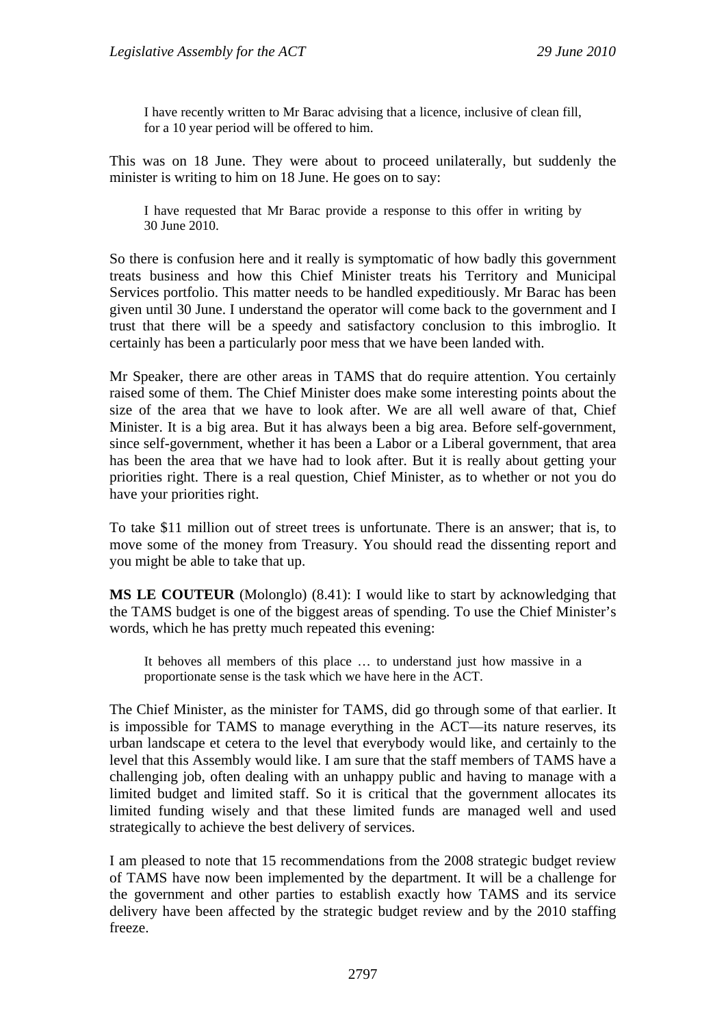I have recently written to Mr Barac advising that a licence, inclusive of clean fill, for a 10 year period will be offered to him.

This was on 18 June. They were about to proceed unilaterally, but suddenly the minister is writing to him on 18 June. He goes on to say:

I have requested that Mr Barac provide a response to this offer in writing by 30 June 2010.

So there is confusion here and it really is symptomatic of how badly this government treats business and how this Chief Minister treats his Territory and Municipal Services portfolio. This matter needs to be handled expeditiously. Mr Barac has been given until 30 June. I understand the operator will come back to the government and I trust that there will be a speedy and satisfactory conclusion to this imbroglio. It certainly has been a particularly poor mess that we have been landed with.

Mr Speaker, there are other areas in TAMS that do require attention. You certainly raised some of them. The Chief Minister does make some interesting points about the size of the area that we have to look after. We are all well aware of that, Chief Minister. It is a big area. But it has always been a big area. Before self-government, since self-government, whether it has been a Labor or a Liberal government, that area has been the area that we have had to look after. But it is really about getting your priorities right. There is a real question, Chief Minister, as to whether or not you do have your priorities right.

To take \$11 million out of street trees is unfortunate. There is an answer; that is, to move some of the money from Treasury. You should read the dissenting report and you might be able to take that up.

**MS LE COUTEUR** (Molonglo) (8.41): I would like to start by acknowledging that the TAMS budget is one of the biggest areas of spending. To use the Chief Minister's words, which he has pretty much repeated this evening:

It behoves all members of this place … to understand just how massive in a proportionate sense is the task which we have here in the ACT.

The Chief Minister, as the minister for TAMS, did go through some of that earlier. It is impossible for TAMS to manage everything in the ACT—its nature reserves, its urban landscape et cetera to the level that everybody would like, and certainly to the level that this Assembly would like. I am sure that the staff members of TAMS have a challenging job, often dealing with an unhappy public and having to manage with a limited budget and limited staff. So it is critical that the government allocates its limited funding wisely and that these limited funds are managed well and used strategically to achieve the best delivery of services.

I am pleased to note that 15 recommendations from the 2008 strategic budget review of TAMS have now been implemented by the department. It will be a challenge for the government and other parties to establish exactly how TAMS and its service delivery have been affected by the strategic budget review and by the 2010 staffing freeze.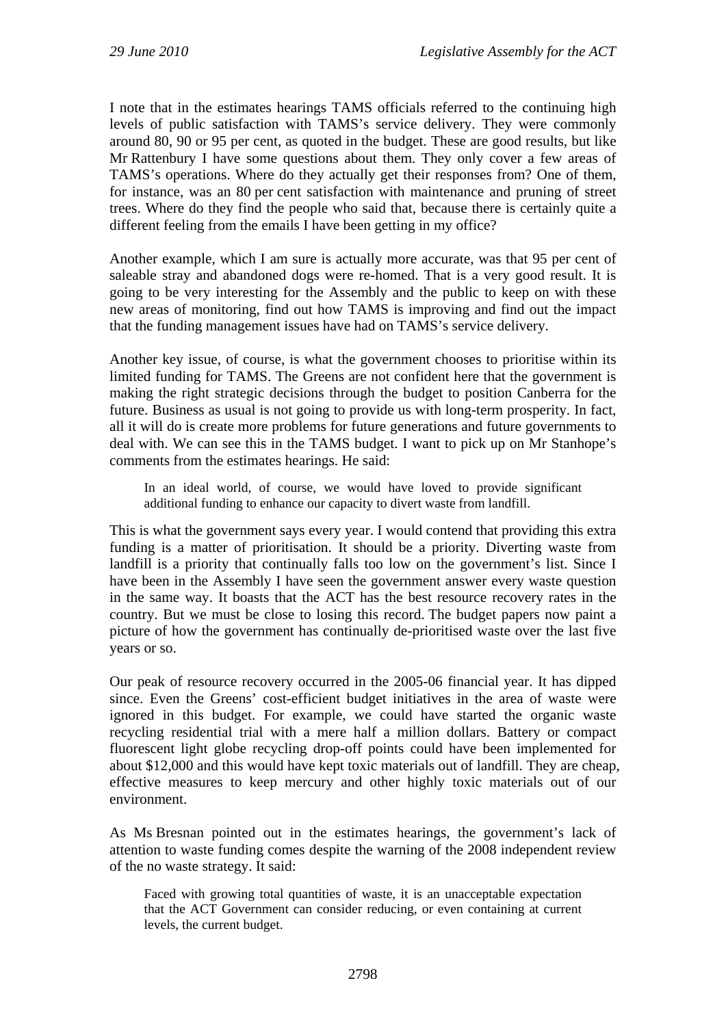I note that in the estimates hearings TAMS officials referred to the continuing high levels of public satisfaction with TAMS's service delivery. They were commonly around 80, 90 or 95 per cent, as quoted in the budget. These are good results, but like Mr Rattenbury I have some questions about them. They only cover a few areas of TAMS's operations. Where do they actually get their responses from? One of them, for instance, was an 80 per cent satisfaction with maintenance and pruning of street trees. Where do they find the people who said that, because there is certainly quite a different feeling from the emails I have been getting in my office?

Another example, which I am sure is actually more accurate, was that 95 per cent of saleable stray and abandoned dogs were re-homed. That is a very good result. It is going to be very interesting for the Assembly and the public to keep on with these new areas of monitoring, find out how TAMS is improving and find out the impact that the funding management issues have had on TAMS's service delivery.

Another key issue, of course, is what the government chooses to prioritise within its limited funding for TAMS. The Greens are not confident here that the government is making the right strategic decisions through the budget to position Canberra for the future. Business as usual is not going to provide us with long-term prosperity. In fact, all it will do is create more problems for future generations and future governments to deal with. We can see this in the TAMS budget. I want to pick up on Mr Stanhope's comments from the estimates hearings. He said:

In an ideal world, of course, we would have loved to provide significant additional funding to enhance our capacity to divert waste from landfill.

This is what the government says every year. I would contend that providing this extra funding is a matter of prioritisation. It should be a priority. Diverting waste from landfill is a priority that continually falls too low on the government's list. Since I have been in the Assembly I have seen the government answer every waste question in the same way. It boasts that the ACT has the best resource recovery rates in the country. But we must be close to losing this record. The budget papers now paint a picture of how the government has continually de-prioritised waste over the last five years or so.

Our peak of resource recovery occurred in the 2005-06 financial year. It has dipped since. Even the Greens' cost-efficient budget initiatives in the area of waste were ignored in this budget. For example, we could have started the organic waste recycling residential trial with a mere half a million dollars. Battery or compact fluorescent light globe recycling drop-off points could have been implemented for about \$12,000 and this would have kept toxic materials out of landfill. They are cheap, effective measures to keep mercury and other highly toxic materials out of our environment.

As Ms Bresnan pointed out in the estimates hearings, the government's lack of attention to waste funding comes despite the warning of the 2008 independent review of the no waste strategy. It said:

Faced with growing total quantities of waste, it is an unacceptable expectation that the ACT Government can consider reducing, or even containing at current levels, the current budget.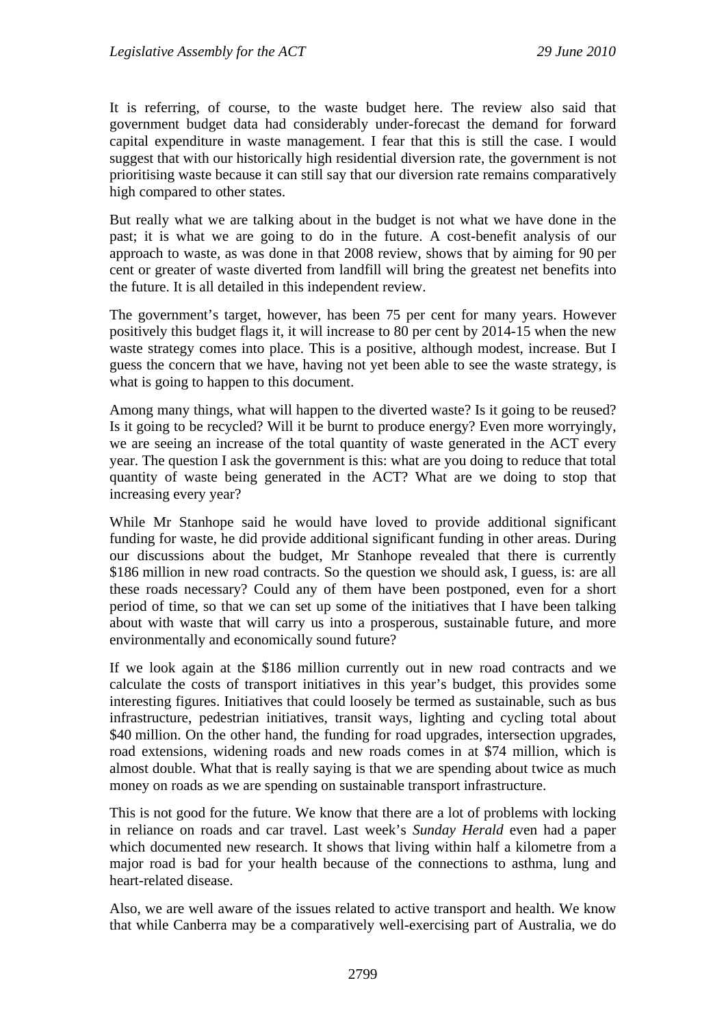It is referring, of course, to the waste budget here. The review also said that government budget data had considerably under-forecast the demand for forward capital expenditure in waste management. I fear that this is still the case. I would suggest that with our historically high residential diversion rate, the government is not prioritising waste because it can still say that our diversion rate remains comparatively high compared to other states.

But really what we are talking about in the budget is not what we have done in the past; it is what we are going to do in the future. A cost-benefit analysis of our approach to waste, as was done in that 2008 review, shows that by aiming for 90 per cent or greater of waste diverted from landfill will bring the greatest net benefits into the future. It is all detailed in this independent review.

The government's target, however, has been 75 per cent for many years. However positively this budget flags it, it will increase to 80 per cent by 2014-15 when the new waste strategy comes into place. This is a positive, although modest, increase. But I guess the concern that we have, having not yet been able to see the waste strategy, is what is going to happen to this document.

Among many things, what will happen to the diverted waste? Is it going to be reused? Is it going to be recycled? Will it be burnt to produce energy? Even more worryingly, we are seeing an increase of the total quantity of waste generated in the ACT every year. The question I ask the government is this: what are you doing to reduce that total quantity of waste being generated in the ACT? What are we doing to stop that increasing every year?

While Mr Stanhope said he would have loved to provide additional significant funding for waste, he did provide additional significant funding in other areas. During our discussions about the budget, Mr Stanhope revealed that there is currently \$186 million in new road contracts. So the question we should ask, I guess, is: are all these roads necessary? Could any of them have been postponed, even for a short period of time, so that we can set up some of the initiatives that I have been talking about with waste that will carry us into a prosperous, sustainable future, and more environmentally and economically sound future?

If we look again at the \$186 million currently out in new road contracts and we calculate the costs of transport initiatives in this year's budget, this provides some interesting figures. Initiatives that could loosely be termed as sustainable, such as bus infrastructure, pedestrian initiatives, transit ways, lighting and cycling total about \$40 million. On the other hand, the funding for road upgrades, intersection upgrades, road extensions, widening roads and new roads comes in at \$74 million, which is almost double. What that is really saying is that we are spending about twice as much money on roads as we are spending on sustainable transport infrastructure.

This is not good for the future. We know that there are a lot of problems with locking in reliance on roads and car travel. Last week's *Sunday Herald* even had a paper which documented new research. It shows that living within half a kilometre from a major road is bad for your health because of the connections to asthma, lung and heart-related disease.

Also, we are well aware of the issues related to active transport and health. We know that while Canberra may be a comparatively well-exercising part of Australia, we do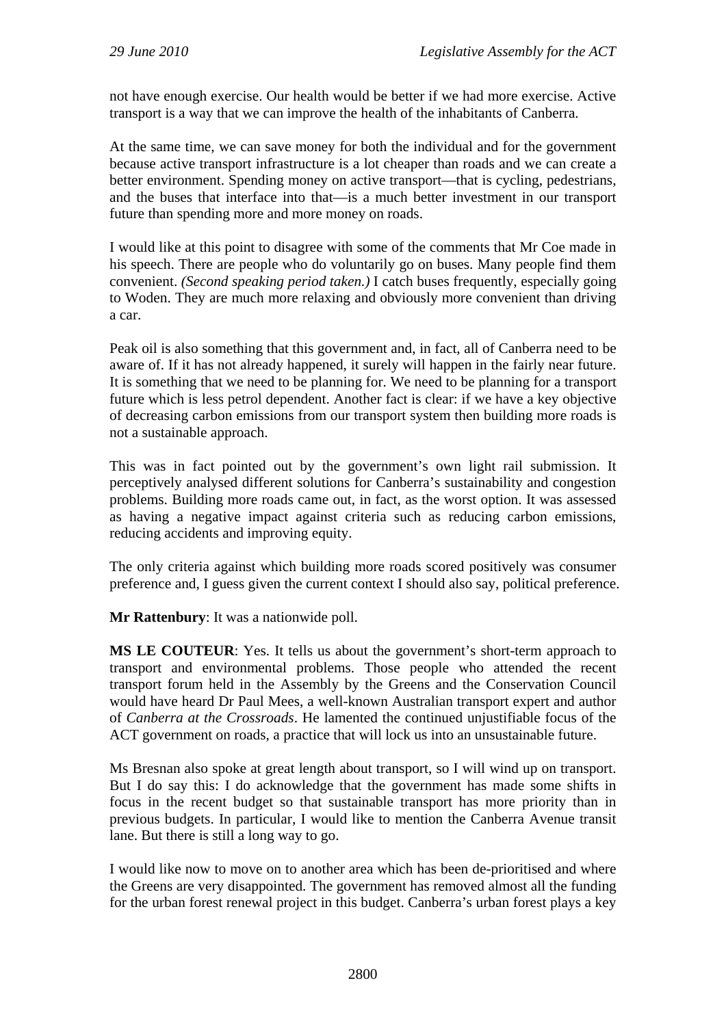not have enough exercise. Our health would be better if we had more exercise. Active transport is a way that we can improve the health of the inhabitants of Canberra.

At the same time, we can save money for both the individual and for the government because active transport infrastructure is a lot cheaper than roads and we can create a better environment. Spending money on active transport—that is cycling, pedestrians, and the buses that interface into that—is a much better investment in our transport future than spending more and more money on roads.

I would like at this point to disagree with some of the comments that Mr Coe made in his speech. There are people who do voluntarily go on buses. Many people find them convenient. *(Second speaking period taken.)* I catch buses frequently, especially going to Woden. They are much more relaxing and obviously more convenient than driving a car.

Peak oil is also something that this government and, in fact, all of Canberra need to be aware of. If it has not already happened, it surely will happen in the fairly near future. It is something that we need to be planning for. We need to be planning for a transport future which is less petrol dependent. Another fact is clear: if we have a key objective of decreasing carbon emissions from our transport system then building more roads is not a sustainable approach.

This was in fact pointed out by the government's own light rail submission. It perceptively analysed different solutions for Canberra's sustainability and congestion problems. Building more roads came out, in fact, as the worst option. It was assessed as having a negative impact against criteria such as reducing carbon emissions, reducing accidents and improving equity.

The only criteria against which building more roads scored positively was consumer preference and, I guess given the current context I should also say, political preference.

**Mr Rattenbury**: It was a nationwide poll.

**MS LE COUTEUR**: Yes. It tells us about the government's short-term approach to transport and environmental problems. Those people who attended the recent transport forum held in the Assembly by the Greens and the Conservation Council would have heard Dr Paul Mees, a well-known Australian transport expert and author of *Canberra at the Crossroads*. He lamented the continued unjustifiable focus of the ACT government on roads, a practice that will lock us into an unsustainable future.

Ms Bresnan also spoke at great length about transport, so I will wind up on transport. But I do say this: I do acknowledge that the government has made some shifts in focus in the recent budget so that sustainable transport has more priority than in previous budgets. In particular, I would like to mention the Canberra Avenue transit lane. But there is still a long way to go.

I would like now to move on to another area which has been de-prioritised and where the Greens are very disappointed. The government has removed almost all the funding for the urban forest renewal project in this budget. Canberra's urban forest plays a key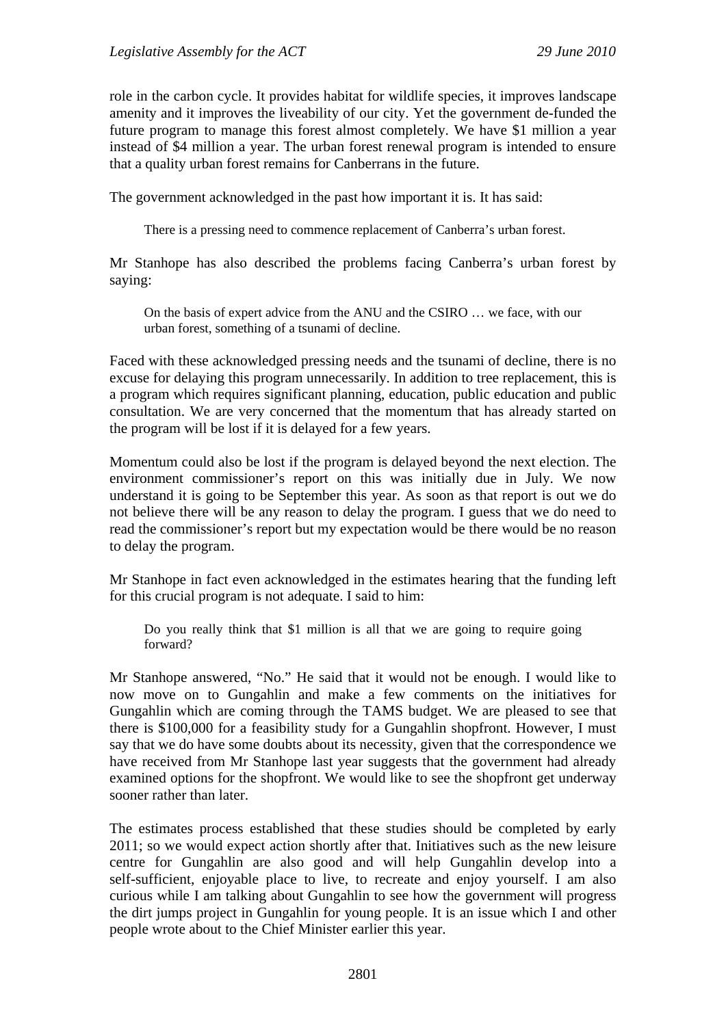role in the carbon cycle. It provides habitat for wildlife species, it improves landscape amenity and it improves the liveability of our city. Yet the government de-funded the future program to manage this forest almost completely. We have \$1 million a year instead of \$4 million a year. The urban forest renewal program is intended to ensure that a quality urban forest remains for Canberrans in the future.

The government acknowledged in the past how important it is. It has said:

There is a pressing need to commence replacement of Canberra's urban forest.

Mr Stanhope has also described the problems facing Canberra's urban forest by saying:

On the basis of expert advice from the ANU and the CSIRO … we face, with our urban forest, something of a tsunami of decline.

Faced with these acknowledged pressing needs and the tsunami of decline, there is no excuse for delaying this program unnecessarily. In addition to tree replacement, this is a program which requires significant planning, education, public education and public consultation. We are very concerned that the momentum that has already started on the program will be lost if it is delayed for a few years.

Momentum could also be lost if the program is delayed beyond the next election. The environment commissioner's report on this was initially due in July. We now understand it is going to be September this year. As soon as that report is out we do not believe there will be any reason to delay the program. I guess that we do need to read the commissioner's report but my expectation would be there would be no reason to delay the program.

Mr Stanhope in fact even acknowledged in the estimates hearing that the funding left for this crucial program is not adequate. I said to him:

Do you really think that \$1 million is all that we are going to require going forward?

Mr Stanhope answered, "No." He said that it would not be enough. I would like to now move on to Gungahlin and make a few comments on the initiatives for Gungahlin which are coming through the TAMS budget. We are pleased to see that there is \$100,000 for a feasibility study for a Gungahlin shopfront. However, I must say that we do have some doubts about its necessity, given that the correspondence we have received from Mr Stanhope last year suggests that the government had already examined options for the shopfront. We would like to see the shopfront get underway sooner rather than later.

The estimates process established that these studies should be completed by early 2011; so we would expect action shortly after that. Initiatives such as the new leisure centre for Gungahlin are also good and will help Gungahlin develop into a self-sufficient, enjoyable place to live, to recreate and enjoy yourself. I am also curious while I am talking about Gungahlin to see how the government will progress the dirt jumps project in Gungahlin for young people. It is an issue which I and other people wrote about to the Chief Minister earlier this year.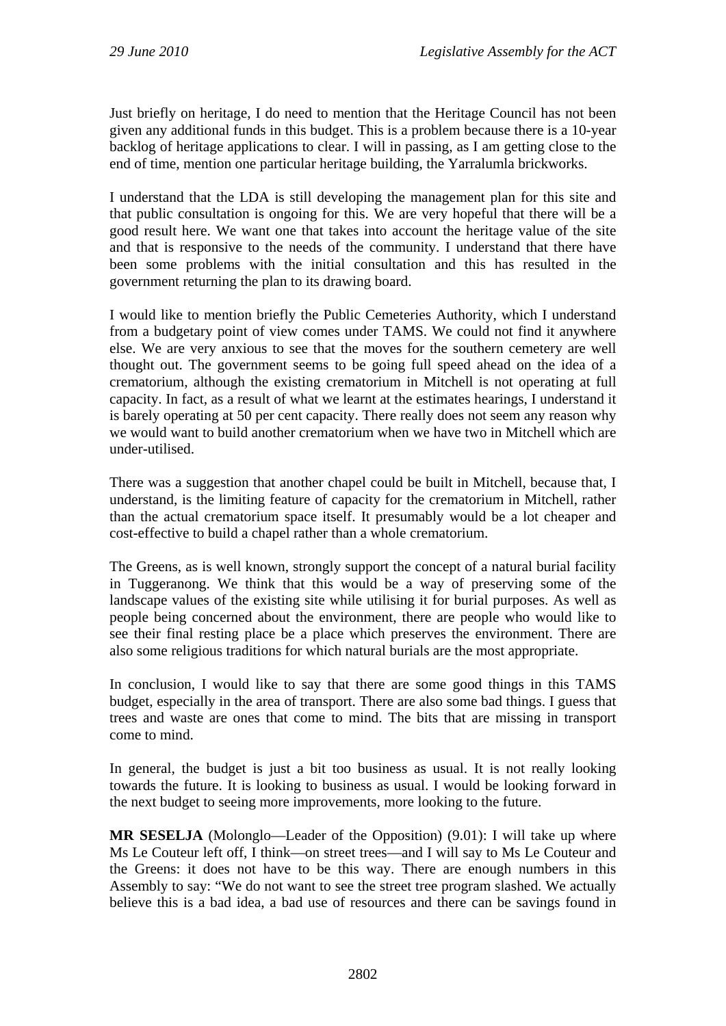Just briefly on heritage, I do need to mention that the Heritage Council has not been given any additional funds in this budget. This is a problem because there is a 10-year backlog of heritage applications to clear. I will in passing, as I am getting close to the end of time, mention one particular heritage building, the Yarralumla brickworks.

I understand that the LDA is still developing the management plan for this site and that public consultation is ongoing for this. We are very hopeful that there will be a good result here. We want one that takes into account the heritage value of the site and that is responsive to the needs of the community. I understand that there have been some problems with the initial consultation and this has resulted in the government returning the plan to its drawing board.

I would like to mention briefly the Public Cemeteries Authority, which I understand from a budgetary point of view comes under TAMS. We could not find it anywhere else. We are very anxious to see that the moves for the southern cemetery are well thought out. The government seems to be going full speed ahead on the idea of a crematorium, although the existing crematorium in Mitchell is not operating at full capacity. In fact, as a result of what we learnt at the estimates hearings, I understand it is barely operating at 50 per cent capacity. There really does not seem any reason why we would want to build another crematorium when we have two in Mitchell which are under-utilised.

There was a suggestion that another chapel could be built in Mitchell, because that, I understand, is the limiting feature of capacity for the crematorium in Mitchell, rather than the actual crematorium space itself. It presumably would be a lot cheaper and cost-effective to build a chapel rather than a whole crematorium.

The Greens, as is well known, strongly support the concept of a natural burial facility in Tuggeranong. We think that this would be a way of preserving some of the landscape values of the existing site while utilising it for burial purposes. As well as people being concerned about the environment, there are people who would like to see their final resting place be a place which preserves the environment. There are also some religious traditions for which natural burials are the most appropriate.

In conclusion, I would like to say that there are some good things in this TAMS budget, especially in the area of transport. There are also some bad things. I guess that trees and waste are ones that come to mind. The bits that are missing in transport come to mind.

In general, the budget is just a bit too business as usual. It is not really looking towards the future. It is looking to business as usual. I would be looking forward in the next budget to seeing more improvements, more looking to the future.

**MR SESELJA** (Molonglo—Leader of the Opposition) (9.01): I will take up where Ms Le Couteur left off, I think—on street trees—and I will say to Ms Le Couteur and the Greens: it does not have to be this way. There are enough numbers in this Assembly to say: "We do not want to see the street tree program slashed. We actually believe this is a bad idea, a bad use of resources and there can be savings found in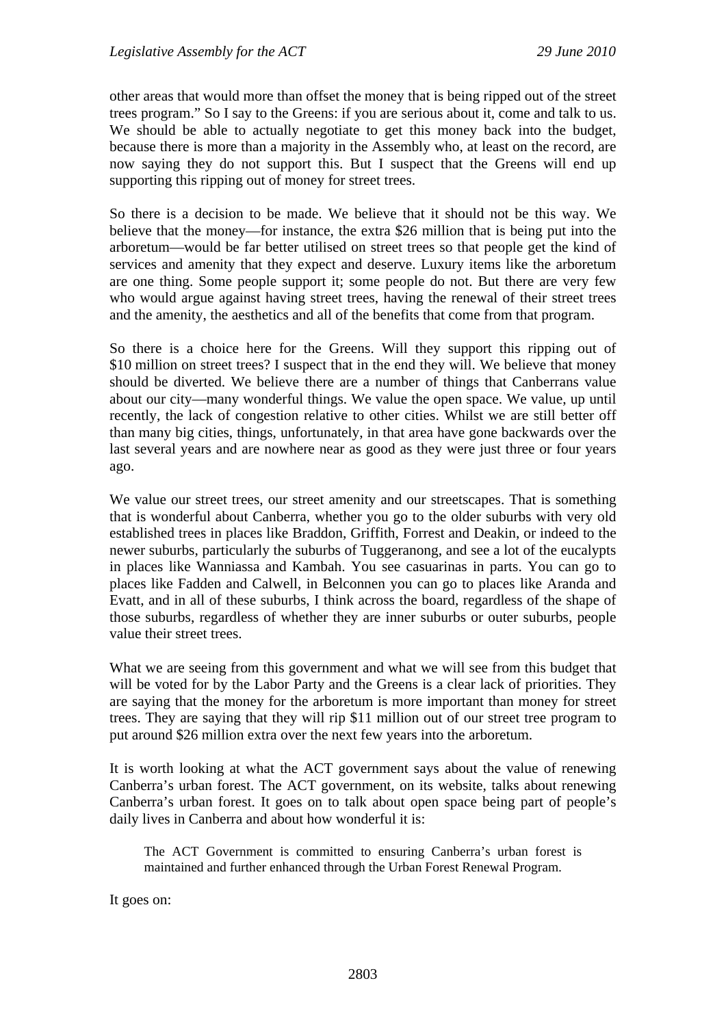other areas that would more than offset the money that is being ripped out of the street trees program." So I say to the Greens: if you are serious about it, come and talk to us. We should be able to actually negotiate to get this money back into the budget, because there is more than a majority in the Assembly who, at least on the record, are now saying they do not support this. But I suspect that the Greens will end up supporting this ripping out of money for street trees.

So there is a decision to be made. We believe that it should not be this way. We believe that the money—for instance, the extra \$26 million that is being put into the arboretum—would be far better utilised on street trees so that people get the kind of services and amenity that they expect and deserve. Luxury items like the arboretum are one thing. Some people support it; some people do not. But there are very few who would argue against having street trees, having the renewal of their street trees and the amenity, the aesthetics and all of the benefits that come from that program.

So there is a choice here for the Greens. Will they support this ripping out of \$10 million on street trees? I suspect that in the end they will. We believe that money should be diverted. We believe there are a number of things that Canberrans value about our city—many wonderful things. We value the open space. We value, up until recently, the lack of congestion relative to other cities. Whilst we are still better off than many big cities, things, unfortunately, in that area have gone backwards over the last several years and are nowhere near as good as they were just three or four years ago.

We value our street trees, our street amenity and our streetscapes. That is something that is wonderful about Canberra, whether you go to the older suburbs with very old established trees in places like Braddon, Griffith, Forrest and Deakin, or indeed to the newer suburbs, particularly the suburbs of Tuggeranong, and see a lot of the eucalypts in places like Wanniassa and Kambah. You see casuarinas in parts. You can go to places like Fadden and Calwell, in Belconnen you can go to places like Aranda and Evatt, and in all of these suburbs, I think across the board, regardless of the shape of those suburbs, regardless of whether they are inner suburbs or outer suburbs, people value their street trees.

What we are seeing from this government and what we will see from this budget that will be voted for by the Labor Party and the Greens is a clear lack of priorities. They are saying that the money for the arboretum is more important than money for street trees. They are saying that they will rip \$11 million out of our street tree program to put around \$26 million extra over the next few years into the arboretum.

It is worth looking at what the ACT government says about the value of renewing Canberra's urban forest. The ACT government, on its website, talks about renewing Canberra's urban forest. It goes on to talk about open space being part of people's daily lives in Canberra and about how wonderful it is:

The ACT Government is committed to ensuring Canberra's urban forest is maintained and further enhanced through the Urban Forest Renewal Program.

It goes on: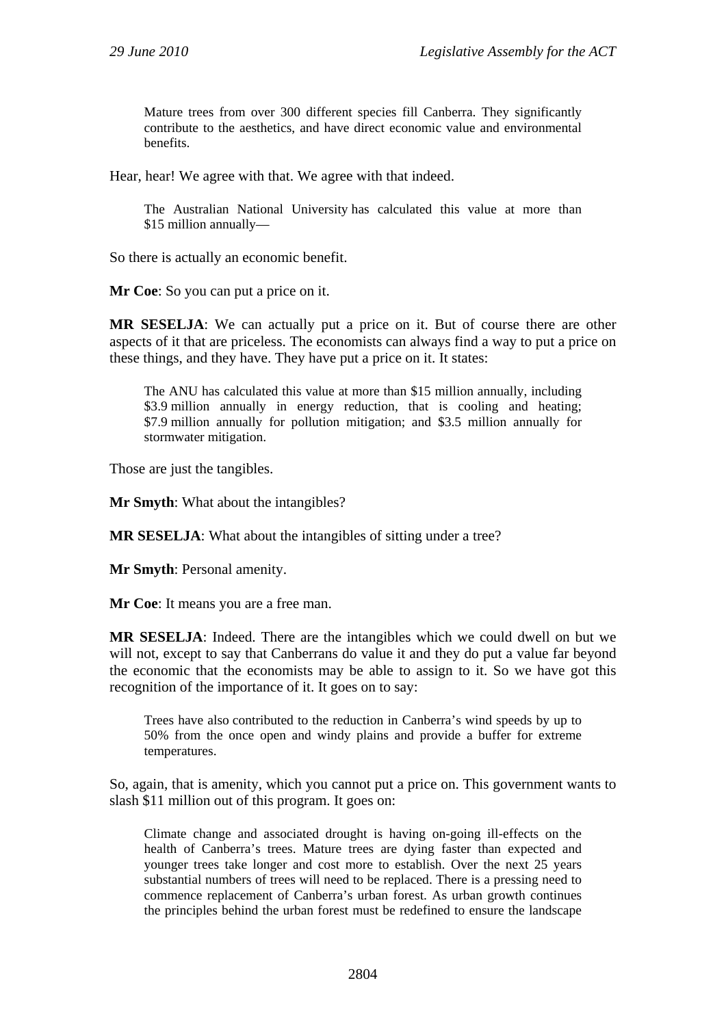Mature trees from over 300 different species fill Canberra. They significantly contribute to the aesthetics, and have direct economic value and environmental benefits.

Hear, hear! We agree with that. We agree with that indeed.

The Australian National University has calculated this value at more than \$15 million annually—

So there is actually an economic benefit.

**Mr Coe**: So you can put a price on it.

**MR SESELJA**: We can actually put a price on it. But of course there are other aspects of it that are priceless. The economists can always find a way to put a price on these things, and they have. They have put a price on it. It states:

The ANU has calculated this value at more than \$15 million annually, including \$3.9 million annually in energy reduction, that is cooling and heating; \$7.9 million annually for pollution mitigation; and \$3.5 million annually for stormwater mitigation.

Those are just the tangibles.

**Mr Smyth**: What about the intangibles?

**MR SESELJA**: What about the intangibles of sitting under a tree?

**Mr Smyth**: Personal amenity.

**Mr Coe**: It means you are a free man.

**MR SESELJA**: Indeed. There are the intangibles which we could dwell on but we will not, except to say that Canberrans do value it and they do put a value far beyond the economic that the economists may be able to assign to it. So we have got this recognition of the importance of it. It goes on to say:

Trees have also contributed to the reduction in Canberra's wind speeds by up to 50% from the once open and windy plains and provide a buffer for extreme temperatures.

So, again, that is amenity, which you cannot put a price on. This government wants to slash \$11 million out of this program. It goes on:

Climate change and associated drought is having on-going ill-effects on the health of Canberra's trees. Mature trees are dying faster than expected and younger trees take longer and cost more to establish. Over the next 25 years substantial numbers of trees will need to be replaced. There is a pressing need to commence replacement of Canberra's urban forest. As urban growth continues the principles behind the urban forest must be redefined to ensure the landscape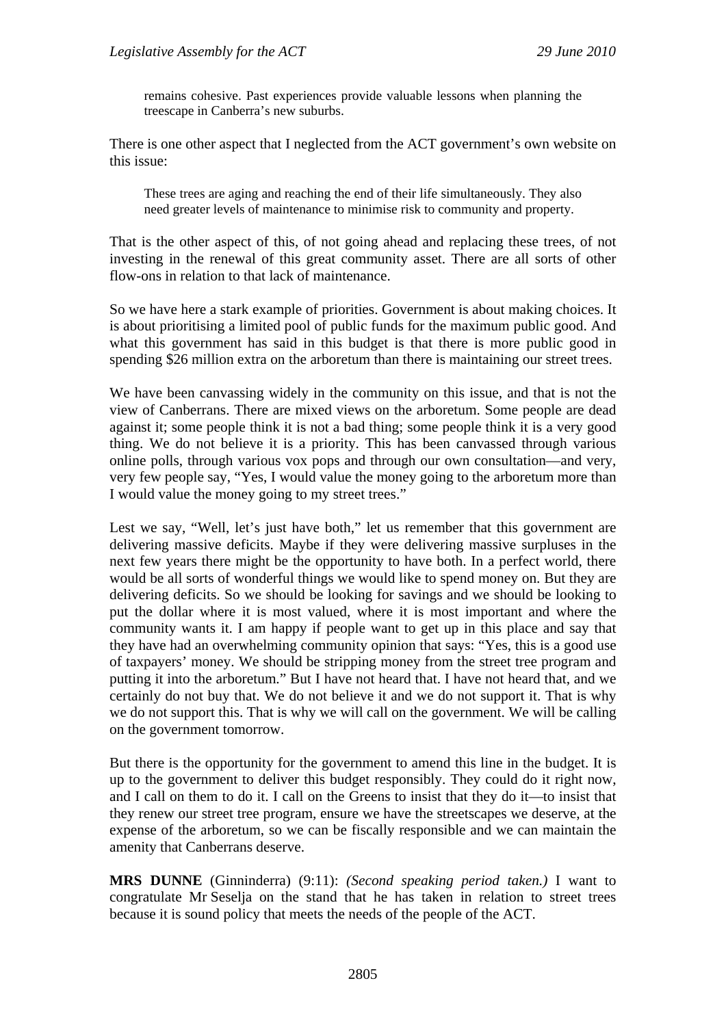remains cohesive. Past experiences provide valuable lessons when planning the treescape in Canberra's new suburbs.

There is one other aspect that I neglected from the ACT government's own website on this issue:

These trees are aging and reaching the end of their life simultaneously. They also need greater levels of maintenance to minimise risk to community and property.

That is the other aspect of this, of not going ahead and replacing these trees, of not investing in the renewal of this great community asset. There are all sorts of other flow-ons in relation to that lack of maintenance.

So we have here a stark example of priorities. Government is about making choices. It is about prioritising a limited pool of public funds for the maximum public good. And what this government has said in this budget is that there is more public good in spending \$26 million extra on the arboretum than there is maintaining our street trees.

We have been canvassing widely in the community on this issue, and that is not the view of Canberrans. There are mixed views on the arboretum. Some people are dead against it; some people think it is not a bad thing; some people think it is a very good thing. We do not believe it is a priority. This has been canvassed through various online polls, through various vox pops and through our own consultation—and very, very few people say, "Yes, I would value the money going to the arboretum more than I would value the money going to my street trees."

Lest we say, "Well, let's just have both," let us remember that this government are delivering massive deficits. Maybe if they were delivering massive surpluses in the next few years there might be the opportunity to have both. In a perfect world, there would be all sorts of wonderful things we would like to spend money on. But they are delivering deficits. So we should be looking for savings and we should be looking to put the dollar where it is most valued, where it is most important and where the community wants it. I am happy if people want to get up in this place and say that they have had an overwhelming community opinion that says: "Yes, this is a good use of taxpayers' money. We should be stripping money from the street tree program and putting it into the arboretum." But I have not heard that. I have not heard that, and we certainly do not buy that. We do not believe it and we do not support it. That is why we do not support this. That is why we will call on the government. We will be calling on the government tomorrow.

But there is the opportunity for the government to amend this line in the budget. It is up to the government to deliver this budget responsibly. They could do it right now, and I call on them to do it. I call on the Greens to insist that they do it—to insist that they renew our street tree program, ensure we have the streetscapes we deserve, at the expense of the arboretum, so we can be fiscally responsible and we can maintain the amenity that Canberrans deserve.

**MRS DUNNE** (Ginninderra) (9:11): *(Second speaking period taken.)* I want to congratulate Mr Seselja on the stand that he has taken in relation to street trees because it is sound policy that meets the needs of the people of the ACT.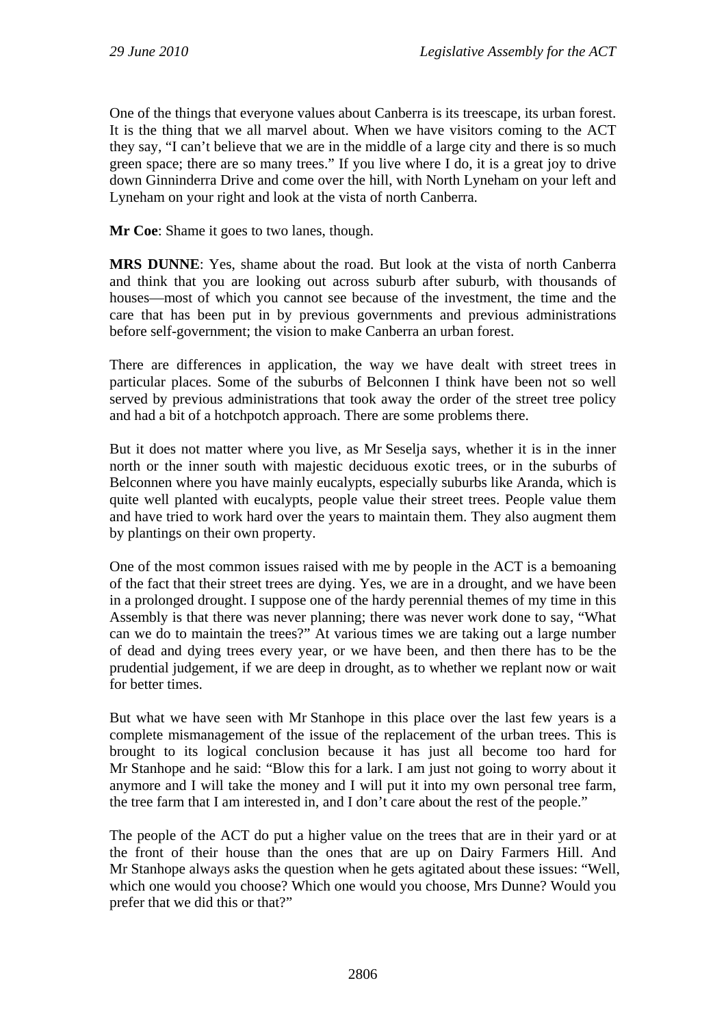One of the things that everyone values about Canberra is its treescape, its urban forest. It is the thing that we all marvel about. When we have visitors coming to the ACT they say, "I can't believe that we are in the middle of a large city and there is so much green space; there are so many trees." If you live where I do, it is a great joy to drive down Ginninderra Drive and come over the hill, with North Lyneham on your left and Lyneham on your right and look at the vista of north Canberra.

**Mr Coe**: Shame it goes to two lanes, though.

**MRS DUNNE**: Yes, shame about the road. But look at the vista of north Canberra and think that you are looking out across suburb after suburb, with thousands of houses—most of which you cannot see because of the investment, the time and the care that has been put in by previous governments and previous administrations before self-government; the vision to make Canberra an urban forest.

There are differences in application, the way we have dealt with street trees in particular places. Some of the suburbs of Belconnen I think have been not so well served by previous administrations that took away the order of the street tree policy and had a bit of a hotchpotch approach. There are some problems there.

But it does not matter where you live, as Mr Seselja says, whether it is in the inner north or the inner south with majestic deciduous exotic trees, or in the suburbs of Belconnen where you have mainly eucalypts, especially suburbs like Aranda, which is quite well planted with eucalypts, people value their street trees. People value them and have tried to work hard over the years to maintain them. They also augment them by plantings on their own property.

One of the most common issues raised with me by people in the ACT is a bemoaning of the fact that their street trees are dying. Yes, we are in a drought, and we have been in a prolonged drought. I suppose one of the hardy perennial themes of my time in this Assembly is that there was never planning; there was never work done to say, "What can we do to maintain the trees?" At various times we are taking out a large number of dead and dying trees every year, or we have been, and then there has to be the prudential judgement, if we are deep in drought, as to whether we replant now or wait for better times.

But what we have seen with Mr Stanhope in this place over the last few years is a complete mismanagement of the issue of the replacement of the urban trees. This is brought to its logical conclusion because it has just all become too hard for Mr Stanhope and he said: "Blow this for a lark. I am just not going to worry about it anymore and I will take the money and I will put it into my own personal tree farm, the tree farm that I am interested in, and I don't care about the rest of the people."

The people of the ACT do put a higher value on the trees that are in their yard or at the front of their house than the ones that are up on Dairy Farmers Hill. And Mr Stanhope always asks the question when he gets agitated about these issues: "Well, which one would you choose? Which one would you choose, Mrs Dunne? Would you prefer that we did this or that?"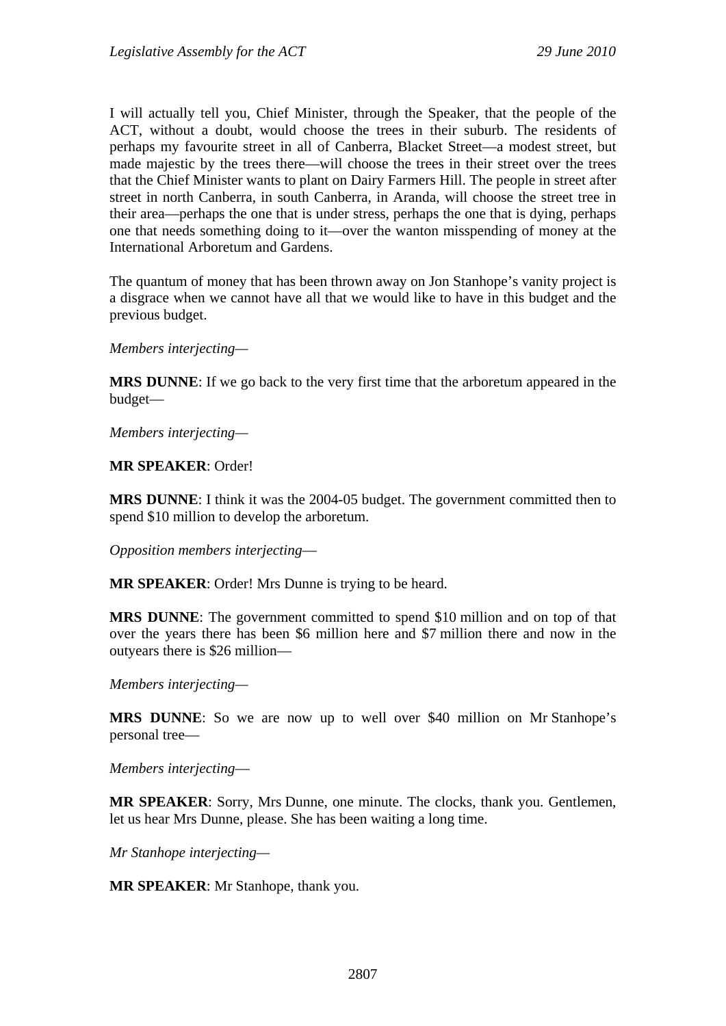I will actually tell you, Chief Minister, through the Speaker, that the people of the ACT, without a doubt, would choose the trees in their suburb. The residents of perhaps my favourite street in all of Canberra, Blacket Street—a modest street, but made majestic by the trees there—will choose the trees in their street over the trees that the Chief Minister wants to plant on Dairy Farmers Hill. The people in street after street in north Canberra, in south Canberra, in Aranda, will choose the street tree in their area—perhaps the one that is under stress, perhaps the one that is dying, perhaps one that needs something doing to it—over the wanton misspending of money at the International Arboretum and Gardens.

The quantum of money that has been thrown away on Jon Stanhope's vanity project is a disgrace when we cannot have all that we would like to have in this budget and the previous budget.

*Members interjecting—*

**MRS DUNNE**: If we go back to the very first time that the arboretum appeared in the budget—

*Members interjecting—*

**MR SPEAKER**: Order!

**MRS DUNNE**: I think it was the 2004-05 budget. The government committed then to spend \$10 million to develop the arboretum.

*Opposition members interjecting*—

**MR SPEAKER**: Order! Mrs Dunne is trying to be heard.

**MRS DUNNE**: The government committed to spend \$10 million and on top of that over the years there has been \$6 million here and \$7 million there and now in the outyears there is \$26 million—

*Members interjecting—* 

MRS DUNNE: So we are now up to well over \$40 million on Mr Stanhope's personal tree—

*Members interjecting*—

**MR SPEAKER**: Sorry, Mrs Dunne, one minute. The clocks, thank you. Gentlemen, let us hear Mrs Dunne, please. She has been waiting a long time.

*Mr Stanhope interjecting—*

**MR SPEAKER**: Mr Stanhope, thank you.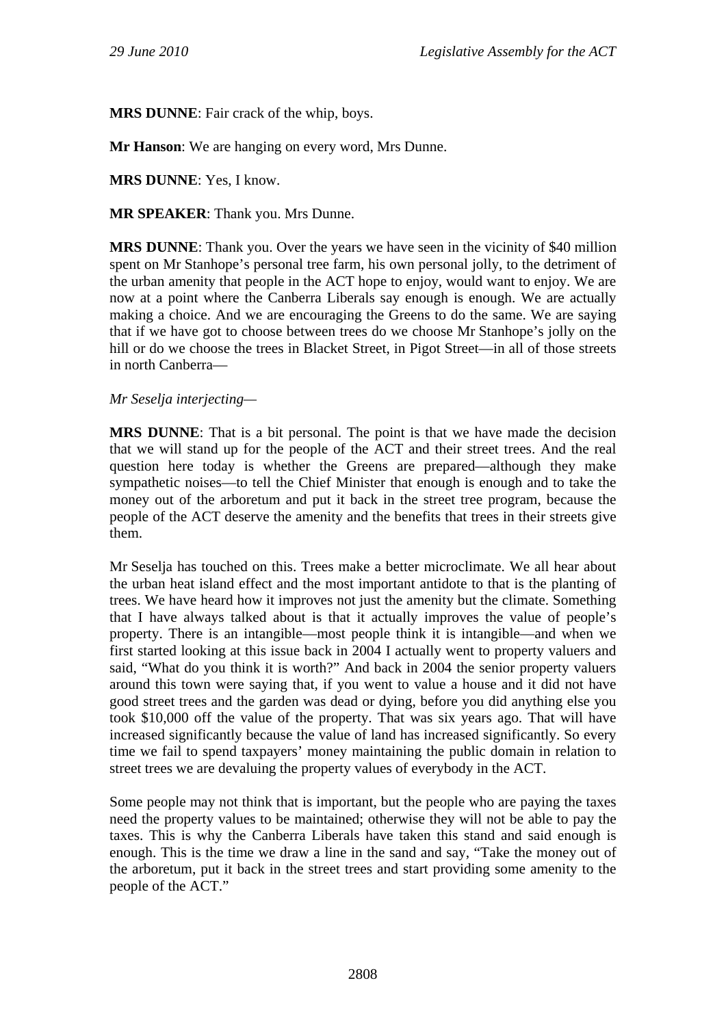**MRS DUNNE**: Fair crack of the whip, boys.

**Mr Hanson**: We are hanging on every word, Mrs Dunne.

**MRS DUNNE**: Yes, I know.

**MR SPEAKER**: Thank you. Mrs Dunne.

**MRS DUNNE**: Thank you. Over the years we have seen in the vicinity of \$40 million spent on Mr Stanhope's personal tree farm, his own personal jolly, to the detriment of the urban amenity that people in the ACT hope to enjoy, would want to enjoy. We are now at a point where the Canberra Liberals say enough is enough. We are actually making a choice. And we are encouraging the Greens to do the same. We are saying that if we have got to choose between trees do we choose Mr Stanhope's jolly on the hill or do we choose the trees in Blacket Street, in Pigot Street—in all of those streets in north Canberra—

## *Mr Seselja interjecting—*

**MRS DUNNE**: That is a bit personal. The point is that we have made the decision that we will stand up for the people of the ACT and their street trees. And the real question here today is whether the Greens are prepared—although they make sympathetic noises—to tell the Chief Minister that enough is enough and to take the money out of the arboretum and put it back in the street tree program, because the people of the ACT deserve the amenity and the benefits that trees in their streets give them.

Mr Seselja has touched on this. Trees make a better microclimate. We all hear about the urban heat island effect and the most important antidote to that is the planting of trees. We have heard how it improves not just the amenity but the climate. Something that I have always talked about is that it actually improves the value of people's property. There is an intangible—most people think it is intangible—and when we first started looking at this issue back in 2004 I actually went to property valuers and said, "What do you think it is worth?" And back in 2004 the senior property valuers around this town were saying that, if you went to value a house and it did not have good street trees and the garden was dead or dying, before you did anything else you took \$10,000 off the value of the property. That was six years ago. That will have increased significantly because the value of land has increased significantly. So every time we fail to spend taxpayers' money maintaining the public domain in relation to street trees we are devaluing the property values of everybody in the ACT.

Some people may not think that is important, but the people who are paying the taxes need the property values to be maintained; otherwise they will not be able to pay the taxes. This is why the Canberra Liberals have taken this stand and said enough is enough. This is the time we draw a line in the sand and say, "Take the money out of the arboretum, put it back in the street trees and start providing some amenity to the people of the ACT."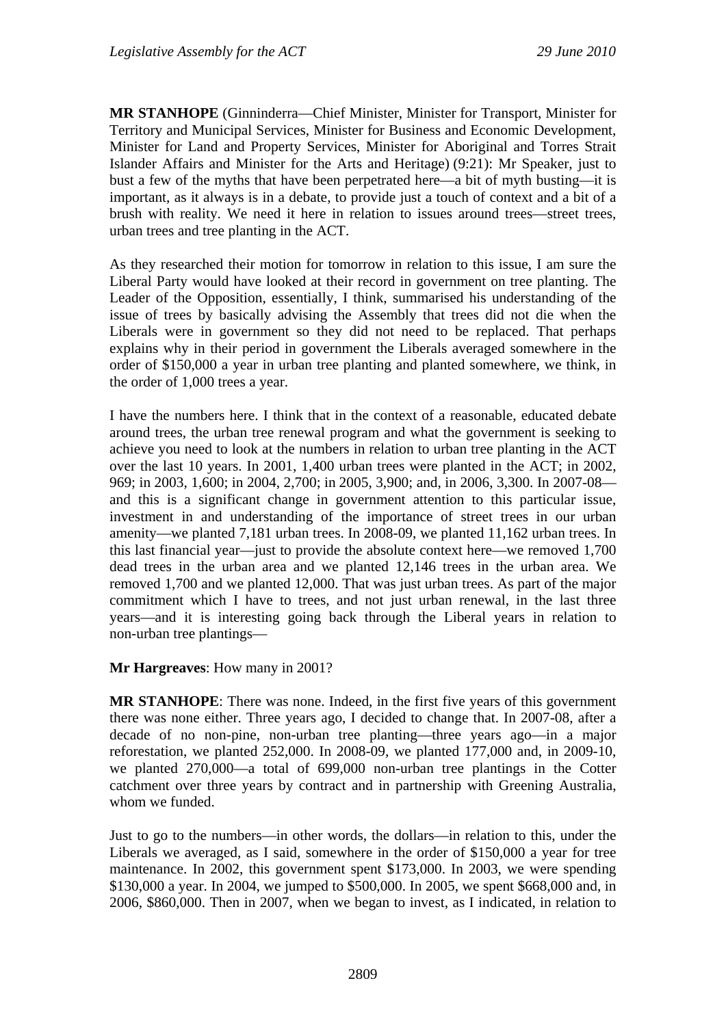**MR STANHOPE** (Ginninderra—Chief Minister, Minister for Transport, Minister for Territory and Municipal Services, Minister for Business and Economic Development, Minister for Land and Property Services, Minister for Aboriginal and Torres Strait Islander Affairs and Minister for the Arts and Heritage) (9:21): Mr Speaker, just to bust a few of the myths that have been perpetrated here—a bit of myth busting—it is important, as it always is in a debate, to provide just a touch of context and a bit of a brush with reality. We need it here in relation to issues around trees—street trees, urban trees and tree planting in the ACT.

As they researched their motion for tomorrow in relation to this issue, I am sure the Liberal Party would have looked at their record in government on tree planting. The Leader of the Opposition, essentially, I think, summarised his understanding of the issue of trees by basically advising the Assembly that trees did not die when the Liberals were in government so they did not need to be replaced. That perhaps explains why in their period in government the Liberals averaged somewhere in the order of \$150,000 a year in urban tree planting and planted somewhere, we think, in the order of 1,000 trees a year.

I have the numbers here. I think that in the context of a reasonable, educated debate around trees, the urban tree renewal program and what the government is seeking to achieve you need to look at the numbers in relation to urban tree planting in the ACT over the last 10 years. In 2001, 1,400 urban trees were planted in the ACT; in 2002, 969; in 2003, 1,600; in 2004, 2,700; in 2005, 3,900; and, in 2006, 3,300. In 2007-08 and this is a significant change in government attention to this particular issue, investment in and understanding of the importance of street trees in our urban amenity—we planted 7,181 urban trees. In 2008-09, we planted 11,162 urban trees. In this last financial year—just to provide the absolute context here—we removed 1,700 dead trees in the urban area and we planted 12,146 trees in the urban area. We removed 1,700 and we planted 12,000. That was just urban trees. As part of the major commitment which I have to trees, and not just urban renewal, in the last three years—and it is interesting going back through the Liberal years in relation to non-urban tree plantings—

**Mr Hargreaves**: How many in 2001?

**MR STANHOPE**: There was none. Indeed, in the first five years of this government there was none either. Three years ago, I decided to change that. In 2007-08, after a decade of no non-pine, non-urban tree planting—three years ago—in a major reforestation, we planted 252,000. In 2008-09, we planted 177,000 and, in 2009-10, we planted 270,000—a total of 699,000 non-urban tree plantings in the Cotter catchment over three years by contract and in partnership with Greening Australia, whom we funded.

Just to go to the numbers—in other words, the dollars—in relation to this, under the Liberals we averaged, as I said, somewhere in the order of \$150,000 a year for tree maintenance. In 2002, this government spent \$173,000. In 2003, we were spending \$130,000 a year. In 2004, we jumped to \$500,000. In 2005, we spent \$668,000 and, in 2006, \$860,000. Then in 2007, when we began to invest, as I indicated, in relation to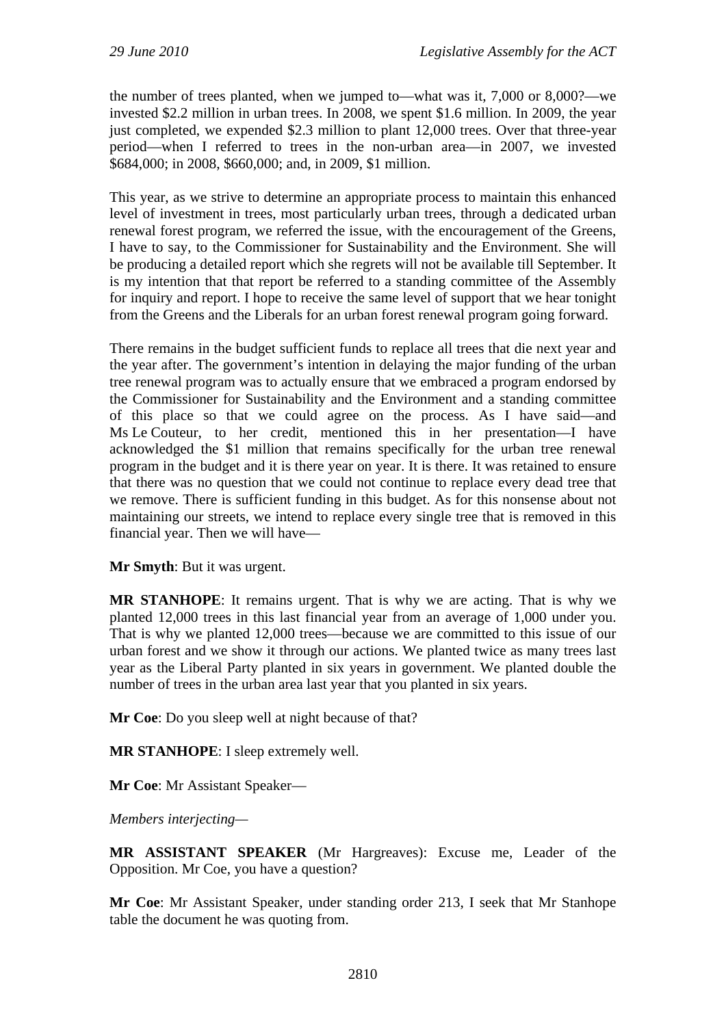the number of trees planted, when we jumped to—what was it, 7,000 or 8,000?—we invested \$2.2 million in urban trees. In 2008, we spent \$1.6 million. In 2009, the year just completed, we expended \$2.3 million to plant 12,000 trees. Over that three-year period—when I referred to trees in the non-urban area—in 2007, we invested \$684,000; in 2008, \$660,000; and, in 2009, \$1 million.

This year, as we strive to determine an appropriate process to maintain this enhanced level of investment in trees, most particularly urban trees, through a dedicated urban renewal forest program, we referred the issue, with the encouragement of the Greens, I have to say, to the Commissioner for Sustainability and the Environment. She will be producing a detailed report which she regrets will not be available till September. It is my intention that that report be referred to a standing committee of the Assembly for inquiry and report. I hope to receive the same level of support that we hear tonight from the Greens and the Liberals for an urban forest renewal program going forward.

There remains in the budget sufficient funds to replace all trees that die next year and the year after. The government's intention in delaying the major funding of the urban tree renewal program was to actually ensure that we embraced a program endorsed by the Commissioner for Sustainability and the Environment and a standing committee of this place so that we could agree on the process. As I have said—and Ms Le Couteur, to her credit, mentioned this in her presentation—I have acknowledged the \$1 million that remains specifically for the urban tree renewal program in the budget and it is there year on year. It is there. It was retained to ensure that there was no question that we could not continue to replace every dead tree that we remove. There is sufficient funding in this budget. As for this nonsense about not maintaining our streets, we intend to replace every single tree that is removed in this financial year. Then we will have—

**Mr Smyth**: But it was urgent.

**MR STANHOPE**: It remains urgent. That is why we are acting. That is why we planted 12,000 trees in this last financial year from an average of 1,000 under you. That is why we planted 12,000 trees—because we are committed to this issue of our urban forest and we show it through our actions. We planted twice as many trees last year as the Liberal Party planted in six years in government. We planted double the number of trees in the urban area last year that you planted in six years.

**Mr Coe**: Do you sleep well at night because of that?

**MR STANHOPE**: I sleep extremely well.

**Mr Coe**: Mr Assistant Speaker—

*Members interjecting—*

**MR ASSISTANT SPEAKER** (Mr Hargreaves): Excuse me, Leader of the Opposition. Mr Coe, you have a question?

**Mr Coe**: Mr Assistant Speaker, under standing order 213, I seek that Mr Stanhope table the document he was quoting from.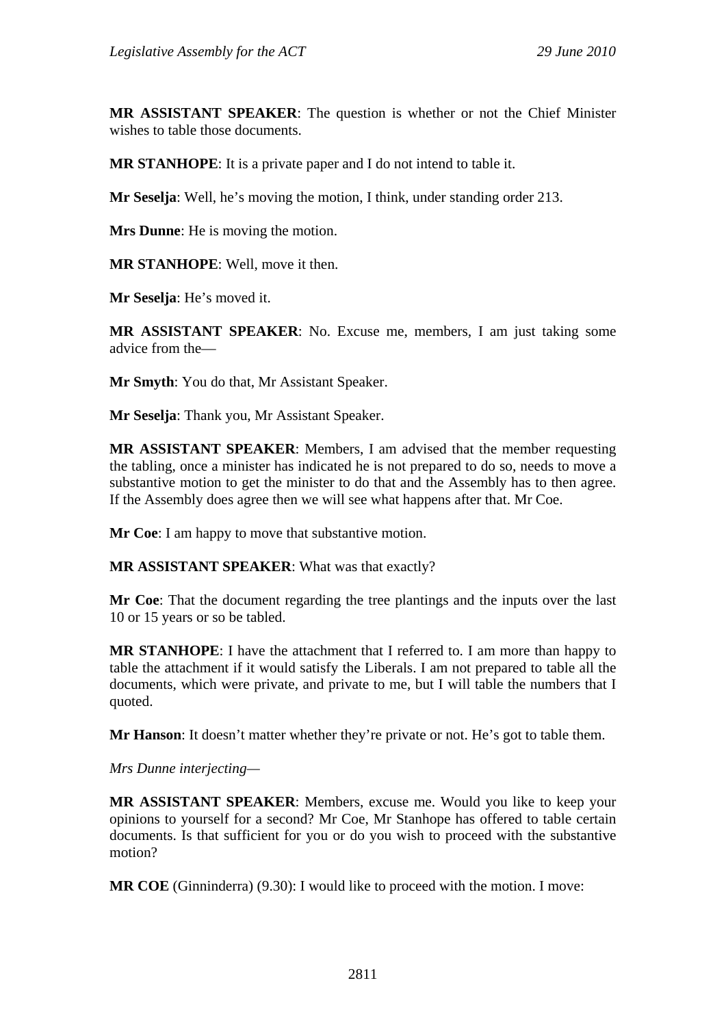**MR ASSISTANT SPEAKER**: The question is whether or not the Chief Minister wishes to table those documents.

**MR STANHOPE**: It is a private paper and I do not intend to table it.

**Mr Seselja**: Well, he's moving the motion, I think, under standing order 213.

**Mrs Dunne**: He is moving the motion.

**MR STANHOPE**: Well, move it then.

**Mr Seselja**: He's moved it.

**MR ASSISTANT SPEAKER**: No. Excuse me, members, I am just taking some advice from the—

**Mr Smyth**: You do that, Mr Assistant Speaker.

**Mr Seselja**: Thank you, Mr Assistant Speaker.

**MR ASSISTANT SPEAKER**: Members, I am advised that the member requesting the tabling, once a minister has indicated he is not prepared to do so, needs to move a substantive motion to get the minister to do that and the Assembly has to then agree. If the Assembly does agree then we will see what happens after that. Mr Coe.

**Mr Coe**: I am happy to move that substantive motion.

**MR ASSISTANT SPEAKER**: What was that exactly?

**Mr Coe**: That the document regarding the tree plantings and the inputs over the last 10 or 15 years or so be tabled.

**MR STANHOPE**: I have the attachment that I referred to. I am more than happy to table the attachment if it would satisfy the Liberals. I am not prepared to table all the documents, which were private, and private to me, but I will table the numbers that I quoted.

**Mr Hanson**: It doesn't matter whether they're private or not. He's got to table them.

*Mrs Dunne interjecting—*

**MR ASSISTANT SPEAKER**: Members, excuse me. Would you like to keep your opinions to yourself for a second? Mr Coe, Mr Stanhope has offered to table certain documents. Is that sufficient for you or do you wish to proceed with the substantive motion?

**MR COE** (Ginninderra) (9.30): I would like to proceed with the motion. I move: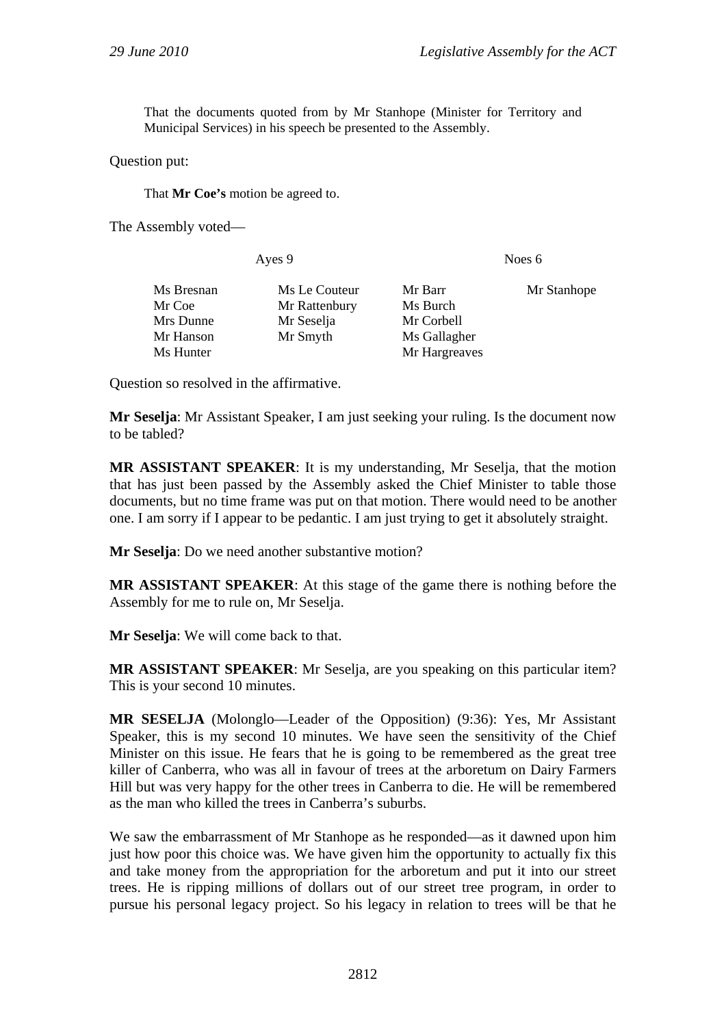That the documents quoted from by Mr Stanhope (Minister for Territory and Municipal Services) in his speech be presented to the Assembly.

Question put:

That **Mr Coe's** motion be agreed to.

The Assembly voted—

| Ayes 9     |               | Noes $6$      |             |
|------------|---------------|---------------|-------------|
| Ms Bresnan | Ms Le Couteur | Mr Barr       | Mr Stanhope |
| Mr Coe     | Mr Rattenbury | Ms Burch      |             |
| Mrs Dunne  | Mr Seselja    | Mr Corbell    |             |
| Mr Hanson  | Mr Smyth      | Ms Gallagher  |             |
| Ms Hunter  |               | Mr Hargreaves |             |

Question so resolved in the affirmative.

**Mr Seselja**: Mr Assistant Speaker, I am just seeking your ruling. Is the document now to be tabled?

**MR ASSISTANT SPEAKER**: It is my understanding, Mr Seselja, that the motion that has just been passed by the Assembly asked the Chief Minister to table those documents, but no time frame was put on that motion. There would need to be another one. I am sorry if I appear to be pedantic. I am just trying to get it absolutely straight.

**Mr Seselja**: Do we need another substantive motion?

**MR ASSISTANT SPEAKER**: At this stage of the game there is nothing before the Assembly for me to rule on, Mr Seselja.

**Mr Seselja**: We will come back to that.

**MR ASSISTANT SPEAKER**: Mr Seselja, are you speaking on this particular item? This is your second 10 minutes.

**MR SESELJA** (Molonglo—Leader of the Opposition) (9:36): Yes, Mr Assistant Speaker, this is my second 10 minutes. We have seen the sensitivity of the Chief Minister on this issue. He fears that he is going to be remembered as the great tree killer of Canberra, who was all in favour of trees at the arboretum on Dairy Farmers Hill but was very happy for the other trees in Canberra to die. He will be remembered as the man who killed the trees in Canberra's suburbs.

We saw the embarrassment of Mr Stanhope as he responded—as it dawned upon him just how poor this choice was. We have given him the opportunity to actually fix this and take money from the appropriation for the arboretum and put it into our street trees. He is ripping millions of dollars out of our street tree program, in order to pursue his personal legacy project. So his legacy in relation to trees will be that he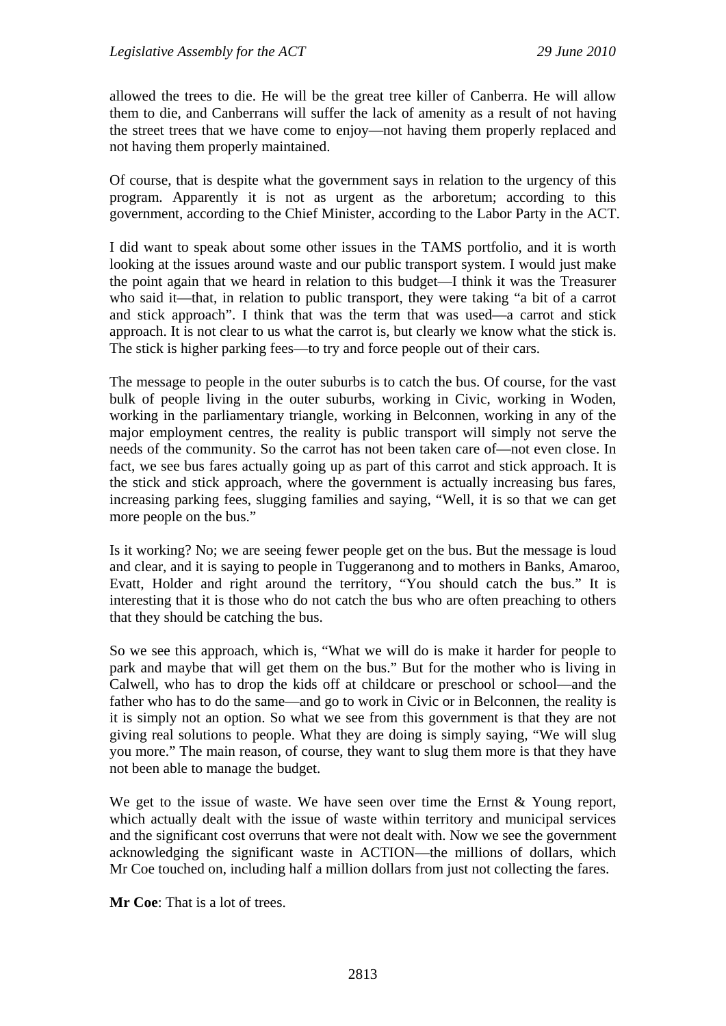allowed the trees to die. He will be the great tree killer of Canberra. He will allow them to die, and Canberrans will suffer the lack of amenity as a result of not having the street trees that we have come to enjoy—not having them properly replaced and not having them properly maintained.

Of course, that is despite what the government says in relation to the urgency of this program. Apparently it is not as urgent as the arboretum; according to this government, according to the Chief Minister, according to the Labor Party in the ACT.

I did want to speak about some other issues in the TAMS portfolio, and it is worth looking at the issues around waste and our public transport system. I would just make the point again that we heard in relation to this budget—I think it was the Treasurer who said it—that, in relation to public transport, they were taking "a bit of a carrot and stick approach". I think that was the term that was used—a carrot and stick approach. It is not clear to us what the carrot is, but clearly we know what the stick is. The stick is higher parking fees—to try and force people out of their cars.

The message to people in the outer suburbs is to catch the bus. Of course, for the vast bulk of people living in the outer suburbs, working in Civic, working in Woden, working in the parliamentary triangle, working in Belconnen, working in any of the major employment centres, the reality is public transport will simply not serve the needs of the community. So the carrot has not been taken care of—not even close. In fact, we see bus fares actually going up as part of this carrot and stick approach. It is the stick and stick approach, where the government is actually increasing bus fares, increasing parking fees, slugging families and saying, "Well, it is so that we can get more people on the bus."

Is it working? No; we are seeing fewer people get on the bus. But the message is loud and clear, and it is saying to people in Tuggeranong and to mothers in Banks, Amaroo, Evatt, Holder and right around the territory, "You should catch the bus." It is interesting that it is those who do not catch the bus who are often preaching to others that they should be catching the bus.

So we see this approach, which is, "What we will do is make it harder for people to park and maybe that will get them on the bus." But for the mother who is living in Calwell, who has to drop the kids off at childcare or preschool or school—and the father who has to do the same—and go to work in Civic or in Belconnen, the reality is it is simply not an option. So what we see from this government is that they are not giving real solutions to people. What they are doing is simply saying, "We will slug you more." The main reason, of course, they want to slug them more is that they have not been able to manage the budget.

We get to the issue of waste. We have seen over time the Ernst & Young report, which actually dealt with the issue of waste within territory and municipal services and the significant cost overruns that were not dealt with. Now we see the government acknowledging the significant waste in ACTION—the millions of dollars, which Mr Coe touched on, including half a million dollars from just not collecting the fares.

**Mr Coe**: That is a lot of trees.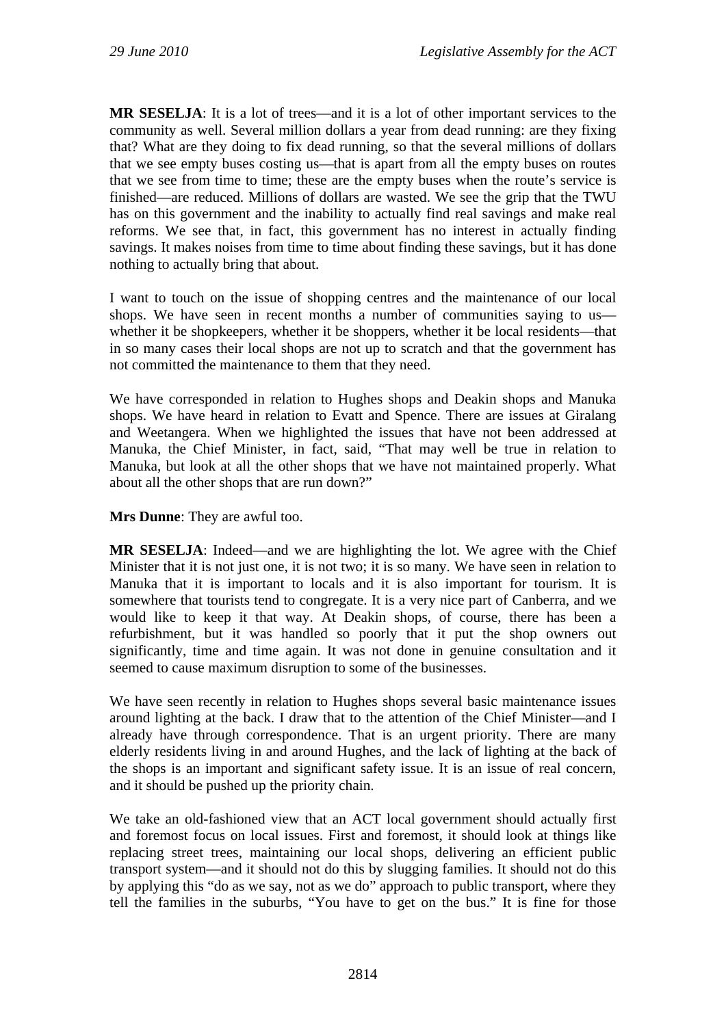**MR SESELJA**: It is a lot of trees—and it is a lot of other important services to the community as well. Several million dollars a year from dead running: are they fixing that? What are they doing to fix dead running, so that the several millions of dollars that we see empty buses costing us—that is apart from all the empty buses on routes that we see from time to time; these are the empty buses when the route's service is finished—are reduced. Millions of dollars are wasted. We see the grip that the TWU has on this government and the inability to actually find real savings and make real reforms. We see that, in fact, this government has no interest in actually finding savings. It makes noises from time to time about finding these savings, but it has done nothing to actually bring that about.

I want to touch on the issue of shopping centres and the maintenance of our local shops. We have seen in recent months a number of communities saying to us whether it be shopkeepers, whether it be shoppers, whether it be local residents—that in so many cases their local shops are not up to scratch and that the government has not committed the maintenance to them that they need.

We have corresponded in relation to Hughes shops and Deakin shops and Manuka shops. We have heard in relation to Evatt and Spence. There are issues at Giralang and Weetangera. When we highlighted the issues that have not been addressed at Manuka, the Chief Minister, in fact, said, "That may well be true in relation to Manuka, but look at all the other shops that we have not maintained properly. What about all the other shops that are run down?"

**Mrs Dunne**: They are awful too.

**MR SESELJA**: Indeed—and we are highlighting the lot. We agree with the Chief Minister that it is not just one, it is not two; it is so many. We have seen in relation to Manuka that it is important to locals and it is also important for tourism. It is somewhere that tourists tend to congregate. It is a very nice part of Canberra, and we would like to keep it that way. At Deakin shops, of course, there has been a refurbishment, but it was handled so poorly that it put the shop owners out significantly, time and time again. It was not done in genuine consultation and it seemed to cause maximum disruption to some of the businesses.

We have seen recently in relation to Hughes shops several basic maintenance issues around lighting at the back. I draw that to the attention of the Chief Minister—and I already have through correspondence. That is an urgent priority. There are many elderly residents living in and around Hughes, and the lack of lighting at the back of the shops is an important and significant safety issue. It is an issue of real concern, and it should be pushed up the priority chain.

We take an old-fashioned view that an ACT local government should actually first and foremost focus on local issues. First and foremost, it should look at things like replacing street trees, maintaining our local shops, delivering an efficient public transport system—and it should not do this by slugging families. It should not do this by applying this "do as we say, not as we do" approach to public transport, where they tell the families in the suburbs, "You have to get on the bus." It is fine for those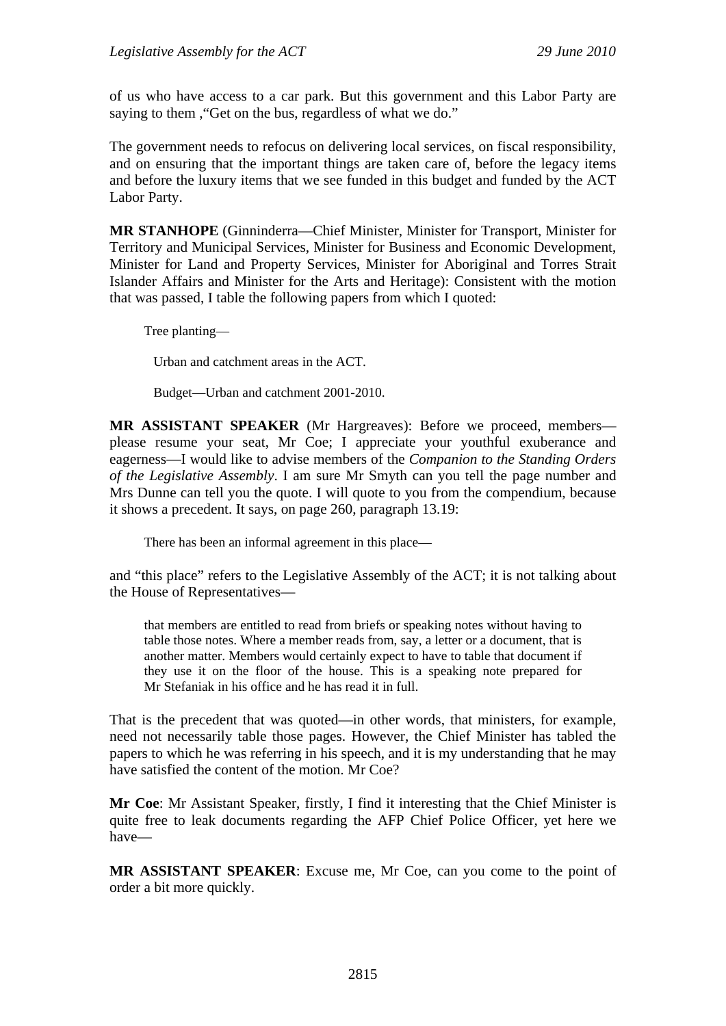of us who have access to a car park. But this government and this Labor Party are saying to them , "Get on the bus, regardless of what we do."

The government needs to refocus on delivering local services, on fiscal responsibility, and on ensuring that the important things are taken care of, before the legacy items and before the luxury items that we see funded in this budget and funded by the ACT Labor Party.

**MR STANHOPE** (Ginninderra—Chief Minister, Minister for Transport, Minister for Territory and Municipal Services, Minister for Business and Economic Development, Minister for Land and Property Services, Minister for Aboriginal and Torres Strait Islander Affairs and Minister for the Arts and Heritage): Consistent with the motion that was passed, I table the following papers from which I quoted:

Tree planting—

Urban and catchment areas in the ACT.

Budget—Urban and catchment 2001-2010.

**MR ASSISTANT SPEAKER** (Mr Hargreaves): Before we proceed, members please resume your seat, Mr Coe; I appreciate your youthful exuberance and eagerness—I would like to advise members of the *Companion to the Standing Orders of the Legislative Assembly*. I am sure Mr Smyth can you tell the page number and Mrs Dunne can tell you the quote. I will quote to you from the compendium, because it shows a precedent. It says, on page 260, paragraph 13.19:

There has been an informal agreement in this place—

and "this place" refers to the Legislative Assembly of the ACT; it is not talking about the House of Representatives—

that members are entitled to read from briefs or speaking notes without having to table those notes. Where a member reads from, say, a letter or a document, that is another matter. Members would certainly expect to have to table that document if they use it on the floor of the house. This is a speaking note prepared for Mr Stefaniak in his office and he has read it in full.

That is the precedent that was quoted—in other words, that ministers, for example, need not necessarily table those pages. However, the Chief Minister has tabled the papers to which he was referring in his speech, and it is my understanding that he may have satisfied the content of the motion. Mr Coe?

**Mr Coe**: Mr Assistant Speaker, firstly, I find it interesting that the Chief Minister is quite free to leak documents regarding the AFP Chief Police Officer, yet here we have—

**MR ASSISTANT SPEAKER**: Excuse me, Mr Coe, can you come to the point of order a bit more quickly.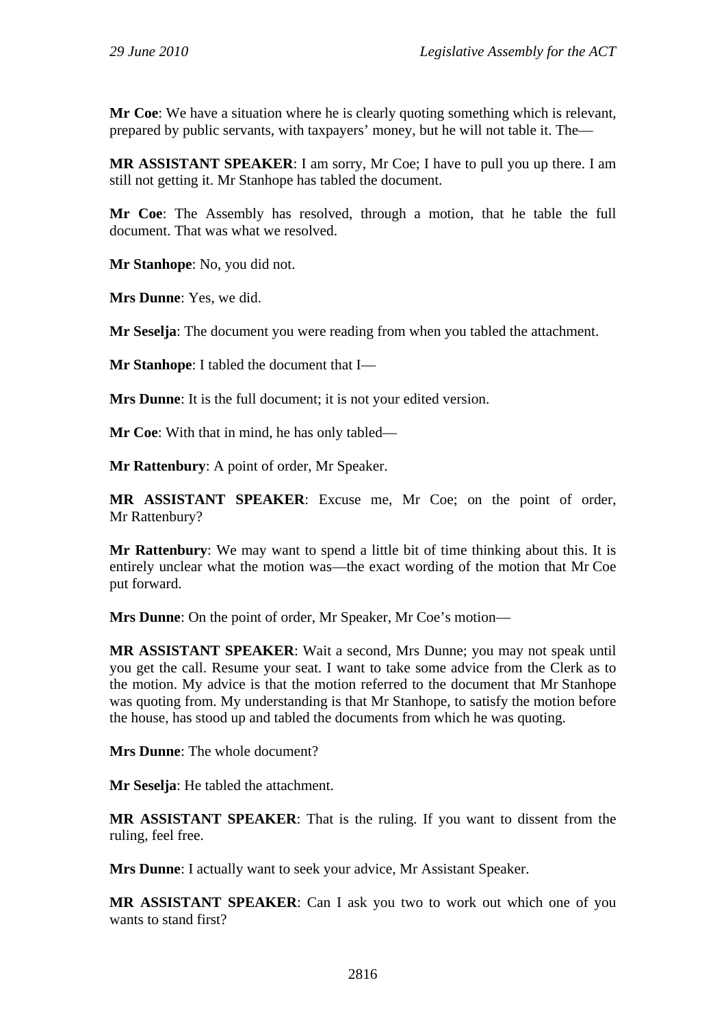**Mr Coe**: We have a situation where he is clearly quoting something which is relevant, prepared by public servants, with taxpayers' money, but he will not table it. The—

**MR ASSISTANT SPEAKER**: I am sorry, Mr Coe; I have to pull you up there. I am still not getting it. Mr Stanhope has tabled the document.

**Mr Coe**: The Assembly has resolved, through a motion, that he table the full document. That was what we resolved.

**Mr Stanhope**: No, you did not.

**Mrs Dunne**: Yes, we did.

**Mr Seselja**: The document you were reading from when you tabled the attachment.

**Mr Stanhope**: I tabled the document that I—

**Mrs Dunne**: It is the full document; it is not your edited version.

**Mr Coe**: With that in mind, he has only tabled—

**Mr Rattenbury**: A point of order, Mr Speaker.

**MR ASSISTANT SPEAKER**: Excuse me, Mr Coe; on the point of order, Mr Rattenbury?

**Mr Rattenbury**: We may want to spend a little bit of time thinking about this. It is entirely unclear what the motion was—the exact wording of the motion that Mr Coe put forward.

**Mrs Dunne**: On the point of order, Mr Speaker, Mr Coe's motion—

**MR ASSISTANT SPEAKER**: Wait a second, Mrs Dunne; you may not speak until you get the call. Resume your seat. I want to take some advice from the Clerk as to the motion. My advice is that the motion referred to the document that Mr Stanhope was quoting from. My understanding is that Mr Stanhope, to satisfy the motion before the house, has stood up and tabled the documents from which he was quoting.

**Mrs Dunne**: The whole document?

**Mr Seselja**: He tabled the attachment.

**MR ASSISTANT SPEAKER**: That is the ruling. If you want to dissent from the ruling, feel free.

**Mrs Dunne**: I actually want to seek your advice, Mr Assistant Speaker.

**MR ASSISTANT SPEAKER**: Can I ask you two to work out which one of you wants to stand first?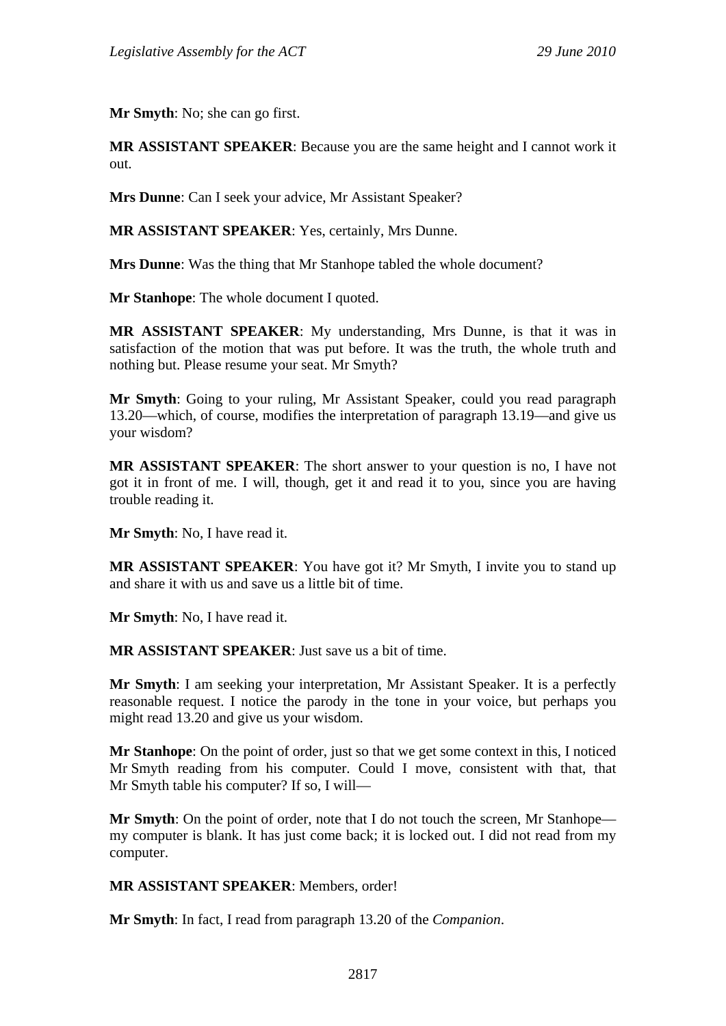**Mr Smyth**: No; she can go first.

**MR ASSISTANT SPEAKER**: Because you are the same height and I cannot work it out.

**Mrs Dunne**: Can I seek your advice, Mr Assistant Speaker?

**MR ASSISTANT SPEAKER**: Yes, certainly, Mrs Dunne.

**Mrs Dunne**: Was the thing that Mr Stanhope tabled the whole document?

**Mr Stanhope**: The whole document I quoted.

**MR ASSISTANT SPEAKER**: My understanding, Mrs Dunne, is that it was in satisfaction of the motion that was put before. It was the truth, the whole truth and nothing but. Please resume your seat. Mr Smyth?

**Mr Smyth**: Going to your ruling, Mr Assistant Speaker, could you read paragraph 13.20—which, of course, modifies the interpretation of paragraph 13.19—and give us your wisdom?

**MR ASSISTANT SPEAKER**: The short answer to your question is no, I have not got it in front of me. I will, though, get it and read it to you, since you are having trouble reading it.

**Mr Smyth**: No, I have read it.

**MR ASSISTANT SPEAKER**: You have got it? Mr Smyth, I invite you to stand up and share it with us and save us a little bit of time.

**Mr Smyth**: No, I have read it.

**MR ASSISTANT SPEAKER**: Just save us a bit of time.

**Mr Smyth**: I am seeking your interpretation, Mr Assistant Speaker. It is a perfectly reasonable request. I notice the parody in the tone in your voice, but perhaps you might read 13.20 and give us your wisdom.

**Mr Stanhope**: On the point of order, just so that we get some context in this, I noticed Mr Smyth reading from his computer. Could I move, consistent with that, that Mr Smyth table his computer? If so, I will—

**Mr Smyth**: On the point of order, note that I do not touch the screen, Mr Stanhope my computer is blank. It has just come back; it is locked out. I did not read from my computer.

## **MR ASSISTANT SPEAKER**: Members, order!

**Mr Smyth**: In fact, I read from paragraph 13.20 of the *Companion*.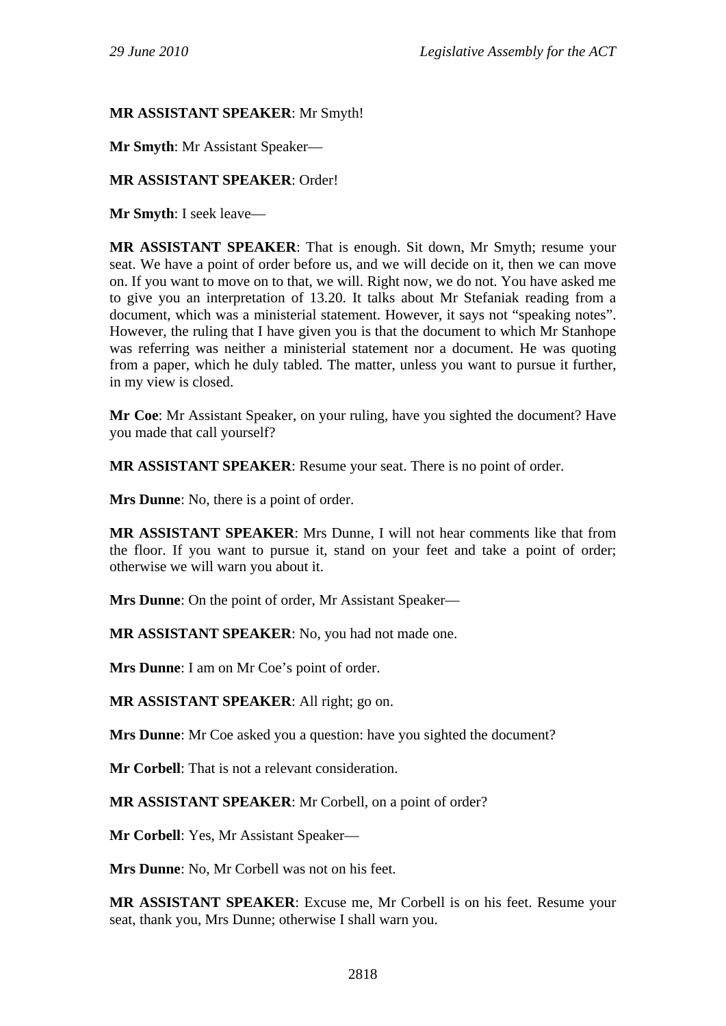## **MR ASSISTANT SPEAKER**: Mr Smyth!

**Mr Smyth**: Mr Assistant Speaker—

## **MR ASSISTANT SPEAKER**: Order!

**Mr Smyth**: I seek leave—

**MR ASSISTANT SPEAKER**: That is enough. Sit down, Mr Smyth; resume your seat. We have a point of order before us, and we will decide on it, then we can move on. If you want to move on to that, we will. Right now, we do not. You have asked me to give you an interpretation of 13.20. It talks about Mr Stefaniak reading from a document, which was a ministerial statement. However, it says not "speaking notes". However, the ruling that I have given you is that the document to which Mr Stanhope was referring was neither a ministerial statement nor a document. He was quoting from a paper, which he duly tabled. The matter, unless you want to pursue it further, in my view is closed.

**Mr Coe**: Mr Assistant Speaker, on your ruling, have you sighted the document? Have you made that call yourself?

**MR ASSISTANT SPEAKER**: Resume your seat. There is no point of order.

**Mrs Dunne**: No, there is a point of order.

**MR ASSISTANT SPEAKER**: Mrs Dunne, I will not hear comments like that from the floor. If you want to pursue it, stand on your feet and take a point of order; otherwise we will warn you about it.

**Mrs Dunne**: On the point of order, Mr Assistant Speaker—

**MR ASSISTANT SPEAKER**: No, you had not made one.

**Mrs Dunne**: I am on Mr Coe's point of order.

**MR ASSISTANT SPEAKER**: All right; go on.

**Mrs Dunne**: Mr Coe asked you a question: have you sighted the document?

**Mr Corbell**: That is not a relevant consideration.

**MR ASSISTANT SPEAKER**: Mr Corbell, on a point of order?

**Mr Corbell**: Yes, Mr Assistant Speaker—

**Mrs Dunne**: No, Mr Corbell was not on his feet.

**MR ASSISTANT SPEAKER**: Excuse me, Mr Corbell is on his feet. Resume your seat, thank you, Mrs Dunne; otherwise I shall warn you.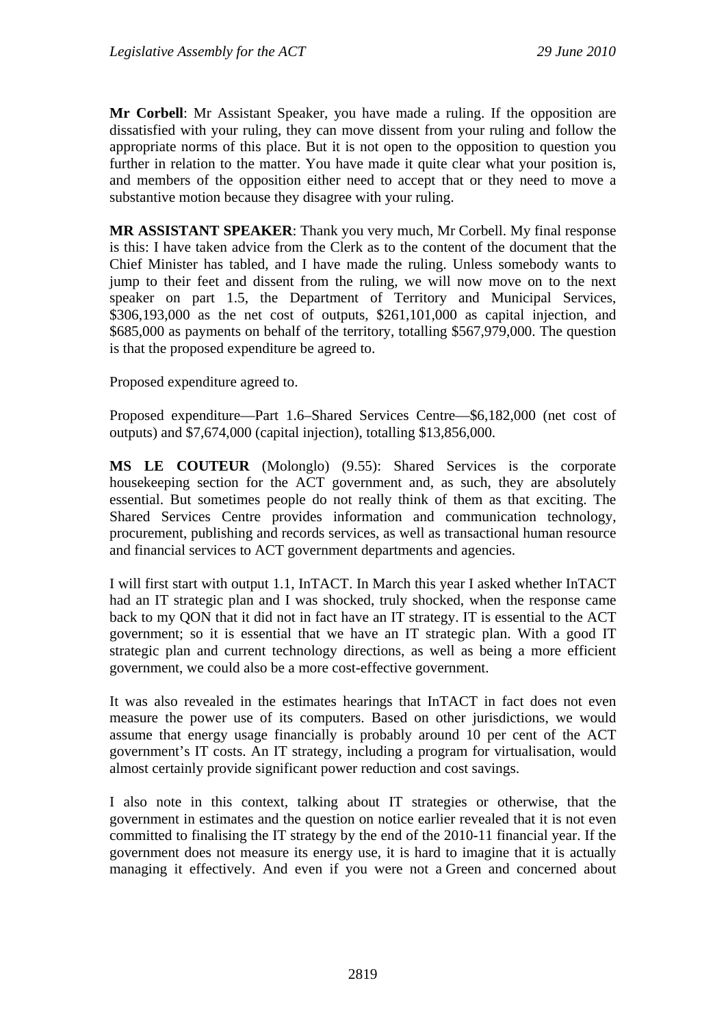**Mr Corbell**: Mr Assistant Speaker, you have made a ruling. If the opposition are dissatisfied with your ruling, they can move dissent from your ruling and follow the appropriate norms of this place. But it is not open to the opposition to question you further in relation to the matter. You have made it quite clear what your position is, and members of the opposition either need to accept that or they need to move a substantive motion because they disagree with your ruling.

**MR ASSISTANT SPEAKER**: Thank you very much, Mr Corbell. My final response is this: I have taken advice from the Clerk as to the content of the document that the Chief Minister has tabled, and I have made the ruling. Unless somebody wants to jump to their feet and dissent from the ruling, we will now move on to the next speaker on part 1.5, the Department of Territory and Municipal Services, \$306,193,000 as the net cost of outputs, \$261,101,000 as capital injection, and \$685,000 as payments on behalf of the territory, totalling \$567,979,000. The question is that the proposed expenditure be agreed to.

Proposed expenditure agreed to.

Proposed expenditure—Part 1.6–Shared Services Centre—\$6,182,000 (net cost of outputs) and \$7,674,000 (capital injection), totalling \$13,856,000.

**MS LE COUTEUR** (Molonglo) (9.55): Shared Services is the corporate housekeeping section for the ACT government and, as such, they are absolutely essential. But sometimes people do not really think of them as that exciting. The Shared Services Centre provides information and communication technology, procurement, publishing and records services, as well as transactional human resource and financial services to ACT government departments and agencies.

I will first start with output 1.1, InTACT. In March this year I asked whether InTACT had an IT strategic plan and I was shocked, truly shocked, when the response came back to my QON that it did not in fact have an IT strategy. IT is essential to the ACT government; so it is essential that we have an IT strategic plan. With a good IT strategic plan and current technology directions, as well as being a more efficient government, we could also be a more cost-effective government.

It was also revealed in the estimates hearings that InTACT in fact does not even measure the power use of its computers. Based on other jurisdictions, we would assume that energy usage financially is probably around 10 per cent of the ACT government's IT costs. An IT strategy, including a program for virtualisation, would almost certainly provide significant power reduction and cost savings.

I also note in this context, talking about IT strategies or otherwise, that the government in estimates and the question on notice earlier revealed that it is not even committed to finalising the IT strategy by the end of the 2010-11 financial year. If the government does not measure its energy use, it is hard to imagine that it is actually managing it effectively. And even if you were not a Green and concerned about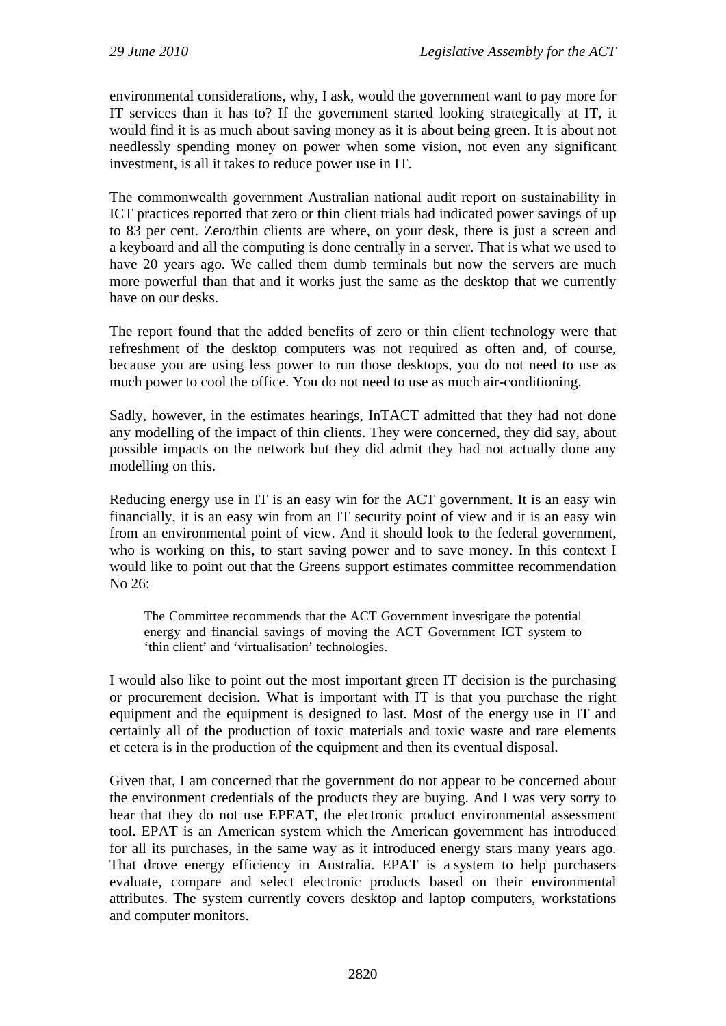environmental considerations, why, I ask, would the government want to pay more for IT services than it has to? If the government started looking strategically at IT, it would find it is as much about saving money as it is about being green. It is about not needlessly spending money on power when some vision, not even any significant investment, is all it takes to reduce power use in IT.

The commonwealth government Australian national audit report on sustainability in ICT practices reported that zero or thin client trials had indicated power savings of up to 83 per cent. Zero/thin clients are where, on your desk, there is just a screen and a keyboard and all the computing is done centrally in a server. That is what we used to have 20 years ago. We called them dumb terminals but now the servers are much more powerful than that and it works just the same as the desktop that we currently have on our desks.

The report found that the added benefits of zero or thin client technology were that refreshment of the desktop computers was not required as often and, of course, because you are using less power to run those desktops, you do not need to use as much power to cool the office. You do not need to use as much air-conditioning.

Sadly, however, in the estimates hearings, InTACT admitted that they had not done any modelling of the impact of thin clients. They were concerned, they did say, about possible impacts on the network but they did admit they had not actually done any modelling on this.

Reducing energy use in IT is an easy win for the ACT government. It is an easy win financially, it is an easy win from an IT security point of view and it is an easy win from an environmental point of view. And it should look to the federal government, who is working on this, to start saving power and to save money. In this context I would like to point out that the Greens support estimates committee recommendation No 26:

The Committee recommends that the ACT Government investigate the potential energy and financial savings of moving the ACT Government ICT system to 'thin client' and 'virtualisation' technologies.

I would also like to point out the most important green IT decision is the purchasing or procurement decision. What is important with IT is that you purchase the right equipment and the equipment is designed to last. Most of the energy use in IT and certainly all of the production of toxic materials and toxic waste and rare elements et cetera is in the production of the equipment and then its eventual disposal.

Given that, I am concerned that the government do not appear to be concerned about the environment credentials of the products they are buying. And I was very sorry to hear that they do not use EPEAT, the electronic product environmental assessment tool. EPAT is an American system which the American government has introduced for all its purchases, in the same way as it introduced energy stars many years ago. That drove energy efficiency in Australia. EPAT is a system to help purchasers evaluate, compare and select electronic products based on their environmental attributes. The system currently covers desktop and laptop computers, workstations and computer monitors.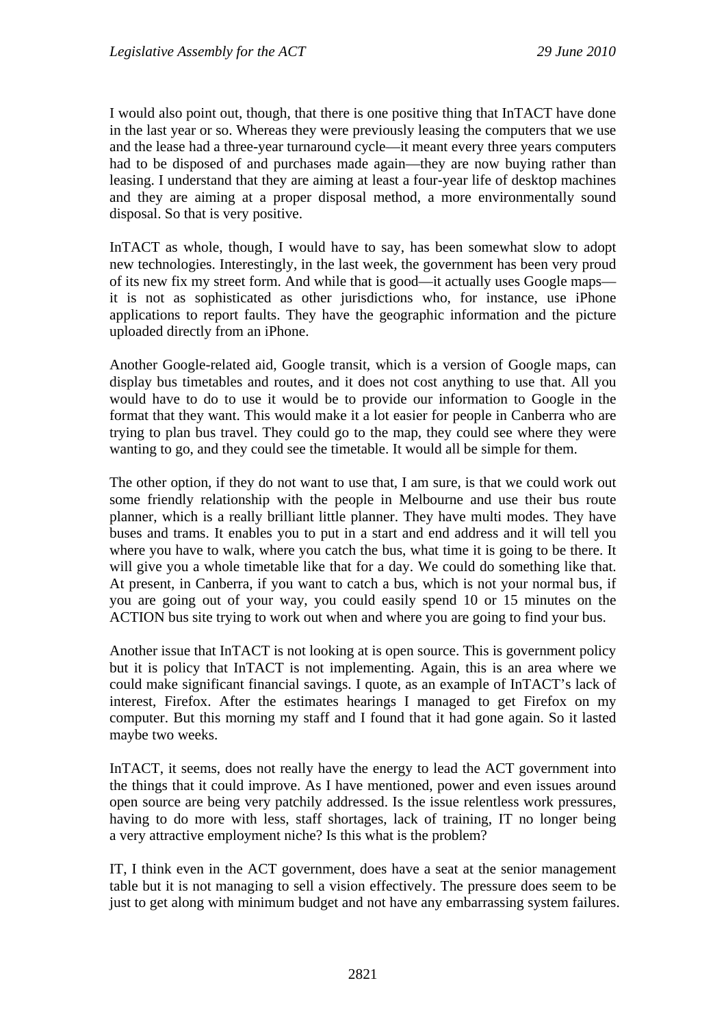I would also point out, though, that there is one positive thing that InTACT have done in the last year or so. Whereas they were previously leasing the computers that we use and the lease had a three-year turnaround cycle—it meant every three years computers had to be disposed of and purchases made again—they are now buying rather than leasing. I understand that they are aiming at least a four-year life of desktop machines and they are aiming at a proper disposal method, a more environmentally sound disposal. So that is very positive.

InTACT as whole, though, I would have to say, has been somewhat slow to adopt new technologies. Interestingly, in the last week, the government has been very proud of its new fix my street form. And while that is good—it actually uses Google maps it is not as sophisticated as other jurisdictions who, for instance, use iPhone applications to report faults. They have the geographic information and the picture uploaded directly from an iPhone.

Another Google-related aid, Google transit, which is a version of Google maps, can display bus timetables and routes, and it does not cost anything to use that. All you would have to do to use it would be to provide our information to Google in the format that they want. This would make it a lot easier for people in Canberra who are trying to plan bus travel. They could go to the map, they could see where they were wanting to go, and they could see the timetable. It would all be simple for them.

The other option, if they do not want to use that, I am sure, is that we could work out some friendly relationship with the people in Melbourne and use their bus route planner, which is a really brilliant little planner. They have multi modes. They have buses and trams. It enables you to put in a start and end address and it will tell you where you have to walk, where you catch the bus, what time it is going to be there. It will give you a whole timetable like that for a day. We could do something like that. At present, in Canberra, if you want to catch a bus, which is not your normal bus, if you are going out of your way, you could easily spend 10 or 15 minutes on the ACTION bus site trying to work out when and where you are going to find your bus.

Another issue that InTACT is not looking at is open source. This is government policy but it is policy that InTACT is not implementing. Again, this is an area where we could make significant financial savings. I quote, as an example of InTACT's lack of interest, Firefox. After the estimates hearings I managed to get Firefox on my computer. But this morning my staff and I found that it had gone again. So it lasted maybe two weeks.

InTACT, it seems, does not really have the energy to lead the ACT government into the things that it could improve. As I have mentioned, power and even issues around open source are being very patchily addressed. Is the issue relentless work pressures, having to do more with less, staff shortages, lack of training, IT no longer being a very attractive employment niche? Is this what is the problem?

IT, I think even in the ACT government, does have a seat at the senior management table but it is not managing to sell a vision effectively. The pressure does seem to be just to get along with minimum budget and not have any embarrassing system failures.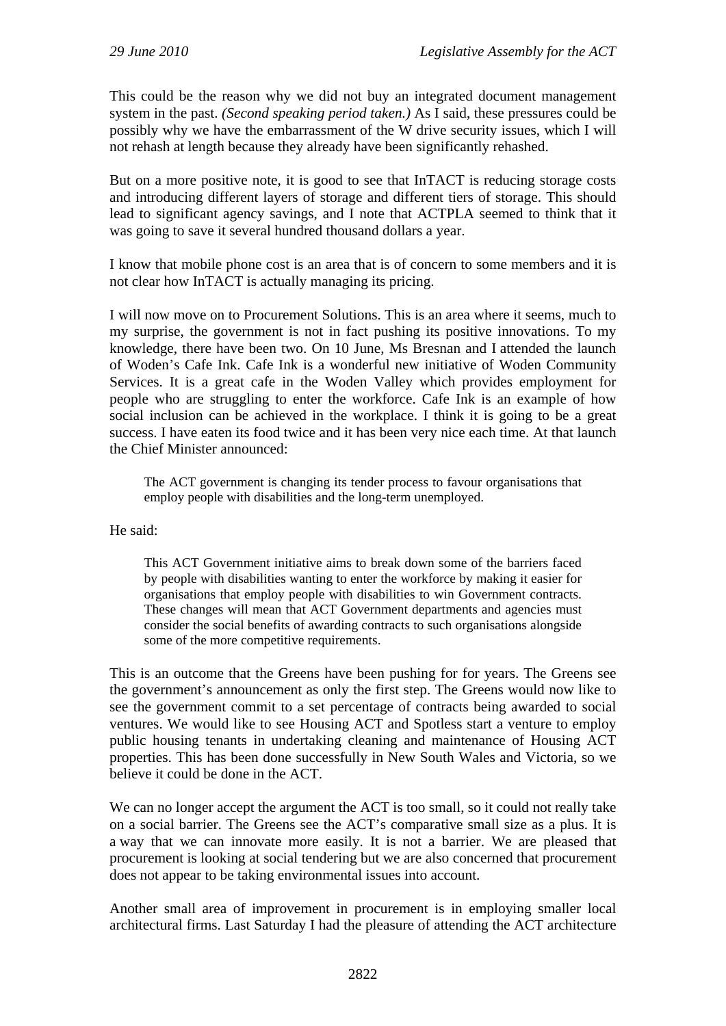This could be the reason why we did not buy an integrated document management system in the past. *(Second speaking period taken.)* As I said, these pressures could be possibly why we have the embarrassment of the W drive security issues, which I will not rehash at length because they already have been significantly rehashed.

But on a more positive note, it is good to see that InTACT is reducing storage costs and introducing different layers of storage and different tiers of storage. This should lead to significant agency savings, and I note that ACTPLA seemed to think that it was going to save it several hundred thousand dollars a year.

I know that mobile phone cost is an area that is of concern to some members and it is not clear how InTACT is actually managing its pricing.

I will now move on to Procurement Solutions. This is an area where it seems, much to my surprise, the government is not in fact pushing its positive innovations. To my knowledge, there have been two. On 10 June, Ms Bresnan and I attended the launch of Woden's Cafe Ink. Cafe Ink is a wonderful new initiative of Woden Community Services. It is a great cafe in the Woden Valley which provides employment for people who are struggling to enter the workforce. Cafe Ink is an example of how social inclusion can be achieved in the workplace. I think it is going to be a great success. I have eaten its food twice and it has been very nice each time. At that launch the Chief Minister announced:

The ACT government is changing its tender process to favour organisations that employ people with disabilities and the long-term unemployed.

He said:

This ACT Government initiative aims to break down some of the barriers faced by people with disabilities wanting to enter the workforce by making it easier for organisations that employ people with disabilities to win Government contracts. These changes will mean that ACT Government departments and agencies must consider the social benefits of awarding contracts to such organisations alongside some of the more competitive requirements.

This is an outcome that the Greens have been pushing for for years. The Greens see the government's announcement as only the first step. The Greens would now like to see the government commit to a set percentage of contracts being awarded to social ventures. We would like to see Housing ACT and Spotless start a venture to employ public housing tenants in undertaking cleaning and maintenance of Housing ACT properties. This has been done successfully in New South Wales and Victoria, so we believe it could be done in the ACT.

We can no longer accept the argument the ACT is too small, so it could not really take on a social barrier. The Greens see the ACT's comparative small size as a plus. It is a way that we can innovate more easily. It is not a barrier. We are pleased that procurement is looking at social tendering but we are also concerned that procurement does not appear to be taking environmental issues into account.

Another small area of improvement in procurement is in employing smaller local architectural firms. Last Saturday I had the pleasure of attending the ACT architecture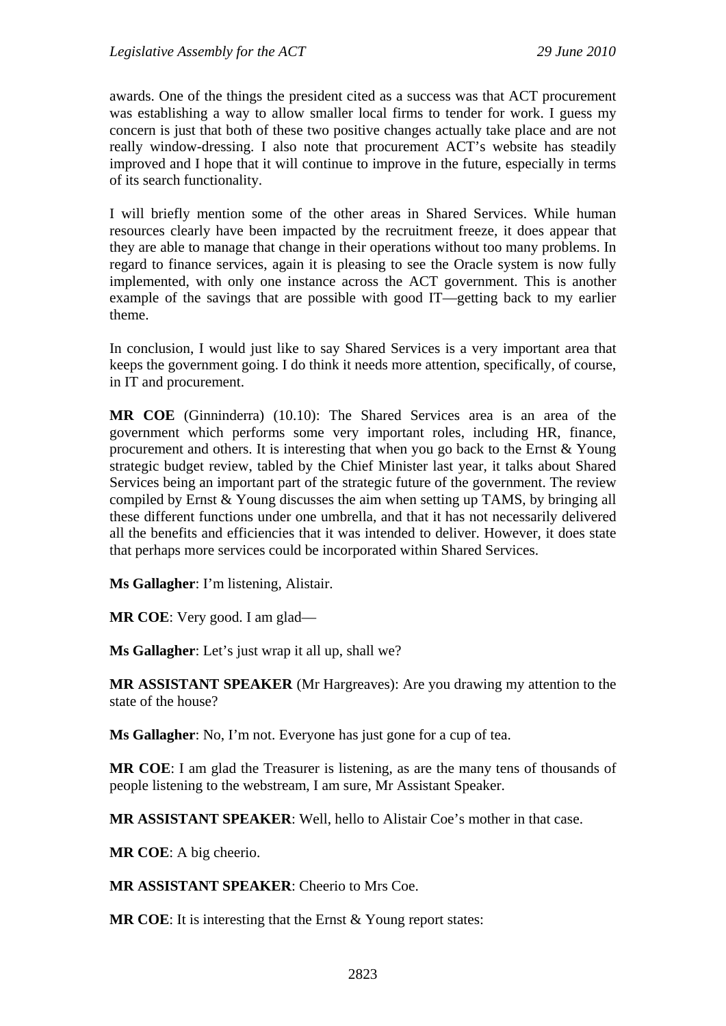awards. One of the things the president cited as a success was that ACT procurement was establishing a way to allow smaller local firms to tender for work. I guess my concern is just that both of these two positive changes actually take place and are not really window-dressing. I also note that procurement ACT's website has steadily improved and I hope that it will continue to improve in the future, especially in terms of its search functionality.

I will briefly mention some of the other areas in Shared Services. While human resources clearly have been impacted by the recruitment freeze, it does appear that they are able to manage that change in their operations without too many problems. In regard to finance services, again it is pleasing to see the Oracle system is now fully implemented, with only one instance across the ACT government. This is another example of the savings that are possible with good IT—getting back to my earlier theme.

In conclusion, I would just like to say Shared Services is a very important area that keeps the government going. I do think it needs more attention, specifically, of course, in IT and procurement.

**MR COE** (Ginninderra) (10.10): The Shared Services area is an area of the government which performs some very important roles, including HR, finance, procurement and others. It is interesting that when you go back to the Ernst & Young strategic budget review, tabled by the Chief Minister last year, it talks about Shared Services being an important part of the strategic future of the government. The review compiled by Ernst & Young discusses the aim when setting up TAMS, by bringing all these different functions under one umbrella, and that it has not necessarily delivered all the benefits and efficiencies that it was intended to deliver. However, it does state that perhaps more services could be incorporated within Shared Services.

**Ms Gallagher**: I'm listening, Alistair.

**MR COE**: Very good. I am glad—

**Ms Gallagher**: Let's just wrap it all up, shall we?

**MR ASSISTANT SPEAKER** (Mr Hargreaves): Are you drawing my attention to the state of the house?

**Ms Gallagher**: No, I'm not. Everyone has just gone for a cup of tea.

**MR COE**: I am glad the Treasurer is listening, as are the many tens of thousands of people listening to the webstream, I am sure, Mr Assistant Speaker.

**MR ASSISTANT SPEAKER**: Well, hello to Alistair Coe's mother in that case.

**MR COE**: A big cheerio.

**MR ASSISTANT SPEAKER**: Cheerio to Mrs Coe.

**MR COE**: It is interesting that the Ernst & Young report states: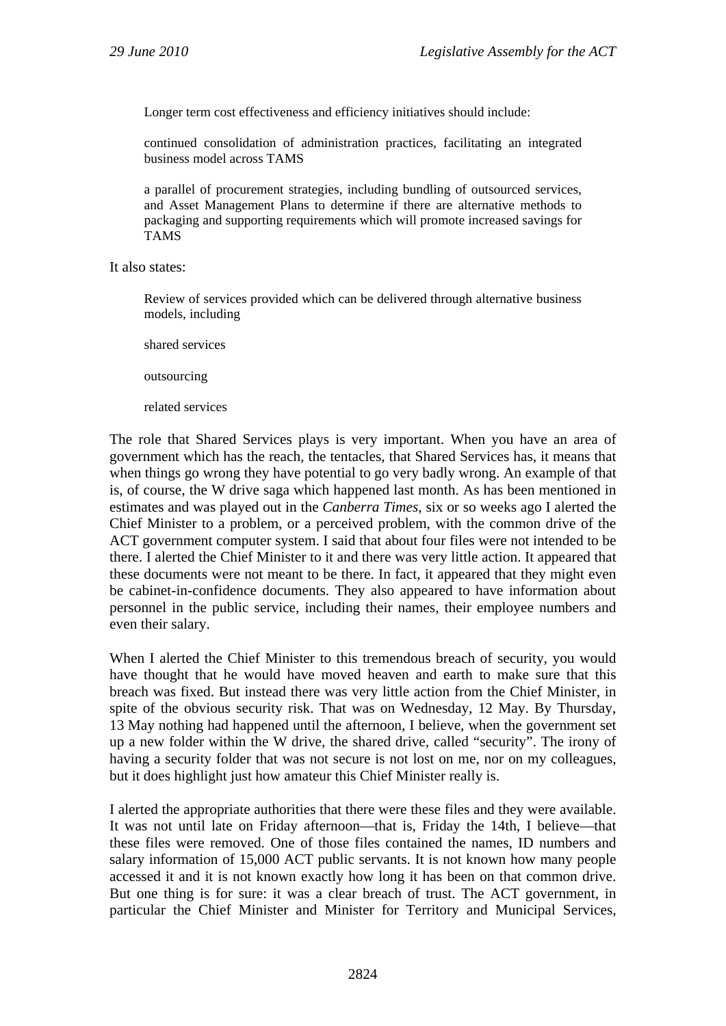Longer term cost effectiveness and efficiency initiatives should include:

continued consolidation of administration practices, facilitating an integrated business model across TAMS

a parallel of procurement strategies, including bundling of outsourced services, and Asset Management Plans to determine if there are alternative methods to packaging and supporting requirements which will promote increased savings for TAMS

It also states:

Review of services provided which can be delivered through alternative business models, including

shared services

outsourcing

related services

The role that Shared Services plays is very important. When you have an area of government which has the reach, the tentacles, that Shared Services has, it means that when things go wrong they have potential to go very badly wrong. An example of that is, of course, the W drive saga which happened last month. As has been mentioned in estimates and was played out in the *Canberra Times*, six or so weeks ago I alerted the Chief Minister to a problem, or a perceived problem, with the common drive of the ACT government computer system. I said that about four files were not intended to be there. I alerted the Chief Minister to it and there was very little action. It appeared that these documents were not meant to be there. In fact, it appeared that they might even be cabinet-in-confidence documents. They also appeared to have information about personnel in the public service, including their names, their employee numbers and even their salary.

When I alerted the Chief Minister to this tremendous breach of security, you would have thought that he would have moved heaven and earth to make sure that this breach was fixed. But instead there was very little action from the Chief Minister, in spite of the obvious security risk. That was on Wednesday, 12 May. By Thursday, 13 May nothing had happened until the afternoon, I believe, when the government set up a new folder within the W drive, the shared drive, called "security". The irony of having a security folder that was not secure is not lost on me, nor on my colleagues, but it does highlight just how amateur this Chief Minister really is.

I alerted the appropriate authorities that there were these files and they were available. It was not until late on Friday afternoon—that is, Friday the 14th, I believe—that these files were removed. One of those files contained the names, ID numbers and salary information of 15,000 ACT public servants. It is not known how many people accessed it and it is not known exactly how long it has been on that common drive. But one thing is for sure: it was a clear breach of trust. The ACT government, in particular the Chief Minister and Minister for Territory and Municipal Services,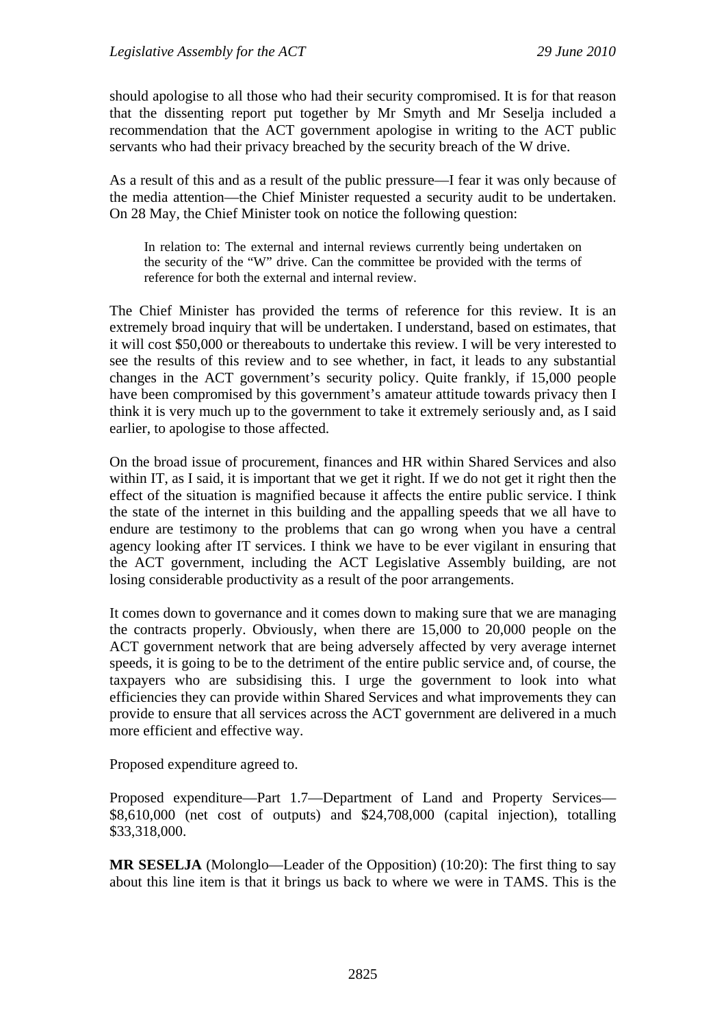should apologise to all those who had their security compromised. It is for that reason that the dissenting report put together by Mr Smyth and Mr Seselja included a recommendation that the ACT government apologise in writing to the ACT public servants who had their privacy breached by the security breach of the W drive.

As a result of this and as a result of the public pressure—I fear it was only because of the media attention—the Chief Minister requested a security audit to be undertaken. On 28 May, the Chief Minister took on notice the following question:

In relation to: The external and internal reviews currently being undertaken on the security of the "W" drive. Can the committee be provided with the terms of reference for both the external and internal review.

The Chief Minister has provided the terms of reference for this review. It is an extremely broad inquiry that will be undertaken. I understand, based on estimates, that it will cost \$50,000 or thereabouts to undertake this review. I will be very interested to see the results of this review and to see whether, in fact, it leads to any substantial changes in the ACT government's security policy. Quite frankly, if 15,000 people have been compromised by this government's amateur attitude towards privacy then I think it is very much up to the government to take it extremely seriously and, as I said earlier, to apologise to those affected.

On the broad issue of procurement, finances and HR within Shared Services and also within IT, as I said, it is important that we get it right. If we do not get it right then the effect of the situation is magnified because it affects the entire public service. I think the state of the internet in this building and the appalling speeds that we all have to endure are testimony to the problems that can go wrong when you have a central agency looking after IT services. I think we have to be ever vigilant in ensuring that the ACT government, including the ACT Legislative Assembly building, are not losing considerable productivity as a result of the poor arrangements.

It comes down to governance and it comes down to making sure that we are managing the contracts properly. Obviously, when there are 15,000 to 20,000 people on the ACT government network that are being adversely affected by very average internet speeds, it is going to be to the detriment of the entire public service and, of course, the taxpayers who are subsidising this. I urge the government to look into what efficiencies they can provide within Shared Services and what improvements they can provide to ensure that all services across the ACT government are delivered in a much more efficient and effective way.

Proposed expenditure agreed to.

Proposed expenditure—Part 1.7—Department of Land and Property Services— \$8,610,000 (net cost of outputs) and \$24,708,000 (capital injection), totalling \$33,318,000.

**MR SESELJA** (Molonglo—Leader of the Opposition) (10:20): The first thing to say about this line item is that it brings us back to where we were in TAMS. This is the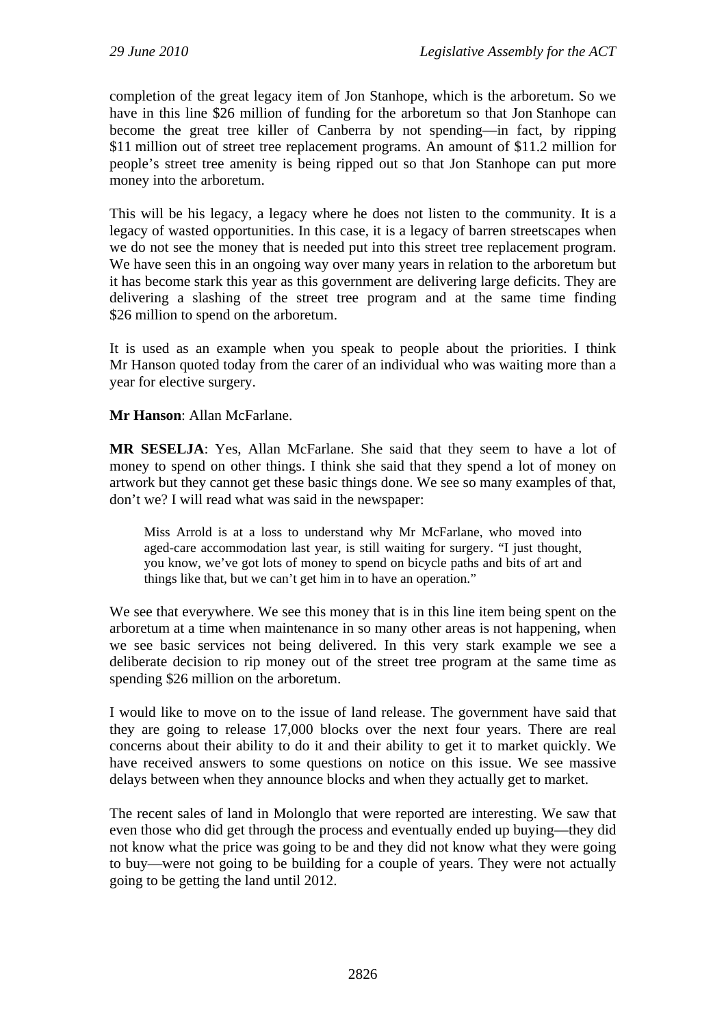completion of the great legacy item of Jon Stanhope, which is the arboretum. So we have in this line \$26 million of funding for the arboretum so that Jon Stanhope can become the great tree killer of Canberra by not spending—in fact, by ripping \$11 million out of street tree replacement programs. An amount of \$11.2 million for people's street tree amenity is being ripped out so that Jon Stanhope can put more money into the arboretum.

This will be his legacy, a legacy where he does not listen to the community. It is a legacy of wasted opportunities. In this case, it is a legacy of barren streetscapes when we do not see the money that is needed put into this street tree replacement program. We have seen this in an ongoing way over many years in relation to the arboretum but it has become stark this year as this government are delivering large deficits. They are delivering a slashing of the street tree program and at the same time finding \$26 million to spend on the arboretum.

It is used as an example when you speak to people about the priorities. I think Mr Hanson quoted today from the carer of an individual who was waiting more than a year for elective surgery.

**Mr Hanson**: Allan McFarlane.

MR SESELJA: Yes, Allan McFarlane. She said that they seem to have a lot of money to spend on other things. I think she said that they spend a lot of money on artwork but they cannot get these basic things done. We see so many examples of that, don't we? I will read what was said in the newspaper:

Miss Arrold is at a loss to understand why Mr McFarlane, who moved into aged-care accommodation last year, is still waiting for surgery. "I just thought, you know, we've got lots of money to spend on bicycle paths and bits of art and things like that, but we can't get him in to have an operation."

We see that everywhere. We see this money that is in this line item being spent on the arboretum at a time when maintenance in so many other areas is not happening, when we see basic services not being delivered. In this very stark example we see a deliberate decision to rip money out of the street tree program at the same time as spending \$26 million on the arboretum.

I would like to move on to the issue of land release. The government have said that they are going to release 17,000 blocks over the next four years. There are real concerns about their ability to do it and their ability to get it to market quickly. We have received answers to some questions on notice on this issue. We see massive delays between when they announce blocks and when they actually get to market.

The recent sales of land in Molonglo that were reported are interesting. We saw that even those who did get through the process and eventually ended up buying—they did not know what the price was going to be and they did not know what they were going to buy—were not going to be building for a couple of years. They were not actually going to be getting the land until 2012.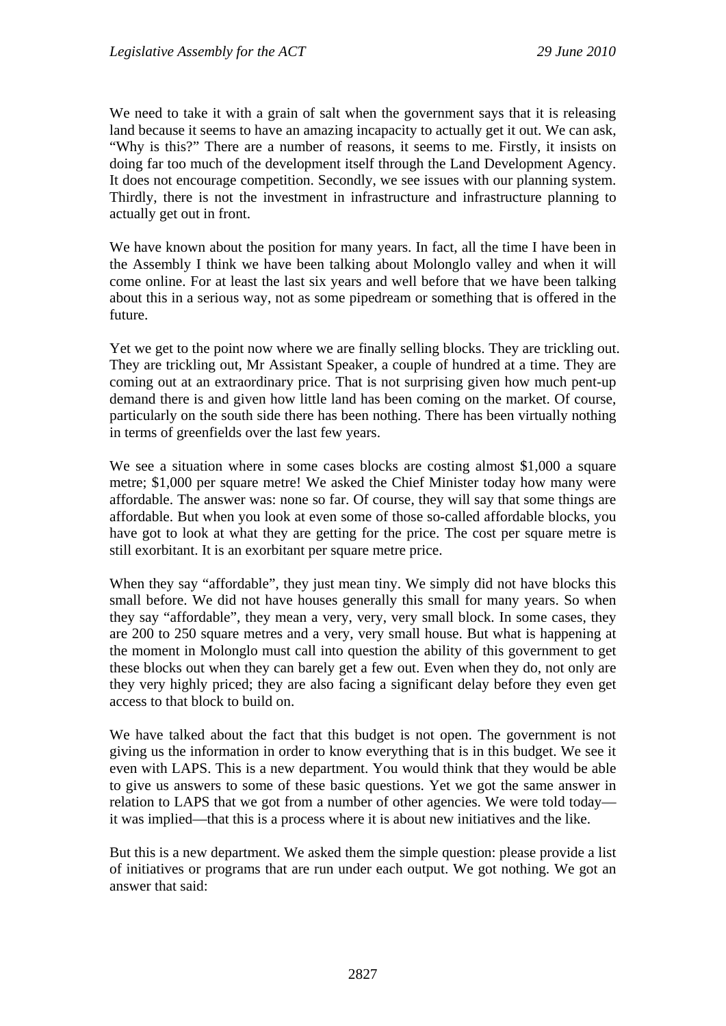We need to take it with a grain of salt when the government says that it is releasing land because it seems to have an amazing incapacity to actually get it out. We can ask, "Why is this?" There are a number of reasons, it seems to me. Firstly, it insists on doing far too much of the development itself through the Land Development Agency. It does not encourage competition. Secondly, we see issues with our planning system. Thirdly, there is not the investment in infrastructure and infrastructure planning to actually get out in front.

We have known about the position for many years. In fact, all the time I have been in the Assembly I think we have been talking about Molonglo valley and when it will come online. For at least the last six years and well before that we have been talking about this in a serious way, not as some pipedream or something that is offered in the future.

Yet we get to the point now where we are finally selling blocks. They are trickling out. They are trickling out, Mr Assistant Speaker, a couple of hundred at a time. They are coming out at an extraordinary price. That is not surprising given how much pent-up demand there is and given how little land has been coming on the market. Of course, particularly on the south side there has been nothing. There has been virtually nothing in terms of greenfields over the last few years.

We see a situation where in some cases blocks are costing almost \$1,000 a square metre; \$1,000 per square metre! We asked the Chief Minister today how many were affordable. The answer was: none so far. Of course, they will say that some things are affordable. But when you look at even some of those so-called affordable blocks, you have got to look at what they are getting for the price. The cost per square metre is still exorbitant. It is an exorbitant per square metre price.

When they say "affordable", they just mean tiny. We simply did not have blocks this small before. We did not have houses generally this small for many years. So when they say "affordable", they mean a very, very, very small block. In some cases, they are 200 to 250 square metres and a very, very small house. But what is happening at the moment in Molonglo must call into question the ability of this government to get these blocks out when they can barely get a few out. Even when they do, not only are they very highly priced; they are also facing a significant delay before they even get access to that block to build on.

We have talked about the fact that this budget is not open. The government is not giving us the information in order to know everything that is in this budget. We see it even with LAPS. This is a new department. You would think that they would be able to give us answers to some of these basic questions. Yet we got the same answer in relation to LAPS that we got from a number of other agencies. We were told today it was implied—that this is a process where it is about new initiatives and the like.

But this is a new department. We asked them the simple question: please provide a list of initiatives or programs that are run under each output. We got nothing. We got an answer that said: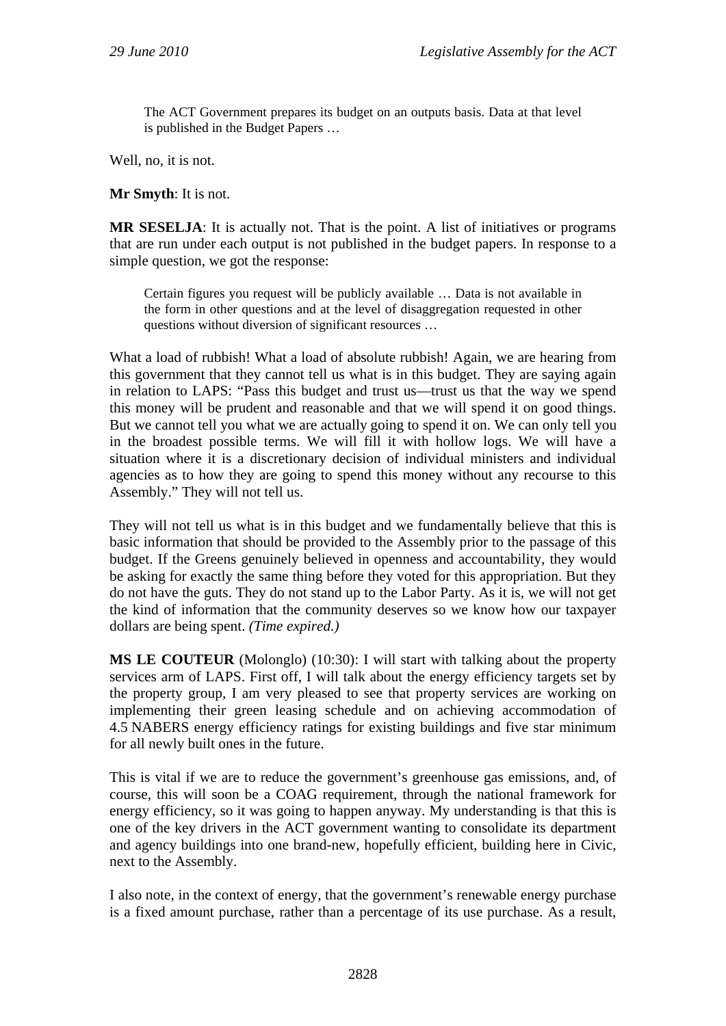The ACT Government prepares its budget on an outputs basis. Data at that level is published in the Budget Papers …

Well, no, it is not.

**Mr Smyth**: It is not.

**MR SESELJA**: It is actually not. That is the point. A list of initiatives or programs that are run under each output is not published in the budget papers. In response to a simple question, we got the response:

Certain figures you request will be publicly available … Data is not available in the form in other questions and at the level of disaggregation requested in other questions without diversion of significant resources …

What a load of rubbish! What a load of absolute rubbish! Again, we are hearing from this government that they cannot tell us what is in this budget. They are saying again in relation to LAPS: "Pass this budget and trust us—trust us that the way we spend this money will be prudent and reasonable and that we will spend it on good things. But we cannot tell you what we are actually going to spend it on. We can only tell you in the broadest possible terms. We will fill it with hollow logs. We will have a situation where it is a discretionary decision of individual ministers and individual agencies as to how they are going to spend this money without any recourse to this Assembly." They will not tell us.

They will not tell us what is in this budget and we fundamentally believe that this is basic information that should be provided to the Assembly prior to the passage of this budget. If the Greens genuinely believed in openness and accountability, they would be asking for exactly the same thing before they voted for this appropriation. But they do not have the guts. They do not stand up to the Labor Party. As it is, we will not get the kind of information that the community deserves so we know how our taxpayer dollars are being spent. *(Time expired.)*

**MS LE COUTEUR** (Molonglo) (10:30): I will start with talking about the property services arm of LAPS. First off, I will talk about the energy efficiency targets set by the property group, I am very pleased to see that property services are working on implementing their green leasing schedule and on achieving accommodation of 4.5 NABERS energy efficiency ratings for existing buildings and five star minimum for all newly built ones in the future.

This is vital if we are to reduce the government's greenhouse gas emissions, and, of course, this will soon be a COAG requirement, through the national framework for energy efficiency, so it was going to happen anyway. My understanding is that this is one of the key drivers in the ACT government wanting to consolidate its department and agency buildings into one brand-new, hopefully efficient, building here in Civic, next to the Assembly.

I also note, in the context of energy, that the government's renewable energy purchase is a fixed amount purchase, rather than a percentage of its use purchase. As a result,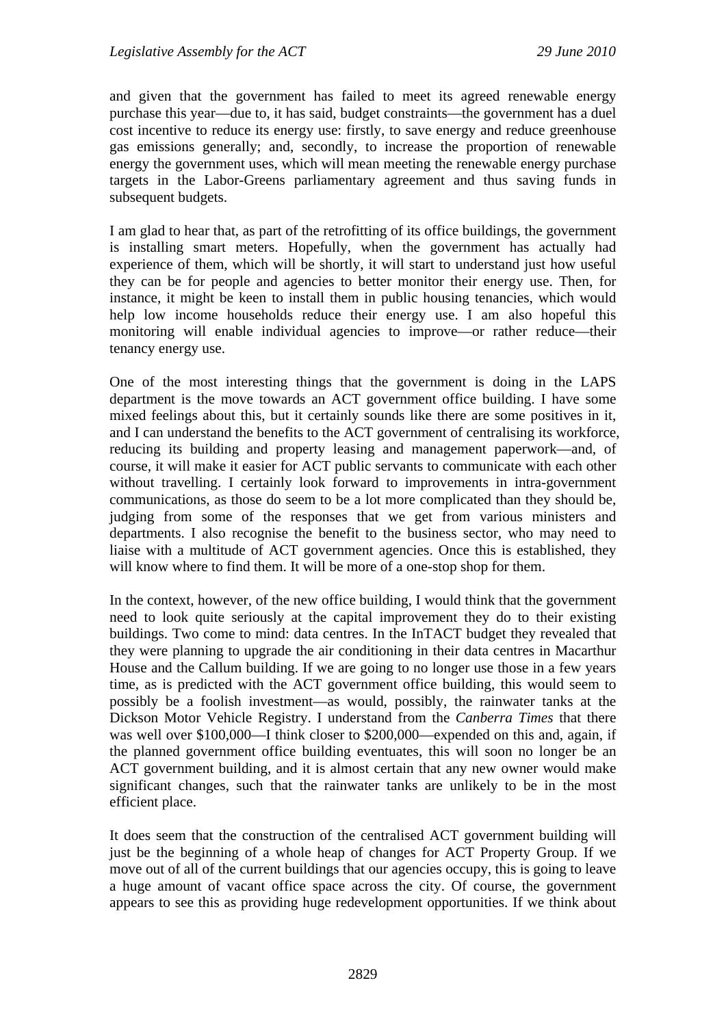and given that the government has failed to meet its agreed renewable energy purchase this year—due to, it has said, budget constraints—the government has a duel cost incentive to reduce its energy use: firstly, to save energy and reduce greenhouse gas emissions generally; and, secondly, to increase the proportion of renewable energy the government uses, which will mean meeting the renewable energy purchase targets in the Labor-Greens parliamentary agreement and thus saving funds in subsequent budgets.

I am glad to hear that, as part of the retrofitting of its office buildings, the government is installing smart meters. Hopefully, when the government has actually had experience of them, which will be shortly, it will start to understand just how useful they can be for people and agencies to better monitor their energy use. Then, for instance, it might be keen to install them in public housing tenancies, which would help low income households reduce their energy use. I am also hopeful this monitoring will enable individual agencies to improve—or rather reduce—their tenancy energy use.

One of the most interesting things that the government is doing in the LAPS department is the move towards an ACT government office building. I have some mixed feelings about this, but it certainly sounds like there are some positives in it, and I can understand the benefits to the ACT government of centralising its workforce, reducing its building and property leasing and management paperwork—and, of course, it will make it easier for ACT public servants to communicate with each other without travelling. I certainly look forward to improvements in intra-government communications, as those do seem to be a lot more complicated than they should be, judging from some of the responses that we get from various ministers and departments. I also recognise the benefit to the business sector, who may need to liaise with a multitude of ACT government agencies. Once this is established, they will know where to find them. It will be more of a one-stop shop for them.

In the context, however, of the new office building, I would think that the government need to look quite seriously at the capital improvement they do to their existing buildings. Two come to mind: data centres. In the InTACT budget they revealed that they were planning to upgrade the air conditioning in their data centres in Macarthur House and the Callum building. If we are going to no longer use those in a few years time, as is predicted with the ACT government office building, this would seem to possibly be a foolish investment—as would, possibly, the rainwater tanks at the Dickson Motor Vehicle Registry. I understand from the *Canberra Times* that there was well over \$100,000—I think closer to \$200,000—expended on this and, again, if the planned government office building eventuates, this will soon no longer be an ACT government building, and it is almost certain that any new owner would make significant changes, such that the rainwater tanks are unlikely to be in the most efficient place.

It does seem that the construction of the centralised ACT government building will just be the beginning of a whole heap of changes for ACT Property Group. If we move out of all of the current buildings that our agencies occupy, this is going to leave a huge amount of vacant office space across the city. Of course, the government appears to see this as providing huge redevelopment opportunities. If we think about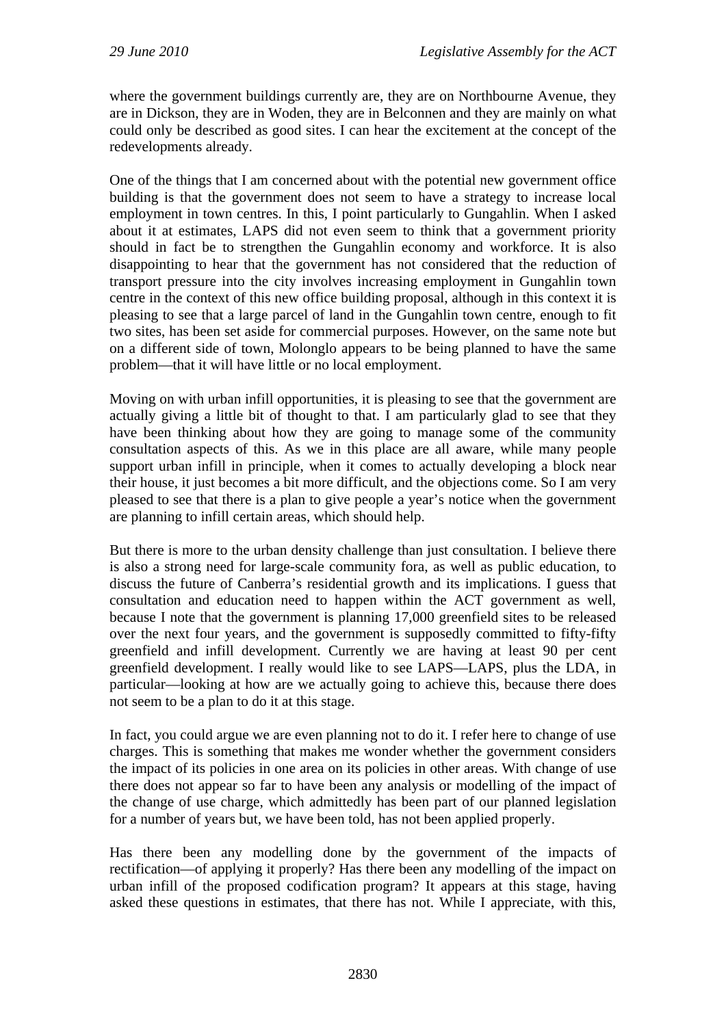where the government buildings currently are, they are on Northbourne Avenue, they are in Dickson, they are in Woden, they are in Belconnen and they are mainly on what could only be described as good sites. I can hear the excitement at the concept of the redevelopments already.

One of the things that I am concerned about with the potential new government office building is that the government does not seem to have a strategy to increase local employment in town centres. In this, I point particularly to Gungahlin. When I asked about it at estimates, LAPS did not even seem to think that a government priority should in fact be to strengthen the Gungahlin economy and workforce. It is also disappointing to hear that the government has not considered that the reduction of transport pressure into the city involves increasing employment in Gungahlin town centre in the context of this new office building proposal, although in this context it is pleasing to see that a large parcel of land in the Gungahlin town centre, enough to fit two sites, has been set aside for commercial purposes. However, on the same note but on a different side of town, Molonglo appears to be being planned to have the same problem—that it will have little or no local employment.

Moving on with urban infill opportunities, it is pleasing to see that the government are actually giving a little bit of thought to that. I am particularly glad to see that they have been thinking about how they are going to manage some of the community consultation aspects of this. As we in this place are all aware, while many people support urban infill in principle, when it comes to actually developing a block near their house, it just becomes a bit more difficult, and the objections come. So I am very pleased to see that there is a plan to give people a year's notice when the government are planning to infill certain areas, which should help.

But there is more to the urban density challenge than just consultation. I believe there is also a strong need for large-scale community fora, as well as public education, to discuss the future of Canberra's residential growth and its implications. I guess that consultation and education need to happen within the ACT government as well, because I note that the government is planning 17,000 greenfield sites to be released over the next four years, and the government is supposedly committed to fifty-fifty greenfield and infill development. Currently we are having at least 90 per cent greenfield development. I really would like to see LAPS—LAPS, plus the LDA, in particular—looking at how are we actually going to achieve this, because there does not seem to be a plan to do it at this stage.

In fact, you could argue we are even planning not to do it. I refer here to change of use charges. This is something that makes me wonder whether the government considers the impact of its policies in one area on its policies in other areas. With change of use there does not appear so far to have been any analysis or modelling of the impact of the change of use charge, which admittedly has been part of our planned legislation for a number of years but, we have been told, has not been applied properly.

Has there been any modelling done by the government of the impacts of rectification—of applying it properly? Has there been any modelling of the impact on urban infill of the proposed codification program? It appears at this stage, having asked these questions in estimates, that there has not. While I appreciate, with this,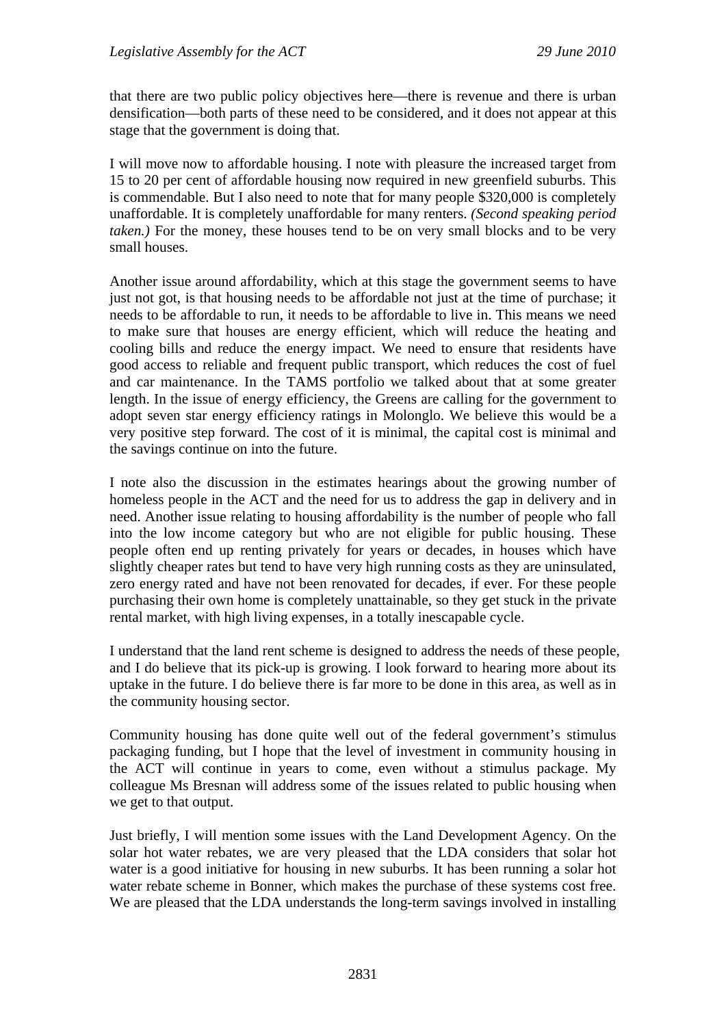that there are two public policy objectives here—there is revenue and there is urban densification—both parts of these need to be considered, and it does not appear at this stage that the government is doing that.

I will move now to affordable housing. I note with pleasure the increased target from 15 to 20 per cent of affordable housing now required in new greenfield suburbs. This is commendable. But I also need to note that for many people \$320,000 is completely unaffordable. It is completely unaffordable for many renters. *(Second speaking period taken.)* For the money, these houses tend to be on very small blocks and to be very small houses.

Another issue around affordability, which at this stage the government seems to have just not got, is that housing needs to be affordable not just at the time of purchase; it needs to be affordable to run, it needs to be affordable to live in. This means we need to make sure that houses are energy efficient, which will reduce the heating and cooling bills and reduce the energy impact. We need to ensure that residents have good access to reliable and frequent public transport, which reduces the cost of fuel and car maintenance. In the TAMS portfolio we talked about that at some greater length. In the issue of energy efficiency, the Greens are calling for the government to adopt seven star energy efficiency ratings in Molonglo. We believe this would be a very positive step forward. The cost of it is minimal, the capital cost is minimal and the savings continue on into the future.

I note also the discussion in the estimates hearings about the growing number of homeless people in the ACT and the need for us to address the gap in delivery and in need. Another issue relating to housing affordability is the number of people who fall into the low income category but who are not eligible for public housing. These people often end up renting privately for years or decades, in houses which have slightly cheaper rates but tend to have very high running costs as they are uninsulated, zero energy rated and have not been renovated for decades, if ever. For these people purchasing their own home is completely unattainable, so they get stuck in the private rental market, with high living expenses, in a totally inescapable cycle.

I understand that the land rent scheme is designed to address the needs of these people, and I do believe that its pick-up is growing. I look forward to hearing more about its uptake in the future. I do believe there is far more to be done in this area, as well as in the community housing sector.

Community housing has done quite well out of the federal government's stimulus packaging funding, but I hope that the level of investment in community housing in the ACT will continue in years to come, even without a stimulus package. My colleague Ms Bresnan will address some of the issues related to public housing when we get to that output.

Just briefly, I will mention some issues with the Land Development Agency. On the solar hot water rebates, we are very pleased that the LDA considers that solar hot water is a good initiative for housing in new suburbs. It has been running a solar hot water rebate scheme in Bonner, which makes the purchase of these systems cost free. We are pleased that the LDA understands the long-term savings involved in installing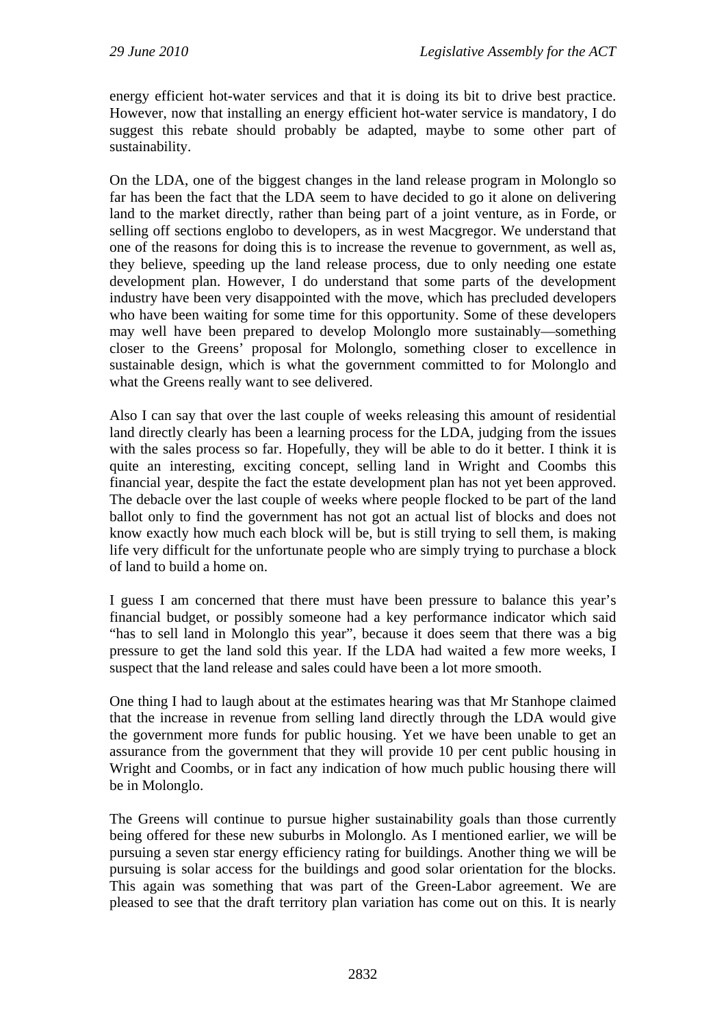energy efficient hot-water services and that it is doing its bit to drive best practice. However, now that installing an energy efficient hot-water service is mandatory, I do suggest this rebate should probably be adapted, maybe to some other part of sustainability.

On the LDA, one of the biggest changes in the land release program in Molonglo so far has been the fact that the LDA seem to have decided to go it alone on delivering land to the market directly, rather than being part of a joint venture, as in Forde, or selling off sections englobo to developers, as in west Macgregor. We understand that one of the reasons for doing this is to increase the revenue to government, as well as, they believe, speeding up the land release process, due to only needing one estate development plan. However, I do understand that some parts of the development industry have been very disappointed with the move, which has precluded developers who have been waiting for some time for this opportunity. Some of these developers may well have been prepared to develop Molonglo more sustainably—something closer to the Greens' proposal for Molonglo, something closer to excellence in sustainable design, which is what the government committed to for Molonglo and what the Greens really want to see delivered.

Also I can say that over the last couple of weeks releasing this amount of residential land directly clearly has been a learning process for the LDA, judging from the issues with the sales process so far. Hopefully, they will be able to do it better. I think it is quite an interesting, exciting concept, selling land in Wright and Coombs this financial year, despite the fact the estate development plan has not yet been approved. The debacle over the last couple of weeks where people flocked to be part of the land ballot only to find the government has not got an actual list of blocks and does not know exactly how much each block will be, but is still trying to sell them, is making life very difficult for the unfortunate people who are simply trying to purchase a block of land to build a home on.

I guess I am concerned that there must have been pressure to balance this year's financial budget, or possibly someone had a key performance indicator which said "has to sell land in Molonglo this year", because it does seem that there was a big pressure to get the land sold this year. If the LDA had waited a few more weeks, I suspect that the land release and sales could have been a lot more smooth.

One thing I had to laugh about at the estimates hearing was that Mr Stanhope claimed that the increase in revenue from selling land directly through the LDA would give the government more funds for public housing. Yet we have been unable to get an assurance from the government that they will provide 10 per cent public housing in Wright and Coombs, or in fact any indication of how much public housing there will be in Molonglo.

The Greens will continue to pursue higher sustainability goals than those currently being offered for these new suburbs in Molonglo. As I mentioned earlier, we will be pursuing a seven star energy efficiency rating for buildings. Another thing we will be pursuing is solar access for the buildings and good solar orientation for the blocks. This again was something that was part of the Green-Labor agreement. We are pleased to see that the draft territory plan variation has come out on this. It is nearly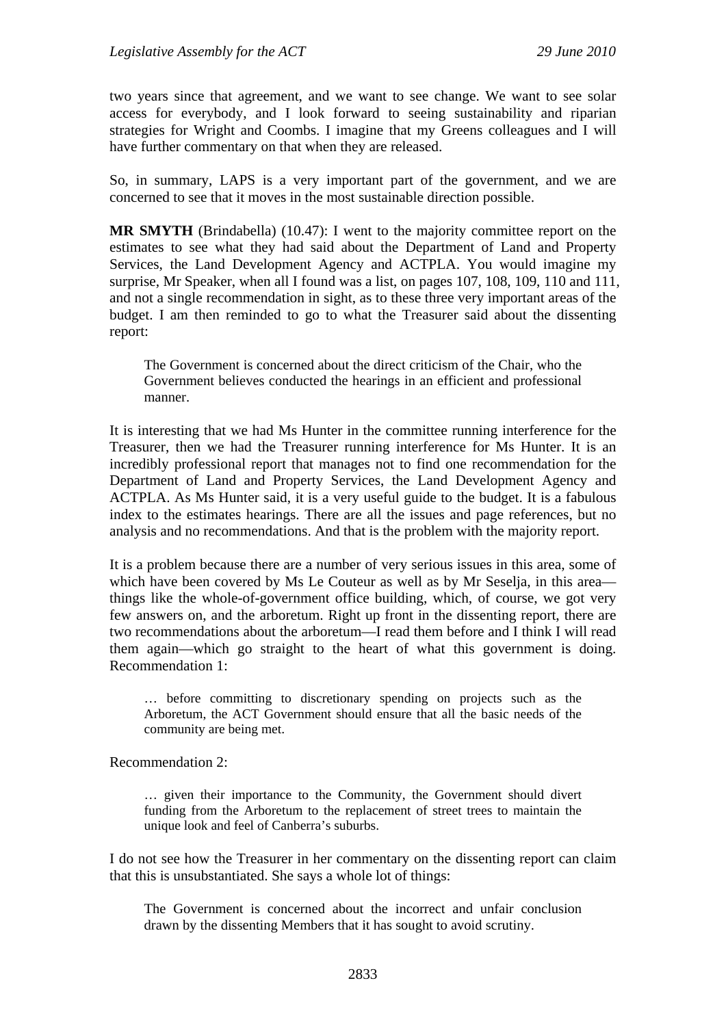two years since that agreement, and we want to see change. We want to see solar access for everybody, and I look forward to seeing sustainability and riparian strategies for Wright and Coombs. I imagine that my Greens colleagues and I will have further commentary on that when they are released.

So, in summary, LAPS is a very important part of the government, and we are concerned to see that it moves in the most sustainable direction possible.

**MR SMYTH** (Brindabella) (10.47): I went to the majority committee report on the estimates to see what they had said about the Department of Land and Property Services, the Land Development Agency and ACTPLA. You would imagine my surprise, Mr Speaker, when all I found was a list, on pages 107, 108, 109, 110 and 111, and not a single recommendation in sight, as to these three very important areas of the budget. I am then reminded to go to what the Treasurer said about the dissenting report:

The Government is concerned about the direct criticism of the Chair, who the Government believes conducted the hearings in an efficient and professional manner.

It is interesting that we had Ms Hunter in the committee running interference for the Treasurer, then we had the Treasurer running interference for Ms Hunter. It is an incredibly professional report that manages not to find one recommendation for the Department of Land and Property Services, the Land Development Agency and ACTPLA. As Ms Hunter said, it is a very useful guide to the budget. It is a fabulous index to the estimates hearings. There are all the issues and page references, but no analysis and no recommendations. And that is the problem with the majority report.

It is a problem because there are a number of very serious issues in this area, some of which have been covered by Ms Le Couteur as well as by Mr Seselja, in this area things like the whole-of-government office building, which, of course, we got very few answers on, and the arboretum. Right up front in the dissenting report, there are two recommendations about the arboretum—I read them before and I think I will read them again—which go straight to the heart of what this government is doing. Recommendation 1:

… before committing to discretionary spending on projects such as the Arboretum, the ACT Government should ensure that all the basic needs of the community are being met.

Recommendation 2:

… given their importance to the Community, the Government should divert funding from the Arboretum to the replacement of street trees to maintain the unique look and feel of Canberra's suburbs.

I do not see how the Treasurer in her commentary on the dissenting report can claim that this is unsubstantiated. She says a whole lot of things:

The Government is concerned about the incorrect and unfair conclusion drawn by the dissenting Members that it has sought to avoid scrutiny.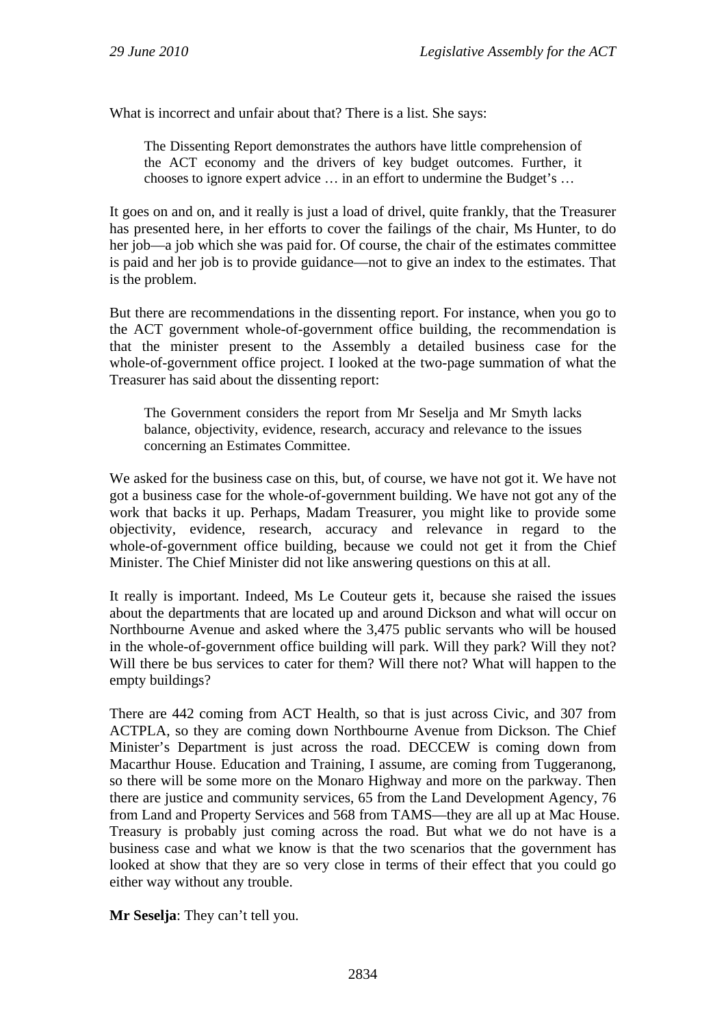What is incorrect and unfair about that? There is a list. She says:

The Dissenting Report demonstrates the authors have little comprehension of the ACT economy and the drivers of key budget outcomes. Further, it chooses to ignore expert advice … in an effort to undermine the Budget's …

It goes on and on, and it really is just a load of drivel, quite frankly, that the Treasurer has presented here, in her efforts to cover the failings of the chair, Ms Hunter, to do her job—a job which she was paid for. Of course, the chair of the estimates committee is paid and her job is to provide guidance—not to give an index to the estimates. That is the problem.

But there are recommendations in the dissenting report. For instance, when you go to the ACT government whole-of-government office building, the recommendation is that the minister present to the Assembly a detailed business case for the whole-of-government office project. I looked at the two-page summation of what the Treasurer has said about the dissenting report:

The Government considers the report from Mr Seselja and Mr Smyth lacks balance, objectivity, evidence, research, accuracy and relevance to the issues concerning an Estimates Committee.

We asked for the business case on this, but, of course, we have not got it. We have not got a business case for the whole-of-government building. We have not got any of the work that backs it up. Perhaps, Madam Treasurer, you might like to provide some objectivity, evidence, research, accuracy and relevance in regard to the whole-of-government office building, because we could not get it from the Chief Minister. The Chief Minister did not like answering questions on this at all.

It really is important. Indeed, Ms Le Couteur gets it, because she raised the issues about the departments that are located up and around Dickson and what will occur on Northbourne Avenue and asked where the 3,475 public servants who will be housed in the whole-of-government office building will park. Will they park? Will they not? Will there be bus services to cater for them? Will there not? What will happen to the empty buildings?

There are 442 coming from ACT Health, so that is just across Civic, and 307 from ACTPLA, so they are coming down Northbourne Avenue from Dickson. The Chief Minister's Department is just across the road. DECCEW is coming down from Macarthur House. Education and Training, I assume, are coming from Tuggeranong, so there will be some more on the Monaro Highway and more on the parkway. Then there are justice and community services, 65 from the Land Development Agency, 76 from Land and Property Services and 568 from TAMS—they are all up at Mac House. Treasury is probably just coming across the road. But what we do not have is a business case and what we know is that the two scenarios that the government has looked at show that they are so very close in terms of their effect that you could go either way without any trouble.

**Mr Seselja**: They can't tell you.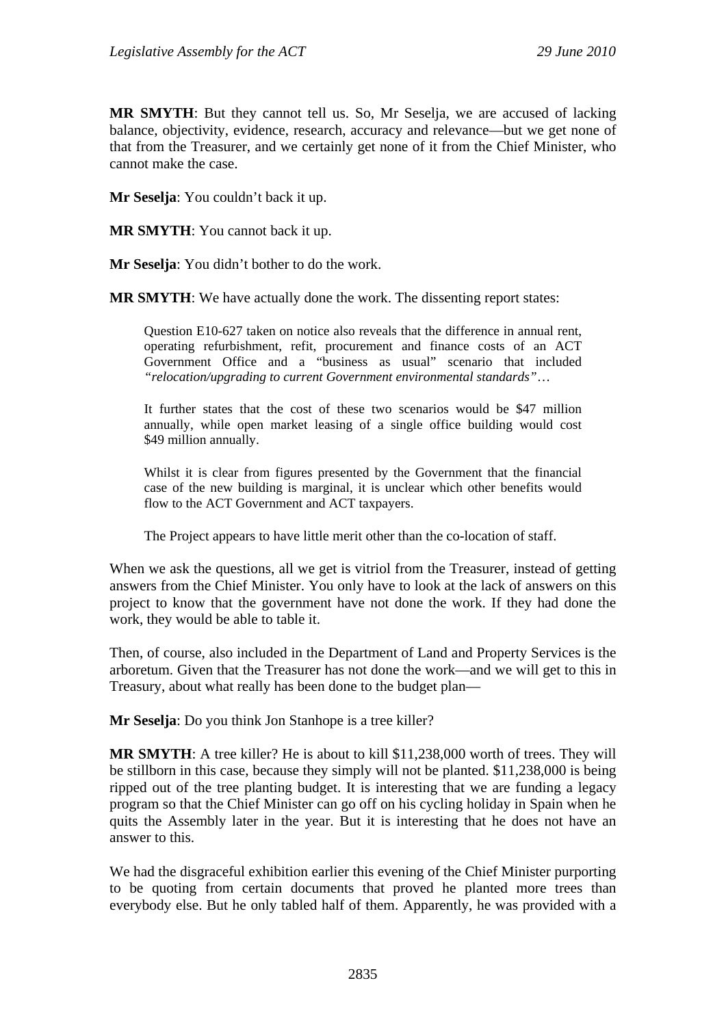**MR SMYTH**: But they cannot tell us. So, Mr Seselja, we are accused of lacking balance, objectivity, evidence, research, accuracy and relevance—but we get none of that from the Treasurer, and we certainly get none of it from the Chief Minister, who cannot make the case.

**Mr Seselja**: You couldn't back it up.

**MR SMYTH**: You cannot back it up.

**Mr Seselja**: You didn't bother to do the work.

**MR SMYTH**: We have actually done the work. The dissenting report states:

Question E10-627 taken on notice also reveals that the difference in annual rent, operating refurbishment, refit, procurement and finance costs of an ACT Government Office and a "business as usual" scenario that included *"relocation/upgrading to current Government environmental standards"*…

It further states that the cost of these two scenarios would be \$47 million annually, while open market leasing of a single office building would cost \$49 million annually.

Whilst it is clear from figures presented by the Government that the financial case of the new building is marginal, it is unclear which other benefits would flow to the ACT Government and ACT taxpayers.

The Project appears to have little merit other than the co-location of staff.

When we ask the questions, all we get is vitriol from the Treasurer, instead of getting answers from the Chief Minister. You only have to look at the lack of answers on this project to know that the government have not done the work. If they had done the work, they would be able to table it.

Then, of course, also included in the Department of Land and Property Services is the arboretum. Given that the Treasurer has not done the work—and we will get to this in Treasury, about what really has been done to the budget plan—

**Mr Seselja**: Do you think Jon Stanhope is a tree killer?

**MR SMYTH**: A tree killer? He is about to kill \$11,238,000 worth of trees. They will be stillborn in this case, because they simply will not be planted. \$11,238,000 is being ripped out of the tree planting budget. It is interesting that we are funding a legacy program so that the Chief Minister can go off on his cycling holiday in Spain when he quits the Assembly later in the year. But it is interesting that he does not have an answer to this.

We had the disgraceful exhibition earlier this evening of the Chief Minister purporting to be quoting from certain documents that proved he planted more trees than everybody else. But he only tabled half of them. Apparently, he was provided with a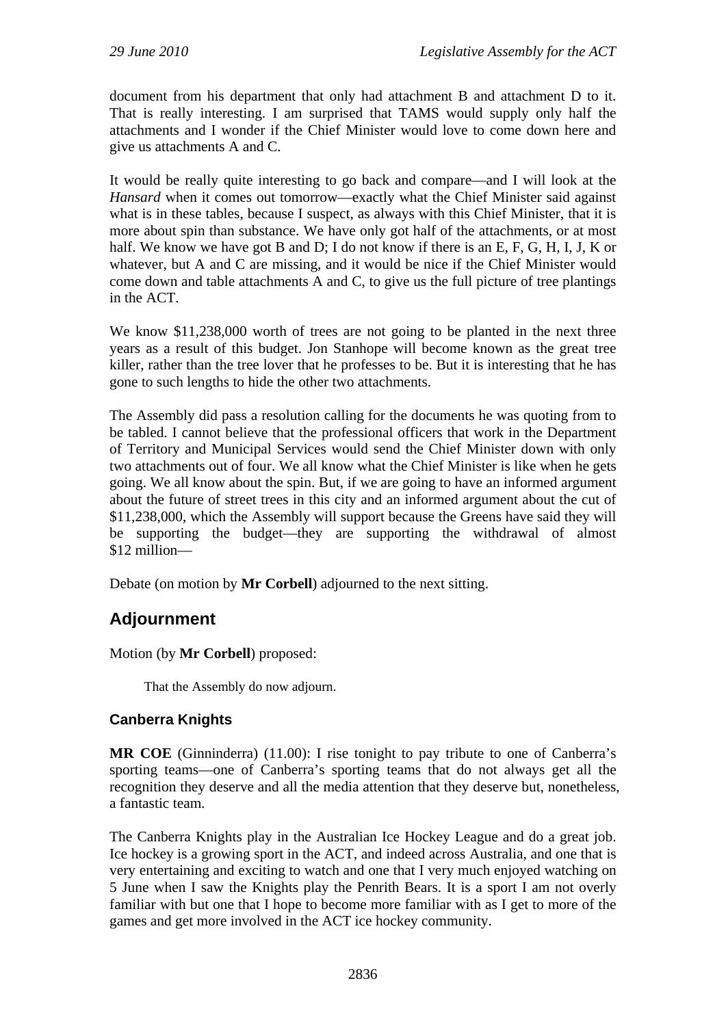document from his department that only had attachment B and attachment D to it. That is really interesting. I am surprised that TAMS would supply only half the attachments and I wonder if the Chief Minister would love to come down here and give us attachments A and C.

It would be really quite interesting to go back and compare—and I will look at the *Hansard* when it comes out tomorrow—exactly what the Chief Minister said against what is in these tables, because I suspect, as always with this Chief Minister, that it is more about spin than substance. We have only got half of the attachments, or at most half. We know we have got B and D; I do not know if there is an E, F, G, H, I, J, K or whatever, but A and C are missing, and it would be nice if the Chief Minister would come down and table attachments A and C, to give us the full picture of tree plantings in the ACT.

We know \$11,238,000 worth of trees are not going to be planted in the next three years as a result of this budget. Jon Stanhope will become known as the great tree killer, rather than the tree lover that he professes to be. But it is interesting that he has gone to such lengths to hide the other two attachments.

The Assembly did pass a resolution calling for the documents he was quoting from to be tabled. I cannot believe that the professional officers that work in the Department of Territory and Municipal Services would send the Chief Minister down with only two attachments out of four. We all know what the Chief Minister is like when he gets going. We all know about the spin. But, if we are going to have an informed argument about the future of street trees in this city and an informed argument about the cut of \$11,238,000, which the Assembly will support because the Greens have said they will be supporting the budget—they are supporting the withdrawal of almost \$12 million—

Debate (on motion by **Mr Corbell**) adjourned to the next sitting.

# **Adjournment**

Motion (by **Mr Corbell**) proposed:

That the Assembly do now adjourn.

# **Canberra Knights**

**MR COE** (Ginninderra) (11.00): I rise tonight to pay tribute to one of Canberra's sporting teams—one of Canberra's sporting teams that do not always get all the recognition they deserve and all the media attention that they deserve but, nonetheless, a fantastic team.

The Canberra Knights play in the Australian Ice Hockey League and do a great job. Ice hockey is a growing sport in the ACT, and indeed across Australia, and one that is very entertaining and exciting to watch and one that I very much enjoyed watching on 5 June when I saw the Knights play the Penrith Bears. It is a sport I am not overly familiar with but one that I hope to become more familiar with as I get to more of the games and get more involved in the ACT ice hockey community.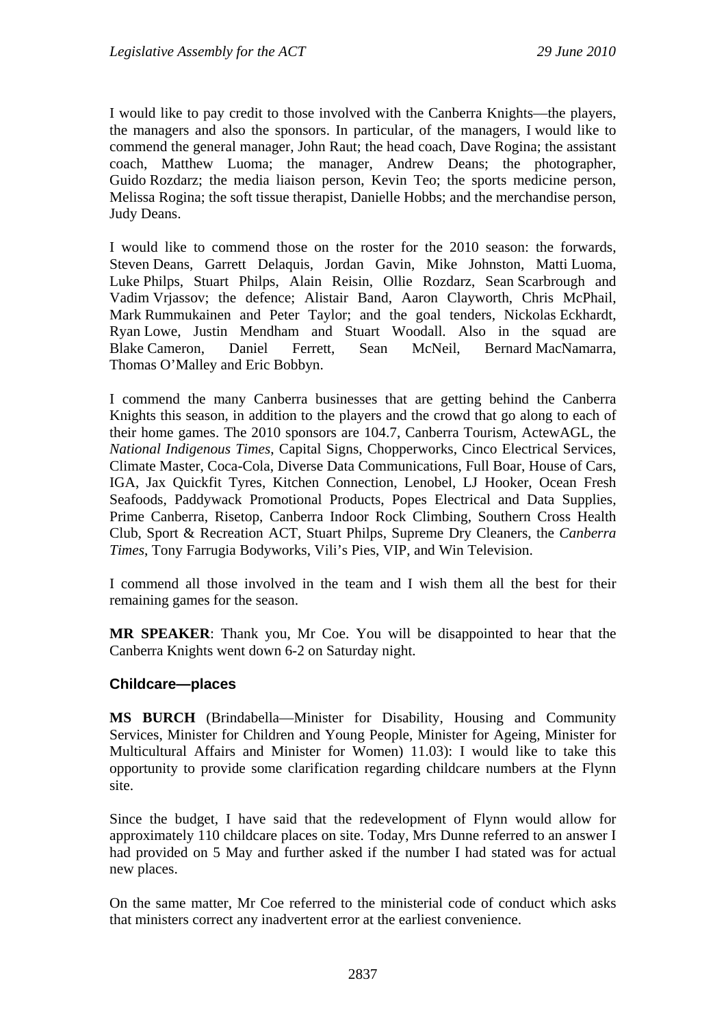I would like to pay credit to those involved with the Canberra Knights—the players, the managers and also the sponsors. In particular, of the managers, I would like to commend the general manager, John Raut; the head coach, Dave Rogina; the assistant coach, Matthew Luoma; the manager, Andrew Deans; the photographer, Guido Rozdarz; the media liaison person, Kevin Teo; the sports medicine person, Melissa Rogina; the soft tissue therapist, Danielle Hobbs; and the merchandise person, Judy Deans.

I would like to commend those on the roster for the 2010 season: the forwards, Steven Deans, Garrett Delaquis, Jordan Gavin, Mike Johnston, Matti Luoma, Luke Philps, Stuart Philps, Alain Reisin, Ollie Rozdarz, Sean Scarbrough and Vadim Vrjassov; the defence; Alistair Band, Aaron Clayworth, Chris McPhail, Mark Rummukainen and Peter Taylor; and the goal tenders, Nickolas Eckhardt, Ryan Lowe, Justin Mendham and Stuart Woodall. Also in the squad are Blake Cameron, Daniel Ferrett, Sean McNeil, Bernard MacNamarra, Thomas O'Malley and Eric Bobbyn.

I commend the many Canberra businesses that are getting behind the Canberra Knights this season, in addition to the players and the crowd that go along to each of their home games. The 2010 sponsors are 104.7, Canberra Tourism, ActewAGL, the *National Indigenous Times*, Capital Signs, Chopperworks, Cinco Electrical Services, Climate Master, Coca-Cola, Diverse Data Communications, Full Boar, House of Cars, IGA, Jax Quickfit Tyres, Kitchen Connection, Lenobel, LJ Hooker, Ocean Fresh Seafoods, Paddywack Promotional Products, Popes Electrical and Data Supplies, Prime Canberra, Risetop, Canberra Indoor Rock Climbing, Southern Cross Health Club, Sport & Recreation ACT, Stuart Philps, Supreme Dry Cleaners, the *Canberra Times*, Tony Farrugia Bodyworks, Vili's Pies, VIP, and Win Television.

I commend all those involved in the team and I wish them all the best for their remaining games for the season.

**MR SPEAKER**: Thank you, Mr Coe. You will be disappointed to hear that the Canberra Knights went down 6-2 on Saturday night.

## **Childcare—places**

**MS BURCH** (Brindabella—Minister for Disability, Housing and Community Services, Minister for Children and Young People, Minister for Ageing, Minister for Multicultural Affairs and Minister for Women) 11.03): I would like to take this opportunity to provide some clarification regarding childcare numbers at the Flynn site.

Since the budget, I have said that the redevelopment of Flynn would allow for approximately 110 childcare places on site. Today, Mrs Dunne referred to an answer I had provided on 5 May and further asked if the number I had stated was for actual new places.

On the same matter, Mr Coe referred to the ministerial code of conduct which asks that ministers correct any inadvertent error at the earliest convenience.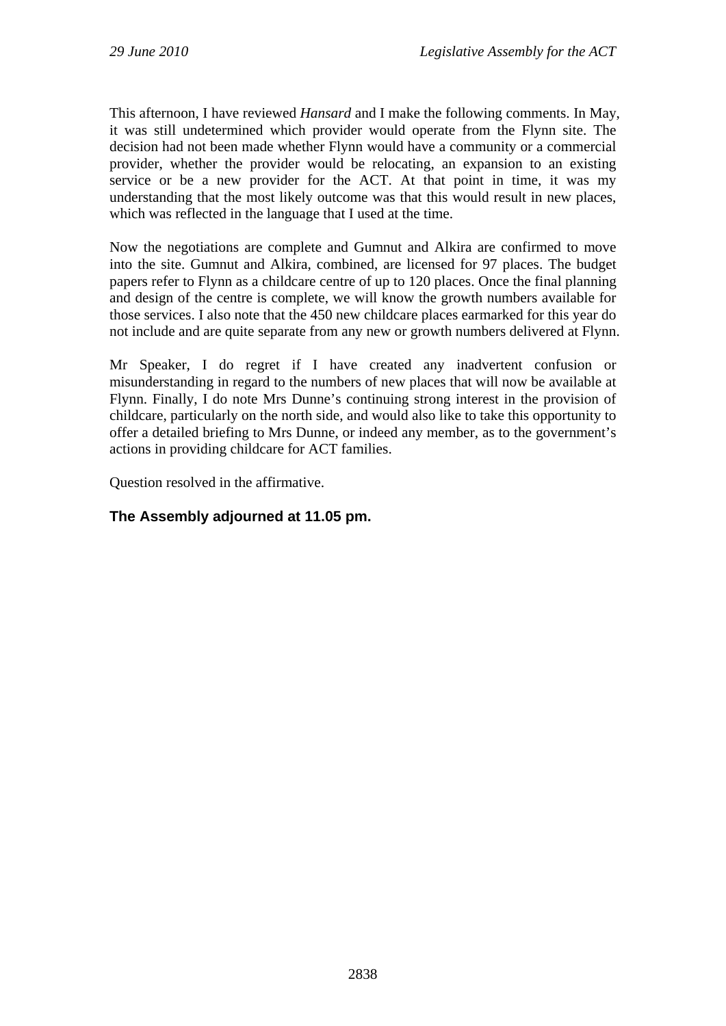This afternoon, I have reviewed *Hansard* and I make the following comments. In May, it was still undetermined which provider would operate from the Flynn site. The decision had not been made whether Flynn would have a community or a commercial provider, whether the provider would be relocating, an expansion to an existing service or be a new provider for the ACT. At that point in time, it was my understanding that the most likely outcome was that this would result in new places, which was reflected in the language that I used at the time.

Now the negotiations are complete and Gumnut and Alkira are confirmed to move into the site. Gumnut and Alkira, combined, are licensed for 97 places. The budget papers refer to Flynn as a childcare centre of up to 120 places. Once the final planning and design of the centre is complete, we will know the growth numbers available for those services. I also note that the 450 new childcare places earmarked for this year do not include and are quite separate from any new or growth numbers delivered at Flynn.

Mr Speaker, I do regret if I have created any inadvertent confusion or misunderstanding in regard to the numbers of new places that will now be available at Flynn. Finally, I do note Mrs Dunne's continuing strong interest in the provision of childcare, particularly on the north side, and would also like to take this opportunity to offer a detailed briefing to Mrs Dunne, or indeed any member, as to the government's actions in providing childcare for ACT families.

Question resolved in the affirmative.

# **The Assembly adjourned at 11.05 pm.**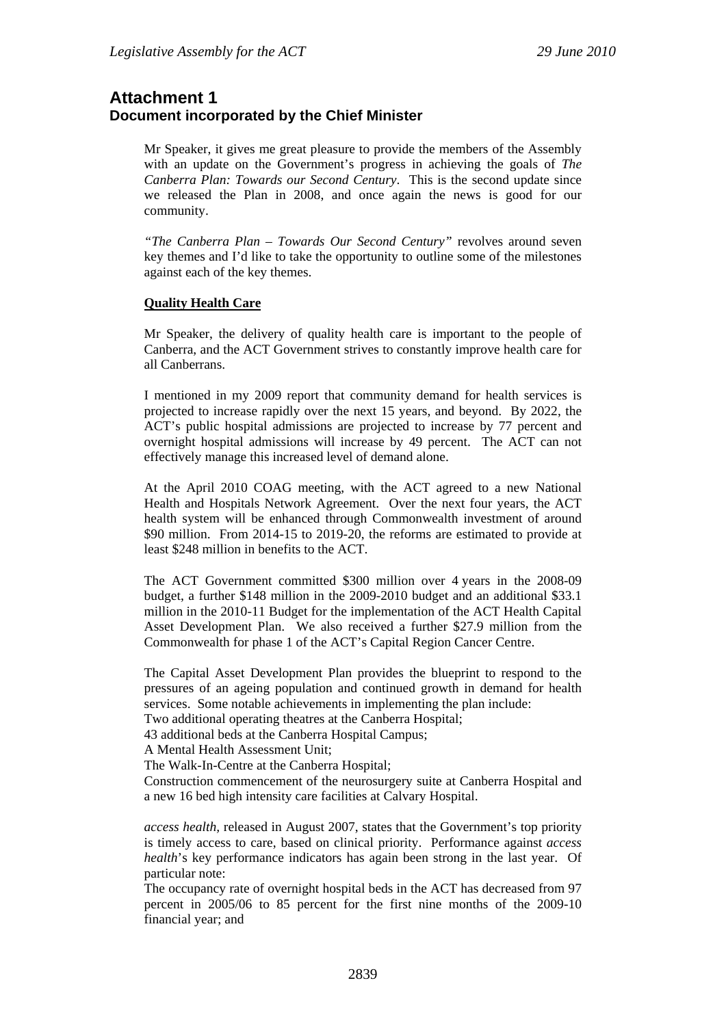# **Attachment 1 Document incorporated by the Chief Minister**

Mr Speaker, it gives me great pleasure to provide the members of the Assembly with an update on the Government's progress in achieving the goals of *The Canberra Plan: Towards our Second Century*. This is the second update since we released the Plan in 2008, and once again the news is good for our community.

*"The Canberra Plan – Towards Our Second Century"* revolves around seven key themes and I'd like to take the opportunity to outline some of the milestones against each of the key themes.

## **Quality Health Care**

Mr Speaker, the delivery of quality health care is important to the people of Canberra, and the ACT Government strives to constantly improve health care for all Canberrans.

I mentioned in my 2009 report that community demand for health services is projected to increase rapidly over the next 15 years, and beyond. By 2022, the ACT's public hospital admissions are projected to increase by 77 percent and overnight hospital admissions will increase by 49 percent. The ACT can not effectively manage this increased level of demand alone.

At the April 2010 COAG meeting, with the ACT agreed to a new National Health and Hospitals Network Agreement. Over the next four years, the ACT health system will be enhanced through Commonwealth investment of around \$90 million. From 2014-15 to 2019-20, the reforms are estimated to provide at least \$248 million in benefits to the ACT.

The ACT Government committed \$300 million over 4 years in the 2008-09 budget, a further \$148 million in the 2009-2010 budget and an additional \$33.1 million in the 2010-11 Budget for the implementation of the ACT Health Capital Asset Development Plan. We also received a further \$27.9 million from the Commonwealth for phase 1 of the ACT's Capital Region Cancer Centre.

The Capital Asset Development Plan provides the blueprint to respond to the pressures of an ageing population and continued growth in demand for health services. Some notable achievements in implementing the plan include:

Two additional operating theatres at the Canberra Hospital;

43 additional beds at the Canberra Hospital Campus;

A Mental Health Assessment Unit;

The Walk-In-Centre at the Canberra Hospital;

Construction commencement of the neurosurgery suite at Canberra Hospital and a new 16 bed high intensity care facilities at Calvary Hospital.

*access health,* released in August 2007, states that the Government's top priority is timely access to care, based on clinical priority. Performance against *access health*'s key performance indicators has again been strong in the last year. Of particular note:

The occupancy rate of overnight hospital beds in the ACT has decreased from 97 percent in 2005/06 to 85 percent for the first nine months of the 2009-10 financial year; and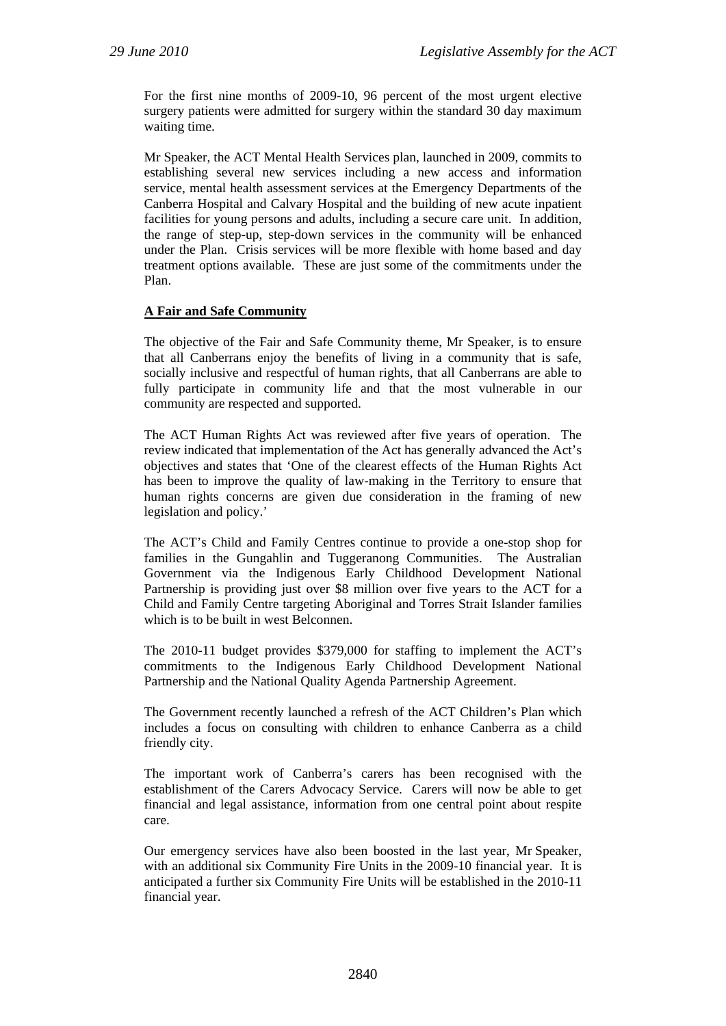For the first nine months of 2009-10, 96 percent of the most urgent elective surgery patients were admitted for surgery within the standard 30 day maximum waiting time.

Mr Speaker, the ACT Mental Health Services plan, launched in 2009, commits to establishing several new services including a new access and information service, mental health assessment services at the Emergency Departments of the Canberra Hospital and Calvary Hospital and the building of new acute inpatient facilities for young persons and adults, including a secure care unit. In addition, the range of step-up, step-down services in the community will be enhanced under the Plan. Crisis services will be more flexible with home based and day treatment options available. These are just some of the commitments under the Plan.

## **A Fair and Safe Community**

The objective of the Fair and Safe Community theme, Mr Speaker, is to ensure that all Canberrans enjoy the benefits of living in a community that is safe, socially inclusive and respectful of human rights, that all Canberrans are able to fully participate in community life and that the most vulnerable in our community are respected and supported.

The ACT Human Rights Act was reviewed after five years of operation. The review indicated that implementation of the Act has generally advanced the Act's objectives and states that 'One of the clearest effects of the Human Rights Act has been to improve the quality of law-making in the Territory to ensure that human rights concerns are given due consideration in the framing of new legislation and policy.'

The ACT's Child and Family Centres continue to provide a one-stop shop for families in the Gungahlin and Tuggeranong Communities. The Australian Government via the Indigenous Early Childhood Development National Partnership is providing just over \$8 million over five years to the ACT for a Child and Family Centre targeting Aboriginal and Torres Strait Islander families which is to be built in west Belconnen.

The 2010-11 budget provides \$379,000 for staffing to implement the ACT's commitments to the Indigenous Early Childhood Development National Partnership and the National Quality Agenda Partnership Agreement.

The Government recently launched a refresh of the ACT Children's Plan which includes a focus on consulting with children to enhance Canberra as a child friendly city.

The important work of Canberra's carers has been recognised with the establishment of the Carers Advocacy Service. Carers will now be able to get financial and legal assistance, information from one central point about respite care.

Our emergency services have also been boosted in the last year, Mr Speaker, with an additional six Community Fire Units in the 2009-10 financial year. It is anticipated a further six Community Fire Units will be established in the 2010-11 financial year.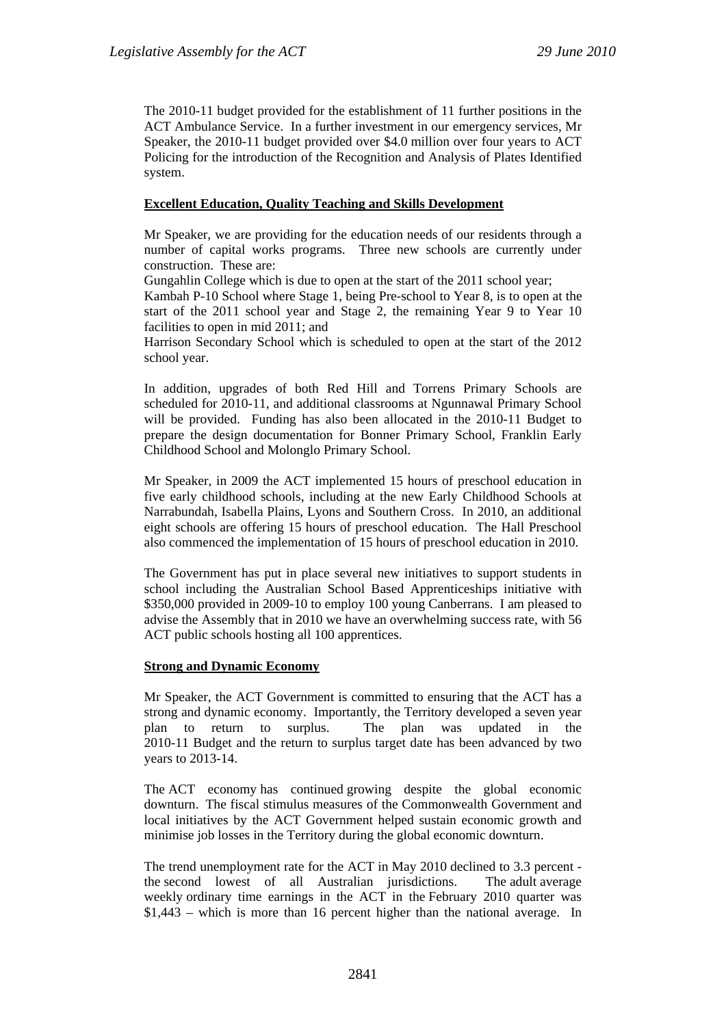The 2010-11 budget provided for the establishment of 11 further positions in the ACT Ambulance Service. In a further investment in our emergency services, Mr Speaker, the 2010-11 budget provided over \$4.0 million over four years to ACT Policing for the introduction of the Recognition and Analysis of Plates Identified system.

## **Excellent Education, Quality Teaching and Skills Development**

Mr Speaker, we are providing for the education needs of our residents through a number of capital works programs. Three new schools are currently under construction. These are:

Gungahlin College which is due to open at the start of the 2011 school year;

Kambah P-10 School where Stage 1, being Pre-school to Year 8, is to open at the start of the 2011 school year and Stage 2, the remaining Year 9 to Year 10 facilities to open in mid 2011; and

Harrison Secondary School which is scheduled to open at the start of the 2012 school year.

In addition, upgrades of both Red Hill and Torrens Primary Schools are scheduled for 2010-11, and additional classrooms at Ngunnawal Primary School will be provided. Funding has also been allocated in the 2010-11 Budget to prepare the design documentation for Bonner Primary School, Franklin Early Childhood School and Molonglo Primary School.

Mr Speaker, in 2009 the ACT implemented 15 hours of preschool education in five early childhood schools, including at the new Early Childhood Schools at Narrabundah, Isabella Plains, Lyons and Southern Cross. In 2010, an additional eight schools are offering 15 hours of preschool education. The Hall Preschool also commenced the implementation of 15 hours of preschool education in 2010.

The Government has put in place several new initiatives to support students in school including the Australian School Based Apprenticeships initiative with \$350,000 provided in 2009-10 to employ 100 young Canberrans. I am pleased to advise the Assembly that in 2010 we have an overwhelming success rate, with 56 ACT public schools hosting all 100 apprentices.

#### **Strong and Dynamic Economy**

Mr Speaker, the ACT Government is committed to ensuring that the ACT has a strong and dynamic economy. Importantly, the Territory developed a seven year plan to return to surplus. The plan was updated in the 2010-11 Budget and the return to surplus target date has been advanced by two years to 2013-14.

The ACT economy has continued growing despite the global economic downturn. The fiscal stimulus measures of the Commonwealth Government and local initiatives by the ACT Government helped sustain economic growth and minimise job losses in the Territory during the global economic downturn.

The trend unemployment rate for the ACT in May 2010 declined to 3.3 percent the second lowest of all Australian jurisdictions. The adult average weekly ordinary time earnings in the ACT in the February 2010 quarter was \$1,443 – which is more than 16 percent higher than the national average. In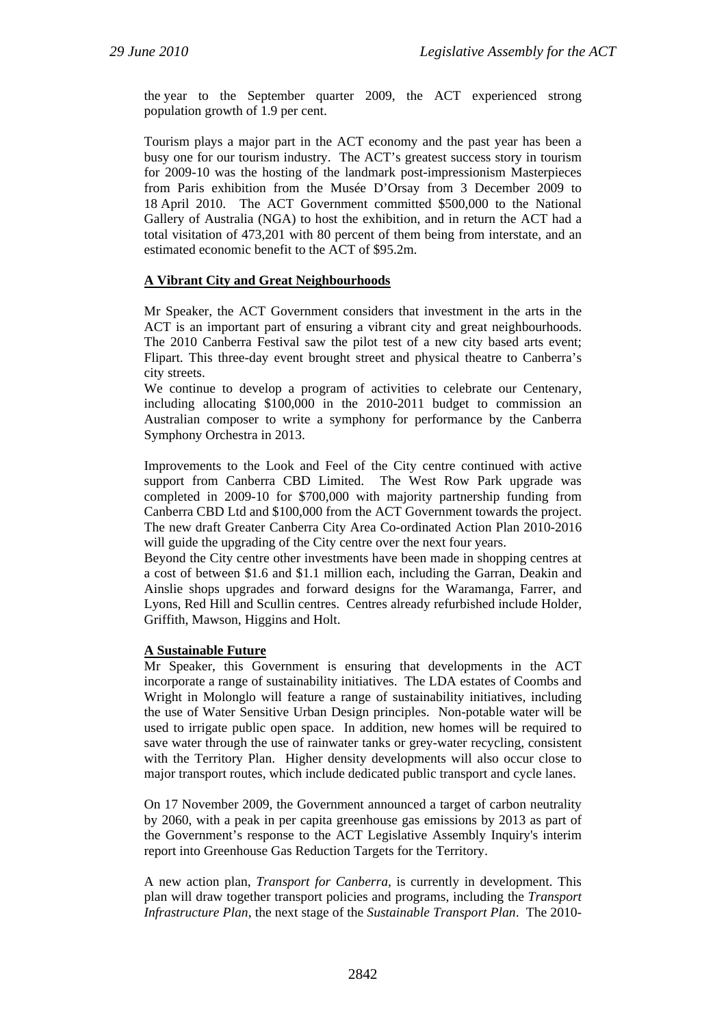the year to the September quarter 2009, the ACT experienced strong population growth of 1.9 per cent.

Tourism plays a major part in the ACT economy and the past year has been a busy one for our tourism industry. The ACT's greatest success story in tourism for 2009-10 was the hosting of the landmark post-impressionism Masterpieces from Paris exhibition from the Musée D'Orsay from 3 December 2009 to 18 April 2010. The ACT Government committed \$500,000 to the National Gallery of Australia (NGA) to host the exhibition, and in return the ACT had a total visitation of 473,201 with 80 percent of them being from interstate, and an estimated economic benefit to the ACT of \$95.2m.

#### **A Vibrant City and Great Neighbourhoods**

Mr Speaker, the ACT Government considers that investment in the arts in the ACT is an important part of ensuring a vibrant city and great neighbourhoods. The 2010 Canberra Festival saw the pilot test of a new city based arts event; Flipart. This three-day event brought street and physical theatre to Canberra's city streets.

We continue to develop a program of activities to celebrate our Centenary, including allocating \$100,000 in the 2010-2011 budget to commission an Australian composer to write a symphony for performance by the Canberra Symphony Orchestra in 2013.

Improvements to the Look and Feel of the City centre continued with active support from Canberra CBD Limited. The West Row Park upgrade was completed in 2009-10 for \$700,000 with majority partnership funding from Canberra CBD Ltd and \$100,000 from the ACT Government towards the project. The new draft Greater Canberra City Area Co-ordinated Action Plan 2010-2016 will guide the upgrading of the City centre over the next four years.

Beyond the City centre other investments have been made in shopping centres at a cost of between \$1.6 and \$1.1 million each, including the Garran, Deakin and Ainslie shops upgrades and forward designs for the Waramanga, Farrer, and Lyons, Red Hill and Scullin centres. Centres already refurbished include Holder, Griffith, Mawson, Higgins and Holt.

#### **A Sustainable Future**

Mr Speaker, this Government is ensuring that developments in the ACT incorporate a range of sustainability initiatives. The LDA estates of Coombs and Wright in Molonglo will feature a range of sustainability initiatives, including the use of Water Sensitive Urban Design principles. Non-potable water will be used to irrigate public open space. In addition, new homes will be required to save water through the use of rainwater tanks or grey-water recycling, consistent with the Territory Plan. Higher density developments will also occur close to major transport routes, which include dedicated public transport and cycle lanes.

On 17 November 2009, the Government announced a target of carbon neutrality by 2060, with a peak in per capita greenhouse gas emissions by 2013 as part of the Government's response to the ACT Legislative Assembly Inquiry's interim report into Greenhouse Gas Reduction Targets for the Territory.

A new action plan, *Transport for Canberra,* is currently in development. This plan will draw together transport policies and programs, including the *Transport Infrastructure Plan*, the next stage of the *Sustainable Transport Plan*. The 2010-